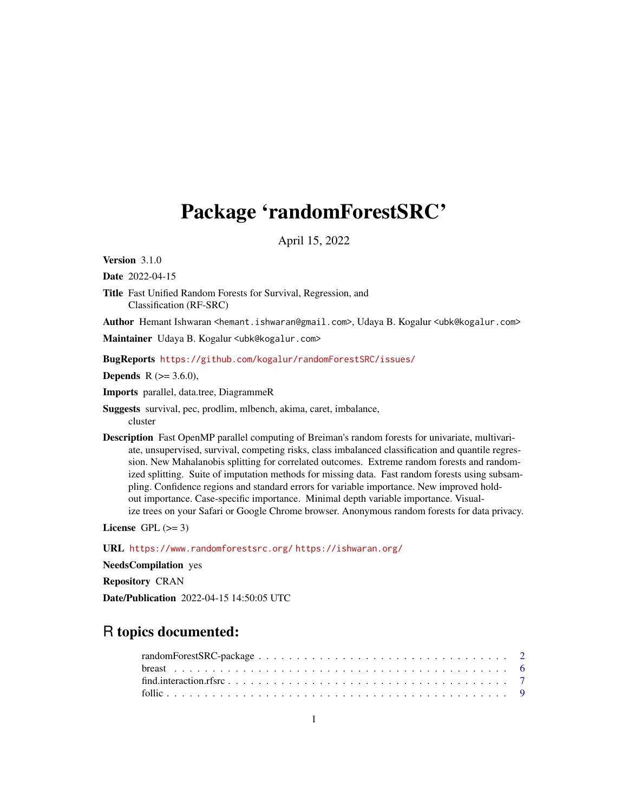# Package 'randomForestSRC'

April 15, 2022

Version 3.1.0

Date 2022-04-15

Title Fast Unified Random Forests for Survival, Regression, and Classification (RF-SRC)

Author Hemant Ishwaran <hemant.ishwaran@gmail.com>, Udaya B. Kogalur <ubk@kogalur.com>

Maintainer Udaya B. Kogalur <ubk@kogalur.com>

BugReports <https://github.com/kogalur/randomForestSRC/issues/>

**Depends** R  $(>= 3.6.0)$ ,

Imports parallel, data.tree, DiagrammeR

Suggests survival, pec, prodlim, mlbench, akima, caret, imbalance, cluster

Description Fast OpenMP parallel computing of Breiman's random forests for univariate, multivariate, unsupervised, survival, competing risks, class imbalanced classification and quantile regression. New Mahalanobis splitting for correlated outcomes. Extreme random forests and randomized splitting. Suite of imputation methods for missing data. Fast random forests using subsampling. Confidence regions and standard errors for variable importance. New improved holdout importance. Case-specific importance. Minimal depth variable importance. Visualize trees on your Safari or Google Chrome browser. Anonymous random forests for data privacy.

License GPL  $(>= 3)$ 

URL <https://www.randomforestsrc.org/> <https://ishwaran.org/>

NeedsCompilation yes

Repository CRAN

Date/Publication 2022-04-15 14:50:05 UTC

## R topics documented: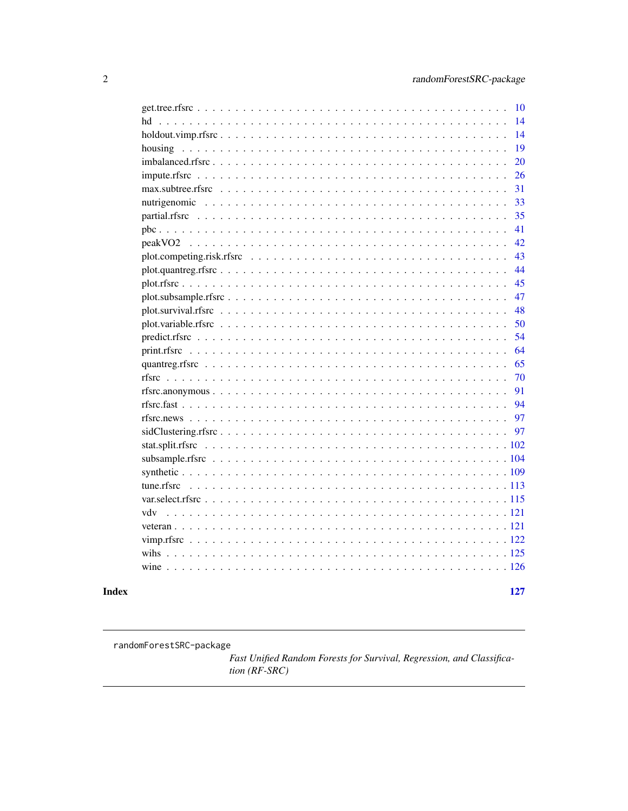<span id="page-1-0"></span>

|     | 10  |
|-----|-----|
| hd  | 14  |
|     | 14  |
|     | 19  |
|     | 20  |
|     | 26  |
|     | 31  |
|     | 33  |
|     | 35  |
|     | 41  |
|     | 42  |
|     | 43  |
|     | 44  |
|     | 45  |
|     | 47  |
|     | 48  |
|     | 50  |
|     | 54  |
|     | 64  |
|     | 65  |
|     | 70  |
|     | 91  |
|     | 94  |
|     | 97  |
|     | 97  |
|     |     |
|     |     |
|     |     |
|     | 113 |
|     | 115 |
| vdv |     |
|     |     |
|     |     |
|     |     |
|     |     |
|     |     |
|     |     |

## **Index**

127

randomForestSRC-package

Fast Unified Random Forests for Survival, Regression, and Classification (RF-SRC)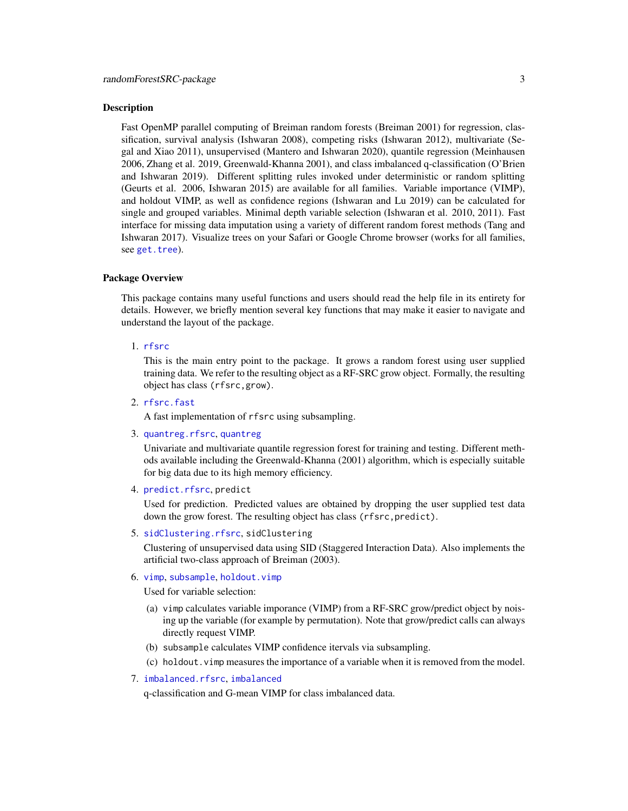#### Description

Fast OpenMP parallel computing of Breiman random forests (Breiman 2001) for regression, classification, survival analysis (Ishwaran 2008), competing risks (Ishwaran 2012), multivariate (Segal and Xiao 2011), unsupervised (Mantero and Ishwaran 2020), quantile regression (Meinhausen 2006, Zhang et al. 2019, Greenwald-Khanna 2001), and class imbalanced q-classification (O'Brien and Ishwaran 2019). Different splitting rules invoked under deterministic or random splitting (Geurts et al. 2006, Ishwaran 2015) are available for all families. Variable importance (VIMP), and holdout VIMP, as well as confidence regions (Ishwaran and Lu 2019) can be calculated for single and grouped variables. Minimal depth variable selection (Ishwaran et al. 2010, 2011). Fast interface for missing data imputation using a variety of different random forest methods (Tang and Ishwaran 2017). Visualize trees on your Safari or Google Chrome browser (works for all families, see [get.tree](#page-9-1)).

#### Package Overview

This package contains many useful functions and users should read the help file in its entirety for details. However, we briefly mention several key functions that may make it easier to navigate and understand the layout of the package.

#### 1. [rfsrc](#page-69-1)

This is the main entry point to the package. It grows a random forest using user supplied training data. We refer to the resulting object as a RF-SRC grow object. Formally, the resulting object has class (rfsrc,grow).

2. [rfsrc.fast](#page-93-1)

A fast implementation of rfsrc using subsampling.

3. [quantreg.rfsrc](#page-64-1), [quantreg](#page-64-2)

Univariate and multivariate quantile regression forest for training and testing. Different methods available including the Greenwald-Khanna (2001) algorithm, which is especially suitable for big data due to its high memory efficiency.

4. [predict.rfsrc](#page-53-1), predict

Used for prediction. Predicted values are obtained by dropping the user supplied test data down the grow forest. The resulting object has class (rfsrc, predict).

5. [sidClustering.rfsrc](#page-96-1), sidClustering

Clustering of unsupervised data using SID (Staggered Interaction Data). Also implements the artificial two-class approach of Breiman (2003).

6. [vimp](#page-121-1), [subsample](#page-103-1), [holdout.vimp](#page-13-1)

Used for variable selection:

- (a) vimp calculates variable imporance (VIMP) from a RF-SRC grow/predict object by noising up the variable (for example by permutation). Note that grow/predict calls can always directly request VIMP.
- (b) subsample calculates VIMP confidence itervals via subsampling.
- (c) holdout.vimp measures the importance of a variable when it is removed from the model.
- 7. [imbalanced.rfsrc](#page-19-1), [imbalanced](#page-19-2)

q-classification and G-mean VIMP for class imbalanced data.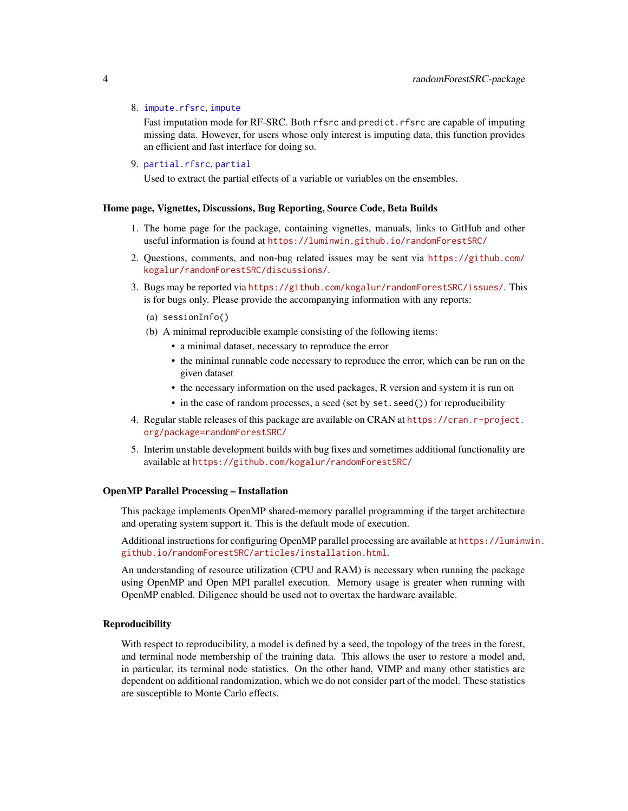#### 8. [impute.rfsrc](#page-25-1), [impute](#page-25-2)

Fast imputation mode for RF-SRC. Both rfsrc and predict.rfsrc are capable of imputing missing data. However, for users whose only interest is imputing data, this function provides an efficient and fast interface for doing so.

9. [partial.rfsrc](#page-34-1), [partial](#page-34-2)

Used to extract the partial effects of a variable or variables on the ensembles.

## Home page, Vignettes, Discussions, Bug Reporting, Source Code, Beta Builds

- 1. The home page for the package, containing vignettes, manuals, links to GitHub and other useful information is found at <https://luminwin.github.io/randomForestSRC/>
- 2. Questions, comments, and non-bug related issues may be sent via [https://github.com/](https://github.com/kogalur/randomForestSRC/discussions/) [kogalur/randomForestSRC/discussions/](https://github.com/kogalur/randomForestSRC/discussions/).
- 3. Bugs may be reported via <https://github.com/kogalur/randomForestSRC/issues/>. This is for bugs only. Please provide the accompanying information with any reports:
	- (a) sessionInfo()
	- (b) A minimal reproducible example consisting of the following items:
		- a minimal dataset, necessary to reproduce the error
		- the minimal runnable code necessary to reproduce the error, which can be run on the given dataset
		- the necessary information on the used packages, R version and system it is run on
		- in the case of random processes, a seed (set by set. seed()) for reproducibility
- 4. Regular stable releases of this package are available on CRAN at [https://cran.r-project.](https://cran.r-project.org/package=randomForestSRC/) [org/package=randomForestSRC/](https://cran.r-project.org/package=randomForestSRC/)
- 5. Interim unstable development builds with bug fixes and sometimes additional functionality are available at <https://github.com/kogalur/randomForestSRC/>

#### OpenMP Parallel Processing – Installation

This package implements OpenMP shared-memory parallel programming if the target architecture and operating system support it. This is the default mode of execution.

Additional instructions for configuring OpenMP parallel processing are available at [https://luminw](https://luminwin.github.io/randomForestSRC/articles/installation.html)in. [github.io/randomForestSRC/articles/installation.html](https://luminwin.github.io/randomForestSRC/articles/installation.html).

An understanding of resource utilization (CPU and RAM) is necessary when running the package using OpenMP and Open MPI parallel execution. Memory usage is greater when running with OpenMP enabled. Diligence should be used not to overtax the hardware available.

#### Reproducibility

With respect to reproducibility, a model is defined by a seed, the topology of the trees in the forest, and terminal node membership of the training data. This allows the user to restore a model and, in particular, its terminal node statistics. On the other hand, VIMP and many other statistics are dependent on additional randomization, which we do not consider part of the model. These statistics are susceptible to Monte Carlo effects.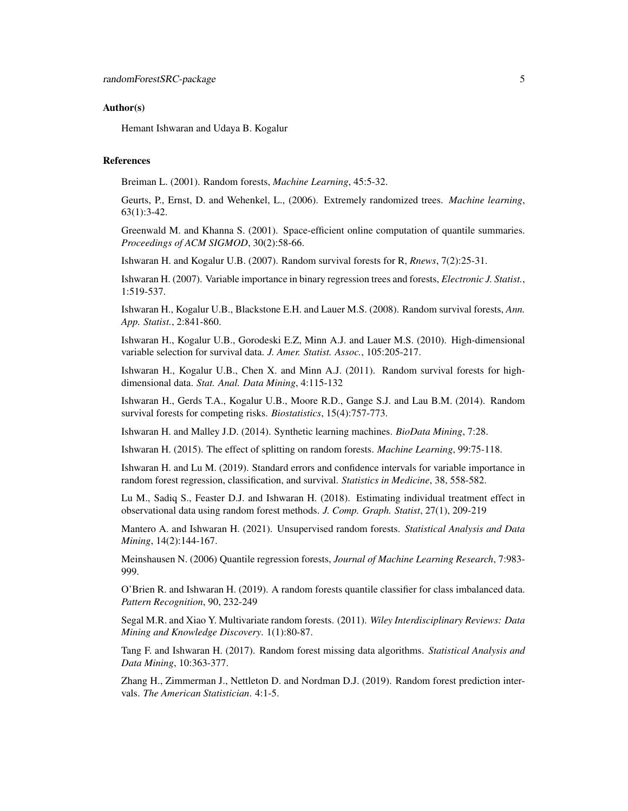#### Author(s)

Hemant Ishwaran and Udaya B. Kogalur

#### References

Breiman L. (2001). Random forests, *Machine Learning*, 45:5-32.

Geurts, P., Ernst, D. and Wehenkel, L., (2006). Extremely randomized trees. *Machine learning*, 63(1):3-42.

Greenwald M. and Khanna S. (2001). Space-efficient online computation of quantile summaries. *Proceedings of ACM SIGMOD*, 30(2):58-66.

Ishwaran H. and Kogalur U.B. (2007). Random survival forests for R, *Rnews*, 7(2):25-31.

Ishwaran H. (2007). Variable importance in binary regression trees and forests, *Electronic J. Statist.*, 1:519-537.

Ishwaran H., Kogalur U.B., Blackstone E.H. and Lauer M.S. (2008). Random survival forests, *Ann. App. Statist.*, 2:841-860.

Ishwaran H., Kogalur U.B., Gorodeski E.Z, Minn A.J. and Lauer M.S. (2010). High-dimensional variable selection for survival data. *J. Amer. Statist. Assoc.*, 105:205-217.

Ishwaran H., Kogalur U.B., Chen X. and Minn A.J. (2011). Random survival forests for highdimensional data. *Stat. Anal. Data Mining*, 4:115-132

Ishwaran H., Gerds T.A., Kogalur U.B., Moore R.D., Gange S.J. and Lau B.M. (2014). Random survival forests for competing risks. *Biostatistics*, 15(4):757-773.

Ishwaran H. and Malley J.D. (2014). Synthetic learning machines. *BioData Mining*, 7:28.

Ishwaran H. (2015). The effect of splitting on random forests. *Machine Learning*, 99:75-118.

Ishwaran H. and Lu M. (2019). Standard errors and confidence intervals for variable importance in random forest regression, classification, and survival. *Statistics in Medicine*, 38, 558-582.

Lu M., Sadiq S., Feaster D.J. and Ishwaran H. (2018). Estimating individual treatment effect in observational data using random forest methods. *J. Comp. Graph. Statist*, 27(1), 209-219

Mantero A. and Ishwaran H. (2021). Unsupervised random forests. *Statistical Analysis and Data Mining*, 14(2):144-167.

Meinshausen N. (2006) Quantile regression forests, *Journal of Machine Learning Research*, 7:983- 999.

O'Brien R. and Ishwaran H. (2019). A random forests quantile classifier for class imbalanced data. *Pattern Recognition*, 90, 232-249

Segal M.R. and Xiao Y. Multivariate random forests. (2011). *Wiley Interdisciplinary Reviews: Data Mining and Knowledge Discovery*. 1(1):80-87.

Tang F. and Ishwaran H. (2017). Random forest missing data algorithms. *Statistical Analysis and Data Mining*, 10:363-377.

Zhang H., Zimmerman J., Nettleton D. and Nordman D.J. (2019). Random forest prediction intervals. *The American Statistician*. 4:1-5.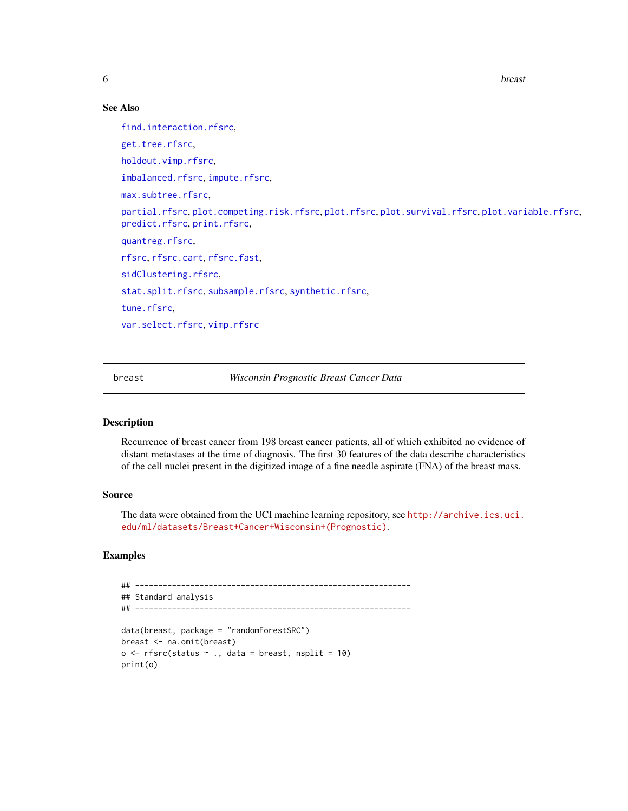<span id="page-5-0"></span>

## See Also

[find.interaction.rfsrc](#page-6-1), [get.tree.rfsrc](#page-9-2), [holdout.vimp.rfsrc](#page-13-2), [imbalanced.rfsrc](#page-19-1), [impute.rfsrc](#page-25-1), [max.subtree.rfsrc](#page-30-1), [partial.rfsrc](#page-34-1), [plot.competing.risk.rfsrc](#page-42-1), [plot.rfsrc](#page-44-1), [plot.survival.rfsrc](#page-47-1), [plot.variable.rfsrc](#page-49-1), [predict.rfsrc](#page-53-1), [print.rfsrc](#page-63-1), [quantreg.rfsrc](#page-64-1), [rfsrc](#page-69-1), [rfsrc.cart](#page-69-2), [rfsrc.fast](#page-93-1), [sidClustering.rfsrc](#page-96-1). [stat.split.rfsrc](#page-101-1), [subsample.rfsrc](#page-103-2), [synthetic.rfsrc](#page-108-1), [tune.rfsrc](#page-112-1), [var.select.rfsrc](#page-114-1), [vimp.rfsrc](#page-121-2)

breast *Wisconsin Prognostic Breast Cancer Data*

## Description

Recurrence of breast cancer from 198 breast cancer patients, all of which exhibited no evidence of distant metastases at the time of diagnosis. The first 30 features of the data describe characteristics of the cell nuclei present in the digitized image of a fine needle aspirate (FNA) of the breast mass.

## Source

The data were obtained from the UCI machine learning repository, see [http://archive.ics.uci.](http://archive.ics.uci.edu/ml/datasets/Breast+Cancer+Wisconsin+(Prognostic)) [edu/ml/datasets/Breast+Cancer+Wisconsin+\(Prognostic\)](http://archive.ics.uci.edu/ml/datasets/Breast+Cancer+Wisconsin+(Prognostic)).

## Examples

```
## ------------------------------------------------------------
## Standard analysis
## ------------------------------------------------------------
data(breast, package = "randomForestSRC")
breast <- na.omit(breast)
o \leftarrow \text{rfsrc}(\text{status } \sim ., \text{ data = breast}, \text{ nsplit} = 10)print(o)
```
**6** breast **breast breast breast breast breast**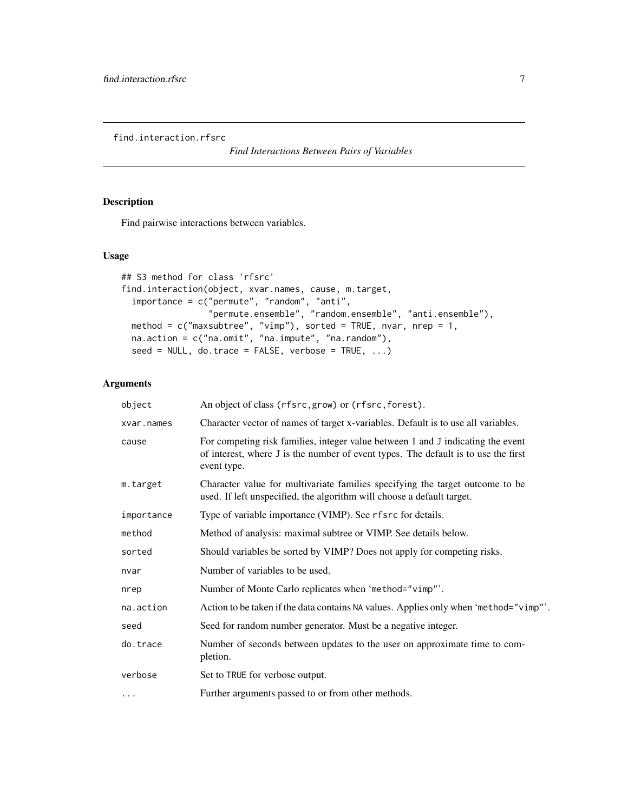<span id="page-6-1"></span><span id="page-6-0"></span>find.interaction.rfsrc

*Find Interactions Between Pairs of Variables*

## Description

Find pairwise interactions between variables.

## Usage

```
## S3 method for class 'rfsrc'
find.interaction(object, xvar.names, cause, m.target,
  importance = c("permute", "random", "anti",
                 "permute.ensemble", "random.ensemble", "anti.ensemble"),
  method = c("maxsubtree", "vimp"), sorted = TRUE, nvar, nrep = 1,
  na.action = c("na.omit", "na.impute", "na.random"),
 seed = NULL, do.trace = FALSE, verbose = TRUE, ...)
```
## Arguments

| object     | An object of class (rfsrc, grow) or (rfsrc, forest).                                                                                                                                 |
|------------|--------------------------------------------------------------------------------------------------------------------------------------------------------------------------------------|
| xvar.names | Character vector of names of target x-variables. Default is to use all variables.                                                                                                    |
| cause      | For competing risk families, integer value between 1 and J indicating the event<br>of interest, where J is the number of event types. The default is to use the first<br>event type. |
| m.target   | Character value for multivariate families specifying the target outcome to be<br>used. If left unspecified, the algorithm will choose a default target.                              |
| importance | Type of variable importance (VIMP). See rfsrc for details.                                                                                                                           |
| method     | Method of analysis: maximal subtree or VIMP. See details below.                                                                                                                      |
| sorted     | Should variables be sorted by VIMP? Does not apply for competing risks.                                                                                                              |
| nvar       | Number of variables to be used.                                                                                                                                                      |
| nrep       | Number of Monte Carlo replicates when 'method="vimp"'.                                                                                                                               |
| na.action  | Action to be taken if the data contains NA values. Applies only when 'method="vimp"'.                                                                                                |
| seed       | Seed for random number generator. Must be a negative integer.                                                                                                                        |
| do.trace   | Number of seconds between updates to the user on approximate time to com-<br>pletion.                                                                                                |
| verbose    | Set to TRUE for verbose output.                                                                                                                                                      |
| $\cdots$   | Further arguments passed to or from other methods.                                                                                                                                   |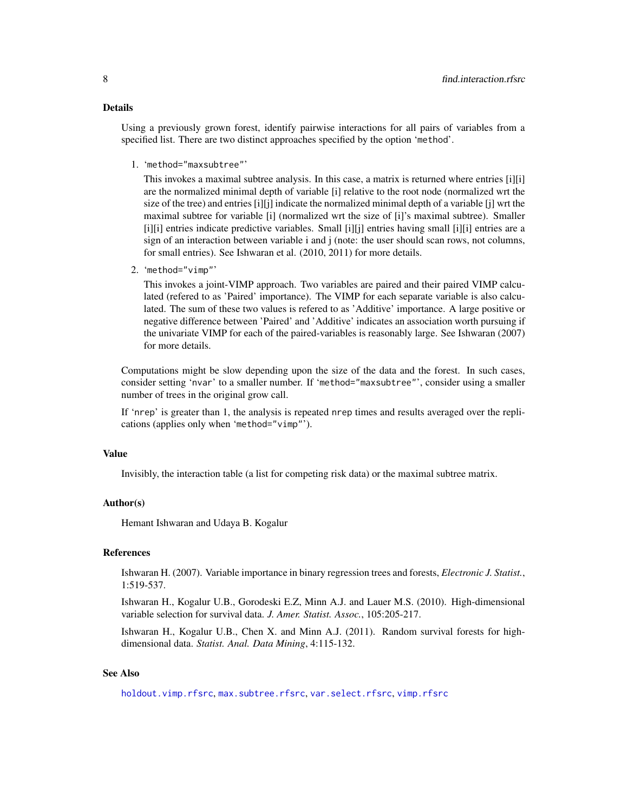#### Details

Using a previously grown forest, identify pairwise interactions for all pairs of variables from a specified list. There are two distinct approaches specified by the option 'method'.

1. 'method="maxsubtree"'

This invokes a maximal subtree analysis. In this case, a matrix is returned where entries [i][i] are the normalized minimal depth of variable [i] relative to the root node (normalized wrt the size of the tree) and entries  $[i][j]$  indicate the normalized minimal depth of a variable  $[i]$  wrt the maximal subtree for variable [i] (normalized wrt the size of [i]'s maximal subtree). Smaller [i][i] entries indicate predictive variables. Small [i][j] entries having small [i][i] entries are a sign of an interaction between variable i and j (note: the user should scan rows, not columns, for small entries). See Ishwaran et al. (2010, 2011) for more details.

2. 'method="vimp"'

This invokes a joint-VIMP approach. Two variables are paired and their paired VIMP calculated (refered to as 'Paired' importance). The VIMP for each separate variable is also calculated. The sum of these two values is refered to as 'Additive' importance. A large positive or negative difference between 'Paired' and 'Additive' indicates an association worth pursuing if the univariate VIMP for each of the paired-variables is reasonably large. See Ishwaran (2007) for more details.

Computations might be slow depending upon the size of the data and the forest. In such cases, consider setting 'nvar' to a smaller number. If 'method="maxsubtree"', consider using a smaller number of trees in the original grow call.

If 'nrep' is greater than 1, the analysis is repeated nrep times and results averaged over the replications (applies only when 'method="vimp"').

#### Value

Invisibly, the interaction table (a list for competing risk data) or the maximal subtree matrix.

#### Author(s)

Hemant Ishwaran and Udaya B. Kogalur

## References

Ishwaran H. (2007). Variable importance in binary regression trees and forests, *Electronic J. Statist.*, 1:519-537.

Ishwaran H., Kogalur U.B., Gorodeski E.Z, Minn A.J. and Lauer M.S. (2010). High-dimensional variable selection for survival data. *J. Amer. Statist. Assoc.*, 105:205-217.

Ishwaran H., Kogalur U.B., Chen X. and Minn A.J. (2011). Random survival forests for highdimensional data. *Statist. Anal. Data Mining*, 4:115-132.

## See Also

[holdout.vimp.rfsrc](#page-13-2), [max.subtree.rfsrc](#page-30-1), [var.select.rfsrc](#page-114-1), [vimp.rfsrc](#page-121-2)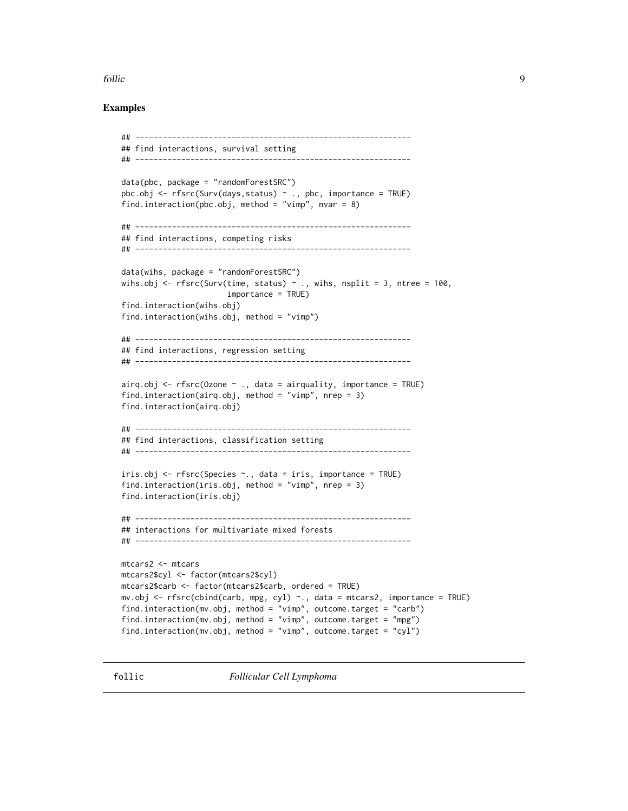#### <span id="page-8-0"></span>follic 9

## Examples

```
## ------------------------------------------------------------
## find interactions, survival setting
## ------------------------------------------------------------
data(pbc, package = "randomForestSRC")
pbc.obj <- rfsrc(Surv(days, status) ~ ~ ., pbc, importance = TRUE)
find.interaction(pbc.obj, method = "vimp", nvar = 8)
## ------------------------------------------------------------
## find interactions, competing risks
## ------------------------------------------------------------
data(wihs, package = "randomForestSRC")
wihs.obj \leq rfsrc(Surv(time, status) \sim ., wihs, nsplit = 3, ntree = 100,
                       importance = TRUE)
find.interaction(wihs.obj)
find.interaction(wihs.obj, method = "vimp")
## ------------------------------------------------------------
## find interactions, regression setting
## ------------------------------------------------------------
airq.obj <- rfsrc(Ozone \sim ., data = airquality, importance = TRUE)
find.interaction(airq.obj, method = "vimp", nrep = 3)
find.interaction(airq.obj)
## ------------------------------------------------------------
## find interactions, classification setting
## ------------------------------------------------------------
iris.obj <- rfsrc(Species ~., data = iris, importance = TRUE)
find.interaction(iris.obj, method = "vimp", nrep = 3)
find.interaction(iris.obj)
## ------------------------------------------------------------
## interactions for multivariate mixed forests
## ------------------------------------------------------------
mtcars2 <- mtcars
mtcars2$cyl <- factor(mtcars2$cyl)
mtcars2$carb <- factor(mtcars2$carb, ordered = TRUE)
mv.obj <- rfsrc(cbind(carb, mpg, cyl) ~., data = mtcars2, importance = TRUE)
find.interaction(mv.obj, method = "vimp", outcome.target = "carb")
find.interaction(mv.obj, method = "vimp", outcome.target = "mpg")
find.interaction(mv.obj, method = "vimp", outcome.target = "cyl")
```
follic *Follicular Cell Lymphoma*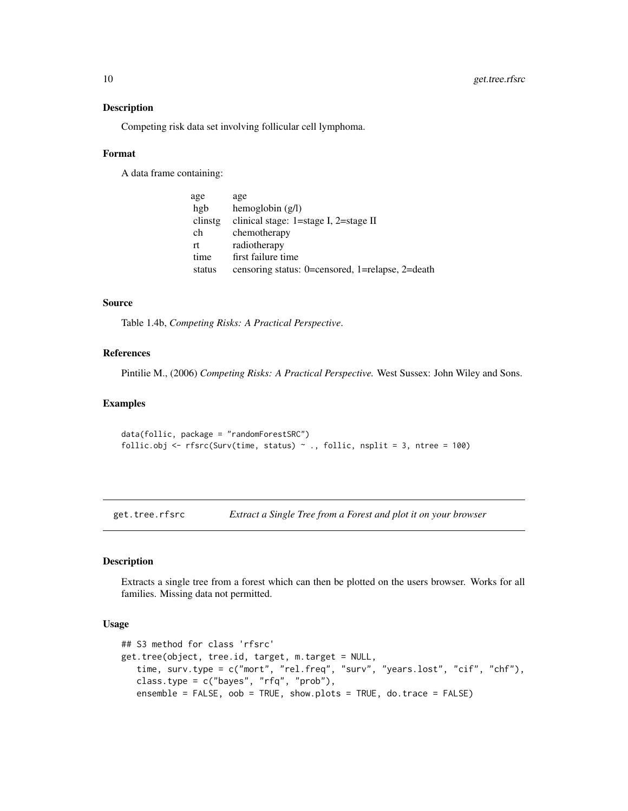#### Description

Competing risk data set involving follicular cell lymphoma.

#### Format

A data frame containing:

| age     | age                                              |
|---------|--------------------------------------------------|
| hgb     | hemoglobin $(g/l)$                               |
| clinstg | clinical stage: 1=stage I, 2=stage II            |
| ch      | chemotherapy                                     |
| rt      | radiotherapy                                     |
| time    | first failure time                               |
| status  | censoring status: 0=censored, 1=relapse, 2=death |

## Source

Table 1.4b, *Competing Risks: A Practical Perspective*.

## References

Pintilie M., (2006) *Competing Risks: A Practical Perspective.* West Sussex: John Wiley and Sons.

#### Examples

```
data(follic, package = "randomForestSRC")
follic.obj <- rfsrc(Surv(time, status) \sim ., follic, nsplit = 3, ntree = 100)
```
<span id="page-9-2"></span>get.tree.rfsrc *Extract a Single Tree from a Forest and plot it on your browser*

#### <span id="page-9-1"></span>Description

Extracts a single tree from a forest which can then be plotted on the users browser. Works for all families. Missing data not permitted.

#### Usage

```
## S3 method for class 'rfsrc'
get.tree(object, tree.id, target, m.target = NULL,
   time, surv.type = c("mort", "rel.freq", "surv", "years.lost", "cif", "chf"),
   class.type = c("bayes", "rfq", "prob"),
   ensemble = FALSE, oob = TRUE, show.plots = TRUE, do.trace = FALSE)
```
<span id="page-9-0"></span>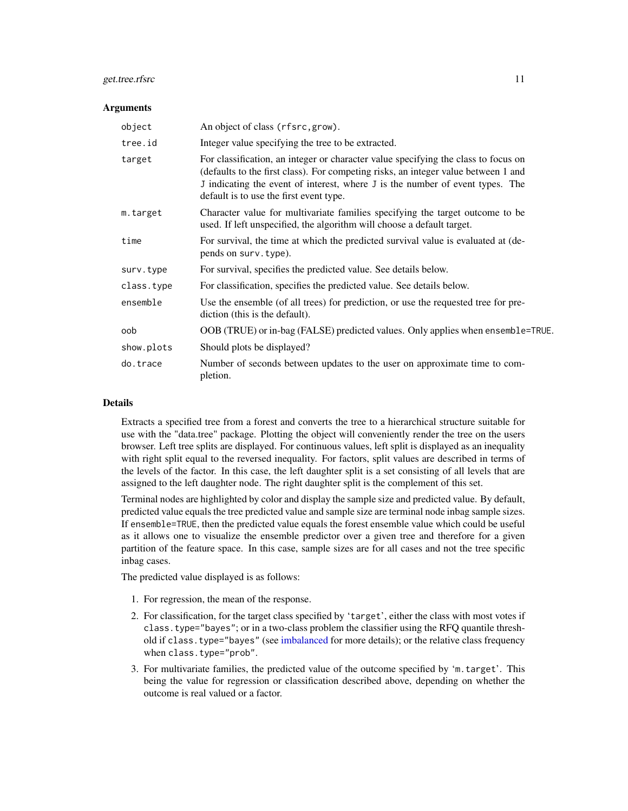## get.tree.rfsrc 11

#### **Arguments**

| object     | An object of class (rfsrc, grow).                                                                                                                                                                                                                                                                    |
|------------|------------------------------------------------------------------------------------------------------------------------------------------------------------------------------------------------------------------------------------------------------------------------------------------------------|
| tree.id    | Integer value specifying the tree to be extracted.                                                                                                                                                                                                                                                   |
| target     | For classification, an integer or character value specifying the class to focus on<br>(defaults to the first class). For competing risks, an integer value between 1 and<br>J indicating the event of interest, where J is the number of event types. The<br>default is to use the first event type. |
| m.target   | Character value for multivariate families specifying the target outcome to be<br>used. If left unspecified, the algorithm will choose a default target.                                                                                                                                              |
| time       | For survival, the time at which the predicted survival value is evaluated at (de-<br>pends on surv. type).                                                                                                                                                                                           |
| surv.type  | For survival, specifies the predicted value. See details below.                                                                                                                                                                                                                                      |
| class.type | For classification, specifies the predicted value. See details below.                                                                                                                                                                                                                                |
| ensemble   | Use the ensemble (of all trees) for prediction, or use the requested tree for pre-<br>diction (this is the default).                                                                                                                                                                                 |
| oob        | OOB (TRUE) or in-bag (FALSE) predicted values. Only applies when ensemble=TRUE.                                                                                                                                                                                                                      |
| show.plots | Should plots be displayed?                                                                                                                                                                                                                                                                           |
| do.trace   | Number of seconds between updates to the user on approximate time to com-<br>pletion.                                                                                                                                                                                                                |

#### Details

Extracts a specified tree from a forest and converts the tree to a hierarchical structure suitable for use with the "data.tree" package. Plotting the object will conveniently render the tree on the users browser. Left tree splits are displayed. For continuous values, left split is displayed as an inequality with right split equal to the reversed inequality. For factors, split values are described in terms of the levels of the factor. In this case, the left daughter split is a set consisting of all levels that are assigned to the left daughter node. The right daughter split is the complement of this set.

Terminal nodes are highlighted by color and display the sample size and predicted value. By default, predicted value equals the tree predicted value and sample size are terminal node inbag sample sizes. If ensemble=TRUE, then the predicted value equals the forest ensemble value which could be useful as it allows one to visualize the ensemble predictor over a given tree and therefore for a given partition of the feature space. In this case, sample sizes are for all cases and not the tree specific inbag cases.

The predicted value displayed is as follows:

- 1. For regression, the mean of the response.
- 2. For classification, for the target class specified by 'target', either the class with most votes if class.type="bayes"; or in a two-class problem the classifier using the RFQ quantile threshold if class.type="bayes" (see [imbalanced](#page-19-2) for more details); or the relative class frequency when class.type="prob".
- 3. For multivariate families, the predicted value of the outcome specified by 'm.target'. This being the value for regression or classification described above, depending on whether the outcome is real valued or a factor.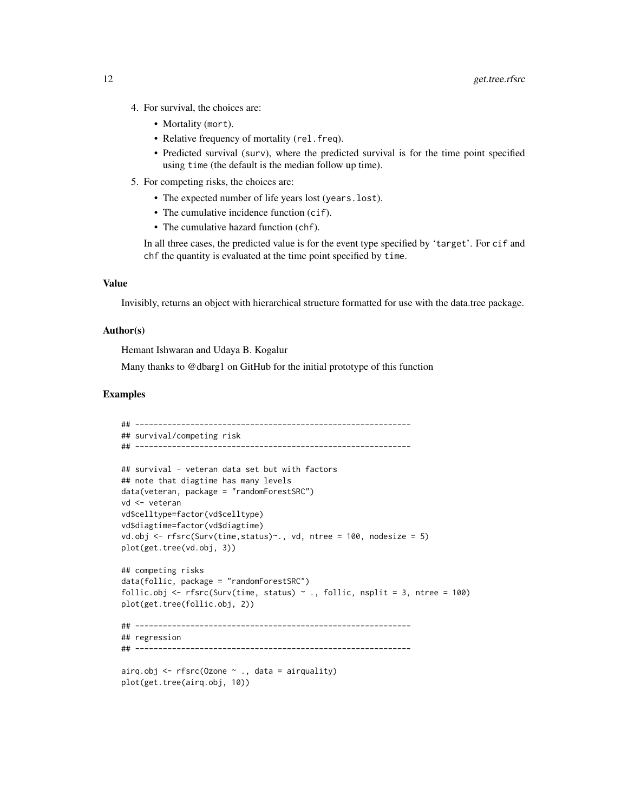- 4. For survival, the choices are:
	- Mortality (mort).
	- Relative frequency of mortality (rel.freq).
	- Predicted survival (surv), where the predicted survival is for the time point specified using time (the default is the median follow up time).
- 5. For competing risks, the choices are:
	- The expected number of life years lost (years.lost).
	- The cumulative incidence function (cif).
	- The cumulative hazard function (chf).

In all three cases, the predicted value is for the event type specified by 'target'. For cif and chf the quantity is evaluated at the time point specified by time.

#### Value

Invisibly, returns an object with hierarchical structure formatted for use with the data.tree package.

#### Author(s)

Hemant Ishwaran and Udaya B. Kogalur

Many thanks to @dbarg1 on GitHub for the initial prototype of this function

#### Examples

```
## ------------------------------------------------------------
## survival/competing risk
## ------------------------------------------------------------
## survival - veteran data set but with factors
## note that diagtime has many levels
data(veteran, package = "randomForestSRC")
vd <- veteran
vd$celltype=factor(vd$celltype)
vd$diagtime=factor(vd$diagtime)
vd.obj <- rfsrc(Surv(time, status) \sim., vd, ntree = 100, nodesize = 5)
plot(get.tree(vd.obj, 3))
## competing risks
data(follic, package = "randomForestSRC")
follic.obj <- rfsrc(Surv(time, status) \sim ., follic, nsplit = 3, ntree = 100)
plot(get.tree(follic.obj, 2))
## ------------------------------------------------------------
## regression
## ------------------------------------------------------------
airq.obj <- rfsrc(Ozone \sim ., data = airquality)
plot(get.tree(airq.obj, 10))
```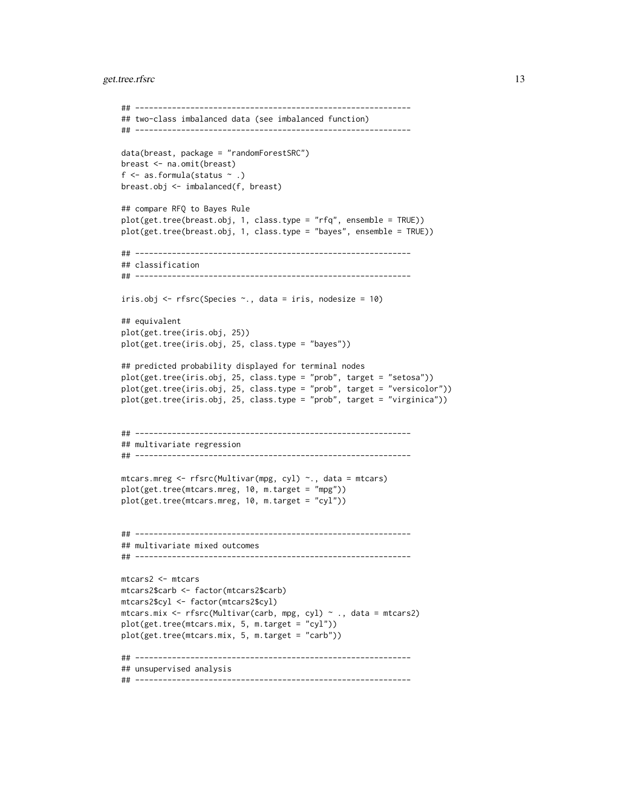#### get.tree.rfsrc 13

```
## ------------------------------------------------------------
## two-class imbalanced data (see imbalanced function)
## ------------------------------------------------------------
data(breast, package = "randomForestSRC")
breast <- na.omit(breast)
f \leq as.formula(status \sim.)
breast.obj <- imbalanced(f, breast)
## compare RFQ to Bayes Rule
plot(get.tree(breast.obj, 1, class.type = "rfq", ensemble = TRUE))
plot(get.tree(breast.obj, 1, class.type = "bayes", ensemble = TRUE))
## ------------------------------------------------------------
## classification
## ------------------------------------------------------------
iris.obj <- rfsrc(Species ~., data = iris, nodesize = 10)
## equivalent
plot(get.tree(iris.obj, 25))
plot(get.tree(iris.obj, 25, class.type = "bayes"))
## predicted probability displayed for terminal nodes
plot(get.tree(iris.obj, 25, class.type = "prob", target = "setosa"))
plot(get.tree(iris.obj, 25, class.type = "prob", target = "versicolor"))
plot(get.tree(iris.obj, 25, class.type = "prob", target = "virginica"))
## ------------------------------------------------------------
## multivariate regression
## ------------------------------------------------------------
mtcars.mreg <- rfsrc(Multivar(mpg, cyl) ~., data = mtcars)
plot(get.tree(mtcars.mreg, 10, m.target = "mpg"))
plot(get.tree(mtcars.mreg, 10, m.target = "cyl"))
## ------------------------------------------------------------
## multivariate mixed outcomes
## ------------------------------------------------------------
mtcars2 <- mtcars
mtcars2$carb <- factor(mtcars2$carb)
mtcars2$cyl <- factor(mtcars2$cyl)
mtcars.mix <- rfsrc(Multivar(carb, mpg, cyl) ~ ., data = mtcars2)
plot(get.tree(mtcars.mix, 5, m.target = "cyl"))
plot(get.tree(mtcars.mix, 5, m.target = "carb"))
## ------------------------------------------------------------
## unsupervised analysis
## ------------------------------------------------------------
```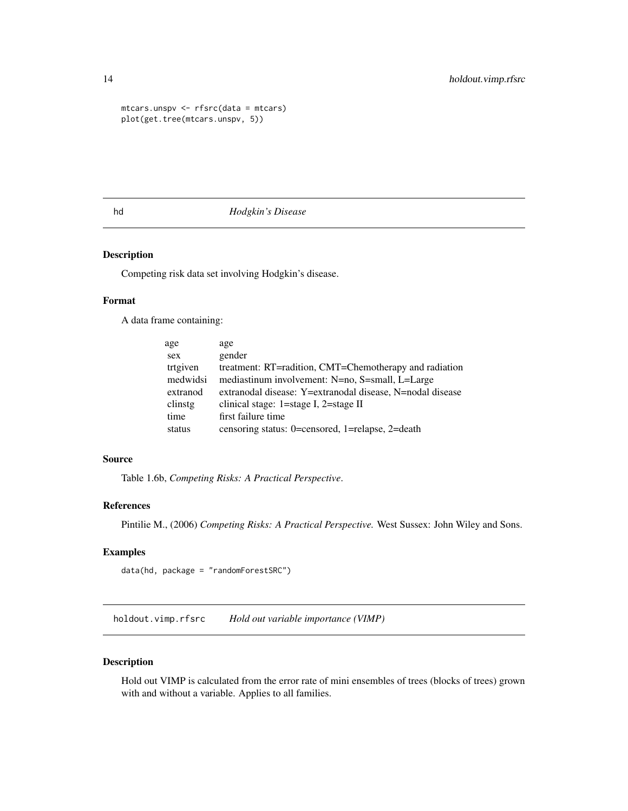```
mtcars.unspv <- rfsrc(data = mtcars)
plot(get.tree(mtcars.unspv, 5))
```
#### hd *Hodgkin's Disease*

## Description

Competing risk data set involving Hodgkin's disease.

## Format

A data frame containing:

| age      | age                                                       |
|----------|-----------------------------------------------------------|
| sex      | gender                                                    |
| trtgiven | treatment: RT=radition, CMT=Chemotherapy and radiation    |
| medwidsi | mediastinum involvement: N=no, S=small, L=Large           |
| extranod | extranodal disease: Y=extranodal disease, N=nodal disease |
| clinstg  | clinical stage: 1=stage I, 2=stage II                     |
| time     | first failure time                                        |
| status   | censoring status: 0=censored, 1=relapse, 2=death          |
|          |                                                           |

#### Source

Table 1.6b, *Competing Risks: A Practical Perspective*.

## References

Pintilie M., (2006) *Competing Risks: A Practical Perspective.* West Sussex: John Wiley and Sons.

## Examples

data(hd, package = "randomForestSRC")

<span id="page-13-2"></span>holdout.vimp.rfsrc *Hold out variable importance (VIMP)*

#### <span id="page-13-1"></span>Description

Hold out VIMP is calculated from the error rate of mini ensembles of trees (blocks of trees) grown with and without a variable. Applies to all families.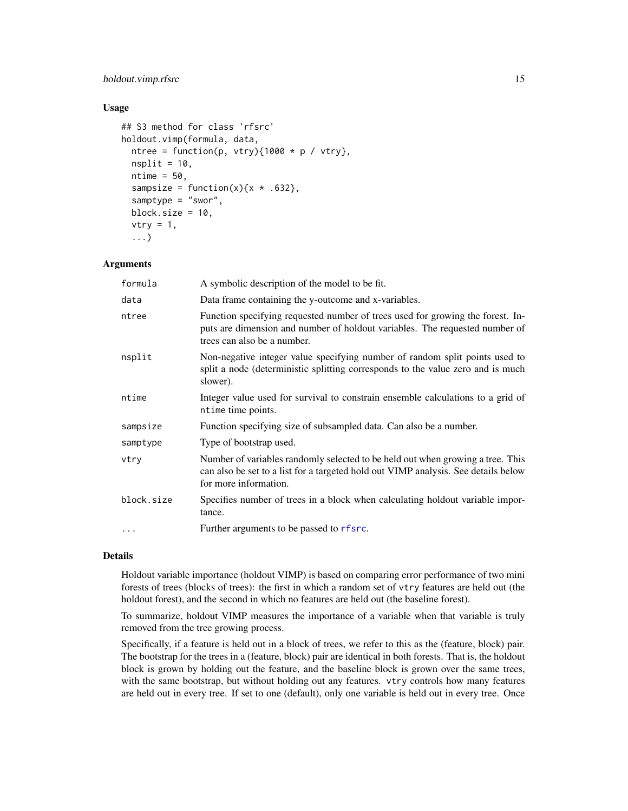## holdout.vimp.rfsrc 15

#### Usage

```
## S3 method for class 'rfsrc'
holdout.vimp(formula, data,
  ntree = function(p, vtry){1000 * p / vtry},
  nsplit = 10,ntime = 50,
  sampsize = function(x)\{x * .632\},
  samptype = "swor",
  block.size = 10,
  vtry = 1,...)
```
## Arguments

| formula    | A symbolic description of the model to be fit.                                                                                                                                                |
|------------|-----------------------------------------------------------------------------------------------------------------------------------------------------------------------------------------------|
| data       | Data frame containing the y-outcome and x-variables.                                                                                                                                          |
| ntree      | Function specifying requested number of trees used for growing the forest. In-<br>puts are dimension and number of holdout variables. The requested number of<br>trees can also be a number.  |
| nsplit     | Non-negative integer value specifying number of random split points used to<br>split a node (deterministic splitting corresponds to the value zero and is much<br>slower).                    |
| ntime      | Integer value used for survival to constrain ensemble calculations to a grid of<br>ntime time points.                                                                                         |
| sampsize   | Function specifying size of subsampled data. Can also be a number.                                                                                                                            |
| samptype   | Type of bootstrap used.                                                                                                                                                                       |
| vtry       | Number of variables randomly selected to be held out when growing a tree. This<br>can also be set to a list for a targeted hold out VIMP analysis. See details below<br>for more information. |
| block.size | Specifies number of trees in a block when calculating holdout variable impor-<br>tance.                                                                                                       |
| $\ddotsc$  | Further arguments to be passed to rfsrc.                                                                                                                                                      |

#### Details

Holdout variable importance (holdout VIMP) is based on comparing error performance of two mini forests of trees (blocks of trees): the first in which a random set of vtry features are held out (the holdout forest), and the second in which no features are held out (the baseline forest).

To summarize, holdout VIMP measures the importance of a variable when that variable is truly removed from the tree growing process.

Specifically, if a feature is held out in a block of trees, we refer to this as the (feature, block) pair. The bootstrap for the trees in a (feature, block) pair are identical in both forests. That is, the holdout block is grown by holding out the feature, and the baseline block is grown over the same trees, with the same bootstrap, but without holding out any features. vtry controls how many features are held out in every tree. If set to one (default), only one variable is held out in every tree. Once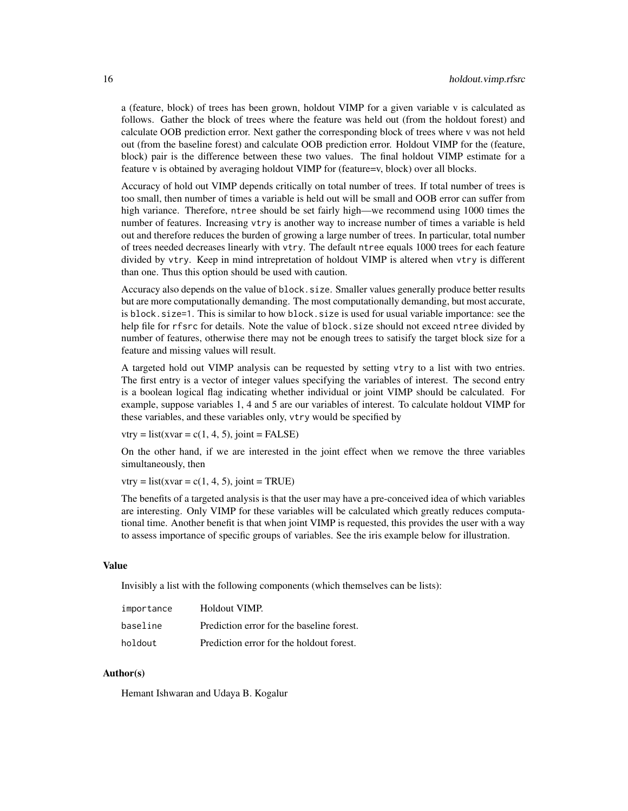a (feature, block) of trees has been grown, holdout VIMP for a given variable v is calculated as follows. Gather the block of trees where the feature was held out (from the holdout forest) and calculate OOB prediction error. Next gather the corresponding block of trees where v was not held out (from the baseline forest) and calculate OOB prediction error. Holdout VIMP for the (feature, block) pair is the difference between these two values. The final holdout VIMP estimate for a feature v is obtained by averaging holdout VIMP for (feature=v, block) over all blocks.

Accuracy of hold out VIMP depends critically on total number of trees. If total number of trees is too small, then number of times a variable is held out will be small and OOB error can suffer from high variance. Therefore, ntree should be set fairly high—we recommend using 1000 times the number of features. Increasing vtry is another way to increase number of times a variable is held out and therefore reduces the burden of growing a large number of trees. In particular, total number of trees needed decreases linearly with vtry. The default ntree equals 1000 trees for each feature divided by vtry. Keep in mind intrepretation of holdout VIMP is altered when vtry is different than one. Thus this option should be used with caution.

Accuracy also depends on the value of block.size. Smaller values generally produce better results but are more computationally demanding. The most computationally demanding, but most accurate, is block.size=1. This is similar to how block.size is used for usual variable importance: see the help file for rfsrc for details. Note the value of block.size should not exceed ntree divided by number of features, otherwise there may not be enough trees to satisify the target block size for a feature and missing values will result.

A targeted hold out VIMP analysis can be requested by setting vtry to a list with two entries. The first entry is a vector of integer values specifying the variables of interest. The second entry is a boolean logical flag indicating whether individual or joint VIMP should be calculated. For example, suppose variables 1, 4 and 5 are our variables of interest. To calculate holdout VIMP for these variables, and these variables only, vtry would be specified by

 $vtry = list(xvar = c(1, 4, 5), joint = FALSE)$ 

On the other hand, if we are interested in the joint effect when we remove the three variables simultaneously, then

 $vtry = list(xvar = c(1, 4, 5), joint = TRUE)$ 

The benefits of a targeted analysis is that the user may have a pre-conceived idea of which variables are interesting. Only VIMP for these variables will be calculated which greatly reduces computational time. Another benefit is that when joint VIMP is requested, this provides the user with a way to assess importance of specific groups of variables. See the iris example below for illustration.

#### Value

Invisibly a list with the following components (which themselves can be lists):

| importance | Holdout VIMP.                             |
|------------|-------------------------------------------|
| baseline   | Prediction error for the baseline forest. |
| holdout    | Prediction error for the holdout forest.  |

## Author(s)

Hemant Ishwaran and Udaya B. Kogalur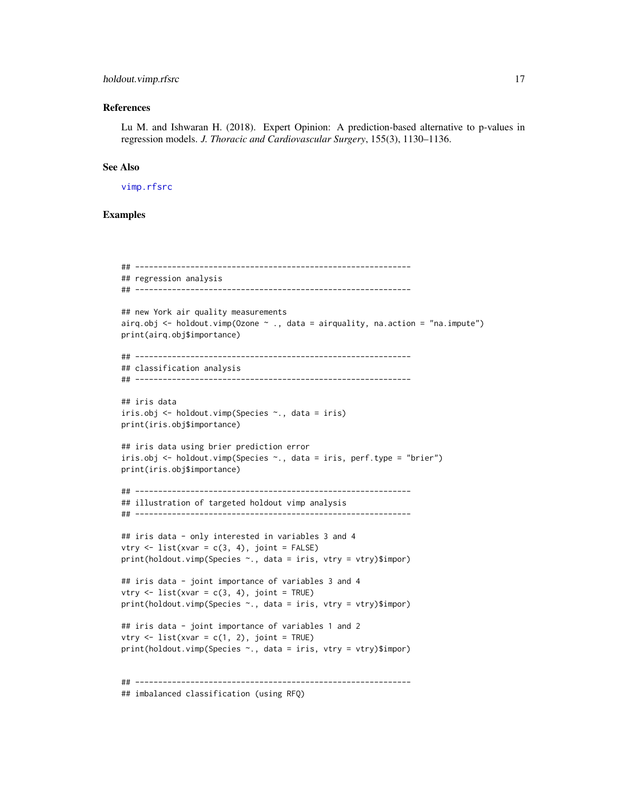## holdout.vimp.rfsrc 17

#### References

Lu M. and Ishwaran H. (2018). Expert Opinion: A prediction-based alternative to p-values in regression models. *J. Thoracic and Cardiovascular Surgery*, 155(3), 1130–1136.

#### See Also

[vimp.rfsrc](#page-121-2)

#### Examples

```
## ------------------------------------------------------------
## regression analysis
## ------------------------------------------------------------
## new York air quality measurements
airq.obj \leq holdout.vimp(Ozone \sim ., data = airquality, na.action = "na.impute")
print(airq.obj$importance)
## ------------------------------------------------------------
## classification analysis
## ------------------------------------------------------------
## iris data
iris.obj <- holdout.vimp(Species ~., data = iris)
print(iris.obj$importance)
## iris data using brier prediction error
iris.obj <- holdout.vimp(Species ~., data = iris, perf.type = "brier")
print(iris.obj$importance)
## ------------------------------------------------------------
## illustration of targeted holdout vimp analysis
## ------------------------------------------------------------
## iris data - only interested in variables 3 and 4
vtry \leq list(xvar = c(3, 4), joint = FALSE)print(holdout.vimp(Species ~., data = iris, vtry = vtry)$impor)
## iris data - joint importance of variables 3 and 4
vtry \leftarrow list(xvar = c(3, 4), joint = TRUE)print(holdout.vimp(Species ~., data = iris, vtry = vtry)$impor)
## iris data - joint importance of variables 1 and 2
vtry \leftarrow list(xvar = c(1, 2), joint = TRUE)print(holdout.vimp(Species ~., data = iris, vtry = vtry)$impor)
## ------------------------------------------------------------
## imbalanced classification (using RFQ)
```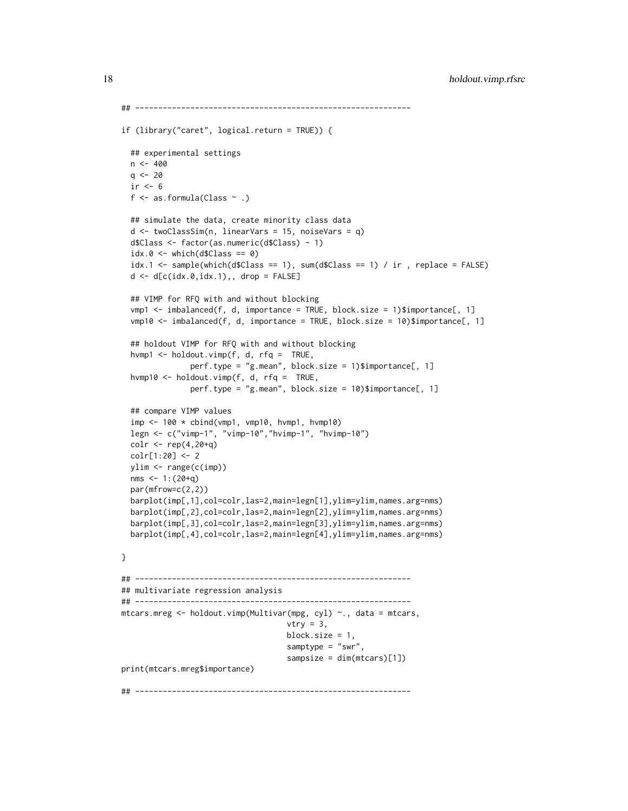```
## ------------------------------------------------------------
if (library("caret", logical.return = TRUE)) {
 ## experimental settings
 n < -400q \le -20ir < -6f \leq as.formula(Class \sim .)
 ## simulate the data, create minority class data
 d <- twoClassSim(n, linearVars = 15, noiseVars = q)
 d$Class <- factor(as.numeric(d$Class) - 1)
 idx.0 \leq -which(d$Class == 0)idx.1 \leq same sample(which(d$Class == 1), sum(d$Class == 1) / ir , replace = FALSE)
 d \leq d[c(idx.0,idx.1),, drop = FALSE]
 ## VIMP for RFQ with and without blocking
 vmp1 <- imbalanced(f, d, importance = TRUE, block.size = 1)$importance[, 1]
 vmp10 \le -imbalanced(f, d, importance = TRUE, block.size = 10)$importance[, 1]
 ## holdout VIMP for RFQ with and without blocking
 hvmp1 <- holdout.vimp(f, d, rfq = TRUE,
               perf.type = "g.mean", block.size = 1)$importance[, 1]
 hvmp10 <- holdout.vimp(f, d, rfq = TRUE,
               perf.type = "g.mean", block.size = 10)$importance[, 1]
 ## compare VIMP values
 imp <- 100 * cbind(vmp1, vmp10, hvmp1, hvmp10)
 legn <- c("vimp-1", "vimp-10","hvimp-1", "hvimp-10")
 colr <- rep(4,20+q)
 colr[1:20] <- 2
 ylim <- range(c(imp))
 nms <-1:(20+q)par(mfrow=c(2,2))
 barplot(imp[,1],col=colr,las=2,main=legn[1],ylim=ylim,names.arg=nms)
 barplot(imp[,2],col=colr,las=2,main=legn[2],ylim=ylim,names.arg=nms)
 barplot(imp[,3],col=colr,las=2,main=legn[3],ylim=ylim,names.arg=nms)
 barplot(imp[,4],col=colr,las=2,main=legn[4],ylim=ylim,names.arg=nms)
}
## ------------------------------------------------------------
## multivariate regression analysis
## ------------------------------------------------------------
mtcars.mreg <- holdout.vimp(Multivar(mpg, cyl) ~., data = mtcars,
                                    vtry = 3,
                                    block.size = 1,
                                    samptype = "swr",
                                    sampsize = dim(mtcars)[1])
print(mtcars.mreg$importance)
## ------------------------------------------------------------
```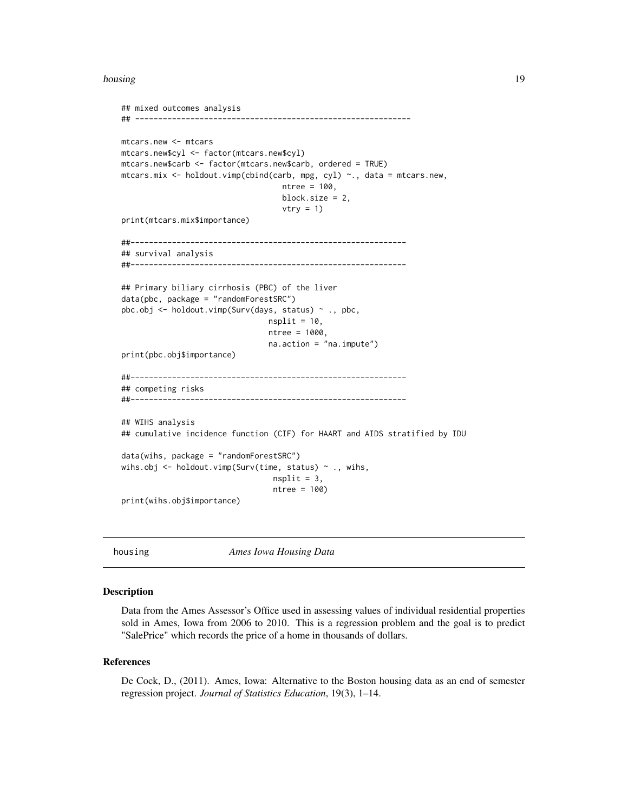<span id="page-18-0"></span>housing the contract of the contract of the contract of the contract of the contract of the contract of the contract of the contract of the contract of the contract of the contract of the contract of the contract of the co

```
## mixed outcomes analysis
## ------------------------------------------------------------
mtcars.new <- mtcars
mtcars.new$cyl <- factor(mtcars.new$cyl)
mtcars.new$carb <- factor(mtcars.new$carb, ordered = TRUE)
mtcars.mix <- holdout.vimp(cbind(carb, mpg, cyl) ~., data = mtcars.new,
                                   ntree = 100,
                                   block.size = 2,
                                   vtry = 1)print(mtcars.mix$importance)
##------------------------------------------------------------
## survival analysis
##------------------------------------------------------------
## Primary biliary cirrhosis (PBC) of the liver
data(pbc, package = "randomForestSRC")
pbc.obj <- holdout.vimp(Surv(days, status) ~ ., pbc,
                                nsplit = 10,ntree = 1000,
                                na.action = "na.impute")
print(pbc.obj$importance)
##------------------------------------------------------------
## competing risks
##------------------------------------------------------------
## WIHS analysis
## cumulative incidence function (CIF) for HAART and AIDS stratified by IDU
data(wihs, package = "randomForestSRC")
wihs.obj \leq holdout.vimp(Surv(time, status) \sim ., wihs,
                                nsplit = 3,ntree = 100)
print(wihs.obj$importance)
```
housing *Ames Iowa Housing Data*

#### Description

Data from the Ames Assessor's Office used in assessing values of individual residential properties sold in Ames, Iowa from 2006 to 2010. This is a regression problem and the goal is to predict "SalePrice" which records the price of a home in thousands of dollars.

#### References

De Cock, D., (2011). Ames, Iowa: Alternative to the Boston housing data as an end of semester regression project. *Journal of Statistics Education*, 19(3), 1–14.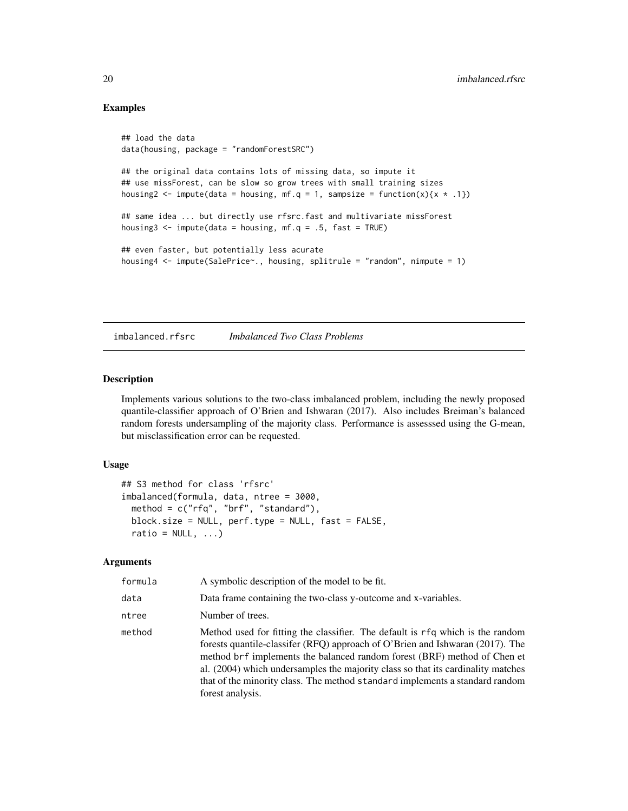#### Examples

```
## load the data
data(housing, package = "randomForestSRC")
## the original data contains lots of missing data, so impute it
## use missForest, can be slow so grow trees with small training sizes
housing2 <- impute(data = housing, mf.q = 1, sampsize = function(x){x \star .1})
## same idea ... but directly use rfsrc.fast and multivariate missForest
housing3 <- impute(data = housing, mf.q = .5, fast = TRUE)
## even faster, but potentially less acurate
housing4 <- impute(SalePrice~., housing, splitrule = "random", nimpute = 1)
```
<span id="page-19-1"></span>imbalanced.rfsrc *Imbalanced Two Class Problems*

## <span id="page-19-2"></span>Description

Implements various solutions to the two-class imbalanced problem, including the newly proposed quantile-classifier approach of O'Brien and Ishwaran (2017). Also includes Breiman's balanced random forests undersampling of the majority class. Performance is assesssed using the G-mean, but misclassification error can be requested.

#### Usage

```
## S3 method for class 'rfsrc'
imbalanced(formula, data, ntree = 3000,
 method = c("rfq", "brf", "standard"),
 block.size = NULL, perf.type = NULL, fast = FALSE,
  ratio = NULL, \ldots)
```
#### Arguments

| formula | A symbolic description of the model to be fit.                                                                                                                                                                                                                                                                                                                                                                                      |
|---------|-------------------------------------------------------------------------------------------------------------------------------------------------------------------------------------------------------------------------------------------------------------------------------------------------------------------------------------------------------------------------------------------------------------------------------------|
| data    | Data frame containing the two-class y-outcome and x-variables.                                                                                                                                                                                                                                                                                                                                                                      |
| ntree   | Number of trees.                                                                                                                                                                                                                                                                                                                                                                                                                    |
| method  | Method used for fitting the classifier. The default is rfq which is the random<br>forests quantile-classifer (RFQ) approach of O'Brien and Ishwaran (2017). The<br>method brf implements the balanced random forest (BRF) method of Chen et<br>al. (2004) which undersamples the majority class so that its cardinality matches<br>that of the minority class. The method standard implements a standard random<br>forest analysis. |

<span id="page-19-0"></span>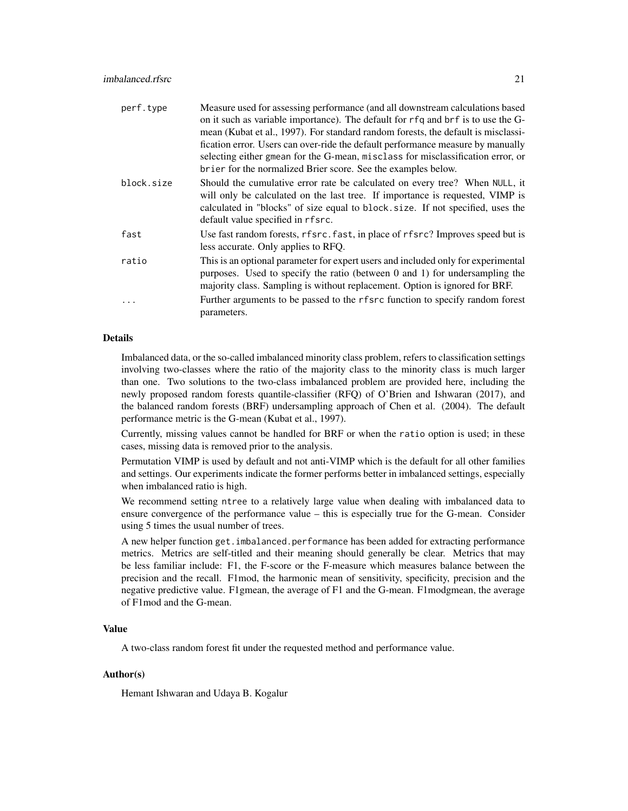| Measure used for assessing performance (and all downstream calculations based                                                                                                                                                                   |
|-------------------------------------------------------------------------------------------------------------------------------------------------------------------------------------------------------------------------------------------------|
| on it such as variable importance). The default for rfq and brf is to use the G-                                                                                                                                                                |
| mean (Kubat et al., 1997). For standard random forests, the default is misclassi-                                                                                                                                                               |
| fication error. Users can over-ride the default performance measure by manually                                                                                                                                                                 |
| selecting either gmean for the G-mean, misclass for misclassification error, or                                                                                                                                                                 |
| brier for the normalized Brier score. See the examples below.                                                                                                                                                                                   |
| Should the cumulative error rate be calculated on every tree? When NULL, it<br>will only be calculated on the last tree. If importance is requested, VIMP is                                                                                    |
| calculated in "blocks" of size equal to block. size. If not specified, uses the                                                                                                                                                                 |
| default value specified in rfsrc.                                                                                                                                                                                                               |
| Use fast random forests, rfsrc. fast, in place of rfsrc? Improves speed but is<br>less accurate. Only applies to RFQ.                                                                                                                           |
| This is an optional parameter for expert users and included only for experimental<br>purposes. Used to specify the ratio (between 0 and 1) for undersampling the<br>majority class. Sampling is without replacement. Option is ignored for BRF. |
| Further arguments to be passed to the r f src function to specify random forest<br>parameters.                                                                                                                                                  |
|                                                                                                                                                                                                                                                 |

## Details

Imbalanced data, or the so-called imbalanced minority class problem, refers to classification settings involving two-classes where the ratio of the majority class to the minority class is much larger than one. Two solutions to the two-class imbalanced problem are provided here, including the newly proposed random forests quantile-classifier (RFQ) of O'Brien and Ishwaran (2017), and the balanced random forests (BRF) undersampling approach of Chen et al. (2004). The default performance metric is the G-mean (Kubat et al., 1997).

Currently, missing values cannot be handled for BRF or when the ratio option is used; in these cases, missing data is removed prior to the analysis.

Permutation VIMP is used by default and not anti-VIMP which is the default for all other families and settings. Our experiments indicate the former performs better in imbalanced settings, especially when imbalanced ratio is high.

We recommend setting ntree to a relatively large value when dealing with imbalanced data to ensure convergence of the performance value – this is especially true for the G-mean. Consider using 5 times the usual number of trees.

A new helper function get.imbalanced.performance has been added for extracting performance metrics. Metrics are self-titled and their meaning should generally be clear. Metrics that may be less familiar include: F1, the F-score or the F-measure which measures balance between the precision and the recall. F1mod, the harmonic mean of sensitivity, specificity, precision and the negative predictive value. F1gmean, the average of F1 and the G-mean. F1modgmean, the average of F1mod and the G-mean.

## Value

A two-class random forest fit under the requested method and performance value.

## Author(s)

Hemant Ishwaran and Udaya B. Kogalur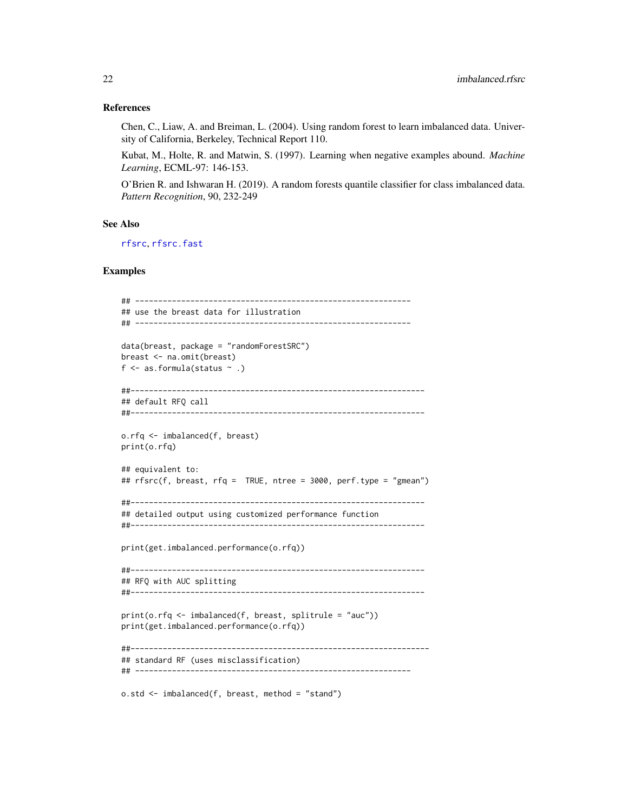#### References

Chen, C., Liaw, A. and Breiman, L. (2004). Using random forest to learn imbalanced data. University of California, Berkeley, Technical Report 110.

Kubat, M., Holte, R. and Matwin, S. (1997). Learning when negative examples abound. *Machine Learning*, ECML-97: 146-153.

O'Brien R. and Ishwaran H. (2019). A random forests quantile classifier for class imbalanced data. *Pattern Recognition*, 90, 232-249

#### See Also

[rfsrc](#page-69-1), [rfsrc.fast](#page-93-1)

## Examples

```
## ------------------------------------------------------------
## use the breast data for illustration
## ------------------------------------------------------------
data(breast, package = "randomForestSRC")
breast <- na.omit(breast)
f \leq as. formula(status \sim .)
##----------------------------------------------------------------
## default RFQ call
##----------------------------------------------------------------
o.rfq <- imbalanced(f, breast)
print(o.rfq)
## equivalent to:
## rfsrc(f, breast, rfq = TRUE, ntree = 3000, perf.type = "gmean")
##----------------------------------------------------------------
## detailed output using customized performance function
##----------------------------------------------------------------
print(get.imbalanced.performance(o.rfq))
##----------------------------------------------------------------
## RFQ with AUC splitting
##----------------------------------------------------------------
print(o.rfq <- imbalanced(f, breast, splitrule = "auc"))
print(get.imbalanced.performance(o.rfq))
##-----------------------------------------------------------------
## standard RF (uses misclassification)
## ------------------------------------------------------------
o.std <- imbalanced(f, breast, method = "stand")
```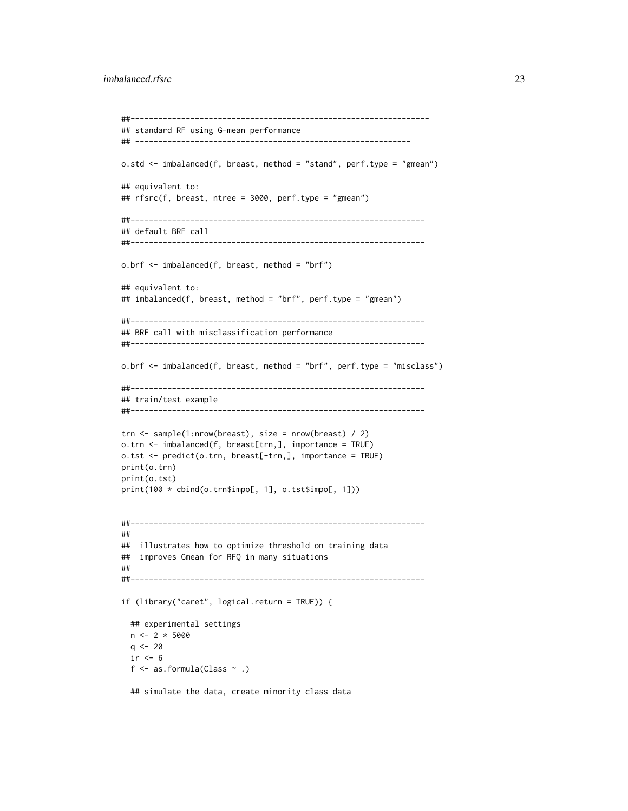```
##-----------------------------------------------------------------
## standard RF using G-mean performance
## ------------------------------------------------------------
o.std <- imbalanced(f, breast, method = "stand", perf.type = "gmean")
## equivalent to:
## rfsrc(f, breast, ntree = 3000, perf.type = "gmean")
##----------------------------------------------------------------
## default BRF call
##----------------------------------------------------------------
o.brf <- imbalanced(f, breast, method = "brf")
## equivalent to:
## imbalanced(f, breast, method = "brf", perf.type = "gmean")
##----------------------------------------------------------------
## BRF call with misclassification performance
##----------------------------------------------------------------
o.brf <- imbalanced(f, breast, method = "brf", perf.type = "misclass")
##----------------------------------------------------------------
## train/test example
##----------------------------------------------------------------
trn <- sample(1:nrow(breast), size = nrow(breast) / 2)
o.trn <- imbalanced(f, breast[trn,], importance = TRUE)
o.tst <- predict(o.trn, breast[-trn,], importance = TRUE)
print(o.trn)
print(o.tst)
print(100 * cbind(o.trn$impo[, 1], o.tst$impo[, 1]))
##----------------------------------------------------------------
##
## illustrates how to optimize threshold on training data
## improves Gmean for RFQ in many situations
##
##----------------------------------------------------------------
if (library("caret", logical.return = TRUE)) {
  ## experimental settings
  n \leq -2 * 5000q \le -20ir < -6f \leq as.formula(Class \sim .)
  ## simulate the data, create minority class data
```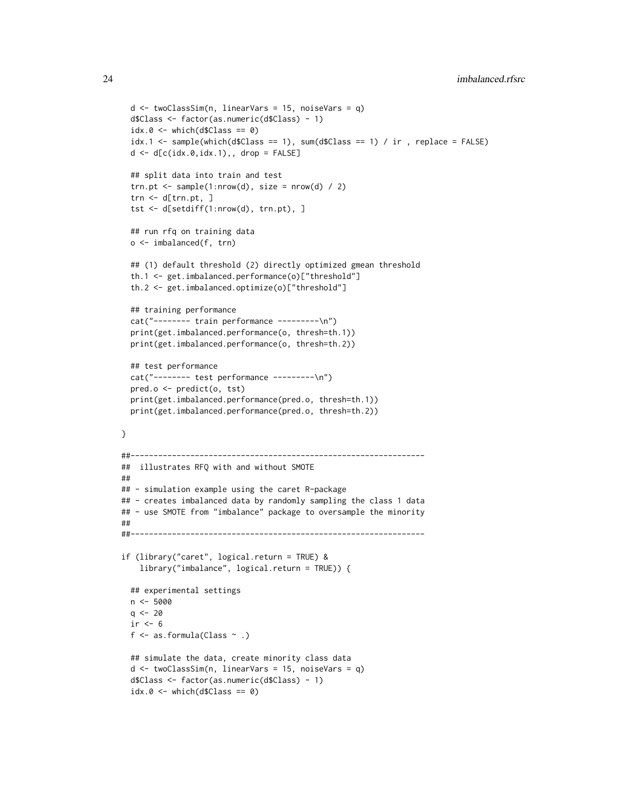```
d <- twoClassSim(n, linearVars = 15, noiseVars = q)
 d$Class <- factor(as.numeric(d$Class) - 1)
 idx.0 \leq -which(d$Class == 0)idx.1 \leq same sample(which(d$Class == 1), sum(d$Class == 1) / ir, replace = FALSE)
 d \leq d[c(idx.0,idx.1),, drop = FALSE]
 ## split data into train and test
 trn.pt \leq sample(1:nrow(d), size = nrow(d) / 2)
 trn <- d[trn.pt, ]
 tst <- d[setdiff(1:nrow(d), trn.pt), ]
 ## run rfq on training data
 o <- imbalanced(f, trn)
 ## (1) default threshold (2) directly optimized gmean threshold
 th.1 <- get.imbalanced.performance(o)["threshold"]
 th.2 <- get.imbalanced.optimize(o)["threshold"]
 ## training performance
 cat("-------- train performance ---------\n")
 print(get.imbalanced.performance(o, thresh=th.1))
 print(get.imbalanced.performance(o, thresh=th.2))
 ## test performance
 cat("-------- test performance ---------\n")
 pred.o <- predict(o, tst)
 print(get.imbalanced.performance(pred.o, thresh=th.1))
 print(get.imbalanced.performance(pred.o, thresh=th.2))
}
##----------------------------------------------------------------
## illustrates RFQ with and without SMOTE
##
## - simulation example using the caret R-package
## - creates imbalanced data by randomly sampling the class 1 data
## - use SMOTE from "imbalance" package to oversample the minority
##
##----------------------------------------------------------------
if (library("caret", logical.return = TRUE) &
    library("imbalance", logical.return = TRUE)) {
 ## experimental settings
 n <- 5000
 q \le -20ir < -6f \leq as.formula(Class \sim .)
 ## simulate the data, create minority class data
 d <- twoClassSim(n, linearVars = 15, noiseVars = q)
 d$Class <- factor(as.numeric(d$Class) - 1)
 idx.0 \leq which (d$Class == 0)
```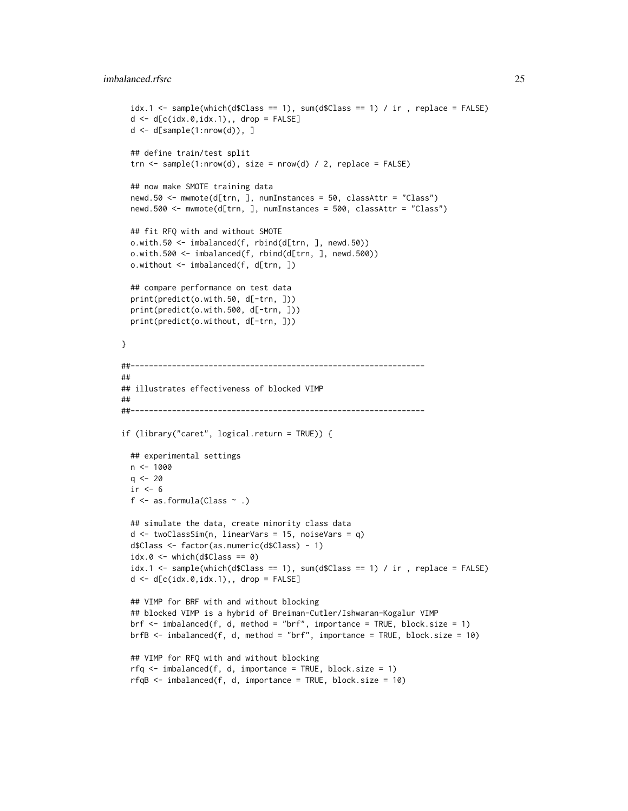#### imbalanced.rfsrc 25

```
idx.1 <- sample(which(d$Class == 1), sum(d$Class == 1) / ir , replace = FALSE)
 d \leq d[c(idx.0,idx.1),, drop = FALSE]
 d \leftarrow d[sample(1:nrow(d)), ]## define train/test split
 trn <- sample(1:nrow(d), size = nrow(d) / 2, replace = FALSE)
 ## now make SMOTE training data
 newd.50 <- mwmote(d[trn, ], numInstances = 50, classAttr = "Class")
 newd.500 <- mwmote(d[trn, ], numInstances = 500, classAttr = "Class")
 ## fit RFQ with and without SMOTE
 o.with.50 <- imbalanced(f, rbind(d[trn, ], newd.50))
 o.with.500 <- imbalanced(f, rbind(d[trn, ], newd.500))
 o.without <- imbalanced(f, d[trn, ])
 ## compare performance on test data
 print(predict(o.with.50, d[-trn, ]))
 print(predict(o.with.500, d[-trn, ]))
 print(predict(o.without, d[-trn, ]))
}
##----------------------------------------------------------------
##
## illustrates effectiveness of blocked VIMP
##
##----------------------------------------------------------------
if (library("caret", logical.return = TRUE)) {
 ## experimental settings
 n < -1000q \le -20ir < -6f \leq as.formula(Class \sim .)
 ## simulate the data, create minority class data
 d <- twoClassSim(n, linearVars = 15, noiseVars = q)
 d$Class <- factor(as.numeric(d$Class) - 1)
 idx.0 \leq which(d$Class == 0)idx.1 \leq same sample(which(d$Class == 1), sum(d$Class == 1) / ir , replace = FALSE)
 d \leq d[c(\texttt{idx}.0, \texttt{idx}.1),, drop = FALSE]## VIMP for BRF with and without blocking
 ## blocked VIMP is a hybrid of Breiman-Cutler/Ishwaran-Kogalur VIMP
 brf \le - imbalanced(f, d, method = "brf", importance = TRUE, block.size = 1)
 brfb <- imbalanced(f, d, method = "brf", importance = TRUE, block.size = 10)
 ## VIMP for RFQ with and without blocking
 rfq \leftarrow \text{imbalanced}(f, d, \text{importance = TRUE}, \text{block.size = 1})rfqB \leq -imbalanced(f, d, importance = TRUE, block.size = 10)
```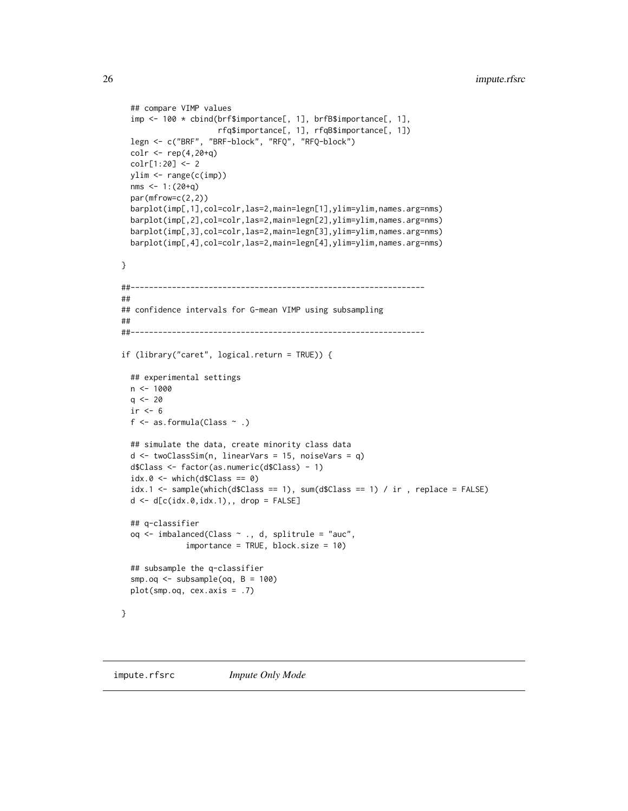```
## compare VIMP values
  imp <- 100 * cbind(brf$importance[, 1], brfB$importance[, 1],
                     rfq$importance[, 1], rfqB$importance[, 1])
 legn <- c("BRF", "BRF-block", "RFQ", "RFQ-block")
 colr <- rep(4,20+q)
 colr[1:20] <- 2
 ylim <- range(c(imp))
 nms <-1:(20+q)par(mfrow=c(2,2))
 barplot(imp[,1],col=colr,las=2,main=legn[1],ylim=ylim,names.arg=nms)
 barplot(imp[,2],col=colr,las=2,main=legn[2],ylim=ylim,names.arg=nms)
 barplot(imp[,3],col=colr,las=2,main=legn[3],ylim=ylim,names.arg=nms)
 barplot(imp[,4],col=colr,las=2,main=legn[4],ylim=ylim,names.arg=nms)
}
##----------------------------------------------------------------
##
## confidence intervals for G-mean VIMP using subsampling
##
##----------------------------------------------------------------
if (library("caret", logical.return = TRUE)) {
 ## experimental settings
 n <- 1000
 q \le -20ir < -6f \leq as.formula(Class \sim .)
 ## simulate the data, create minority class data
 d <- twoClassSim(n, linearVars = 15, noiseVars = q)
 d$Class <- factor(as.numeric(d$Class) - 1)
 idx.0 \leq -which(d$Class == 0)idx.1 \leq same sample(which(d$Class == 1), sum(d$Class == 1) / ir , replace = FALSE)
 d \leftarrow d[c(idx.0,idx.1),, drop = FALSE]## q-classifier
 oq <- imbalanced(Class ~ ., d, splitrule = "auc",
              importance = TRUE, block.size = 10)
 ## subsample the q-classifier
 smp.oq <- subsample(oq, B = 100)
 plot(smp.oq, cex.axis = .7)
}
```
<span id="page-25-2"></span><span id="page-25-1"></span>

<span id="page-25-0"></span>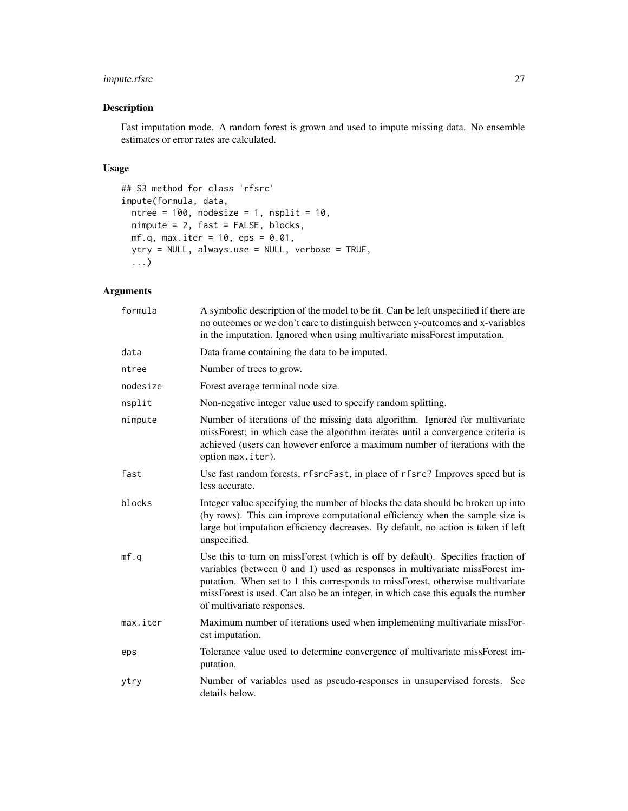## impute.rfsrc 27

## Description

Fast imputation mode. A random forest is grown and used to impute missing data. No ensemble estimates or error rates are calculated.

## Usage

```
## S3 method for class 'rfsrc'
impute(formula, data,
 ntree = 100, nodesize = 1, nsplit = 10,
 nimpute = 2, fast = FALSE, blocks,
 mf.q, max.iter = 10, eps = 0.01,
 ytry = NULL, always.use = NULL, verbose = TRUE,
  ...)
```
## Arguments

| formula  | A symbolic description of the model to be fit. Can be left unspecified if there are<br>no outcomes or we don't care to distinguish between y-outcomes and x-variables<br>in the imputation. Ignored when using multivariate missForest imputation.                                                                                                                  |
|----------|---------------------------------------------------------------------------------------------------------------------------------------------------------------------------------------------------------------------------------------------------------------------------------------------------------------------------------------------------------------------|
| data     | Data frame containing the data to be imputed.                                                                                                                                                                                                                                                                                                                       |
| ntree    | Number of trees to grow.                                                                                                                                                                                                                                                                                                                                            |
| nodesize | Forest average terminal node size.                                                                                                                                                                                                                                                                                                                                  |
| nsplit   | Non-negative integer value used to specify random splitting.                                                                                                                                                                                                                                                                                                        |
| nimpute  | Number of iterations of the missing data algorithm. Ignored for multivariate<br>missForest; in which case the algorithm iterates until a convergence criteria is<br>achieved (users can however enforce a maximum number of iterations with the<br>option max.iter).                                                                                                |
| fast     | Use fast random forests, rfsrcFast, in place of rfsrc? Improves speed but is<br>less accurate.                                                                                                                                                                                                                                                                      |
| blocks   | Integer value specifying the number of blocks the data should be broken up into<br>(by rows). This can improve computational efficiency when the sample size is<br>large but imputation efficiency decreases. By default, no action is taken if left<br>unspecified.                                                                                                |
| mf.q     | Use this to turn on missForest (which is off by default). Specifies fraction of<br>variables (between 0 and 1) used as responses in multivariate missForest im-<br>putation. When set to 1 this corresponds to missForest, otherwise multivariate<br>missForest is used. Can also be an integer, in which case this equals the number<br>of multivariate responses. |
| max.iter | Maximum number of iterations used when implementing multivariate missFor-<br>est imputation.                                                                                                                                                                                                                                                                        |
| eps      | Tolerance value used to determine convergence of multivariate missForest im-<br>putation.                                                                                                                                                                                                                                                                           |
| ytry     | Number of variables used as pseudo-responses in unsupervised forests. See<br>details below.                                                                                                                                                                                                                                                                         |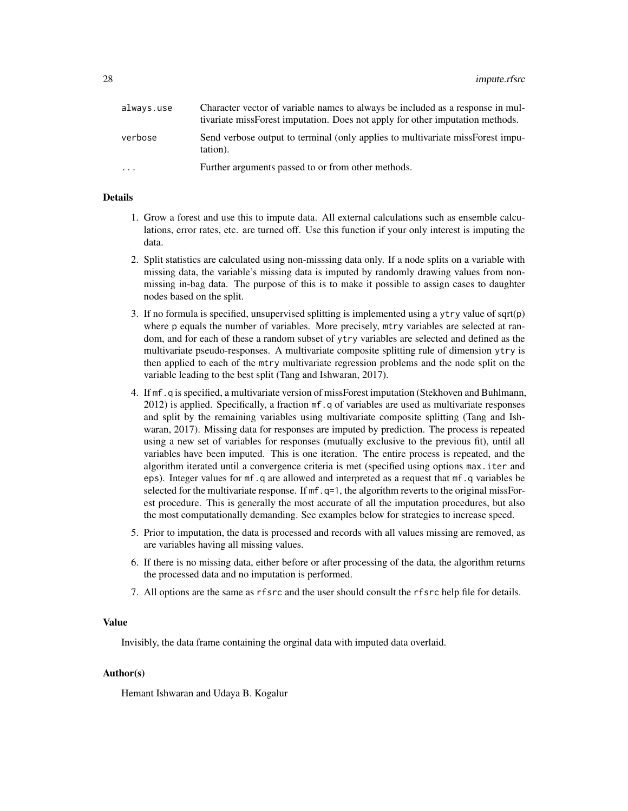| always.use | Character vector of variable names to always be included as a response in mul-<br>tivariate missForest imputation. Does not apply for other imputation methods. |
|------------|-----------------------------------------------------------------------------------------------------------------------------------------------------------------|
| verbose    | Send verbose output to terminal (only applies to multivariate missForest impu-<br>tation).                                                                      |
| $\cdots$   | Further arguments passed to or from other methods.                                                                                                              |

## Details

- 1. Grow a forest and use this to impute data. All external calculations such as ensemble calculations, error rates, etc. are turned off. Use this function if your only interest is imputing the data.
- 2. Split statistics are calculated using non-misssing data only. If a node splits on a variable with missing data, the variable's missing data is imputed by randomly drawing values from nonmissing in-bag data. The purpose of this is to make it possible to assign cases to daughter nodes based on the split.
- 3. If no formula is specified, unsupervised splitting is implemented using a ytry value of sqrt(p) where p equals the number of variables. More precisely, mtry variables are selected at random, and for each of these a random subset of ytry variables are selected and defined as the multivariate pseudo-responses. A multivariate composite splitting rule of dimension ytry is then applied to each of the mtry multivariate regression problems and the node split on the variable leading to the best split (Tang and Ishwaran, 2017).
- 4. If mf.q is specified, a multivariate version of missForest imputation (Stekhoven and Buhlmann, 2012) is applied. Specifically, a fraction mf.q of variables are used as multivariate responses and split by the remaining variables using multivariate composite splitting (Tang and Ishwaran, 2017). Missing data for responses are imputed by prediction. The process is repeated using a new set of variables for responses (mutually exclusive to the previous fit), until all variables have been imputed. This is one iteration. The entire process is repeated, and the algorithm iterated until a convergence criteria is met (specified using options max.iter and eps). Integer values for mf.q are allowed and interpreted as a request that mf.q variables be selected for the multivariate response. If  $mf$ ,  $q=1$ , the algorithm reverts to the original missForest procedure. This is generally the most accurate of all the imputation procedures, but also the most computationally demanding. See examples below for strategies to increase speed.
- 5. Prior to imputation, the data is processed and records with all values missing are removed, as are variables having all missing values.
- 6. If there is no missing data, either before or after processing of the data, the algorithm returns the processed data and no imputation is performed.
- 7. All options are the same as rfsrc and the user should consult the rfsrc help file for details.

#### Value

Invisibly, the data frame containing the orginal data with imputed data overlaid.

## Author(s)

Hemant Ishwaran and Udaya B. Kogalur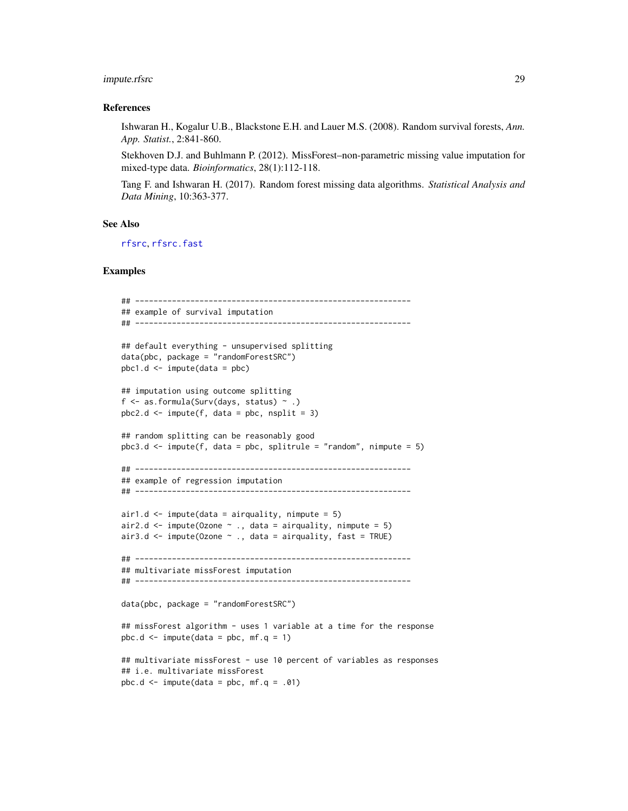## impute.rfsrc 29

#### References

Ishwaran H., Kogalur U.B., Blackstone E.H. and Lauer M.S. (2008). Random survival forests, *Ann. App. Statist.*, 2:841-860.

Stekhoven D.J. and Buhlmann P. (2012). MissForest–non-parametric missing value imputation for mixed-type data. *Bioinformatics*, 28(1):112-118.

Tang F. and Ishwaran H. (2017). Random forest missing data algorithms. *Statistical Analysis and Data Mining*, 10:363-377.

#### See Also

[rfsrc](#page-69-1), [rfsrc.fast](#page-93-1)

## Examples

```
## ------------------------------------------------------------
## example of survival imputation
## ------------------------------------------------------------
## default everything - unsupervised splitting
data(pbc, package = "randomForestSRC")
pbc1.d \leq impute(data = pbc)## imputation using outcome splitting
f \leq as.formula(Surv(days, status) \sim .)
pbc2.d \leq impute(f, data = pbc, nsplit = 3)## random splitting can be reasonably good
pbc3.d < - impute(f, data = pbc, splitrule = "random", nimpute = 5)
## ------------------------------------------------------------
## example of regression imputation
## ------------------------------------------------------------
air1.d \le impute(data = airquality, nimpute = 5)
air2.d \le impute(Ozone \sim ., data = airquality, nimpute = 5)
air3.d \le impute(Ozone \sim ., data = airquality, fast = TRUE)
## ------------------------------------------------------------
## multivariate missForest imputation
## ------------------------------------------------------------
data(pbc, package = "randomForestSRC")
## missForest algorithm - uses 1 variable at a time for the response
pbc.d \le impute(data = pbc, mf.q = 1)
## multivariate missForest - use 10 percent of variables as responses
## i.e. multivariate missForest
pbc.d \le impute(data = pbc, mf.q = .01)
```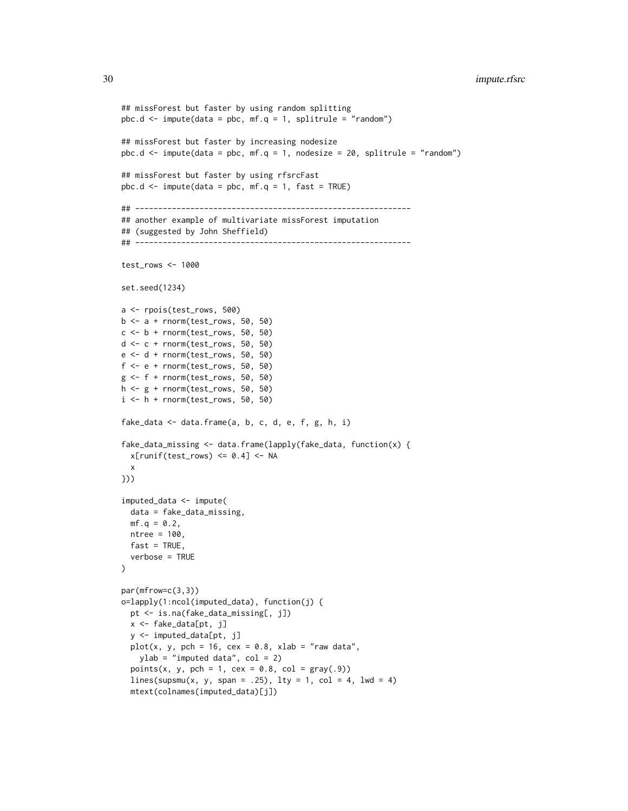```
## missForest but faster by using random splitting
pbc.d \le impute(data = pbc, mf.q = 1, splitrule = "random")
## missForest but faster by increasing nodesize
pbc.d \le impute(data = pbc, mf.q = 1, nodesize = 20, splitrule = "random")
## missForest but faster by using rfsrcFast
pbc.d \le impute(data = pbc, mf.q = 1, fast = TRUE)
## ------------------------------------------------------------
## another example of multivariate missForest imputation
## (suggested by John Sheffield)
## ------------------------------------------------------------
test_rows <- 1000
set.seed(1234)
a <- rpois(test_rows, 500)
b \leq a + \text{norm}(test\_rows, 50, 50)c \le -b + \text{norm}(test\_rows, 50, 50)d \leq c + \text{norm}(test\_rows, 50, 50)e <- d + rnorm(test_rows, 50, 50)
f \leftarrow e + \text{norm}(test\_rows, 50, 50)g <- f + rnorm(test_rows, 50, 50)
h <- g + rnorm(test_rows, 50, 50)
i \leq -h + \text{norm}(test\_rows, 50, 50)fake_data <- data.frame(a, b, c, d, e, f, g, h, i)
fake_data_missing <- data.frame(lapply(fake_data, function(x) {
 x[runif(test_rows) \le 0.4] \le NAx
}))
imputed_data <- impute(
  data = fake_data_missing,
 mf.q = 0.2,ntree = 100,
  fast = TRUE,verbose = TRUE
)
par(mfrow=c(3,3))
o=lapply(1:ncol(imputed_data), function(j) {
  pt <- is.na(fake_data_missing[, j])
  x <- fake_data[pt, j]
  y <- imputed_data[pt, j]
  plot(x, y, pch = 16, cex = 0.8, xlab = "raw data",ylab = "imputed data", col = 2)
  points(x, y, pch = 1, cex = 0.8, col = gray(.9))lines(supsmu(x, y, span = .25), lty = 1, col = 4, lwd = 4)
  mtext(colnames(imputed_data)[j])
```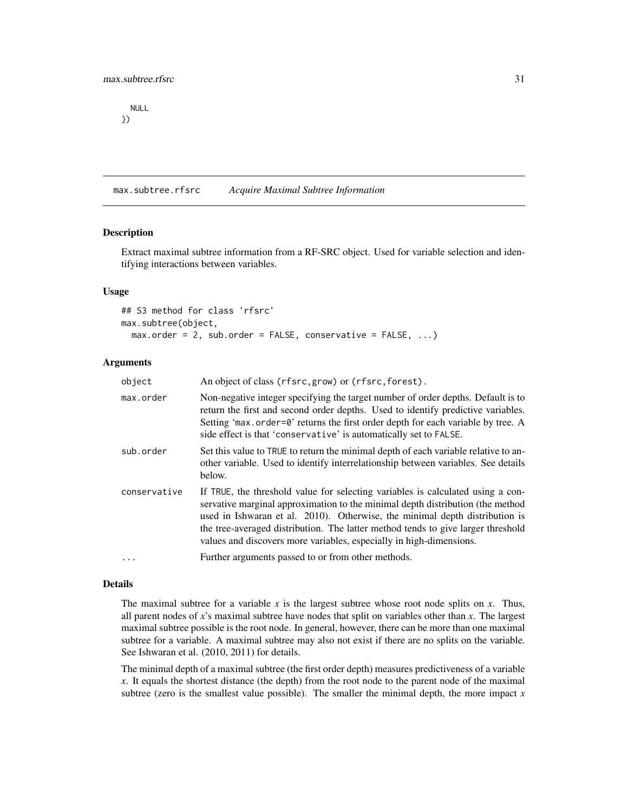<span id="page-30-0"></span>NULL })

<span id="page-30-1"></span>max.subtree.rfsrc *Acquire Maximal Subtree Information*

#### Description

Extract maximal subtree information from a RF-SRC object. Used for variable selection and identifying interactions between variables.

#### Usage

```
## S3 method for class 'rfsrc'
max.subtree(object,
 max.order = 2, sub.order = FALSE, conservative = FALSE, ...)
```
#### Arguments

| object       | An object of class (rfsrc, grow) or (rfsrc, forest).                                                                                                                                                                                                                                                                                                                                                        |
|--------------|-------------------------------------------------------------------------------------------------------------------------------------------------------------------------------------------------------------------------------------------------------------------------------------------------------------------------------------------------------------------------------------------------------------|
| max.order    | Non-negative integer specifying the target number of order depths. Default is to<br>return the first and second order depths. Used to identify predictive variables.<br>Setting 'max.order=0' returns the first order depth for each variable by tree. A<br>side effect is that 'conservative' is automatically set to FALSE.                                                                               |
| sub.order    | Set this value to TRUE to return the minimal depth of each variable relative to an-<br>other variable. Used to identify interrelationship between variables. See details<br>below.                                                                                                                                                                                                                          |
| conservative | If TRUE, the threshold value for selecting variables is calculated using a con-<br>servative marginal approximation to the minimal depth distribution (the method<br>used in Ishwaran et al. 2010). Otherwise, the minimal depth distribution is<br>the tree-averaged distribution. The latter method tends to give larger threshold<br>values and discovers more variables, especially in high-dimensions. |
| $\ddots$     | Further arguments passed to or from other methods.                                                                                                                                                                                                                                                                                                                                                          |

#### Details

The maximal subtree for a variable  $x$  is the largest subtree whose root node splits on  $x$ . Thus, all parent nodes of *x*'s maximal subtree have nodes that split on variables other than *x*. The largest maximal subtree possible is the root node. In general, however, there can be more than one maximal subtree for a variable. A maximal subtree may also not exist if there are no splits on the variable. See Ishwaran et al. (2010, 2011) for details.

The minimal depth of a maximal subtree (the first order depth) measures predictiveness of a variable *x*. It equals the shortest distance (the depth) from the root node to the parent node of the maximal subtree (zero is the smallest value possible). The smaller the minimal depth, the more impact  $x$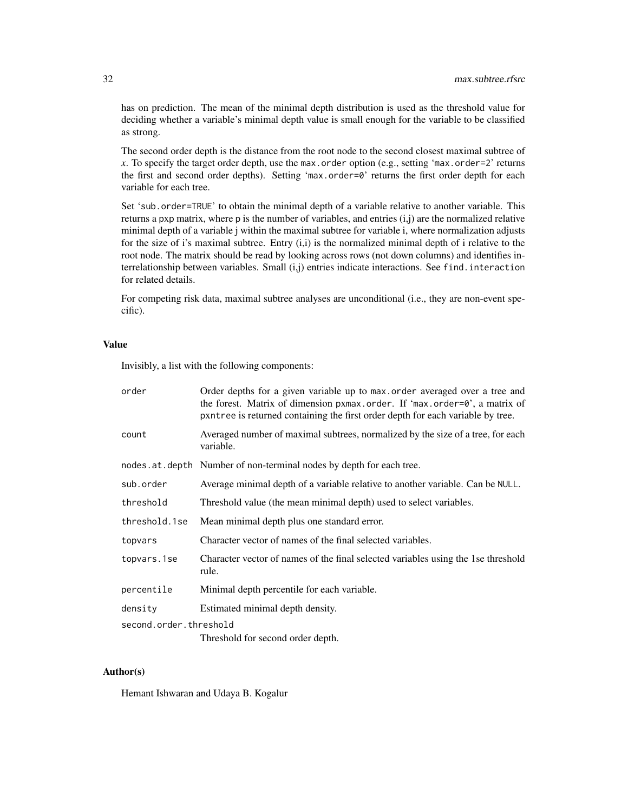has on prediction. The mean of the minimal depth distribution is used as the threshold value for deciding whether a variable's minimal depth value is small enough for the variable to be classified as strong.

The second order depth is the distance from the root node to the second closest maximal subtree of *x*. To specify the target order depth, use the max.order option (e.g., setting 'max.order=2' returns the first and second order depths). Setting 'max.order=0' returns the first order depth for each variable for each tree.

Set 'sub.order=TRUE' to obtain the minimal depth of a variable relative to another variable. This returns a pxp matrix, where p is the number of variables, and entries  $(i,j)$  are the normalized relative minimal depth of a variable j within the maximal subtree for variable i, where normalization adjusts for the size of i's maximal subtree. Entry (i,i) is the normalized minimal depth of i relative to the root node. The matrix should be read by looking across rows (not down columns) and identifies interrelationship between variables. Small (i,j) entries indicate interactions. See find.interaction for related details.

For competing risk data, maximal subtree analyses are unconditional (i.e., they are non-event specific).

## Value

Invisibly, a list with the following components:

| order                  | Order depths for a given variable up to max order averaged over a tree and<br>the forest. Matrix of dimension pxmax.order. If 'max.order=0', a matrix of<br>pxntree is returned containing the first order depth for each variable by tree. |  |
|------------------------|---------------------------------------------------------------------------------------------------------------------------------------------------------------------------------------------------------------------------------------------|--|
| count                  | Averaged number of maximal subtrees, normalized by the size of a tree, for each<br>variable.                                                                                                                                                |  |
|                        | nodes. at . depth Number of non-terminal nodes by depth for each tree.                                                                                                                                                                      |  |
| sub.order              | Average minimal depth of a variable relative to another variable. Can be NULL.                                                                                                                                                              |  |
| threshold              | Threshold value (the mean minimal depth) used to select variables.                                                                                                                                                                          |  |
| threshold.1se          | Mean minimal depth plus one standard error.                                                                                                                                                                                                 |  |
| topvars                | Character vector of names of the final selected variables.                                                                                                                                                                                  |  |
| topvars.1se            | Character vector of names of the final selected variables using the 1se threshold<br>rule.                                                                                                                                                  |  |
| percentile             | Minimal depth percentile for each variable.                                                                                                                                                                                                 |  |
| density                | Estimated minimal depth density.                                                                                                                                                                                                            |  |
| second.order.threshold |                                                                                                                                                                                                                                             |  |
|                        | Threshold for second order depth.                                                                                                                                                                                                           |  |

## Author(s)

Hemant Ishwaran and Udaya B. Kogalur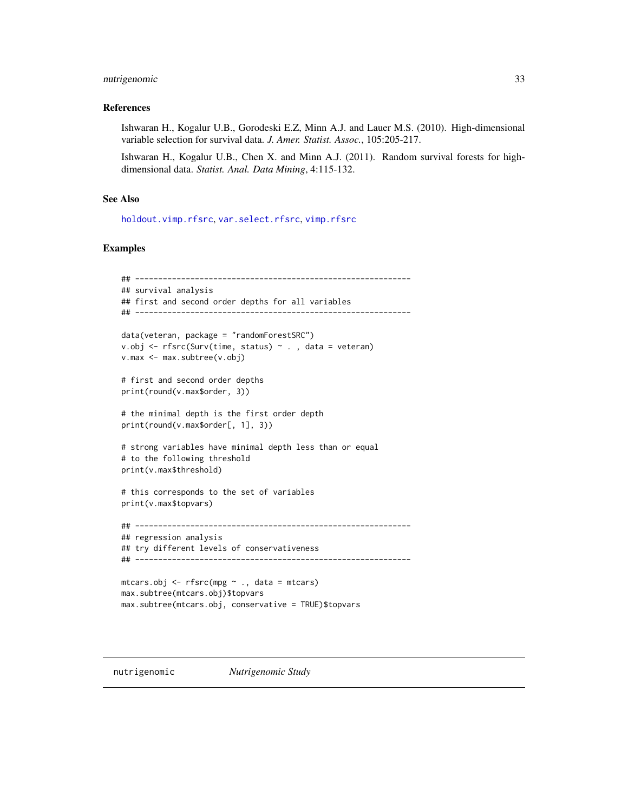## <span id="page-32-0"></span>nutrigenomic 33

## References

Ishwaran H., Kogalur U.B., Gorodeski E.Z, Minn A.J. and Lauer M.S. (2010). High-dimensional variable selection for survival data. *J. Amer. Statist. Assoc.*, 105:205-217.

Ishwaran H., Kogalur U.B., Chen X. and Minn A.J. (2011). Random survival forests for highdimensional data. *Statist. Anal. Data Mining*, 4:115-132.

## See Also

[holdout.vimp.rfsrc](#page-13-2), [var.select.rfsrc](#page-114-1), [vimp.rfsrc](#page-121-2)

#### Examples

```
## ------------------------------------------------------------
## survival analysis
## first and second order depths for all variables
## ------------------------------------------------------------
data(veteran, package = "randomForestSRC")
v.obj <- rfsrc(Surv(time, status) ~ ., data = veteran)
v.max <- max.subtree(v.obj)
# first and second order depths
print(round(v.max$order, 3))
# the minimal depth is the first order depth
print(round(v.max$order[, 1], 3))
# strong variables have minimal depth less than or equal
# to the following threshold
print(v.max$threshold)
# this corresponds to the set of variables
print(v.max$topvars)
## ------------------------------------------------------------
## regression analysis
## try different levels of conservativeness
## ------------------------------------------------------------
mtcars.obj <- rfsrc(mpg ~ ., data = mtcars)
max.subtree(mtcars.obj)$topvars
max.subtree(mtcars.obj, conservative = TRUE)$topvars
```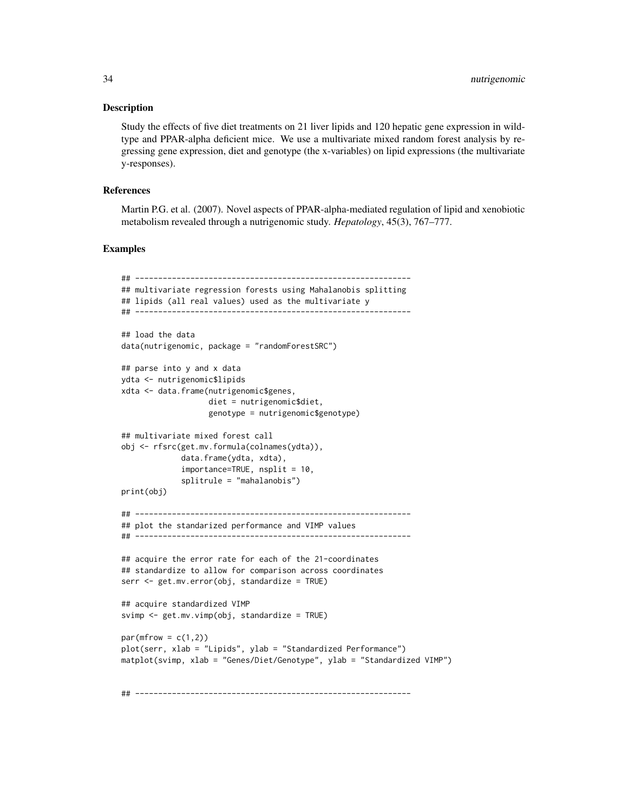#### Description

Study the effects of five diet treatments on 21 liver lipids and 120 hepatic gene expression in wildtype and PPAR-alpha deficient mice. We use a multivariate mixed random forest analysis by regressing gene expression, diet and genotype (the x-variables) on lipid expressions (the multivariate y-responses).

#### References

Martin P.G. et al. (2007). Novel aspects of PPAR-alpha-mediated regulation of lipid and xenobiotic metabolism revealed through a nutrigenomic study. *Hepatology*, 45(3), 767–777.

#### Examples

```
## ------------------------------------------------------------
## multivariate regression forests using Mahalanobis splitting
## lipids (all real values) used as the multivariate y
## ------------------------------------------------------------
## load the data
data(nutrigenomic, package = "randomForestSRC")
## parse into y and x data
ydta <- nutrigenomic$lipids
xdta <- data.frame(nutrigenomic$genes,
                   diet = nutrigenomic$diet,
                   genotype = nutrigenomic$genotype)
## multivariate mixed forest call
obj <- rfsrc(get.mv.formula(colnames(ydta)),
             data.frame(ydta, xdta),
             importance=TRUE, nsplit = 10,
             splitrule = "mahalanobis")
print(obj)
## ------------------------------------------------------------
## plot the standarized performance and VIMP values
## ------------------------------------------------------------
## acquire the error rate for each of the 21-coordinates
## standardize to allow for comparison across coordinates
serr <- get.mv.error(obj, standardize = TRUE)
## acquire standardized VIMP
svimp <- get.mv.vimp(obj, standardize = TRUE)
par(mfrow = c(1,2))plot(serr, xlab = "Lipids", ylab = "Standardized Performance")
matplot(svimp, xlab = "Genes/Diet/Genotype", ylab = "Standardized VIMP")
```
## ------------------------------------------------------------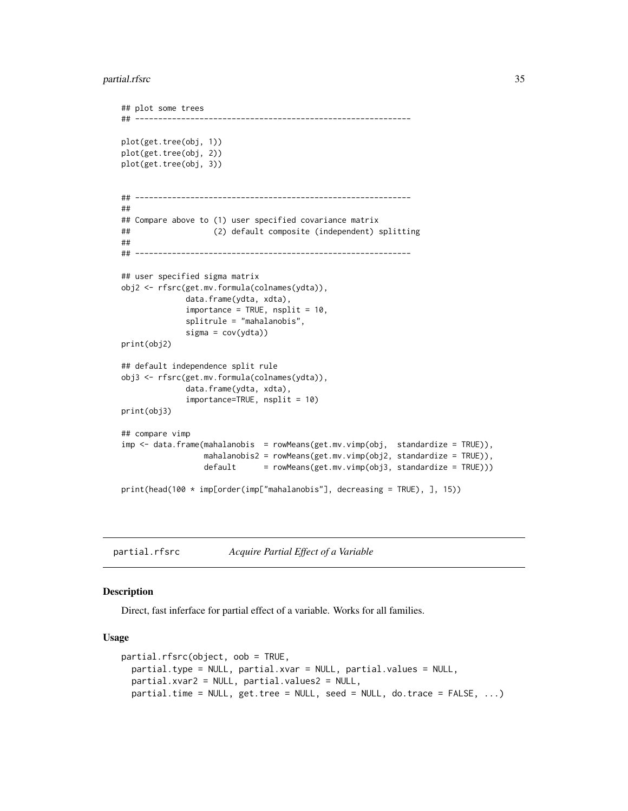#### <span id="page-34-0"></span>partial.rfsrc 35

```
## plot some trees
## ------------------------------------------------------------
plot(get.tree(obj, 1))
plot(get.tree(obj, 2))
plot(get.tree(obj, 3))
## ------------------------------------------------------------
##
## Compare above to (1) user specified covariance matrix
## (2) default composite (independent) splitting
##
## ------------------------------------------------------------
## user specified sigma matrix
obj2 <- rfsrc(get.mv.formula(colnames(ydta)),
             data.frame(ydta, xdta),
             importance = TRUE, nsplit = 10,
             splitrule = "mahalanobis",
             sigma = cov(ydta))
print(obj2)
## default independence split rule
obj3 <- rfsrc(get.mv.formula(colnames(ydta)),
             data.frame(ydta, xdta),
             importance=TRUE, nsplit = 10)
print(obj3)
## compare vimp
imp <- data.frame(mahalanobis = rowMeans(get.mv.vimp(obj, standardize = TRUE)),
                 mahalanobis2 = rowMeans(get.mv.vimp(obj2, standardize = TRUE)),
                 default = rowMeans(get.mv.vimp(obj3, standardize = TRUE)))
print(head(100 * imp[order(imp["mahalanobis"], decreasing = TRUE), ], 15))
```
<span id="page-34-1"></span>partial.rfsrc *Acquire Partial Effect of a Variable*

#### <span id="page-34-2"></span>Description

Direct, fast inferface for partial effect of a variable. Works for all families.

#### Usage

```
partial.rfsrc(object, oob = TRUE,
 partial.type = NULL, partial.xvar = NULL, partial.values = NULL,
 partial.xvar2 = NULL, partial.values2 = NULL,
 partial.time = NULL, get.tree = NULL, seed = NULL, do.trace = FALSE, ...)
```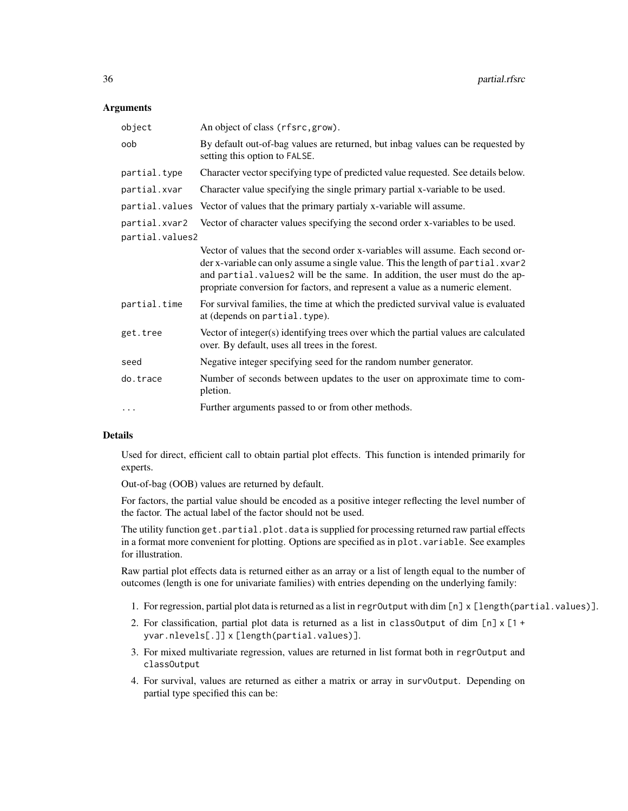#### **Arguments**

| object          | An object of class (rfsrc, grow).                                                                                                                                                                                                                                                                                                    |
|-----------------|--------------------------------------------------------------------------------------------------------------------------------------------------------------------------------------------------------------------------------------------------------------------------------------------------------------------------------------|
| oob             | By default out-of-bag values are returned, but inbag values can be requested by<br>setting this option to FALSE.                                                                                                                                                                                                                     |
| partial.type    | Character vector specifying type of predicted value requested. See details below.                                                                                                                                                                                                                                                    |
| partial.xvar    | Character value specifying the single primary partial x-variable to be used.                                                                                                                                                                                                                                                         |
|                 | partial. values Vector of values that the primary partialy x-variable will assume.                                                                                                                                                                                                                                                   |
| partial.xvar2   | Vector of character values specifying the second order x-variables to be used.                                                                                                                                                                                                                                                       |
| partial.values2 |                                                                                                                                                                                                                                                                                                                                      |
|                 | Vector of values that the second order x-variables will assume. Each second or-<br>der x-variable can only assume a single value. This the length of partial. xvar2<br>and partial. values2 will be the same. In addition, the user must do the ap-<br>propriate conversion for factors, and represent a value as a numeric element. |
| partial.time    | For survival families, the time at which the predicted survival value is evaluated<br>at (depends on partial.type).                                                                                                                                                                                                                  |
| get.tree        | Vector of integer(s) identifying trees over which the partial values are calculated<br>over. By default, uses all trees in the forest.                                                                                                                                                                                               |
| seed            | Negative integer specifying seed for the random number generator.                                                                                                                                                                                                                                                                    |
| do.trace        | Number of seconds between updates to the user on approximate time to com-<br>pletion.                                                                                                                                                                                                                                                |
| $\cdots$        | Further arguments passed to or from other methods.                                                                                                                                                                                                                                                                                   |

#### Details

Used for direct, efficient call to obtain partial plot effects. This function is intended primarily for experts.

Out-of-bag (OOB) values are returned by default.

For factors, the partial value should be encoded as a positive integer reflecting the level number of the factor. The actual label of the factor should not be used.

The utility function get.partial.plot.data is supplied for processing returned raw partial effects in a format more convenient for plotting. Options are specified as in plot.variable. See examples for illustration.

Raw partial plot effects data is returned either as an array or a list of length equal to the number of outcomes (length is one for univariate families) with entries depending on the underlying family:

- 1. For regression, partial plot data is returned as a list in regrOutput with dim [n] x [length(partial.values)].
- 2. For classification, partial plot data is returned as a list in classOutput of dim  $[n] \times [1 +$ yvar.nlevels[.]] x [length(partial.values)].
- 3. For mixed multivariate regression, values are returned in list format both in regrOutput and classOutput
- 4. For survival, values are returned as either a matrix or array in survOutput. Depending on partial type specified this can be: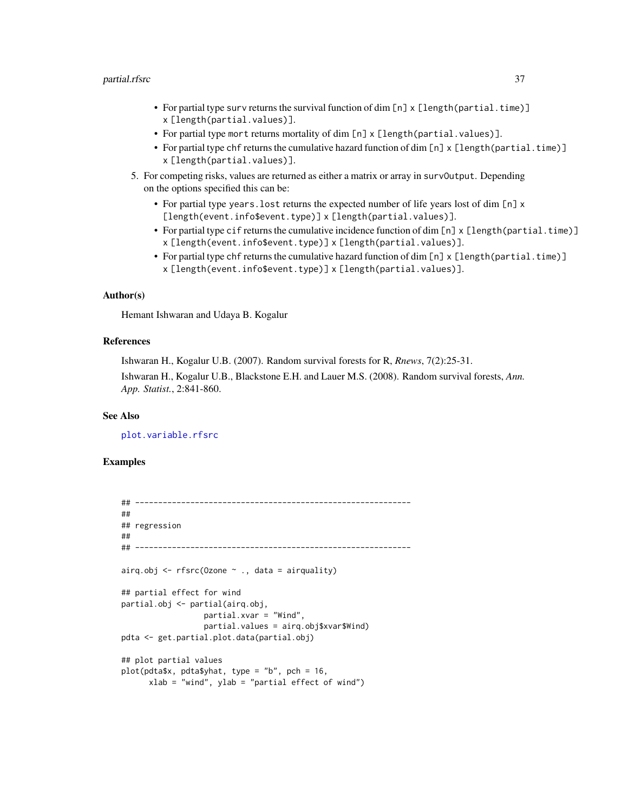#### partial.rfsrc 37

- For partial type surv returns the survival function of dim [n] x [length(partial.time)] x [length(partial.values)].
- For partial type mort returns mortality of dim [n] x [length(partial.values)].
- For partial type chf returns the cumulative hazard function of dim [n] x [length(partial.time)] x [length(partial.values)].
- 5. For competing risks, values are returned as either a matrix or array in survOutput. Depending on the options specified this can be:
	- For partial type years. lost returns the expected number of life years lost of dim [n] x [length(event.info\$event.type)] x [length(partial.values)].
	- For partial type cif returns the cumulative incidence function of dim [n] x [length(partial.time)] x [length(event.info\$event.type)] x [length(partial.values)].
	- For partial type chf returns the cumulative hazard function of dim [n] x [length(partial.time)] x [length(event.info\$event.type)] x [length(partial.values)].

### Author(s)

Hemant Ishwaran and Udaya B. Kogalur

### References

Ishwaran H., Kogalur U.B. (2007). Random survival forests for R, *Rnews*, 7(2):25-31.

Ishwaran H., Kogalur U.B., Blackstone E.H. and Lauer M.S. (2008). Random survival forests, *Ann. App. Statist.*, 2:841-860.

#### See Also

[plot.variable.rfsrc](#page-49-0)

```
## ------------------------------------------------------------
##
## regression
##
## ------------------------------------------------------------
airq.obj \leq rfsrc(Ozone \sim ., data = airquality)
## partial effect for wind
partial.obj <- partial(airq.obj,
                  partial.xvar = "Wind",
                  partial.values = airq.obj$xvar$Wind)
pdta <- get.partial.plot.data(partial.obj)
## plot partial values
plot(pdta$x, pdta$yhat, type = "b", pch = 16,
      xlab = "wind", ylab = "partial effect of wind")
```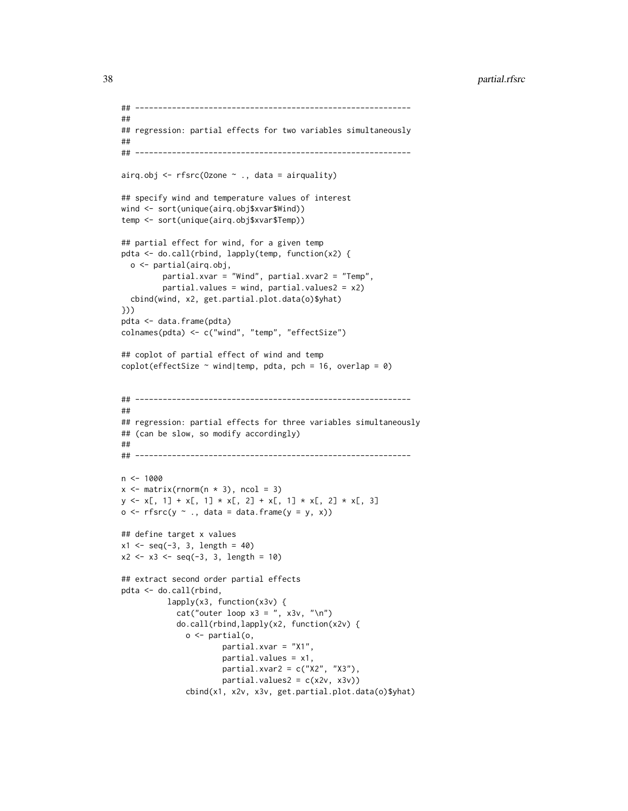```
## ------------------------------------------------------------
##
## regression: partial effects for two variables simultaneously
##
## ------------------------------------------------------------
airq.obj \leq rfsrc(Ozone \sim ., data = airquality)
## specify wind and temperature values of interest
wind <- sort(unique(airq.obj$xvar$Wind))
temp <- sort(unique(airq.obj$xvar$Temp))
## partial effect for wind, for a given temp
pdta <- do.call(rbind, lapply(temp, function(x2) {
  o <- partial(airq.obj,
         partial.xvar = "Wind", partial.xvar2 = "Temp",
         partial.values = wind, partial.values2 = x2)
  cbind(wind, x2, get.partial.plot.data(o)$yhat)
}))
pdta <- data.frame(pdta)
colnames(pdta) <- c("wind", "temp", "effectSize")
## coplot of partial effect of wind and temp
coplot(effectSize \sim wind|temp, pdta, pch = 16, overlap = 0)
## ------------------------------------------------------------
##
## regression: partial effects for three variables simultaneously
## (can be slow, so modify accordingly)
##
## ------------------------------------------------------------
n < -1000x \le matrix(rnorm(n * 3), ncol = 3)
y \le x[, 1] + x[, 1] * x[, 2] + x[, 1] * x[, 3]o \leftarrow \text{rfsrc}(y \sim ., \text{ data} = \text{ data}.\text{frame}(y = y, x))## define target x values
x1 \leq -\text{seq}(-3, 3, \text{length} = 40)x2 \le -x3 \le -\text{seq}(-3, 3, \text{ length} = 10)## extract second order partial effects
pdta <- do.call(rbind,
          lapply(x3, function(x3v) {
            cat("outer loop x3 = ", x3v, "\\n")do.call(rbind,lapply(x2, function(x2v) {
              o <- partial(o,
                       partial.xvar = "X1",
                       partial.values = x1,
                       partial.xvar2 = c("X2", "X3"),
                       partial.values2 = c(x2v, x3v))cbind(x1, x2v, x3v, get.partial.plot.data(o)$yhat)
```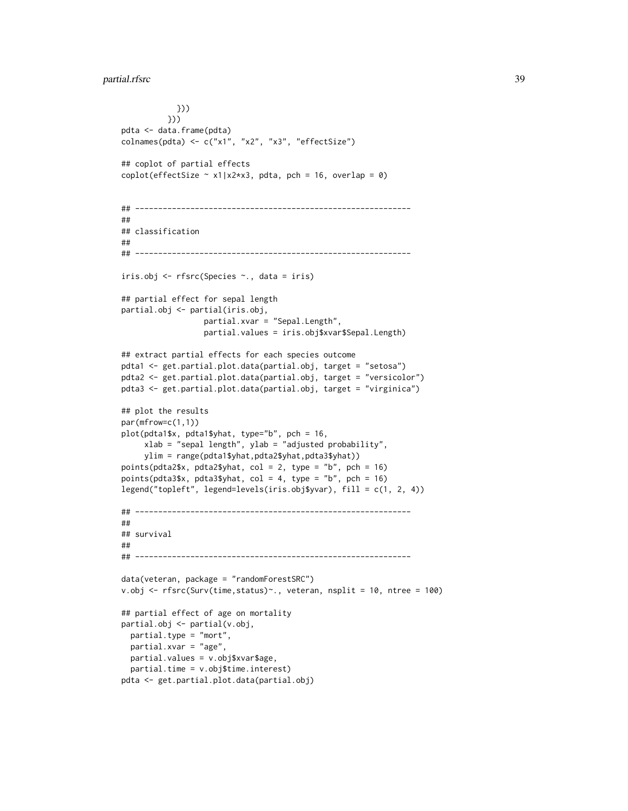## partial.rfsrc 39

```
}))
          }))
pdta <- data.frame(pdta)
\text{colnames}(\text{pdta}) \leq c("x1", "x2", "x3", "effectSize")## coplot of partial effects
coplot(effectSize \sim x1|x2*x3, pdta, pch = 16, overlap = 0)
## ------------------------------------------------------------
##
## classification
##
## ------------------------------------------------------------
iris.obj <- rfsrc(Species ~., data = iris)
## partial effect for sepal length
partial.obj <- partial(iris.obj,
                  partial.xvar = "Sepal.Length",
                  partial.values = iris.obj$xvar$Sepal.Length)
## extract partial effects for each species outcome
pdta1 <- get.partial.plot.data(partial.obj, target = "setosa")
pdta2 <- get.partial.plot.data(partial.obj, target = "versicolor")
pdta3 <- get.partial.plot.data(partial.obj, target = "virginica")
## plot the results
par(mfrow=c(1,1))
plot(pdta1$x, pdta1$yhat, type="b", pch = 16,
     xlab = "sepal length", ylab = "adjusted probability",
     ylim = range(pdta1$yhat,pdta2$yhat,pdta3$yhat))
points(pdta2$x, pdta2$yhat, col = 2, type = "b", pch = 16)
points(pdta3$x, pdta3$yhat, col = 4, type = "b", pch = 16)
legend("topleft", legend=levels(iris.obj$yvar), fill = c(1, 2, 4))
## ------------------------------------------------------------
##
## survival
##
## ------------------------------------------------------------
data(veteran, package = "randomForestSRC")
v.obj <- rfsrc(Surv(time,status)~., veteran, nsplit = 10, ntree = 100)
## partial effect of age on mortality
partial.obj <- partial(v.obj,
 partial.type = "mort",
 partial.xvar = "age",
 partial.values = v.obj$xvar$age,
 partial.time = v.obj$time.interest)
pdta <- get.partial.plot.data(partial.obj)
```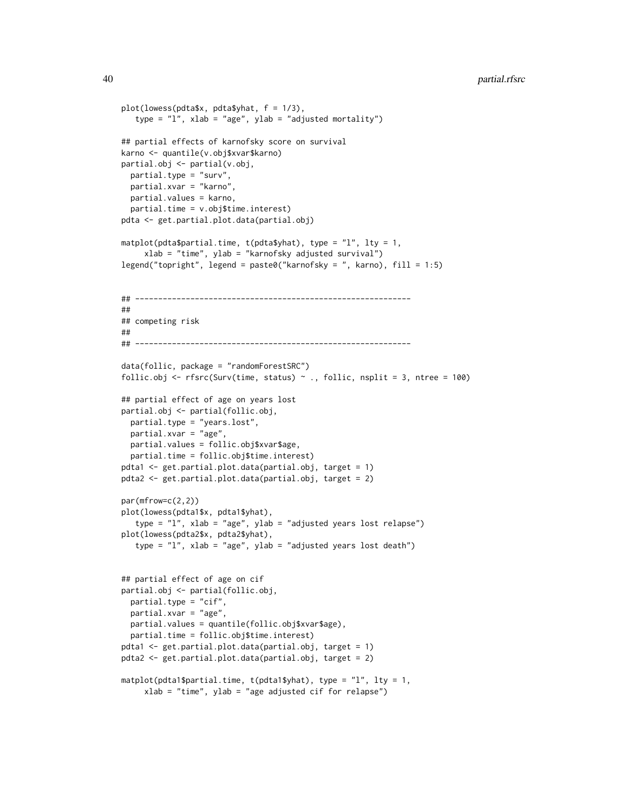```
plot(lowess(pdta$x, pdta$yhat, f = 1/3),
   type = "l", xlab = "age", ylab = "adjusted mortality")## partial effects of karnofsky score on survival
karno <- quantile(v.obj$xvar$karno)
partial.obj <- partial(v.obj,
 partial.type = "surv",
 partial.xvar = "karno",
 partial.values = karno,
 partial.time = v.obj$time.interest)
pdta <- get.partial.plot.data(partial.obj)
matplot(pdta$partial.time, t(pdta$yhat), type = "l", lty = 1,xlab = "time", ylab = "karnofsky adjusted survival")
legend("topright", legend = paste0("karnofsky = ", karno), fill = 1:5)
## ------------------------------------------------------------
##
## competing risk
##
## ------------------------------------------------------------
data(follic, package = "randomForestSRC")
follic.obj <- rfsrc(Surv(time, status) \sim ., follic, nsplit = 3, ntree = 100)
## partial effect of age on years lost
partial.obj <- partial(follic.obj,
 partial.type = "years.lost",
 partial.xvar = "age",
 partial.values = follic.obj$xvar$age,
 partial.time = follic.obj$time.interest)
pdta1 <- get.partial.plot.data(partial.obj, target = 1)
pdta2 <- get.partial.plot.data(partial.obj, target = 2)
par(mfrow=c(2,2))
plot(lowess(pdta1$x, pdta1$yhat),
   type = "l", xlab = "age", ylab = "adjusted years lost relapse")
plot(lowess(pdta2$x, pdta2$yhat),
   type = "1", xlab = "age", ylab = "adjusted years lost death")
## partial effect of age on cif
partial.obj <- partial(follic.obj,
 partial.type = "cif",
 partial.xvar = "age",
 partial.values = quantile(follic.obj$xvar$age),
 partial.time = follic.obj$time.interest)
pdta1 <- get.partial.plot.data(partial.obj, target = 1)
pdta2 <- get.partial.plot.data(partial.obj, target = 2)
matplot(pdta1$partial.time, t(pdta1$yhat), type = "l", lty = 1,
     xlab = "time", ylab = "age adjusted cif for relapse")
```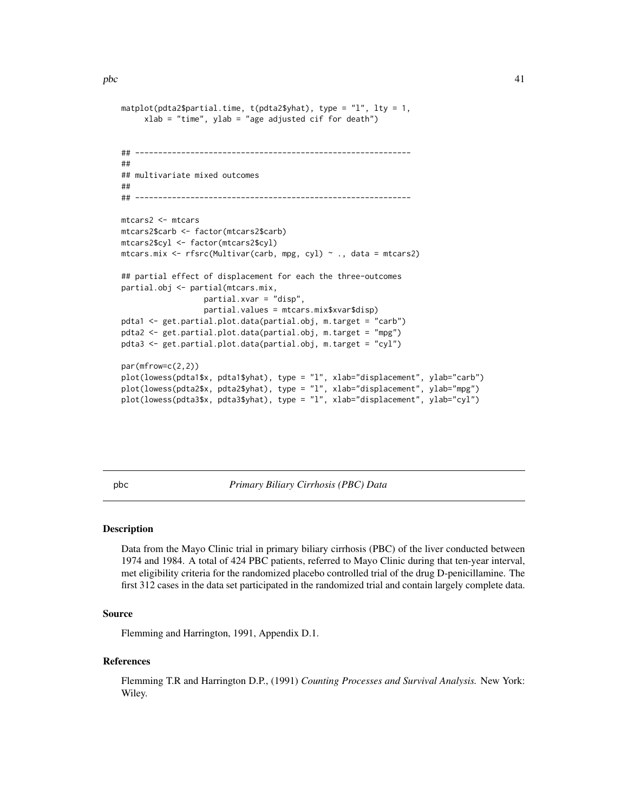```
matplot(pdta2$partial.time, t(pdta2$yhat), type = "l", lty = 1,
     xlab = "time", ylab = "age adjusted cif for death")
## ------------------------------------------------------------
##
## multivariate mixed outcomes
##
## ------------------------------------------------------------
mtcars2 <- mtcars
mtcars2$carb <- factor(mtcars2$carb)
mtcars2$cyl <- factor(mtcars2$cyl)
mtcars.mix <- rfsrc(Multivar(carb, mpg, cyl) ~ ., data = mtcars2)
## partial effect of displacement for each the three-outcomes
partial.obj <- partial(mtcars.mix,
                  partial.xvar = "disp",
                  partial.values = mtcars.mix$xvar$disp)
pdta1 <- get.partial.plot.data(partial.obj, m.target = "carb")
pdta2 <- get.partial.plot.data(partial.obj, m.target = "mpg")
pdta3 <- get.partial.plot.data(partial.obj, m.target = "cyl")
par(mfrow=c(2,2))
plot(lowess(pdta1$x, pdta1$yhat), type = "l", xlab="displacement", ylab="carb")
plot(lowess(pdta2$x, pdta2$yhat), type = "l", xlab="displacement", ylab="mpg")
plot(lowess(pdta3$x, pdta3$yhat), type = "l", xlab="displacement", ylab="cyl")
```
pbc *Primary Biliary Cirrhosis (PBC) Data*

#### Description

Data from the Mayo Clinic trial in primary biliary cirrhosis (PBC) of the liver conducted between 1974 and 1984. A total of 424 PBC patients, referred to Mayo Clinic during that ten-year interval, met eligibility criteria for the randomized placebo controlled trial of the drug D-penicillamine. The first 312 cases in the data set participated in the randomized trial and contain largely complete data.

### Source

Flemming and Harrington, 1991, Appendix D.1.

#### References

Flemming T.R and Harrington D.P., (1991) *Counting Processes and Survival Analysis.* New York: Wiley.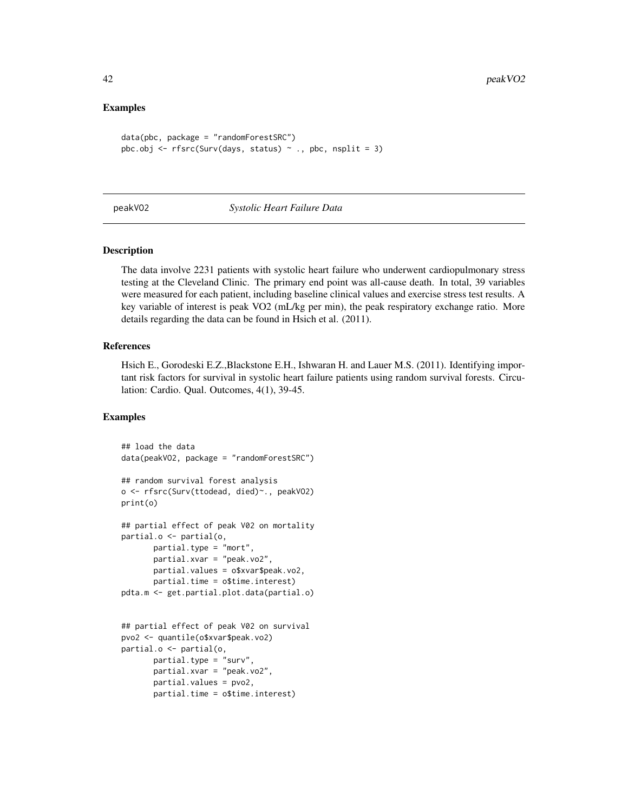### Examples

```
data(pbc, package = "randomForestSRC")
pbc.obj <- rfsrc(Surv(days, status) \sim ., pbc, nsplit = 3)
```
#### peakVO2 *Systolic Heart Failure Data*

#### Description

The data involve 2231 patients with systolic heart failure who underwent cardiopulmonary stress testing at the Cleveland Clinic. The primary end point was all-cause death. In total, 39 variables were measured for each patient, including baseline clinical values and exercise stress test results. A key variable of interest is peak VO2 (mL/kg per min), the peak respiratory exchange ratio. More details regarding the data can be found in Hsich et al. (2011).

#### References

Hsich E., Gorodeski E.Z.,Blackstone E.H., Ishwaran H. and Lauer M.S. (2011). Identifying important risk factors for survival in systolic heart failure patients using random survival forests. Circulation: Cardio. Qual. Outcomes, 4(1), 39-45.

```
## load the data
data(peakVO2, package = "randomForestSRC")
## random survival forest analysis
o <- rfsrc(Surv(ttodead, died)~., peakVO2)
print(o)
## partial effect of peak V02 on mortality
partial.o <- partial(o,
      partial.type = "mort",
       partial.xvar = "peak.vo2",
       partial.values = o$xvar$peak.vo2,
       partial.time = o$time.interest)
pdta.m <- get.partial.plot.data(partial.o)
## partial effect of peak V02 on survival
pvo2 <- quantile(o$xvar$peak.vo2)
partial.o <- partial(o,
       partial.type = "surv",
       partial.xvar = "peak.vo2",
       partial.values = pvo2,
       partial.time = o$time.interest)
```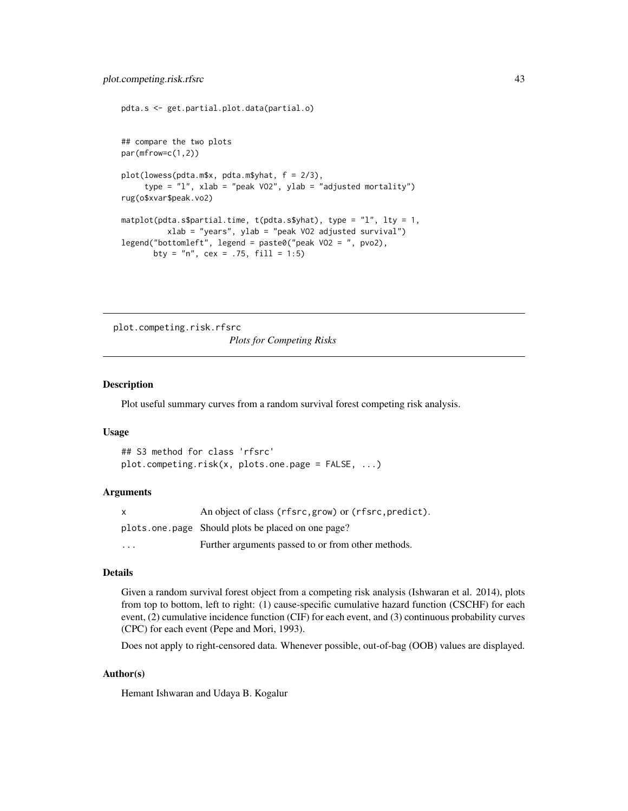```
pdta.s <- get.partial.plot.data(partial.o)
## compare the two plots
par(mfrow=c(1,2))
plot(lowess(pdta.m$x, pdta.m$yhat, f = 2/3),
     type = "l", xlab = "peak VO2", ylab = "adjusted mortality")
rug(o$xvar$peak.vo2)
matplot(pdta.s$partial.time, t(pdta.s$yhat), type = "l", lty = 1,
          xlab = "years", ylab = "peak VO2 adjusted survival")
legend("bottomleft", legend = paste0("peak VO2 = ", pvo2),
      bty = "n", cex = .75, fill = 1:5)
```
<span id="page-42-0"></span>plot.competing.risk.rfsrc *Plots for Competing Risks*

#### Description

Plot useful summary curves from a random survival forest competing risk analysis.

#### Usage

```
## S3 method for class 'rfsrc'
plot.competing.risk(x, plots.one.page = FALSE, ...)
```
#### Arguments

| x        | An object of class (rfsrc, grow) or (rfsrc, predict). |
|----------|-------------------------------------------------------|
|          | plots one page Should plots be placed on one page?    |
| $\cdots$ | Further arguments passed to or from other methods.    |

#### Details

Given a random survival forest object from a competing risk analysis (Ishwaran et al. 2014), plots from top to bottom, left to right: (1) cause-specific cumulative hazard function (CSCHF) for each event, (2) cumulative incidence function (CIF) for each event, and (3) continuous probability curves (CPC) for each event (Pepe and Mori, 1993).

Does not apply to right-censored data. Whenever possible, out-of-bag (OOB) values are displayed.

### Author(s)

Hemant Ishwaran and Udaya B. Kogalur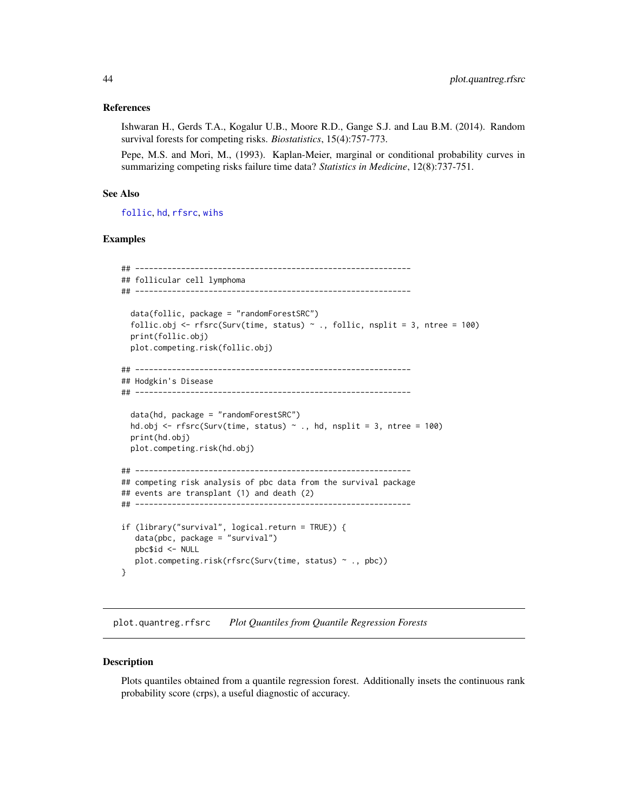#### References

Ishwaran H., Gerds T.A., Kogalur U.B., Moore R.D., Gange S.J. and Lau B.M. (2014). Random survival forests for competing risks. *Biostatistics*, 15(4):757-773.

Pepe, M.S. and Mori, M., (1993). Kaplan-Meier, marginal or conditional probability curves in summarizing competing risks failure time data? *Statistics in Medicine*, 12(8):737-751.

#### See Also

[follic](#page-8-0), [hd](#page-13-0), [rfsrc](#page-69-0), [wihs](#page-124-0)

#### Examples

```
## ------------------------------------------------------------
## follicular cell lymphoma
## ------------------------------------------------------------
 data(follic, package = "randomForestSRC")
 follic.obj <- rfsrc(Surv(time, status) \sim ., follic, nsplit = 3, ntree = 100)
 print(follic.obj)
 plot.competing.risk(follic.obj)
## ------------------------------------------------------------
## Hodgkin's Disease
## ------------------------------------------------------------
 data(hd, package = "randomForestSRC")
 hd.obj <- rfsrc(Surv(time, status) \sim ., hd, nsplit = 3, ntree = 100)
 print(hd.obj)
 plot.competing.risk(hd.obj)
## ------------------------------------------------------------
## competing risk analysis of pbc data from the survival package
## events are transplant (1) and death (2)
## ------------------------------------------------------------
if (library("survival", logical.return = TRUE)) {
  data(pbc, package = "survival")
  pbc$id <- NULL
  plot.competing.risk(rfsrc(Surv(time, status) ~ ., pbc))
}
```
plot.quantreg.rfsrc *Plot Quantiles from Quantile Regression Forests*

#### Description

Plots quantiles obtained from a quantile regression forest. Additionally insets the continuous rank probability score (crps), a useful diagnostic of accuracy.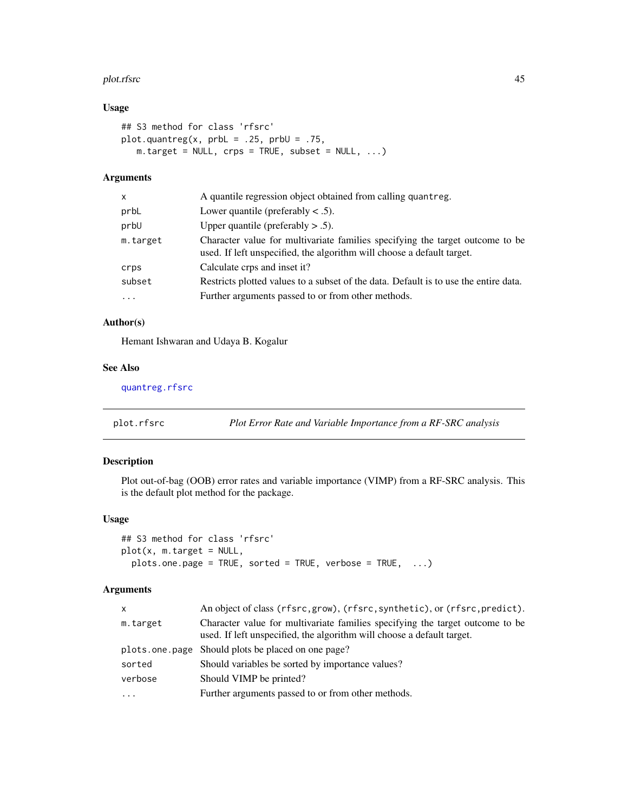#### plot.rfsrc 45

## Usage

```
## S3 method for class 'rfsrc'
plot.quantreg(x, prbl = .25, prbl = .75,
   m.target = NULL, crps = TRUE, subset = NULL, ...)
```
## Arguments

| X         | A quantile regression object obtained from calling quantreg.                                                                                            |
|-----------|---------------------------------------------------------------------------------------------------------------------------------------------------------|
| prbL      | Lower quantile (preferably $\lt$ .5).                                                                                                                   |
| prbU      | Upper quantile (preferably $> .5$ ).                                                                                                                    |
| m.target  | Character value for multivariate families specifying the target outcome to be<br>used. If left unspecified, the algorithm will choose a default target. |
| crps      | Calculate crps and inset it?                                                                                                                            |
| subset    | Restricts plotted values to a subset of the data. Default is to use the entire data.                                                                    |
| $\ddotsc$ | Further arguments passed to or from other methods.                                                                                                      |
|           |                                                                                                                                                         |

# Author(s)

Hemant Ishwaran and Udaya B. Kogalur

#### See Also

[quantreg.rfsrc](#page-64-0)

<span id="page-44-0"></span>plot.rfsrc *Plot Error Rate and Variable Importance from a RF-SRC analysis*

## Description

Plot out-of-bag (OOB) error rates and variable importance (VIMP) from a RF-SRC analysis. This is the default plot method for the package.

## Usage

```
## S3 method for class 'rfsrc'
plot(x, m.target = NULL,plots.one.page = TRUE, sorted = TRUE, verbose = TRUE, ...)
```
### Arguments

| $\mathsf{x}$ | An object of class (rfsrc, grow), (rfsrc, synthetic), or (rfsrc, predict).                                                                              |
|--------------|---------------------------------------------------------------------------------------------------------------------------------------------------------|
| m.target     | Character value for multivariate families specifying the target outcome to be<br>used. If left unspecified, the algorithm will choose a default target. |
|              | plots one page Should plots be placed on one page?                                                                                                      |
| sorted       | Should variables be sorted by importance values?                                                                                                        |
| verbose      | Should VIMP be printed?                                                                                                                                 |
| $\cdot$      | Further arguments passed to or from other methods.                                                                                                      |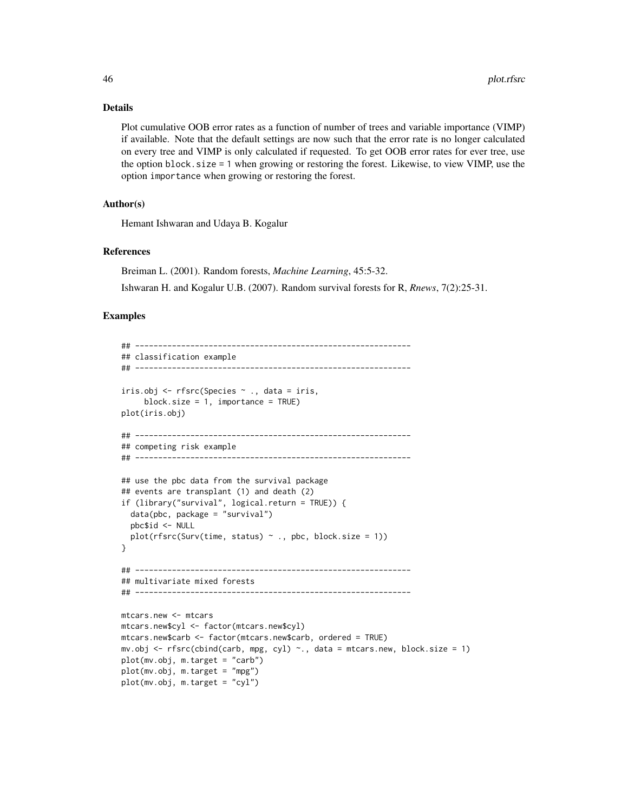#### Details

Plot cumulative OOB error rates as a function of number of trees and variable importance (VIMP) if available. Note that the default settings are now such that the error rate is no longer calculated on every tree and VIMP is only calculated if requested. To get OOB error rates for ever tree, use the option block.size = 1 when growing or restoring the forest. Likewise, to view VIMP, use the option importance when growing or restoring the forest.

### Author(s)

Hemant Ishwaran and Udaya B. Kogalur

### References

Breiman L. (2001). Random forests, *Machine Learning*, 45:5-32.

Ishwaran H. and Kogalur U.B. (2007). Random survival forests for R, *Rnews*, 7(2):25-31.

```
## ------------------------------------------------------------
## classification example
## ------------------------------------------------------------
iris.obj <- rfsrc(Species ~ ., data = iris,
     block.size = 1, importance = TRUE)
plot(iris.obj)
## ------------------------------------------------------------
## competing risk example
## ------------------------------------------------------------
## use the pbc data from the survival package
## events are transplant (1) and death (2)
if (library("survival", logical.return = TRUE)) {
  data(pbc, package = "survival")
  pbc$id <- NULL
  plot(rfsrc(Surv(time, status) ~ ~ ., pbc, block.size = 1))}
## ------------------------------------------------------------
## multivariate mixed forests
## ------------------------------------------------------------
mtcars.new <- mtcars
mtcars.new$cyl <- factor(mtcars.new$cyl)
mtcars.new$carb <- factor(mtcars.new$carb, ordered = TRUE)
mv.obj <- rfsrc(cbind(carb, mpg, cyl) ~., data = mtcars.new, block.size = 1)
plot(mv.obj, m.target = "carb")
plot(mv.obj, m.target = "mpg")
plot(mv.obj, m.target = "cyl")
```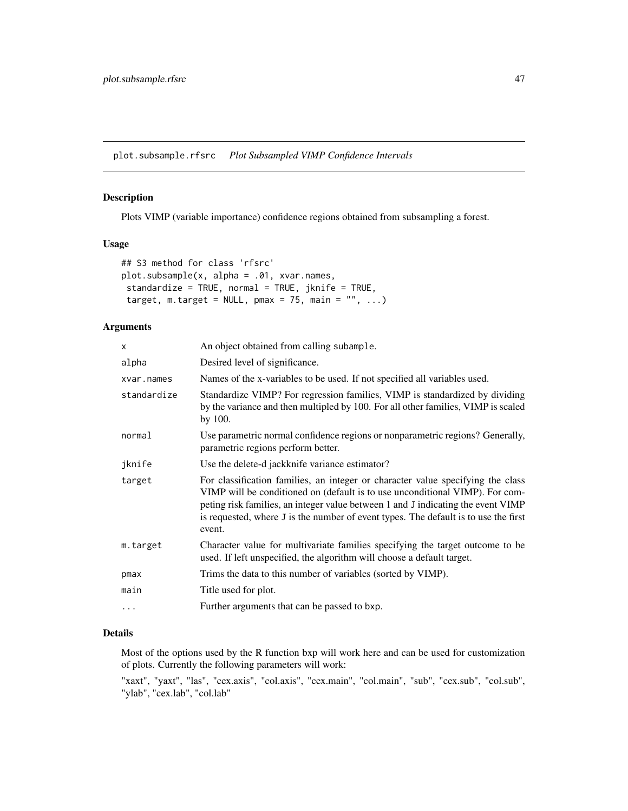plot.subsample.rfsrc *Plot Subsampled VIMP Confidence Intervals*

### Description

Plots VIMP (variable importance) confidence regions obtained from subsampling a forest.

## Usage

```
## S3 method for class 'rfsrc'
plot.subsample(x, alpha = .01, xvar.names,
standardize = TRUE, normal = TRUE, jknife = TRUE,
 target, m.target = NULL, pmax = 75, main = "", ...)
```
## Arguments

| X           | An object obtained from calling subample.                                                                                                                                                                                                                                                                                                            |
|-------------|------------------------------------------------------------------------------------------------------------------------------------------------------------------------------------------------------------------------------------------------------------------------------------------------------------------------------------------------------|
| alpha       | Desired level of significance.                                                                                                                                                                                                                                                                                                                       |
| xvar.names  | Names of the x-variables to be used. If not specified all variables used.                                                                                                                                                                                                                                                                            |
| standardize | Standardize VIMP? For regression families, VIMP is standardized by dividing<br>by the variance and then multipled by 100. For all other families, VIMP is scaled<br>by $100.$                                                                                                                                                                        |
| normal      | Use parametric normal confidence regions or nonparametric regions? Generally,<br>parametric regions perform better.                                                                                                                                                                                                                                  |
| jknife      | Use the delete-d jackknife variance estimator?                                                                                                                                                                                                                                                                                                       |
| target      | For classification families, an integer or character value specifying the class<br>VIMP will be conditioned on (default is to use unconditional VIMP). For com-<br>peting risk families, an integer value between 1 and J indicating the event VIMP<br>is requested, where J is the number of event types. The default is to use the first<br>event. |
| m.target    | Character value for multivariate families specifying the target outcome to be<br>used. If left unspecified, the algorithm will choose a default target.                                                                                                                                                                                              |
| pmax        | Trims the data to this number of variables (sorted by VIMP).                                                                                                                                                                                                                                                                                         |
| main        | Title used for plot.                                                                                                                                                                                                                                                                                                                                 |
| $\cdots$    | Further arguments that can be passed to bxp.                                                                                                                                                                                                                                                                                                         |

## Details

Most of the options used by the R function bxp will work here and can be used for customization of plots. Currently the following parameters will work:

"xaxt", "yaxt", "las", "cex.axis", "col.axis", "cex.main", "col.main", "sub", "cex.sub", "col.sub", "ylab", "cex.lab", "col.lab"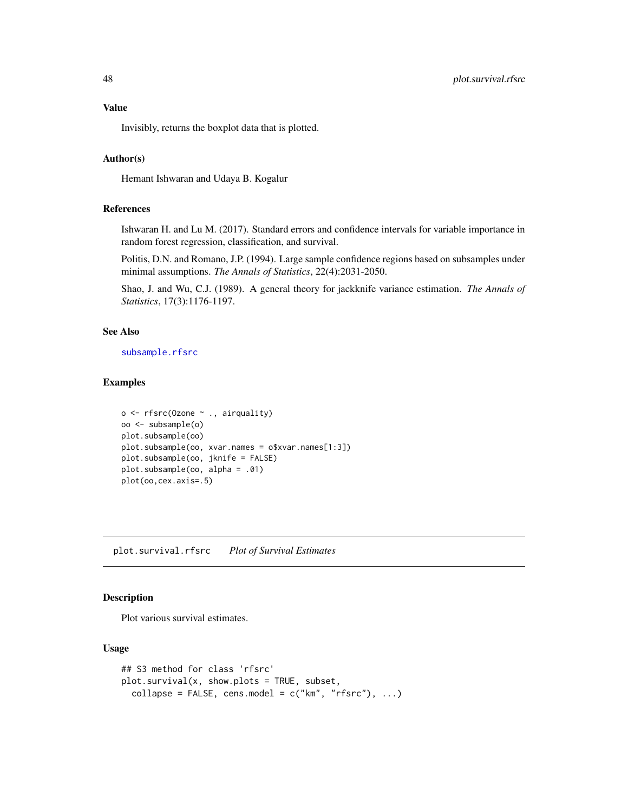### Value

Invisibly, returns the boxplot data that is plotted.

### Author(s)

Hemant Ishwaran and Udaya B. Kogalur

## References

Ishwaran H. and Lu M. (2017). Standard errors and confidence intervals for variable importance in random forest regression, classification, and survival.

Politis, D.N. and Romano, J.P. (1994). Large sample confidence regions based on subsamples under minimal assumptions. *The Annals of Statistics*, 22(4):2031-2050.

Shao, J. and Wu, C.J. (1989). A general theory for jackknife variance estimation. *The Annals of Statistics*, 17(3):1176-1197.

## See Also

[subsample.rfsrc](#page-103-0)

### Examples

```
o <- rfsrc(Ozone ~ ., airquality)
oo <- subsample(o)
plot.subsample(oo)
plot.subsample(oo, xvar.names = o$xvar.names[1:3])
plot.subsample(oo, jknife = FALSE)
plot.subsample(oo, alpha = .01)
plot(oo,cex.axis=.5)
```
<span id="page-47-0"></span>plot.survival.rfsrc *Plot of Survival Estimates*

## Description

Plot various survival estimates.

#### Usage

```
## S3 method for class 'rfsrc'
plot.survival(x, show.plots = TRUE, subset,
 collapse = FALSE, cens.model = c("km", "rfsrc"), ...
```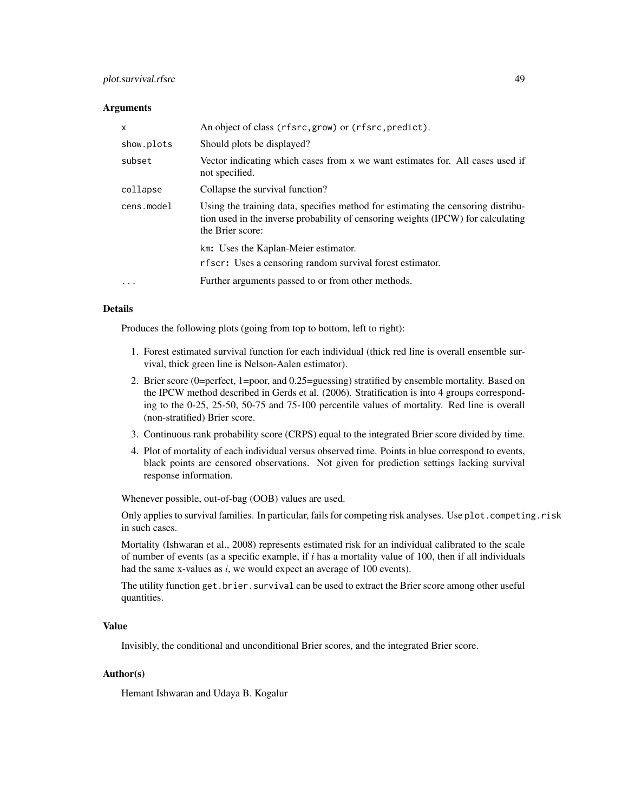## plot.survival.rfsrc 49

#### **Arguments**

| X          | An object of class (rfsrc, grow) or (rfsrc, predict).                                                                                                                                    |
|------------|------------------------------------------------------------------------------------------------------------------------------------------------------------------------------------------|
| show.plots | Should plots be displayed?                                                                                                                                                               |
| subset     | Vector indicating which cases from x we want estimates for. All cases used if<br>not specified.                                                                                          |
| collapse   | Collapse the survival function?                                                                                                                                                          |
| cens.model | Using the training data, specifies method for estimating the censoring distribu-<br>tion used in the inverse probability of censoring weights (IPCW) for calculating<br>the Brier score: |
|            | km: Uses the Kaplan-Meier estimator.<br>rfscr: Uses a censoring random survival forest estimator.                                                                                        |
| $\ddotsc$  | Further arguments passed to or from other methods.                                                                                                                                       |

#### Details

Produces the following plots (going from top to bottom, left to right):

- 1. Forest estimated survival function for each individual (thick red line is overall ensemble survival, thick green line is Nelson-Aalen estimator).
- 2. Brier score (0=perfect, 1=poor, and 0.25=guessing) stratified by ensemble mortality. Based on the IPCW method described in Gerds et al. (2006). Stratification is into 4 groups corresponding to the 0-25, 25-50, 50-75 and 75-100 percentile values of mortality. Red line is overall (non-stratified) Brier score.
- 3. Continuous rank probability score (CRPS) equal to the integrated Brier score divided by time.
- 4. Plot of mortality of each individual versus observed time. Points in blue correspond to events, black points are censored observations. Not given for prediction settings lacking survival response information.

Whenever possible, out-of-bag (OOB) values are used.

Only applies to survival families. In particular, fails for competing risk analyses. Use plot.competing.risk in such cases.

Mortality (Ishwaran et al., 2008) represents estimated risk for an individual calibrated to the scale of number of events (as a specific example, if *i* has a mortality value of 100, then if all individuals had the same x-values as *i*, we would expect an average of 100 events).

The utility function get.brier.survival can be used to extract the Brier score among other useful quantities.

### Value

Invisibly, the conditional and unconditional Brier scores, and the integrated Brier score.

## Author(s)

Hemant Ishwaran and Udaya B. Kogalur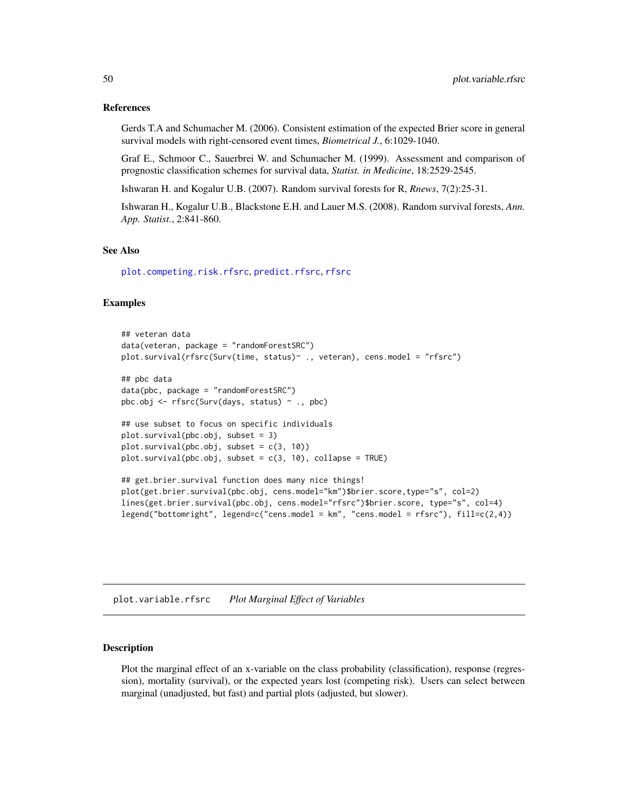#### References

Gerds T.A and Schumacher M. (2006). Consistent estimation of the expected Brier score in general survival models with right-censored event times, *Biometrical J.*, 6:1029-1040.

Graf E., Schmoor C., Sauerbrei W. and Schumacher M. (1999). Assessment and comparison of prognostic classification schemes for survival data, *Statist. in Medicine*, 18:2529-2545.

Ishwaran H. and Kogalur U.B. (2007). Random survival forests for R, *Rnews*, 7(2):25-31.

Ishwaran H., Kogalur U.B., Blackstone E.H. and Lauer M.S. (2008). Random survival forests, *Ann. App. Statist.*, 2:841-860.

#### See Also

[plot.competing.risk.rfsrc](#page-42-0), [predict.rfsrc](#page-53-0), [rfsrc](#page-69-0)

## **Examples**

```
## veteran data
data(veteran, package = "randomForestSRC")
plot.survival(rfsrc(Surv(time, status)~ ., veteran), cens.model = "rfsrc")
## pbc data
data(pbc, package = "randomForestSRC")
pbc.obj <- rfsrc(Surv(days, status) ~ ., pbc)
## use subset to focus on specific individuals
plot.survival(pbc.obj, subset = 3)
plot.survival(pbc.obj, subset = c(3, 10))
plot.survival(pbc.obj, subset = c(3, 10), collapse = TRUE)## get.brier.survival function does many nice things!
plot(get.brier.survival(pbc.obj, cens.model="km")$brier.score,type="s", col=2)
lines(get.brier.survival(pbc.obj, cens.model="rfsrc")$brier.score, type="s", col=4)
legend("bottomright", legend=c("cens.model = km", "cens.model = rfsrc"), fill=c(2,4))
```
<span id="page-49-0"></span>plot.variable.rfsrc *Plot Marginal Effect of Variables*

#### Description

Plot the marginal effect of an x-variable on the class probability (classification), response (regression), mortality (survival), or the expected years lost (competing risk). Users can select between marginal (unadjusted, but fast) and partial plots (adjusted, but slower).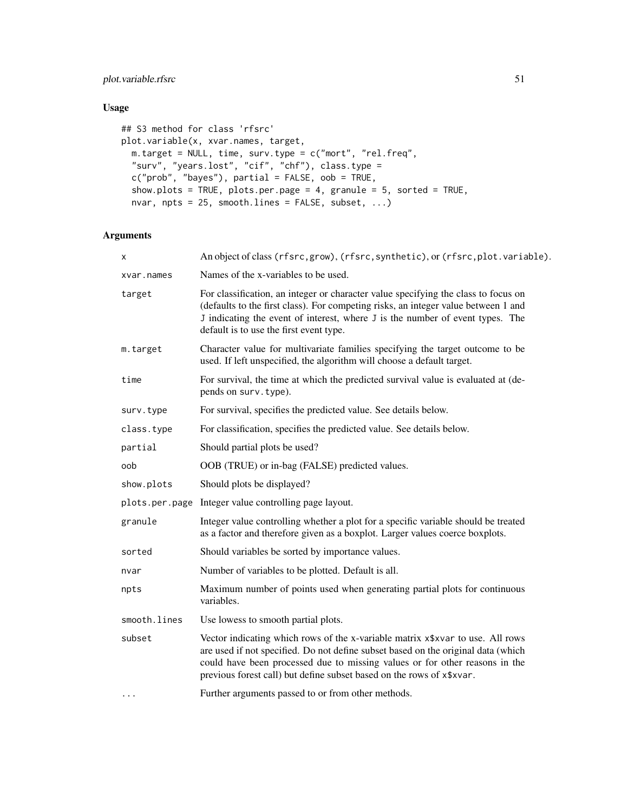plot.variable.rfsrc 51

# Usage

```
## S3 method for class 'rfsrc'
plot.variable(x, xvar.names, target,
 m.target = NULL, time, surv.type = c("mort", "rel.freq",
  "surv", "years.lost", "cif", "chf"), class.type =
 c("prob", "bayes"), partial = FALSE, oob = TRUE,show.plots = TRUE, plots.per.page = 4, granule = 5, sorted = TRUE,
 nvar, npts = 25, smooth.lines = FALSE, subset, ...)
```
## Arguments

| x            | An object of class (rfsrc, grow), (rfsrc, synthetic), or (rfsrc, plot. variable).                                                                                                                                                                                                                                           |
|--------------|-----------------------------------------------------------------------------------------------------------------------------------------------------------------------------------------------------------------------------------------------------------------------------------------------------------------------------|
| xvar.names   | Names of the x-variables to be used.                                                                                                                                                                                                                                                                                        |
| target       | For classification, an integer or character value specifying the class to focus on<br>(defaults to the first class). For competing risks, an integer value between 1 and<br>J indicating the event of interest, where J is the number of event types. The<br>default is to use the first event type.                        |
| m.target     | Character value for multivariate families specifying the target outcome to be<br>used. If left unspecified, the algorithm will choose a default target.                                                                                                                                                                     |
| time         | For survival, the time at which the predicted survival value is evaluated at (de-<br>pends on surv. type).                                                                                                                                                                                                                  |
| surv.type    | For survival, specifies the predicted value. See details below.                                                                                                                                                                                                                                                             |
| class.type   | For classification, specifies the predicted value. See details below.                                                                                                                                                                                                                                                       |
| partial      | Should partial plots be used?                                                                                                                                                                                                                                                                                               |
| oob          | OOB (TRUE) or in-bag (FALSE) predicted values.                                                                                                                                                                                                                                                                              |
| show.plots   | Should plots be displayed?                                                                                                                                                                                                                                                                                                  |
|              | plots.per.page Integer value controlling page layout.                                                                                                                                                                                                                                                                       |
| granule      | Integer value controlling whether a plot for a specific variable should be treated<br>as a factor and therefore given as a boxplot. Larger values coerce boxplots.                                                                                                                                                          |
| sorted       | Should variables be sorted by importance values.                                                                                                                                                                                                                                                                            |
| nvar         | Number of variables to be plotted. Default is all.                                                                                                                                                                                                                                                                          |
| npts         | Maximum number of points used when generating partial plots for continuous<br>variables.                                                                                                                                                                                                                                    |
| smooth.lines | Use lowess to smooth partial plots.                                                                                                                                                                                                                                                                                         |
| subset       | Vector indicating which rows of the x-variable matrix x\$xvar to use. All rows<br>are used if not specified. Do not define subset based on the original data (which<br>could have been processed due to missing values or for other reasons in the<br>previous forest call) but define subset based on the rows of x\$xvar. |
| .            | Further arguments passed to or from other methods.                                                                                                                                                                                                                                                                          |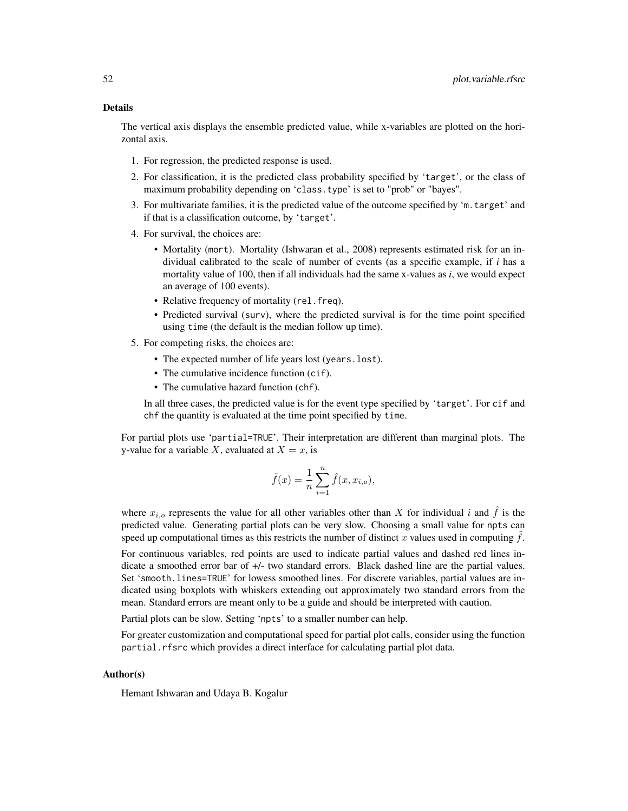The vertical axis displays the ensemble predicted value, while x-variables are plotted on the horizontal axis.

- 1. For regression, the predicted response is used.
- 2. For classification, it is the predicted class probability specified by 'target', or the class of maximum probability depending on 'class.type' is set to "prob" or "bayes".
- 3. For multivariate families, it is the predicted value of the outcome specified by 'm.target' and if that is a classification outcome, by 'target'.
- 4. For survival, the choices are:
	- Mortality (mort). Mortality (Ishwaran et al., 2008) represents estimated risk for an individual calibrated to the scale of number of events (as a specific example, if *i* has a mortality value of 100, then if all individuals had the same x-values as *i*, we would expect an average of 100 events).
	- Relative frequency of mortality (rel.freq).
	- Predicted survival (surv), where the predicted survival is for the time point specified using time (the default is the median follow up time).
- 5. For competing risks, the choices are:
	- The expected number of life years lost (years.lost).
	- The cumulative incidence function (cif).
	- The cumulative hazard function (chf).

In all three cases, the predicted value is for the event type specified by 'target'. For cif and chf the quantity is evaluated at the time point specified by time.

For partial plots use 'partial=TRUE'. Their interpretation are different than marginal plots. The y-value for a variable X, evaluated at  $X = x$ , is

$$
\tilde{f}(x) = \frac{1}{n} \sum_{i=1}^{n} \hat{f}(x, x_{i,o}),
$$

where  $x_{i,o}$  represents the value for all other variables other than X for individual i and  $\hat{f}$  is the predicted value. Generating partial plots can be very slow. Choosing a small value for npts can speed up computational times as this restricts the number of distinct x values used in computing  $f$ .

For continuous variables, red points are used to indicate partial values and dashed red lines indicate a smoothed error bar of +/- two standard errors. Black dashed line are the partial values. Set 'smooth.lines=TRUE' for lowess smoothed lines. For discrete variables, partial values are indicated using boxplots with whiskers extending out approximately two standard errors from the mean. Standard errors are meant only to be a guide and should be interpreted with caution.

Partial plots can be slow. Setting 'npts' to a smaller number can help.

For greater customization and computational speed for partial plot calls, consider using the function partial.rfsrc which provides a direct interface for calculating partial plot data.

#### Author(s)

Hemant Ishwaran and Udaya B. Kogalur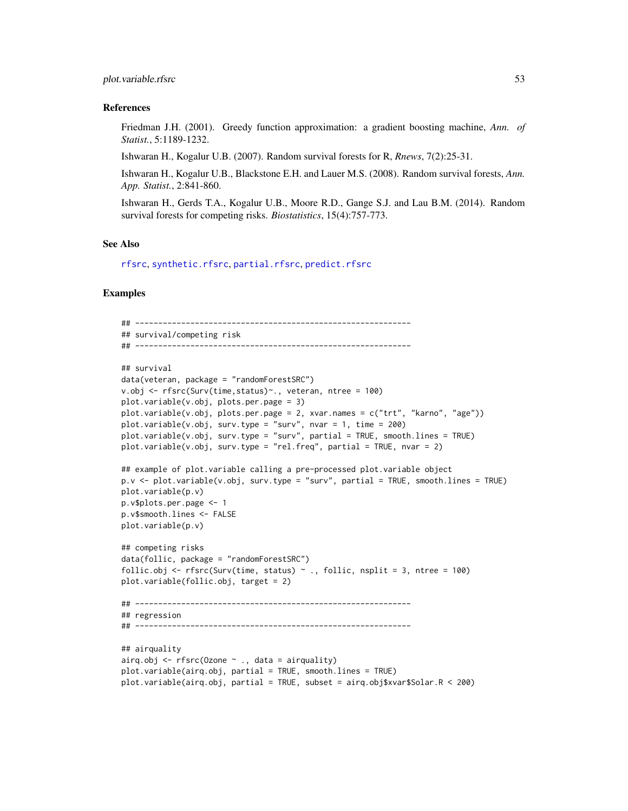#### References

Friedman J.H. (2001). Greedy function approximation: a gradient boosting machine, *Ann. of Statist.*, 5:1189-1232.

Ishwaran H., Kogalur U.B. (2007). Random survival forests for R, *Rnews*, 7(2):25-31.

Ishwaran H., Kogalur U.B., Blackstone E.H. and Lauer M.S. (2008). Random survival forests, *Ann. App. Statist.*, 2:841-860.

Ishwaran H., Gerds T.A., Kogalur U.B., Moore R.D., Gange S.J. and Lau B.M. (2014). Random survival forests for competing risks. *Biostatistics*, 15(4):757-773.

#### See Also

[rfsrc](#page-69-0), [synthetic.rfsrc](#page-108-0), [partial.rfsrc](#page-34-0), [predict.rfsrc](#page-53-0)

```
## ------------------------------------------------------------
## survival/competing risk
## ------------------------------------------------------------
## survival
data(veteran, package = "randomForestSRC")
v.obj <- rfsrc(Surv(time,status)~., veteran, ntree = 100)
plot.variable(v.obj, plots.per.page = 3)
plot.variable(v.obj, plots.per.page = 2, xvar.names = c("trt", "karno", "age"))plot.variable(v.obj, surv.type = "surv", nvar = 1, time = 200)
plot.variable(v.obj, surv.type = "surv", partial = TRUE, smooth.lines = TRUE)
plot.variable(v.obj, surv.type = "rel.freq", partial = TRUE, nvar = 2)## example of plot.variable calling a pre-processed plot.variable object
p.v <- plot.variable(v.obj, surv.type = "surv", partial = TRUE, smooth.lines = TRUE)
plot.variable(p.v)
p.v$plots.per.page <- 1
p.v$smooth.lines <- FALSE
plot.variable(p.v)
## competing risks
data(follic, package = "randomForestSRC")
follic.obj <- rfsrc(Surv(time, status) \sim ., follic, nsplit = 3, ntree = 100)
plot.variable(follic.obj, target = 2)
## ------------------------------------------------------------
## regression
## ------------------------------------------------------------
## airquality
airq.obj \leq rfsrc(0zone \sim ., data = airquality)plot.variable(airq.obj, partial = TRUE, smooth.lines = TRUE)
plot.variable(airq.obj, partial = TRUE, subset = airq.obj$xvar$Solar.R < 200)
```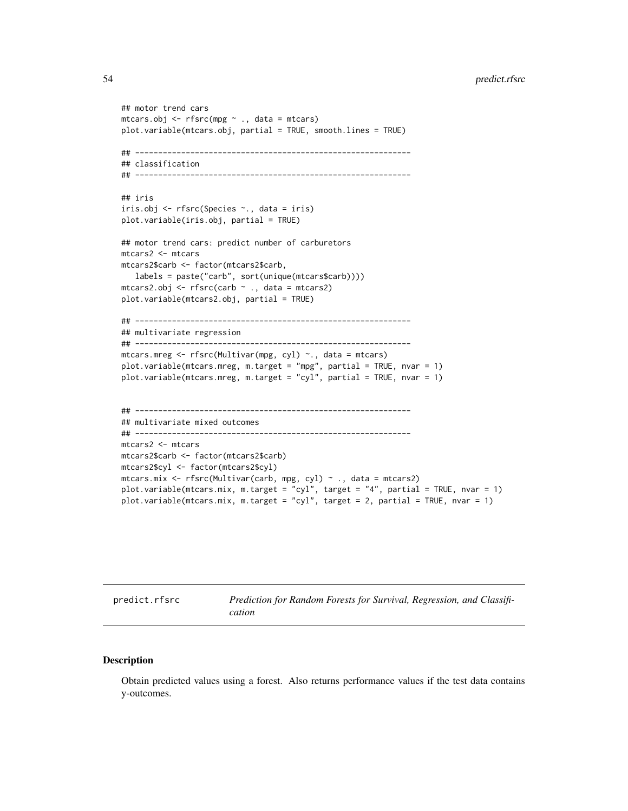```
## motor trend cars
mtcars.obj <- rfsrc(mpg ~ ., data = mtcars)
plot.variable(mtcars.obj, partial = TRUE, smooth.lines = TRUE)
## ------------------------------------------------------------
## classification
## ------------------------------------------------------------
## iris
iris.obj <- rfsrc(Species ~., data = iris)
plot.variable(iris.obj, partial = TRUE)
## motor trend cars: predict number of carburetors
mtcars2 <- mtcars
mtcars2$carb <- factor(mtcars2$carb,
   labels = paste("carb", sort(unique(mtcars$carb))))
mtcars2.obj <- rfsrc(carb ~ ., data = mtcars2)
plot.variable(mtcars2.obj, partial = TRUE)
## ------------------------------------------------------------
## multivariate regression
## ------------------------------------------------------------
mtcars.mreg <- rfsrc(Multivar(mpg, cyl) ~., data = mtcars)
plot.variable(mtcars.mreg, m.target = "mpg", partial = TRUE, nvar = 1)
plot.variable(mtcars.mreg, m.target = "cyl", partial = TRUE, nvar = 1)
## ------------------------------------------------------------
## multivariate mixed outcomes
## ------------------------------------------------------------
mtcars2 <- mtcars
mtcars2$carb <- factor(mtcars2$carb)
mtcars2$cyl <- factor(mtcars2$cyl)
mtcars.mix <- rfsrc(Multivar(carb, mpg, cyl) ~ ., data = mtcars2)
plot.variable(mtcars.mix, m.target = "cyl", target = "4", partial = TRUE, nvar = 1)
plot.variable(mtcars.mix, m.target = "cyl", target = 2, partial = TRUE, nvar = 1)
```
<span id="page-53-0"></span>predict.rfsrc *Prediction for Random Forests for Survival, Regression, and Classification*

#### Description

Obtain predicted values using a forest. Also returns performance values if the test data contains y-outcomes.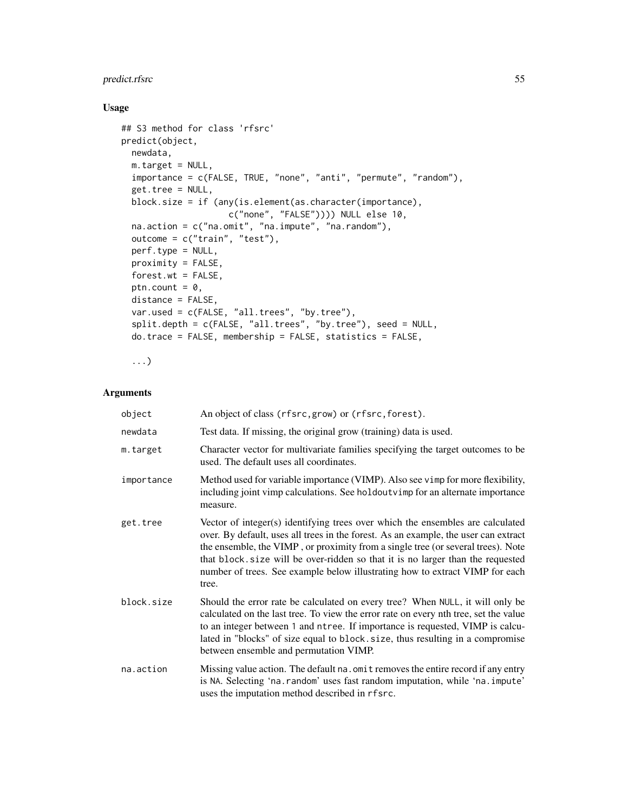# Usage

```
## S3 method for class 'rfsrc'
predict(object,
 newdata,
 m.target = NULL,
 importance = c(FALSE, TRUE, "none", "anti", "permute", "random"),
  get.tree = NULL,
 block.size = if (any(is.element(as.character(importance),
                     c("none", "FALSE")))) NULL else 10,
 na.action = c("na.omit", "na.impute", "na.random"),
 outcome = c("train", "test"),
 perf.type = NULL,
 proximity = FALSE,
 forest.wt = FALSE,
 ptn.count = 0,
 distance = FALSE,
 var.used = c(FALSE, "all.trees", "by.tree"),
  split.depth = c(FALSE, "all.trees", "by.tree"), seed = NULL,
 do.trace = FALSE, membership = FALSE, statistics = FALSE,
```
...)

### Arguments

| object     | An object of class (rfsrc, grow) or (rfsrc, forest).                                                                                                                                                                                                                                                                                                                                                                                  |
|------------|---------------------------------------------------------------------------------------------------------------------------------------------------------------------------------------------------------------------------------------------------------------------------------------------------------------------------------------------------------------------------------------------------------------------------------------|
| newdata    | Test data. If missing, the original grow (training) data is used.                                                                                                                                                                                                                                                                                                                                                                     |
| m.target   | Character vector for multivariate families specifying the target outcomes to be<br>used. The default uses all coordinates.                                                                                                                                                                                                                                                                                                            |
| importance | Method used for variable importance (VIMP). Also see vimp for more flexibility,<br>including joint vimp calculations. See holdoutvimp for an alternate importance<br>measure.                                                                                                                                                                                                                                                         |
| get.tree   | Vector of integer(s) identifying trees over which the ensembles are calculated<br>over. By default, uses all trees in the forest. As an example, the user can extract<br>the ensemble, the VIMP, or proximity from a single tree (or several trees). Note<br>that block. size will be over-ridden so that it is no larger than the requested<br>number of trees. See example below illustrating how to extract VIMP for each<br>tree. |
| block.size | Should the error rate be calculated on every tree? When NULL, it will only be<br>calculated on the last tree. To view the error rate on every nth tree, set the value<br>to an integer between 1 and ntree. If importance is requested, VIMP is calcu-<br>lated in "blocks" of size equal to block. size, thus resulting in a compromise<br>between ensemble and permutation VIMP.                                                    |
| na.action  | Missing value action. The default na. omit removes the entire record if any entry<br>is NA. Selecting 'na. random' uses fast random imputation, while 'na. impute'<br>uses the imputation method described in rfsrc.                                                                                                                                                                                                                  |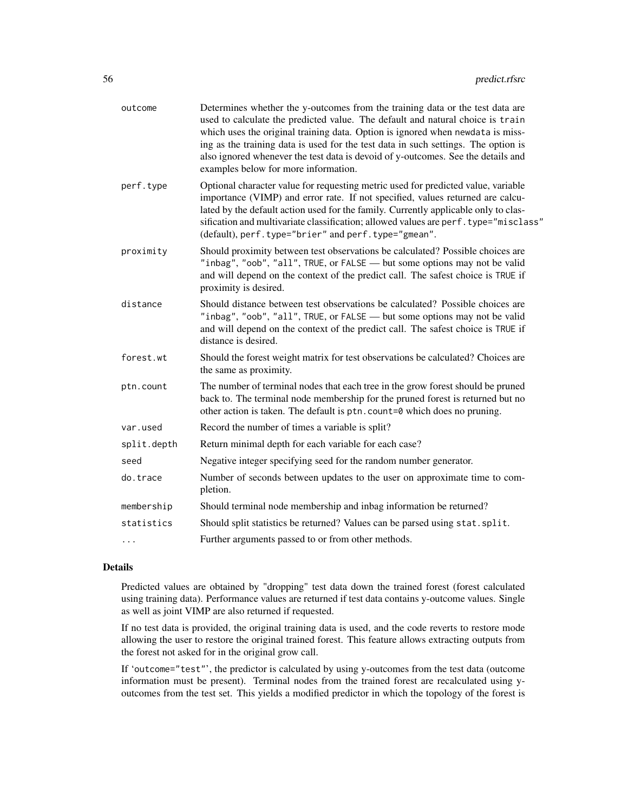| outcome     | Determines whether the y-outcomes from the training data or the test data are<br>used to calculate the predicted value. The default and natural choice is train<br>which uses the original training data. Option is ignored when newdata is miss-<br>ing as the training data is used for the test data in such settings. The option is<br>also ignored whenever the test data is devoid of y-outcomes. See the details and<br>examples below for more information. |
|-------------|---------------------------------------------------------------------------------------------------------------------------------------------------------------------------------------------------------------------------------------------------------------------------------------------------------------------------------------------------------------------------------------------------------------------------------------------------------------------|
| perf.type   | Optional character value for requesting metric used for predicted value, variable<br>importance (VIMP) and error rate. If not specified, values returned are calcu-<br>lated by the default action used for the family. Currently applicable only to clas-<br>sification and multivariate classification; allowed values are perf.type="misclass"<br>(default), perf.type="brier" and perf.type="gmean".                                                            |
| proximity   | Should proximity between test observations be calculated? Possible choices are<br>"inbag", "oob", "all", TRUE, or FALSE — but some options may not be valid<br>and will depend on the context of the predict call. The safest choice is TRUE if<br>proximity is desired.                                                                                                                                                                                            |
| distance    | Should distance between test observations be calculated? Possible choices are<br>"inbag", "oob", "all", TRUE, or FALSE - but some options may not be valid<br>and will depend on the context of the predict call. The safest choice is TRUE if<br>distance is desired.                                                                                                                                                                                              |
| forest.wt   | Should the forest weight matrix for test observations be calculated? Choices are<br>the same as proximity.                                                                                                                                                                                                                                                                                                                                                          |
| ptn.count   | The number of terminal nodes that each tree in the grow forest should be pruned<br>back to. The terminal node membership for the pruned forest is returned but no<br>other action is taken. The default is ptn.count=0 which does no pruning.                                                                                                                                                                                                                       |
| var.used    | Record the number of times a variable is split?                                                                                                                                                                                                                                                                                                                                                                                                                     |
| split.depth | Return minimal depth for each variable for each case?                                                                                                                                                                                                                                                                                                                                                                                                               |
| seed        | Negative integer specifying seed for the random number generator.                                                                                                                                                                                                                                                                                                                                                                                                   |
| do.trace    | Number of seconds between updates to the user on approximate time to com-<br>pletion.                                                                                                                                                                                                                                                                                                                                                                               |
| membership  | Should terminal node membership and inbag information be returned?                                                                                                                                                                                                                                                                                                                                                                                                  |
| statistics  | Should split statistics be returned? Values can be parsed using stat.split.                                                                                                                                                                                                                                                                                                                                                                                         |
| $\cdots$    | Further arguments passed to or from other methods.                                                                                                                                                                                                                                                                                                                                                                                                                  |

### Details

Predicted values are obtained by "dropping" test data down the trained forest (forest calculated using training data). Performance values are returned if test data contains y-outcome values. Single as well as joint VIMP are also returned if requested.

If no test data is provided, the original training data is used, and the code reverts to restore mode allowing the user to restore the original trained forest. This feature allows extracting outputs from the forest not asked for in the original grow call.

If 'outcome="test"', the predictor is calculated by using y-outcomes from the test data (outcome information must be present). Terminal nodes from the trained forest are recalculated using youtcomes from the test set. This yields a modified predictor in which the topology of the forest is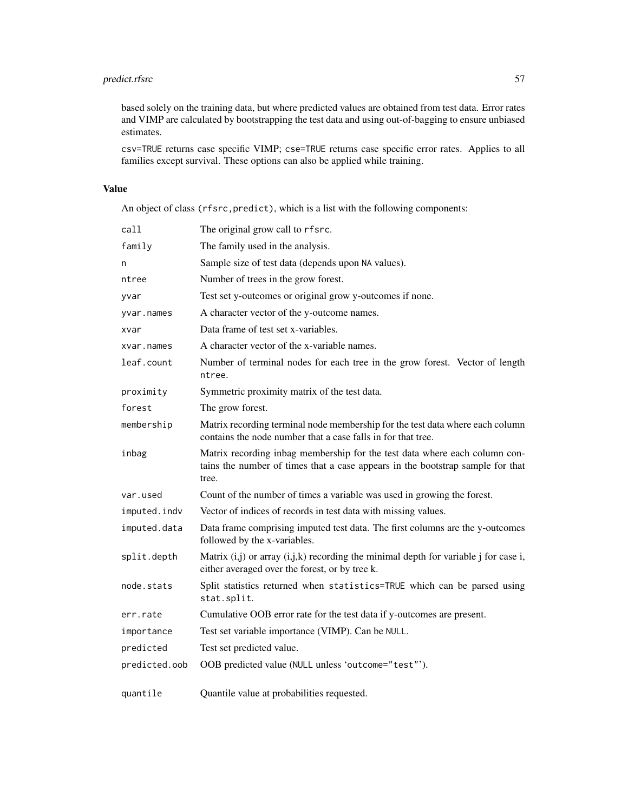based solely on the training data, but where predicted values are obtained from test data. Error rates and VIMP are calculated by bootstrapping the test data and using out-of-bagging to ensure unbiased estimates.

csv=TRUE returns case specific VIMP; cse=TRUE returns case specific error rates. Applies to all families except survival. These options can also be applied while training.

# Value

An object of class (rfsrc,predict), which is a list with the following components:

| call          | The original grow call to rfsrc.                                                                                                                                      |
|---------------|-----------------------------------------------------------------------------------------------------------------------------------------------------------------------|
| family        | The family used in the analysis.                                                                                                                                      |
| n             | Sample size of test data (depends upon NA values).                                                                                                                    |
| ntree         | Number of trees in the grow forest.                                                                                                                                   |
| yvar          | Test set y-outcomes or original grow y-outcomes if none.                                                                                                              |
| yvar.names    | A character vector of the y-outcome names.                                                                                                                            |
| xvar          | Data frame of test set x-variables.                                                                                                                                   |
| xvar.names    | A character vector of the x-variable names.                                                                                                                           |
| leaf.count    | Number of terminal nodes for each tree in the grow forest. Vector of length<br>ntree.                                                                                 |
| proximity     | Symmetric proximity matrix of the test data.                                                                                                                          |
| forest        | The grow forest.                                                                                                                                                      |
| membership    | Matrix recording terminal node membership for the test data where each column<br>contains the node number that a case falls in for that tree.                         |
| inbag         | Matrix recording inbag membership for the test data where each column con-<br>tains the number of times that a case appears in the bootstrap sample for that<br>tree. |
| var.used      | Count of the number of times a variable was used in growing the forest.                                                                                               |
| imputed.indv  | Vector of indices of records in test data with missing values.                                                                                                        |
| imputed.data  | Data frame comprising imputed test data. The first columns are the y-outcomes<br>followed by the x-variables.                                                         |
| split.depth   | Matrix $(i,j)$ or array $(i,j,k)$ recording the minimal depth for variable j for case i,<br>either averaged over the forest, or by tree k.                            |
| node.stats    | Split statistics returned when statistics=TRUE which can be parsed using<br>stat.split.                                                                               |
| err.rate      | Cumulative OOB error rate for the test data if y-outcomes are present.                                                                                                |
| importance    | Test set variable importance (VIMP). Can be NULL.                                                                                                                     |
| predicted     | Test set predicted value.                                                                                                                                             |
| predicted.oob | OOB predicted value (NULL unless 'outcome="test"').                                                                                                                   |
| quantile      | Quantile value at probabilities requested.                                                                                                                            |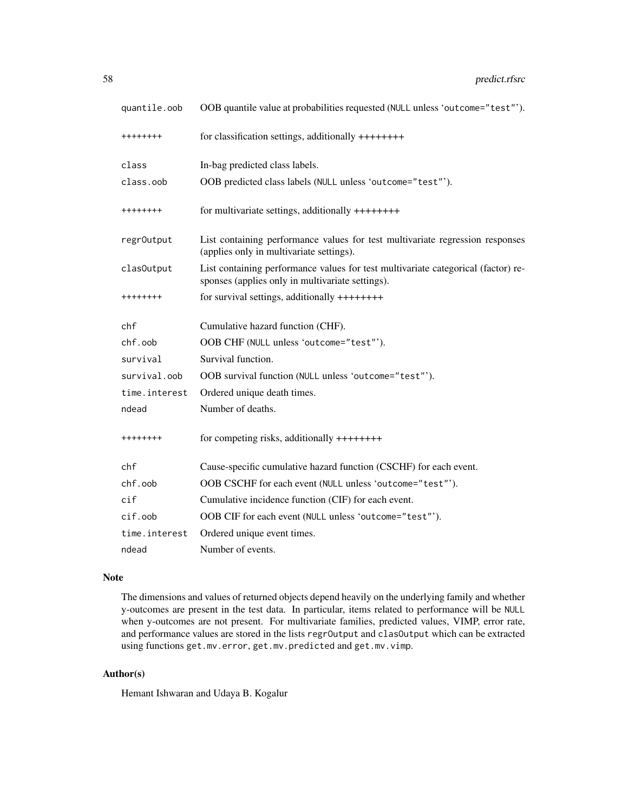| quantile.oob   | OOB quantile value at probabilities requested (NULL unless 'outcome="test"').                                                         |
|----------------|---------------------------------------------------------------------------------------------------------------------------------------|
| ++++++++       | for classification settings, additionally ++++++++                                                                                    |
| class          | In-bag predicted class labels.                                                                                                        |
| class.oob      | OOB predicted class labels (NULL unless 'outcome="test"').                                                                            |
| ++++++++       | for multivariate settings, additionally ++++++++                                                                                      |
| regr0utput     | List containing performance values for test multivariate regression responses<br>(applies only in multivariate settings).             |
| clas0utput     | List containing performance values for test multivariate categorical (factor) re-<br>sponses (applies only in multivariate settings). |
| ++++++++       | for survival settings, additionally ++++++++                                                                                          |
| chf            | Cumulative hazard function (CHF).                                                                                                     |
| chf.oob        | OOB CHF (NULL unless 'outcome="test"').                                                                                               |
| survival       | Survival function.                                                                                                                    |
| survival.oob   | OOB survival function (NULL unless 'outcome="test"').                                                                                 |
| time.interest  | Ordered unique death times.                                                                                                           |
| ndead          | Number of deaths.                                                                                                                     |
| ++++++++       | for competing risks, additionally $++++++$                                                                                            |
| chf            | Cause-specific cumulative hazard function (CSCHF) for each event.                                                                     |
| chf.oob        | OOB CSCHF for each event (NULL unless 'outcome="test"').                                                                              |
| $\mathsf{cif}$ | Cumulative incidence function (CIF) for each event.                                                                                   |
| $cif.$ oob     | OOB CIF for each event (NULL unless 'outcome="test"').                                                                                |
| time.interest  | Ordered unique event times.                                                                                                           |
| ndead          | Number of events.                                                                                                                     |

### Note

The dimensions and values of returned objects depend heavily on the underlying family and whether y-outcomes are present in the test data. In particular, items related to performance will be NULL when y-outcomes are not present. For multivariate families, predicted values, VIMP, error rate, and performance values are stored in the lists regrOutput and clasOutput which can be extracted using functions get.mv.error, get.mv.predicted and get.mv.vimp.

# Author(s)

Hemant Ishwaran and Udaya B. Kogalur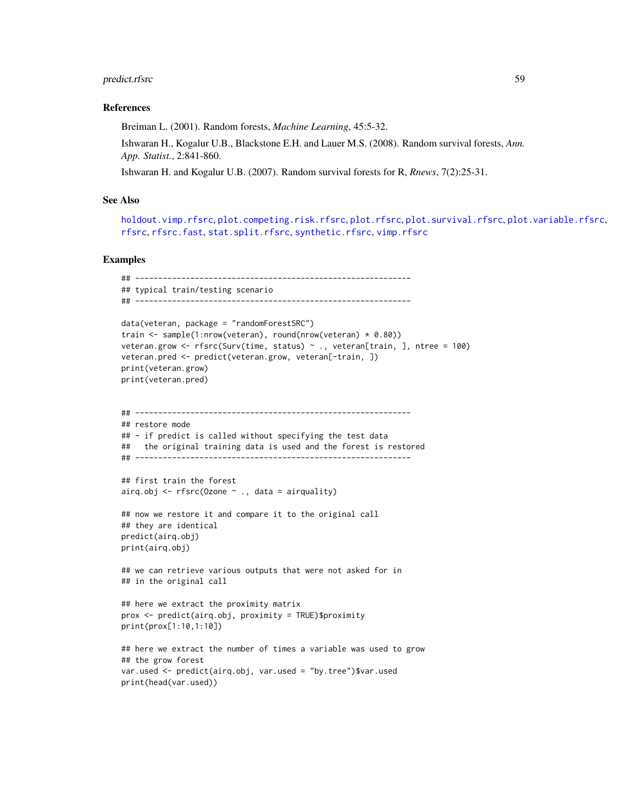#### References

Breiman L. (2001). Random forests, *Machine Learning*, 45:5-32.

Ishwaran H., Kogalur U.B., Blackstone E.H. and Lauer M.S. (2008). Random survival forests, *Ann. App. Statist.*, 2:841-860.

Ishwaran H. and Kogalur U.B. (2007). Random survival forests for R, *Rnews*, 7(2):25-31.

## See Also

[holdout.vimp.rfsrc](#page-13-1), [plot.competing.risk.rfsrc](#page-42-0), [plot.rfsrc](#page-44-0), [plot.survival.rfsrc](#page-47-0), [plot.variable.rfsrc](#page-49-0), [rfsrc](#page-69-0), [rfsrc.fast](#page-93-0), [stat.split.rfsrc](#page-101-0), [synthetic.rfsrc](#page-108-0), [vimp.rfsrc](#page-121-0)

```
## ------------------------------------------------------------
## typical train/testing scenario
## ------------------------------------------------------------
data(veteran, package = "randomForestSRC")
train <- sample(1:nrow(veteran), round(nrow(veteran) * 0.80))
veteran.grow <- rfsrc(Surv(time, status) ~ ., veteran[train, ], ntree = 100)
veteran.pred <- predict(veteran.grow, veteran[-train, ])
print(veteran.grow)
print(veteran.pred)
## ------------------------------------------------------------
## restore mode
## - if predict is called without specifying the test data
## the original training data is used and the forest is restored
## ------------------------------------------------------------
## first train the forest
airq.obj \leq rfsrc(Ozone \sim ., data = airquality)
## now we restore it and compare it to the original call
## they are identical
predict(airq.obj)
print(airq.obj)
## we can retrieve various outputs that were not asked for in
## in the original call
## here we extract the proximity matrix
prox <- predict(airq.obj, proximity = TRUE)$proximity
print(prox[1:10,1:10])
## here we extract the number of times a variable was used to grow
## the grow forest
var.used <- predict(airq.obj, var.used = "by.tree")$var.used
print(head(var.used))
```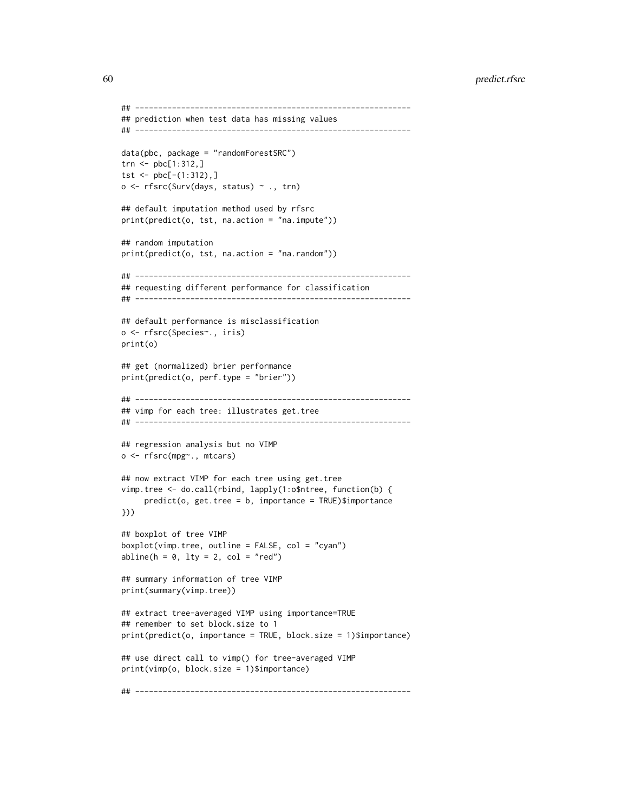```
## ------------------------------------------------------------
## prediction when test data has missing values
## ------------------------------------------------------------
data(pbc, package = "randomForestSRC")
trn <- pbc[1:312,]
tst <- pbc[-(1:312),]o <- rfsrc(Surv(days, status) ~ ., trn)
## default imputation method used by rfsrc
print(predict(o, tst, na.action = "na.impute"))
## random imputation
print(predict(o, tst, na.action = "na.random"))
## ------------------------------------------------------------
## requesting different performance for classification
## ------------------------------------------------------------
## default performance is misclassification
o <- rfsrc(Species~., iris)
print(o)
## get (normalized) brier performance
print(predict(o, perf.type = "brier"))
## ------------------------------------------------------------
## vimp for each tree: illustrates get.tree
## ------------------------------------------------------------
## regression analysis but no VIMP
o <- rfsrc(mpg~., mtcars)
## now extract VIMP for each tree using get.tree
vimp.tree <- do.call(rbind, lapply(1:o$ntree, function(b) {
     predict(o, get.tree = b, importance = TRUE)$importance
}))
## boxplot of tree VIMP
boxplot(vimp.tree, outline = FALSE, col = "cyan")abline(h = 0, lty = 2, col = "red")## summary information of tree VIMP
print(summary(vimp.tree))
## extract tree-averaged VIMP using importance=TRUE
## remember to set block.size to 1
print(predict(o, importance = TRUE, block.size = 1)$importance)
## use direct call to vimp() for tree-averaged VIMP
print(vimp(o, block.size = 1)$importance)
## ------------------------------------------------------------
```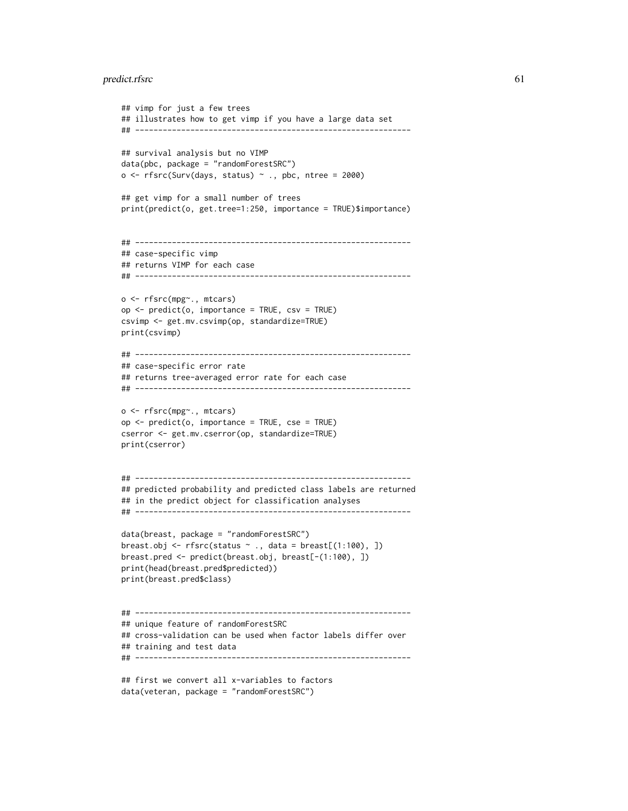```
## vimp for just a few trees
## illustrates how to get vimp if you have a large data set
## ------------------------------------------------------------
## survival analysis but no VIMP
data(pbc, package = "randomForestSRC")
o \leq r fsrc(Surv(days, status) \sim ., pbc, ntree = 2000)
## get vimp for a small number of trees
print(predict(o, get.tree=1:250, importance = TRUE)$importance)
## ------------------------------------------------------------
## case-specific vimp
## returns VIMP for each case
## ------------------------------------------------------------
o <- rfsrc(mpg~., mtcars)
op <- predict(o, importance = TRUE, csv = TRUE)
csvimp <- get.mv.csvimp(op, standardize=TRUE)
print(csvimp)
## ------------------------------------------------------------
## case-specific error rate
## returns tree-averaged error rate for each case
## ------------------------------------------------------------
o <- rfsrc(mpg~., mtcars)
op <- predict(o, importance = TRUE, cse = TRUE)
cserror <- get.mv.cserror(op, standardize=TRUE)
print(cserror)
## ------------------------------------------------------------
## predicted probability and predicted class labels are returned
## in the predict object for classification analyses
## ------------------------------------------------------------
data(breast, package = "randomForestSRC")
breast.obj <- rfsrc(status \sim., data = breast[(1:100), ])
breast.pred <- predict(breast.obj, breast[-(1:100), ])
print(head(breast.pred$predicted))
print(breast.pred$class)
## ------------------------------------------------------------
## unique feature of randomForestSRC
## cross-validation can be used when factor labels differ over
## training and test data
## ------------------------------------------------------------
## first we convert all x-variables to factors
```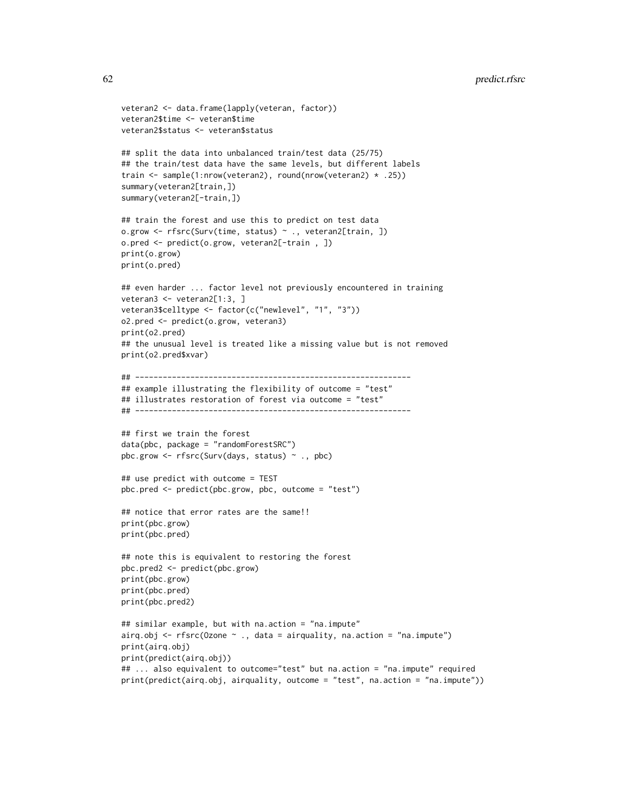```
veteran2 <- data.frame(lapply(veteran, factor))
veteran2$time <- veteran$time
veteran2$status <- veteran$status
## split the data into unbalanced train/test data (25/75)
## the train/test data have the same levels, but different labels
train <- sample(1:nrow(veteran2), round(nrow(veteran2) * .25))
summary(veteran2[train,])
summary(veteran2[-train,])
## train the forest and use this to predict on test data
o.grow <- rfsrc(Surv(time, status) ~ ., veteran2[train, ])
o.pred <- predict(o.grow, veteran2[-train , ])
print(o.grow)
print(o.pred)
## even harder ... factor level not previously encountered in training
veteran3 <- veteran2[1:3, ]
veteran3$celltype <- factor(c("newlevel", "1", "3"))
o2.pred <- predict(o.grow, veteran3)
print(o2.pred)
## the unusual level is treated like a missing value but is not removed
print(o2.pred$xvar)
## ------------------------------------------------------------
## example illustrating the flexibility of outcome = "test"
## illustrates restoration of forest via outcome = "test"
## ------------------------------------------------------------
## first we train the forest
data(pbc, package = "randomForestSRC")
pbc.grow <- rfsrc(Surv(days, status) ~ ., pbc)
## use predict with outcome = TEST
pbc.pred <- predict(pbc.grow, pbc, outcome = "test")
## notice that error rates are the same!!
print(pbc.grow)
print(pbc.pred)
## note this is equivalent to restoring the forest
pbc.pred2 <- predict(pbc.grow)
print(pbc.grow)
print(pbc.pred)
print(pbc.pred2)
## similar example, but with na.action = "na.impute"
airq.obj <- rfsrc(Ozone \sim ., data = airquality, na.action = "na.impute")
print(airq.obj)
print(predict(airq.obj))
## ... also equivalent to outcome="test" but na.action = "na.impute" required
print(predict(airq.obj, airquality, outcome = "test", na.action = "na.impute"))
```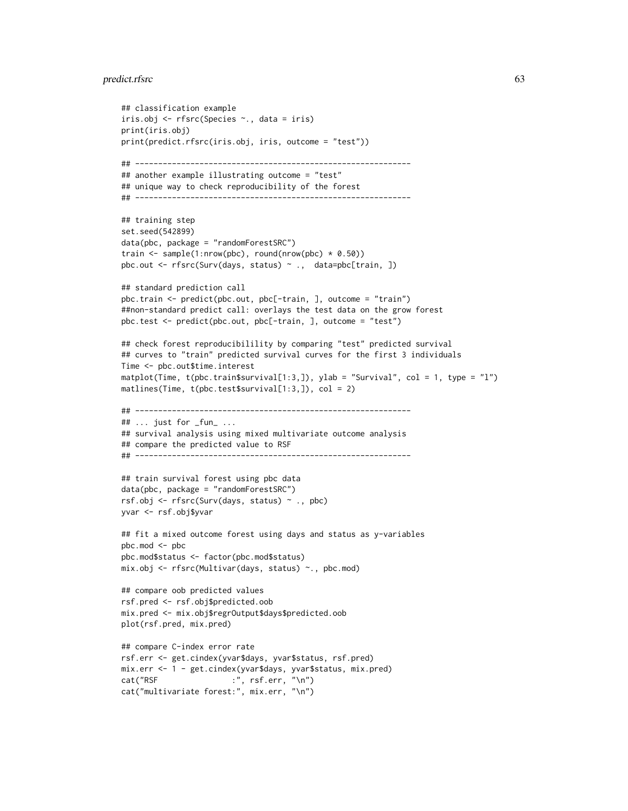```
## classification example
iris.obj <- rfsrc(Species ~., data = iris)
print(iris.obj)
print(predict.rfsrc(iris.obj, iris, outcome = "test"))
## ------------------------------------------------------------
## another example illustrating outcome = "test"
## unique way to check reproducibility of the forest
## ------------------------------------------------------------
## training step
set.seed(542899)
data(pbc, package = "randomForestSRC")
train \leq sample(1:nrow(pbc), round(nrow(pbc) \neq 0.50))
pbc.out <- rfsrc(Surv(days, status) ~ ., data=pbc[train, ])
## standard prediction call
pbc.train <- predict(pbc.out, pbc[-train, ], outcome = "train")
##non-standard predict call: overlays the test data on the grow forest
pbc.test <- predict(pbc.out, pbc[-train, ], outcome = "test")
## check forest reproducibilility by comparing "test" predicted survival
## curves to "train" predicted survival curves for the first 3 individuals
Time <- pbc.out$time.interest
matplot(Time, t(pbc.train$survival[1:3,]), ylab = "Survival", col = 1, type = "l")
matlines(Time, t(pbc.test$survival[1:3,]), col = 2)
## ------------------------------------------------------------
## ... just for _fun_ ...
## survival analysis using mixed multivariate outcome analysis
## compare the predicted value to RSF
## ------------------------------------------------------------
## train survival forest using pbc data
data(pbc, package = "randomForestSRC")
rsf.obj <- rfsrc(Surv(days, status) ~ ., pbc)
yvar <- rsf.obj$yvar
## fit a mixed outcome forest using days and status as y-variables
pbc.mod <- pbc
pbc.mod$status <- factor(pbc.mod$status)
mix.obj <- rfsrc(Multivar(days, status) ~., pbc.mod)
## compare oob predicted values
rsf.pred <- rsf.obj$predicted.oob
mix.pred <- mix.obj$regrOutput$days$predicted.oob
plot(rsf.pred, mix.pred)
## compare C-index error rate
rsf.err <- get.cindex(yvar$days, yvar$status, rsf.pred)
mix.err <- 1 - get.cindex(yvar$days, yvar$status, mix.pred)
cat("RSF :", rsf.err, "\n")
cat("multivariate forest:", mix.err, "\n")
```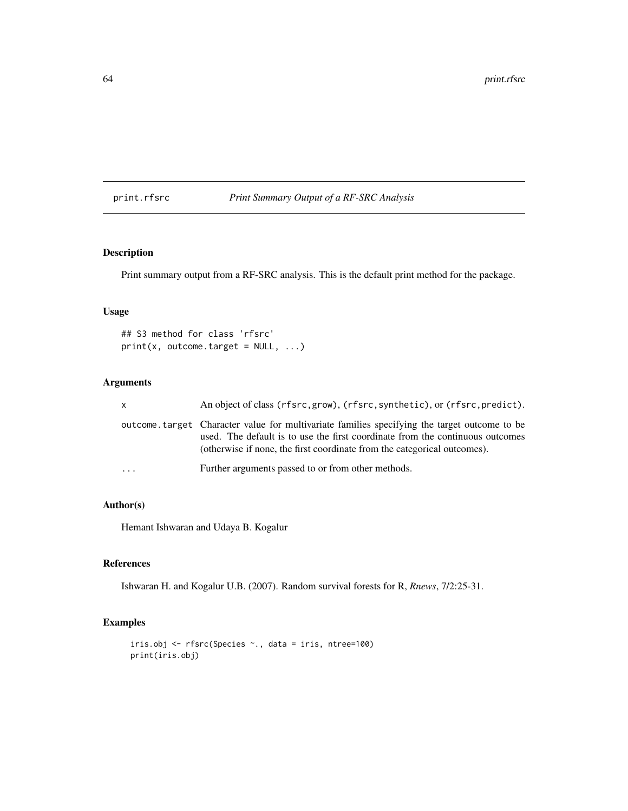## print.rfsrc *Print Summary Output of a RF-SRC Analysis*

## Description

Print summary output from a RF-SRC analysis. This is the default print method for the package.

## Usage

## S3 method for class 'rfsrc'  $print(x, outcome.target = NULL, ...)$ 

## Arguments

| X | An object of class (rfsrc, grow), (rfsrc, synthetic), or (rfsrc, predict).                                                                                                                                                                                |
|---|-----------------------------------------------------------------------------------------------------------------------------------------------------------------------------------------------------------------------------------------------------------|
|   | outcome target Character value for multivariate families specifying the target outcome to be<br>used. The default is to use the first coordinate from the continuous outcomes<br>(otherwise if none, the first coordinate from the categorical outcomes). |
| . | Further arguments passed to or from other methods.                                                                                                                                                                                                        |

## Author(s)

Hemant Ishwaran and Udaya B. Kogalur

# References

Ishwaran H. and Kogalur U.B. (2007). Random survival forests for R, *Rnews*, 7/2:25-31.

```
iris.obj <- rfsrc(Species ~., data = iris, ntree=100)
print(iris.obj)
```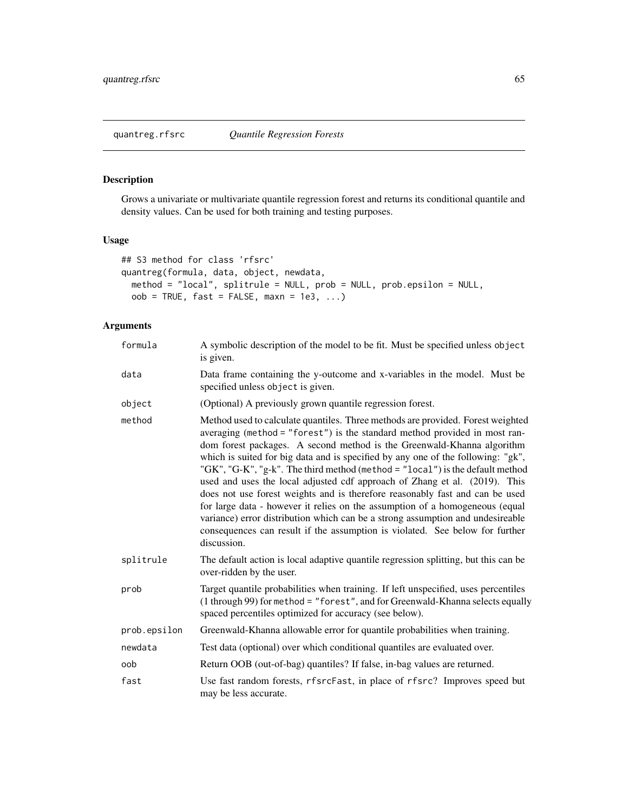## <span id="page-64-0"></span>Description

Grows a univariate or multivariate quantile regression forest and returns its conditional quantile and density values. Can be used for both training and testing purposes.

### Usage

```
## S3 method for class 'rfsrc'
quantreg(formula, data, object, newdata,
 method = "local", splitrule = NULL, prob = NULL, prob.epsilon = NULL,
 oob = TRUE, fast = FALSE, maxn = 1e3, ...)
```
# Arguments

| formula      | A symbolic description of the model to be fit. Must be specified unless object<br>is given.                                                                                                                                                                                                                                                                                                                                                                                                                                                                                                                                                                                                                                                                                                                                                 |
|--------------|---------------------------------------------------------------------------------------------------------------------------------------------------------------------------------------------------------------------------------------------------------------------------------------------------------------------------------------------------------------------------------------------------------------------------------------------------------------------------------------------------------------------------------------------------------------------------------------------------------------------------------------------------------------------------------------------------------------------------------------------------------------------------------------------------------------------------------------------|
| data         | Data frame containing the y-outcome and x-variables in the model. Must be<br>specified unless object is given.                                                                                                                                                                                                                                                                                                                                                                                                                                                                                                                                                                                                                                                                                                                              |
| object       | (Optional) A previously grown quantile regression forest.                                                                                                                                                                                                                                                                                                                                                                                                                                                                                                                                                                                                                                                                                                                                                                                   |
| method       | Method used to calculate quantiles. Three methods are provided. Forest weighted<br>averaging (method = "forest") is the standard method provided in most ran-<br>dom forest packages. A second method is the Greenwald-Khanna algorithm<br>which is suited for big data and is specified by any one of the following: "gk",<br>"GK", "G-K", "g-k". The third method (method = "local") is the default method<br>used and uses the local adjusted cdf approach of Zhang et al. (2019). This<br>does not use forest weights and is therefore reasonably fast and can be used<br>for large data - however it relies on the assumption of a homogeneous (equal<br>variance) error distribution which can be a strong assumption and undesireable<br>consequences can result if the assumption is violated. See below for further<br>discussion. |
| splitrule    | The default action is local adaptive quantile regression splitting, but this can be<br>over-ridden by the user.                                                                                                                                                                                                                                                                                                                                                                                                                                                                                                                                                                                                                                                                                                                             |
| prob         | Target quantile probabilities when training. If left unspecified, uses percentiles<br>(1 through 99) for method = "forest", and for Greenwald-Khanna selects equally<br>spaced percentiles optimized for accuracy (see below).                                                                                                                                                                                                                                                                                                                                                                                                                                                                                                                                                                                                              |
| prob.epsilon | Greenwald-Khanna allowable error for quantile probabilities when training.                                                                                                                                                                                                                                                                                                                                                                                                                                                                                                                                                                                                                                                                                                                                                                  |
| newdata      | Test data (optional) over which conditional quantiles are evaluated over.                                                                                                                                                                                                                                                                                                                                                                                                                                                                                                                                                                                                                                                                                                                                                                   |
| oob          | Return OOB (out-of-bag) quantiles? If false, in-bag values are returned.                                                                                                                                                                                                                                                                                                                                                                                                                                                                                                                                                                                                                                                                                                                                                                    |
| fast         | Use fast random forests, rfsrcFast, in place of rfsrc? Improves speed but<br>may be less accurate.                                                                                                                                                                                                                                                                                                                                                                                                                                                                                                                                                                                                                                                                                                                                          |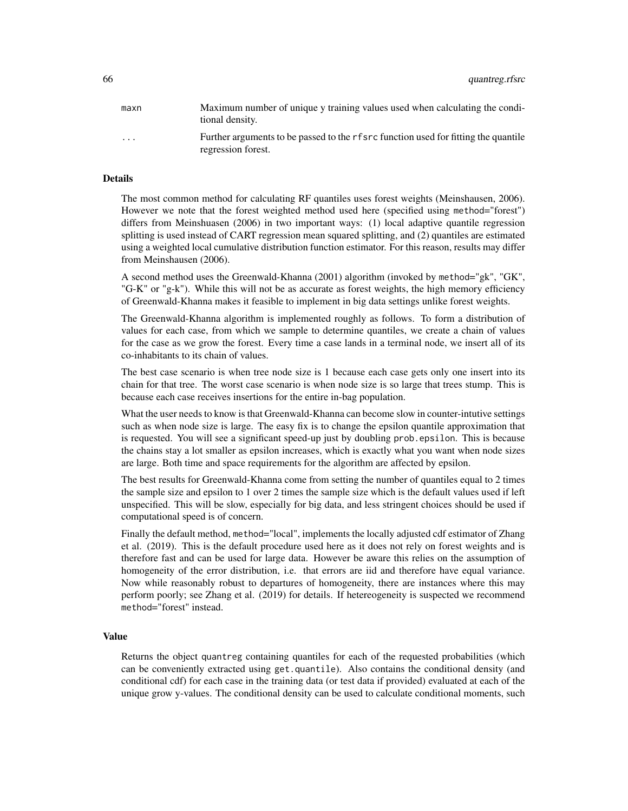| maxn                    | Maximum number of unique y training values used when calculating the condi-<br>tional density.             |
|-------------------------|------------------------------------------------------------------------------------------------------------|
| $\cdot$ $\cdot$ $\cdot$ | Further arguments to be passed to the r f src function used for fitting the quantile<br>regression forest. |

### Details

The most common method for calculating RF quantiles uses forest weights (Meinshausen, 2006). However we note that the forest weighted method used here (specified using method="forest") differs from Meinshuasen (2006) in two important ways: (1) local adaptive quantile regression splitting is used instead of CART regression mean squared splitting, and (2) quantiles are estimated using a weighted local cumulative distribution function estimator. For this reason, results may differ from Meinshausen (2006).

A second method uses the Greenwald-Khanna (2001) algorithm (invoked by method="gk", "GK", "G-K" or "g-k"). While this will not be as accurate as forest weights, the high memory efficiency of Greenwald-Khanna makes it feasible to implement in big data settings unlike forest weights.

The Greenwald-Khanna algorithm is implemented roughly as follows. To form a distribution of values for each case, from which we sample to determine quantiles, we create a chain of values for the case as we grow the forest. Every time a case lands in a terminal node, we insert all of its co-inhabitants to its chain of values.

The best case scenario is when tree node size is 1 because each case gets only one insert into its chain for that tree. The worst case scenario is when node size is so large that trees stump. This is because each case receives insertions for the entire in-bag population.

What the user needs to know is that Greenwald-Khanna can become slow in counter-intutive settings such as when node size is large. The easy fix is to change the epsilon quantile approximation that is requested. You will see a significant speed-up just by doubling prob.epsilon. This is because the chains stay a lot smaller as epsilon increases, which is exactly what you want when node sizes are large. Both time and space requirements for the algorithm are affected by epsilon.

The best results for Greenwald-Khanna come from setting the number of quantiles equal to 2 times the sample size and epsilon to 1 over 2 times the sample size which is the default values used if left unspecified. This will be slow, especially for big data, and less stringent choices should be used if computational speed is of concern.

Finally the default method, method="local", implements the locally adjusted cdf estimator of Zhang et al. (2019). This is the default procedure used here as it does not rely on forest weights and is therefore fast and can be used for large data. However be aware this relies on the assumption of homogeneity of the error distribution, i.e. that errors are iid and therefore have equal variance. Now while reasonably robust to departures of homogeneity, there are instances where this may perform poorly; see Zhang et al. (2019) for details. If hetereogeneity is suspected we recommend method="forest" instead.

### Value

Returns the object quantreg containing quantiles for each of the requested probabilities (which can be conveniently extracted using get.quantile). Also contains the conditional density (and conditional cdf) for each case in the training data (or test data if provided) evaluated at each of the unique grow y-values. The conditional density can be used to calculate conditional moments, such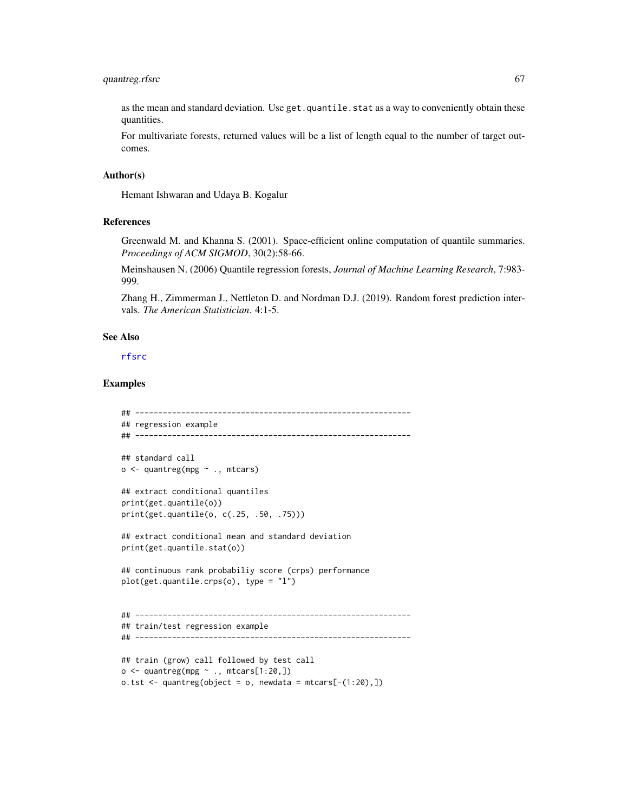## quantreg.rfsrc 67

as the mean and standard deviation. Use get.quantile.stat as a way to conveniently obtain these quantities.

For multivariate forests, returned values will be a list of length equal to the number of target outcomes.

#### Author(s)

Hemant Ishwaran and Udaya B. Kogalur

#### References

Greenwald M. and Khanna S. (2001). Space-efficient online computation of quantile summaries. *Proceedings of ACM SIGMOD*, 30(2):58-66.

Meinshausen N. (2006) Quantile regression forests, *Journal of Machine Learning Research*, 7:983- 999.

Zhang H., Zimmerman J., Nettleton D. and Nordman D.J. (2019). Random forest prediction intervals. *The American Statistician*. 4:1-5.

### See Also

[rfsrc](#page-69-0)

```
## ------------------------------------------------------------
## regression example
## ------------------------------------------------------------
## standard call
o <- quantreg(mpg ~ ., mtcars)
## extract conditional quantiles
print(get.quantile(o))
print(get.quantile(o, c(.25, .50, .75)))
## extract conditional mean and standard deviation
print(get.quantile.stat(o))
## continuous rank probabiliy score (crps) performance
plot(get.quantile.crps(o), type = "l")
## ------------------------------------------------------------
## train/test regression example
## ------------------------------------------------------------
## train (grow) call followed by test call
o \leq quantreg(mpg \sim ., mtcars[1:20,])
o.tst \leq quantreg(object = o, newdata = mtcars[-(1:20),])
```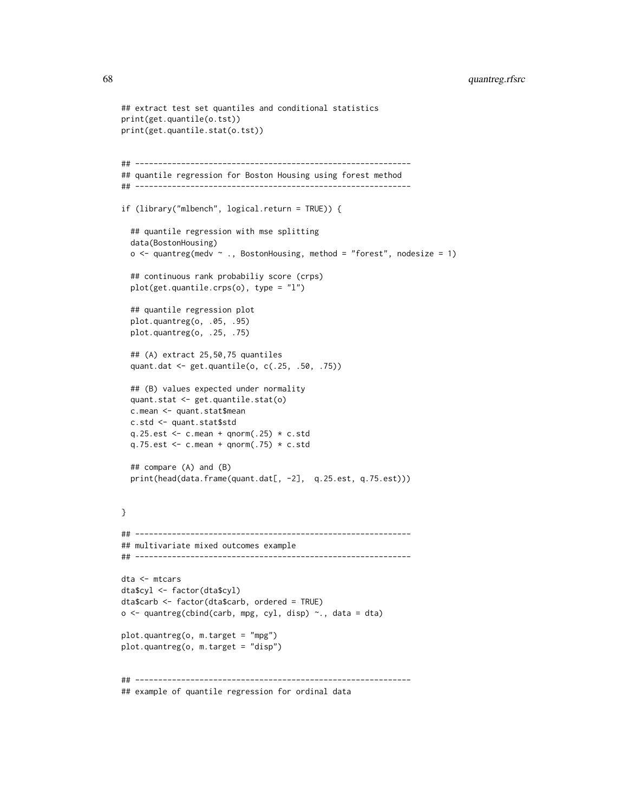## 68 quantreg.rfsrc

```
## extract test set quantiles and conditional statistics
print(get.quantile(o.tst))
print(get.quantile.stat(o.tst))
## ------------------------------------------------------------
## quantile regression for Boston Housing using forest method
## ------------------------------------------------------------
if (library("mlbench", logical.return = TRUE)) {
 ## quantile regression with mse splitting
 data(BostonHousing)
 o \le quantreg(medv \sim ., BostonHousing, method = "forest", nodesize = 1)
 ## continuous rank probabiliy score (crps)
 plot(get.quantile.crps(o), type = "l")
 ## quantile regression plot
 plot.quantreg(o, .05, .95)
 plot.quantreg(o, .25, .75)
 ## (A) extract 25,50,75 quantiles
 quant.dat <- get.quantile(o, c(.25, .50, .75))
 ## (B) values expected under normality
 quant.stat <- get.quantile.stat(o)
 c.mean <- quant.stat$mean
 c.std <- quant.stat$std
 q.25.est <- c.mean + qnorm(.25) * c.std
 q.75.est <- c.mean + qnorm(.75) * c.std
 ## compare (A) and (B)
 print(head(data.frame(quant.dat[, -2], q.25.est, q.75.est)))
}
## ------------------------------------------------------------
## multivariate mixed outcomes example
## ------------------------------------------------------------
dta <- mtcars
dta$cyl <- factor(dta$cyl)
dta$carb <- factor(dta$carb, ordered = TRUE)
o \le quantreg(cbind(carb, mpg, cyl, disp) \sim., data = dta)
plot.quantreg(o, m.target = "mpg")
plot.quantreg(o, m.target = "disp")
## ------------------------------------------------------------
## example of quantile regression for ordinal data
```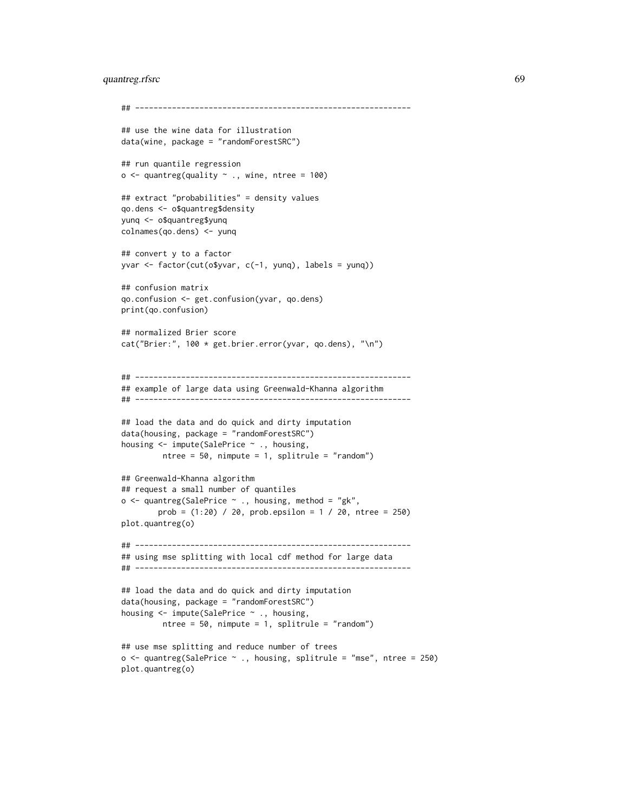## quantreg.rfsrc 69

```
## ------------------------------------------------------------
## use the wine data for illustration
data(wine, package = "randomForestSRC")
## run quantile regression
o \le quantreg(quality \sim ., wine, ntree = 100)
## extract "probabilities" = density values
qo.dens <- o$quantreg$density
yunq <- o$quantreg$yunq
colnames(qo.dens) <- yunq
## convert y to a factor
yvar <- factor(cut(o$yvar, c(-1, yunq), labels = yunq))
## confusion matrix
qo.confusion <- get.confusion(yvar, qo.dens)
print(qo.confusion)
## normalized Brier score
cat("Brier:", 100 * get.brier.error(yvar, qo.dens), "\n")
## ------------------------------------------------------------
## example of large data using Greenwald-Khanna algorithm
## ------------------------------------------------------------
## load the data and do quick and dirty imputation
data(housing, package = "randomForestSRC")
housing <- impute(SalePrice ~ ., housing,
         ntree = 50, nimpute = 1, splitrule = "random")
## Greenwald-Khanna algorithm
## request a small number of quantiles
o \leq quantreg(SalePrice \sim ., housing, method = "gk",
        prob = (1:20) / 20, prob.epsilon = 1 / 20, ntree = 250)
plot.quantreg(o)
## ------------------------------------------------------------
## using mse splitting with local cdf method for large data
## ------------------------------------------------------------
## load the data and do quick and dirty imputation
data(housing, package = "randomForestSRC")
housing <- impute(SalePrice ~ ., housing,
         ntree = 50, nimpute = 1, splitrule = "random")
## use mse splitting and reduce number of trees
o \le quantreg(SalePrice \sim ., housing, splitrule = "mse", ntree = 250)
plot.quantreg(o)
```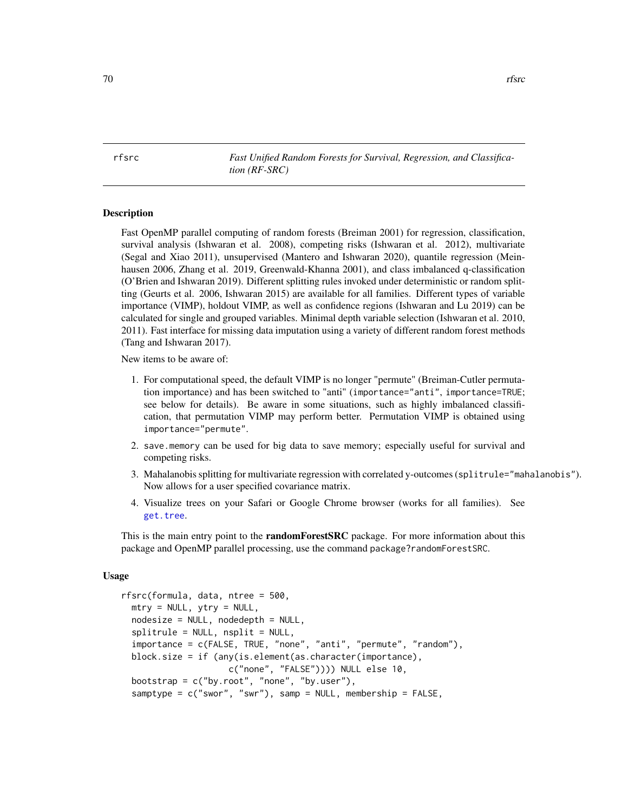<span id="page-69-0"></span>rfsrc *Fast Unified Random Forests for Survival, Regression, and Classification (RF-SRC)*

#### Description

Fast OpenMP parallel computing of random forests (Breiman 2001) for regression, classification, survival analysis (Ishwaran et al. 2008), competing risks (Ishwaran et al. 2012), multivariate (Segal and Xiao 2011), unsupervised (Mantero and Ishwaran 2020), quantile regression (Meinhausen 2006, Zhang et al. 2019, Greenwald-Khanna 2001), and class imbalanced q-classification (O'Brien and Ishwaran 2019). Different splitting rules invoked under deterministic or random splitting (Geurts et al. 2006, Ishwaran 2015) are available for all families. Different types of variable importance (VIMP), holdout VIMP, as well as confidence regions (Ishwaran and Lu 2019) can be calculated for single and grouped variables. Minimal depth variable selection (Ishwaran et al. 2010, 2011). Fast interface for missing data imputation using a variety of different random forest methods (Tang and Ishwaran 2017).

New items to be aware of:

- 1. For computational speed, the default VIMP is no longer "permute" (Breiman-Cutler permutation importance) and has been switched to "anti" (importance="anti", importance=TRUE; see below for details). Be aware in some situations, such as highly imbalanced classification, that permutation VIMP may perform better. Permutation VIMP is obtained using importance="permute".
- 2. save.memory can be used for big data to save memory; especially useful for survival and competing risks.
- 3. Mahalanobis splitting for multivariate regression with correlated y-outcomes (splitrule="mahalanobis"). Now allows for a user specified covariance matrix.
- 4. Visualize trees on your Safari or Google Chrome browser (works for all families). See [get.tree](#page-9-0).

This is the main entry point to the **randomForestSRC** package. For more information about this package and OpenMP parallel processing, use the command package?randomForestSRC.

### Usage

```
rfsrc(formula, data, ntree = 500,
 mtry = NULL, ytry = NULL,nodesize = NULL, nodedepth = NULL,splitrule = NULL, nsplit = NULL,importance = c(FALSE, TRUE, "none", "anti", "permute", "random"),
 block.size = if (any(is.element(as.character(importance),
                     c("none", "FALSE")))) NULL else 10,
 bootstrap = c("by.root", "none", "by.user"),
 samptype = c("swor", "swr"), samp = NULL, membership = FALSE,
```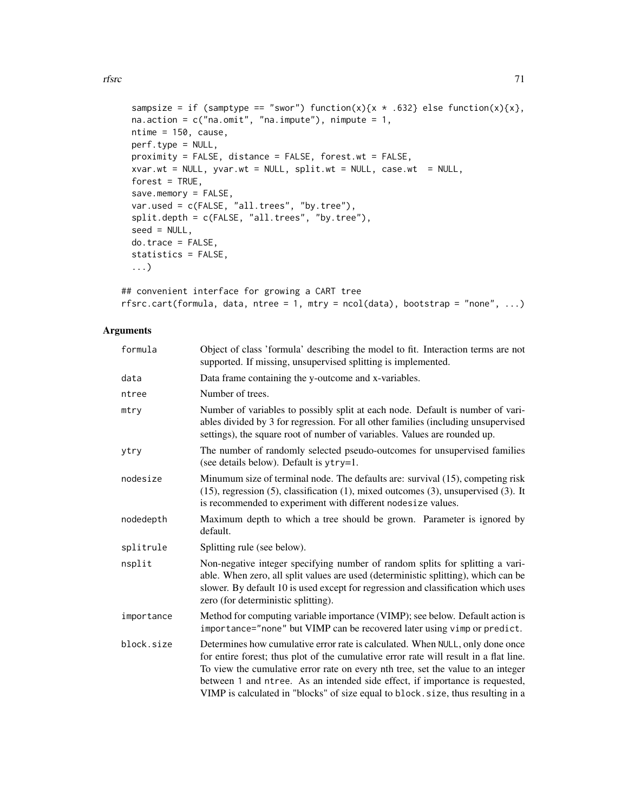```
sampsize = if (samptype == "swor") function(x){x \star .632} else function(x){x},
na.action = c("na.omit", "na.impute"), nimpute = 1,ntime = 150, cause,
perf.type = NULL,
proximity = FALSE, distance = FALSE, forest.wt = FALSE,
xvar.wt = NULL, yvar.wt = NULL, split.wt = NULL, case.wt = NULL,
forest = TRUE,
save.memory = FALSE,
var.used = c(FALSE, "all.trees", "by.tree"),
split.depth = c(FALSE, "all.trees", "by.tree"),
seed = NULL,
do.trace = FALSE,statistics = FALSE,
...)
```

```
## convenient interface for growing a CART tree
rfsrc.cart(formula, data, ntree = 1, mtry = ncol(data), bootstrap = "none", ...)
```
# Arguments

| formula    | Object of class 'formula' describing the model to fit. Interaction terms are not<br>supported. If missing, unsupervised splitting is implemented.                                                                                                                                                                                                                                                                              |
|------------|--------------------------------------------------------------------------------------------------------------------------------------------------------------------------------------------------------------------------------------------------------------------------------------------------------------------------------------------------------------------------------------------------------------------------------|
| data       | Data frame containing the y-outcome and x-variables.                                                                                                                                                                                                                                                                                                                                                                           |
| ntree      | Number of trees.                                                                                                                                                                                                                                                                                                                                                                                                               |
| mtry       | Number of variables to possibly split at each node. Default is number of vari-<br>ables divided by 3 for regression. For all other families (including unsupervised<br>settings), the square root of number of variables. Values are rounded up.                                                                                                                                                                               |
| ytry       | The number of randomly selected pseudo-outcomes for unsupervised families<br>(see details below). Default is ytry=1.                                                                                                                                                                                                                                                                                                           |
| nodesize   | Minumum size of terminal node. The defaults are: survival (15), competing risk<br>$(15)$ , regression $(5)$ , classification $(1)$ , mixed outcomes $(3)$ , unsupervised $(3)$ . It<br>is recommended to experiment with different nodesize values.                                                                                                                                                                            |
| nodedepth  | Maximum depth to which a tree should be grown. Parameter is ignored by<br>default.                                                                                                                                                                                                                                                                                                                                             |
| splitrule  | Splitting rule (see below).                                                                                                                                                                                                                                                                                                                                                                                                    |
| nsplit     | Non-negative integer specifying number of random splits for splitting a vari-<br>able. When zero, all split values are used (deterministic splitting), which can be<br>slower. By default 10 is used except for regression and classification which uses<br>zero (for deterministic splitting).                                                                                                                                |
| importance | Method for computing variable importance (VIMP); see below. Default action is<br>importance="none" but VIMP can be recovered later using vimp or predict.                                                                                                                                                                                                                                                                      |
| block.size | Determines how cumulative error rate is calculated. When NULL, only done once<br>for entire forest; thus plot of the cumulative error rate will result in a flat line.<br>To view the cumulative error rate on every nth tree, set the value to an integer<br>between 1 and ntree. As an intended side effect, if importance is requested,<br>VIMP is calculated in "blocks" of size equal to block. size, thus resulting in a |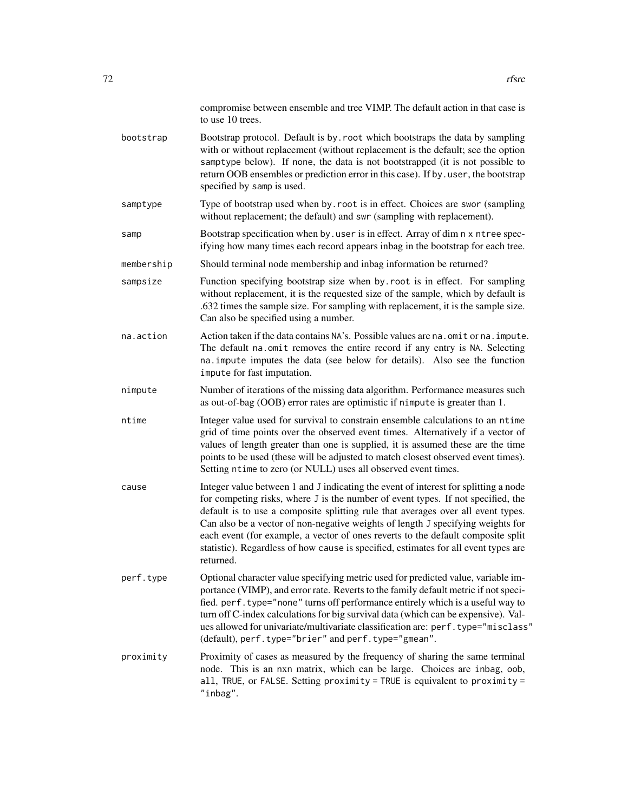|            | compromise between ensemble and tree VIMP. The default action in that case is<br>to use 10 trees.                                                                                                                                                                                                                                                                                                                                                                                                                                      |
|------------|----------------------------------------------------------------------------------------------------------------------------------------------------------------------------------------------------------------------------------------------------------------------------------------------------------------------------------------------------------------------------------------------------------------------------------------------------------------------------------------------------------------------------------------|
| bootstrap  | Bootstrap protocol. Default is by root which bootstraps the data by sampling<br>with or without replacement (without replacement is the default; see the option<br>samptype below). If none, the data is not bootstrapped (it is not possible to<br>return OOB ensembles or prediction error in this case). If by . user, the bootstrap<br>specified by samp is used.                                                                                                                                                                  |
| samptype   | Type of bootstrap used when by. root is in effect. Choices are swor (sampling<br>without replacement; the default) and swr (sampling with replacement).                                                                                                                                                                                                                                                                                                                                                                                |
| samp       | Bootstrap specification when by user is in effect. Array of dim n x ntree spec-<br>if ying how many times each record appears in bag in the bootstrap for each tree.                                                                                                                                                                                                                                                                                                                                                                   |
| membership | Should terminal node membership and inbag information be returned?                                                                                                                                                                                                                                                                                                                                                                                                                                                                     |
| sampsize   | Function specifying bootstrap size when by root is in effect. For sampling<br>without replacement, it is the requested size of the sample, which by default is<br>.632 times the sample size. For sampling with replacement, it is the sample size.<br>Can also be specified using a number.                                                                                                                                                                                                                                           |
| na.action  | Action taken if the data contains NA's. Possible values are na. omit or na. impute.<br>The default na. omit removes the entire record if any entry is NA. Selecting<br>na. impute imputes the data (see below for details). Also see the function<br>impute for fast imputation.                                                                                                                                                                                                                                                       |
| nimpute    | Number of iterations of the missing data algorithm. Performance measures such<br>as out-of-bag (OOB) error rates are optimistic if nimpute is greater than 1.                                                                                                                                                                                                                                                                                                                                                                          |
| ntime      | Integer value used for survival to constrain ensemble calculations to an ntime<br>grid of time points over the observed event times. Alternatively if a vector of<br>values of length greater than one is supplied, it is assumed these are the time<br>points to be used (these will be adjusted to match closest observed event times).<br>Setting ntime to zero (or NULL) uses all observed event times.                                                                                                                            |
| cause      | Integer value between 1 and J indicating the event of interest for splitting a node<br>for competing risks, where J is the number of event types. If not specified, the<br>default is to use a composite splitting rule that averages over all event types.<br>Can also be a vector of non-negative weights of length J specifying weights for<br>each event (for example, a vector of ones reverts to the default composite split<br>statistic). Regardless of how cause is specified, estimates for all event types are<br>returned. |
| perf.type  | Optional character value specifying metric used for predicted value, variable im-<br>portance (VIMP), and error rate. Reverts to the family default metric if not speci-<br>fied. perf. type="none" turns off performance entirely which is a useful way to<br>turn off C-index calculations for big survival data (which can be expensive). Val-<br>ues allowed for univariate/multivariate classification are: perf.type="misclass"<br>(default), perf.type="brier" and perf.type="gmean".                                           |
| proximity  | Proximity of cases as measured by the frequency of sharing the same terminal<br>node. This is an nxn matrix, which can be large. Choices are inbag, oob,<br>all, TRUE, or FALSE. Setting proximity = TRUE is equivalent to proximity =<br>"inbag".                                                                                                                                                                                                                                                                                     |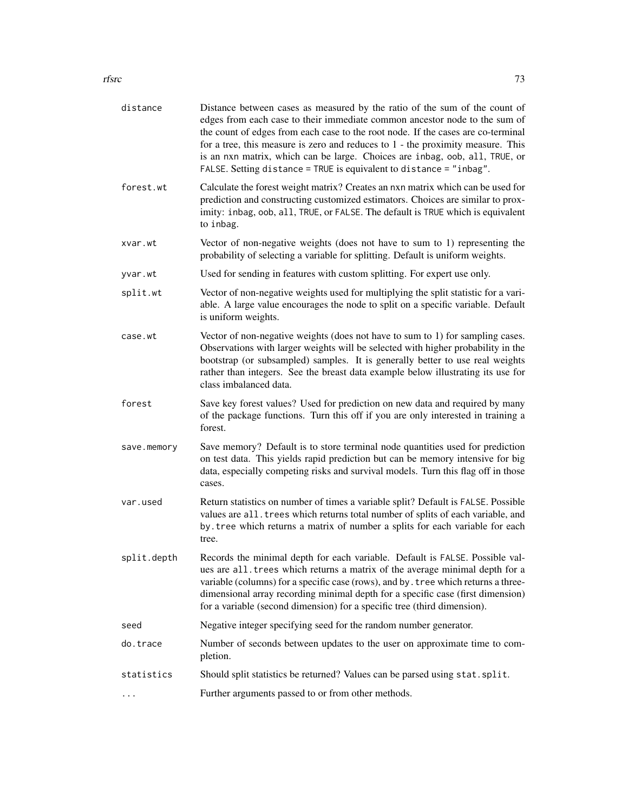### rfsrc 500 and 23 and 23 and 23 and 23 and 23 and 23 and 23 and 23 and 23 and 23 and 23 and 23 and 23 and 23 and 23 and 23 and 23 and 23 and 23 and 23 and 23 and 23 and 23 and 23 and 23 and 23 and 23 and 23 and 23 and 23 an

| distance    | Distance between cases as measured by the ratio of the sum of the count of<br>edges from each case to their immediate common ancestor node to the sum of<br>the count of edges from each case to the root node. If the cases are co-terminal<br>for a tree, this measure is zero and reduces to $1$ - the proximity measure. This<br>is an nxn matrix, which can be large. Choices are inbag, oob, all, TRUE, or<br>FALSE. Setting distance = TRUE is equivalent to distance = "inbag". |  |
|-------------|-----------------------------------------------------------------------------------------------------------------------------------------------------------------------------------------------------------------------------------------------------------------------------------------------------------------------------------------------------------------------------------------------------------------------------------------------------------------------------------------|--|
| forest.wt   | Calculate the forest weight matrix? Creates an nxn matrix which can be used for<br>prediction and constructing customized estimators. Choices are similar to prox-<br>imity: inbag, oob, all, TRUE, or FALSE. The default is TRUE which is equivalent<br>to inbag.                                                                                                                                                                                                                      |  |
| xvar.wt     | Vector of non-negative weights (does not have to sum to 1) representing the<br>probability of selecting a variable for splitting. Default is uniform weights.                                                                                                                                                                                                                                                                                                                           |  |
| yvar.wt     | Used for sending in features with custom splitting. For expert use only.                                                                                                                                                                                                                                                                                                                                                                                                                |  |
| split.wt    | Vector of non-negative weights used for multiplying the split statistic for a vari-<br>able. A large value encourages the node to split on a specific variable. Default<br>is uniform weights.                                                                                                                                                                                                                                                                                          |  |
| case.wt     | Vector of non-negative weights (does not have to sum to 1) for sampling cases.<br>Observations with larger weights will be selected with higher probability in the<br>bootstrap (or subsampled) samples. It is generally better to use real weights<br>rather than integers. See the breast data example below illustrating its use for<br>class imbalanced data.                                                                                                                       |  |
| forest      | Save key forest values? Used for prediction on new data and required by many<br>of the package functions. Turn this off if you are only interested in training a<br>forest.                                                                                                                                                                                                                                                                                                             |  |
| save.memory | Save memory? Default is to store terminal node quantities used for prediction<br>on test data. This yields rapid prediction but can be memory intensive for big<br>data, especially competing risks and survival models. Turn this flag off in those<br>cases.                                                                                                                                                                                                                          |  |
| var.used    | Return statistics on number of times a variable split? Default is FALSE. Possible<br>values are all. trees which returns total number of splits of each variable, and<br>by. tree which returns a matrix of number a splits for each variable for each<br>tree.                                                                                                                                                                                                                         |  |
| split.depth | Records the minimal depth for each variable. Default is FALSE. Possible val-<br>ues are all. trees which returns a matrix of the average minimal depth for a<br>variable (columns) for a specific case (rows), and by . tree which returns a three-<br>dimensional array recording minimal depth for a specific case (first dimension)<br>for a variable (second dimension) for a specific tree (third dimension).                                                                      |  |
| seed        | Negative integer specifying seed for the random number generator.                                                                                                                                                                                                                                                                                                                                                                                                                       |  |
| do.trace    | Number of seconds between updates to the user on approximate time to com-<br>pletion.                                                                                                                                                                                                                                                                                                                                                                                                   |  |
| statistics  | Should split statistics be returned? Values can be parsed using stat. split.                                                                                                                                                                                                                                                                                                                                                                                                            |  |
|             | Further arguments passed to or from other methods.                                                                                                                                                                                                                                                                                                                                                                                                                                      |  |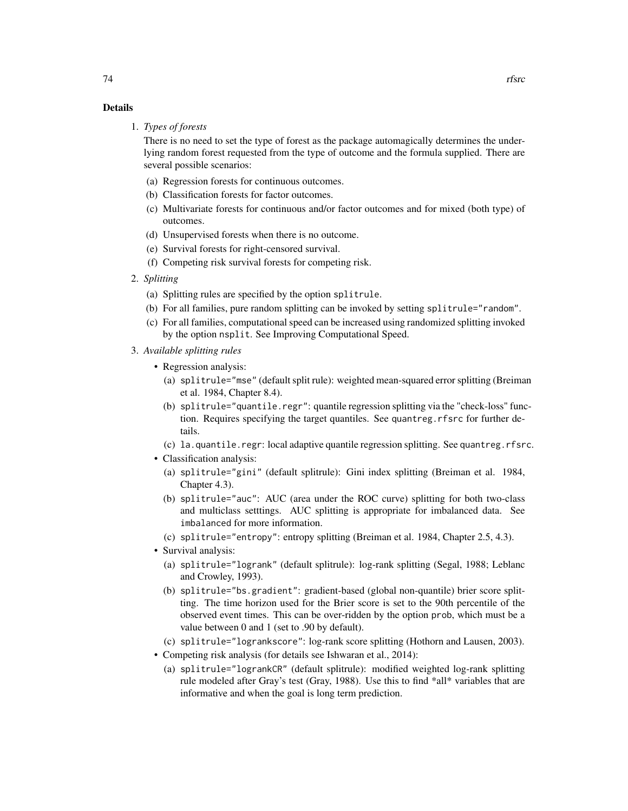## Details

1. *Types of forests*

There is no need to set the type of forest as the package automagically determines the underlying random forest requested from the type of outcome and the formula supplied. There are several possible scenarios:

- (a) Regression forests for continuous outcomes.
- (b) Classification forests for factor outcomes.
- (c) Multivariate forests for continuous and/or factor outcomes and for mixed (both type) of outcomes.
- (d) Unsupervised forests when there is no outcome.
- (e) Survival forests for right-censored survival.
- (f) Competing risk survival forests for competing risk.
- 2. *Splitting*
	- (a) Splitting rules are specified by the option splitrule.
	- (b) For all families, pure random splitting can be invoked by setting splitrule="random".
	- (c) For all families, computational speed can be increased using randomized splitting invoked by the option nsplit. See Improving Computational Speed.
- 3. *Available splitting rules*
	- Regression analysis:
		- (a) splitrule="mse" (default split rule): weighted mean-squared error splitting (Breiman et al. 1984, Chapter 8.4).
		- (b) splitrule="quantile.regr": quantile regression splitting via the "check-loss" function. Requires specifying the target quantiles. See quantreg.rfsrc for further details.
		- (c) la.quantile.regr: local adaptive quantile regression splitting. See quantreg.rfsrc.
	- Classification analysis:
		- (a) splitrule="gini" (default splitrule): Gini index splitting (Breiman et al. 1984, Chapter 4.3).
		- (b) splitrule="auc": AUC (area under the ROC curve) splitting for both two-class and multiclass setttings. AUC splitting is appropriate for imbalanced data. See imbalanced for more information.
		- (c) splitrule="entropy": entropy splitting (Breiman et al. 1984, Chapter 2.5, 4.3).
	- Survival analysis:
		- (a) splitrule="logrank" (default splitrule): log-rank splitting (Segal, 1988; Leblanc and Crowley, 1993).
		- (b) splitrule="bs.gradient": gradient-based (global non-quantile) brier score splitting. The time horizon used for the Brier score is set to the 90th percentile of the observed event times. This can be over-ridden by the option prob, which must be a value between 0 and 1 (set to .90 by default).
		- (c) splitrule="logrankscore": log-rank score splitting (Hothorn and Lausen, 2003).
	- Competing risk analysis (for details see Ishwaran et al., 2014):
		- (a) splitrule="logrankCR" (default splitrule): modified weighted log-rank splitting rule modeled after Gray's test (Gray, 1988). Use this to find \*all\* variables that are informative and when the goal is long term prediction.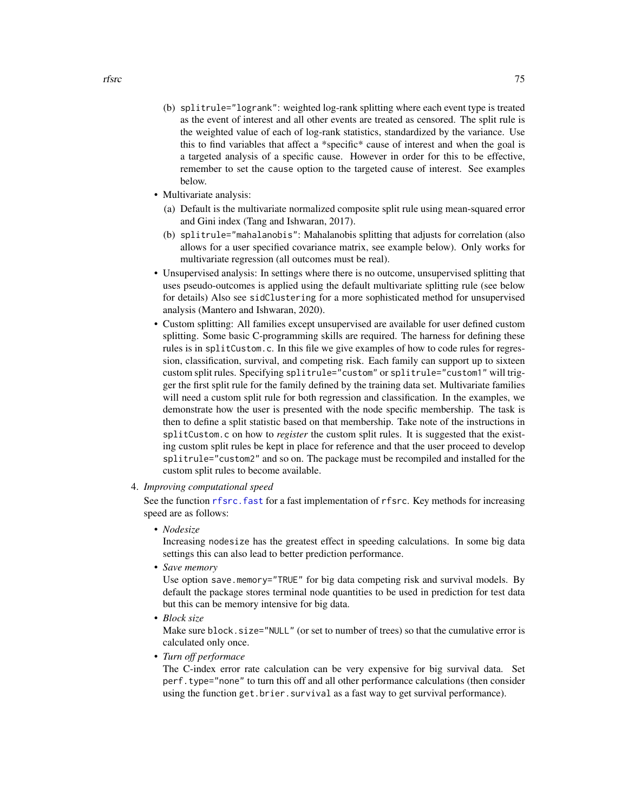- (b) splitrule="logrank": weighted log-rank splitting where each event type is treated as the event of interest and all other events are treated as censored. The split rule is the weighted value of each of log-rank statistics, standardized by the variance. Use this to find variables that affect a \*specific\* cause of interest and when the goal is a targeted analysis of a specific cause. However in order for this to be effective, remember to set the cause option to the targeted cause of interest. See examples below.
- Multivariate analysis:
	- (a) Default is the multivariate normalized composite split rule using mean-squared error and Gini index (Tang and Ishwaran, 2017).
	- (b) splitrule="mahalanobis": Mahalanobis splitting that adjusts for correlation (also allows for a user specified covariance matrix, see example below). Only works for multivariate regression (all outcomes must be real).
- Unsupervised analysis: In settings where there is no outcome, unsupervised splitting that uses pseudo-outcomes is applied using the default multivariate splitting rule (see below for details) Also see sidClustering for a more sophisticated method for unsupervised analysis (Mantero and Ishwaran, 2020).
- Custom splitting: All families except unsupervised are available for user defined custom splitting. Some basic C-programming skills are required. The harness for defining these rules is in splitCustom.c. In this file we give examples of how to code rules for regression, classification, survival, and competing risk. Each family can support up to sixteen custom split rules. Specifying splitrule="custom" or splitrule="custom1" will trigger the first split rule for the family defined by the training data set. Multivariate families will need a custom split rule for both regression and classification. In the examples, we demonstrate how the user is presented with the node specific membership. The task is then to define a split statistic based on that membership. Take note of the instructions in splitCustom.c on how to *register* the custom split rules. It is suggested that the existing custom split rules be kept in place for reference and that the user proceed to develop splitrule="custom2" and so on. The package must be recompiled and installed for the custom split rules to become available.
- 4. *Improving computational speed*

See the function rfsrc. fast for a fast implementation of rfsrc. Key methods for increasing speed are as follows:

• *Nodesize*

Increasing nodesize has the greatest effect in speeding calculations. In some big data settings this can also lead to better prediction performance.

• *Save memory*

Use option save.memory="TRUE" for big data competing risk and survival models. By default the package stores terminal node quantities to be used in prediction for test data but this can be memory intensive for big data.

• *Block size*

Make sure block.size="NULL" (or set to number of trees) so that the cumulative error is calculated only once.

• *Turn off performace*

The C-index error rate calculation can be very expensive for big survival data. Set perf.type="none" to turn this off and all other performance calculations (then consider using the function get.brier.survival as a fast way to get survival performance).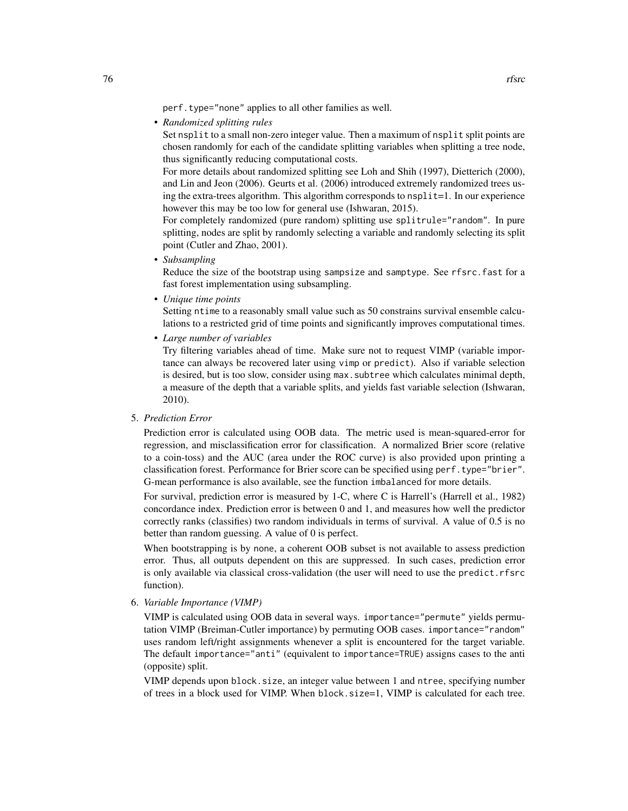• *Randomized splitting rules*

Set nsplit to a small non-zero integer value. Then a maximum of nsplit split points are chosen randomly for each of the candidate splitting variables when splitting a tree node, thus significantly reducing computational costs.

For more details about randomized splitting see Loh and Shih (1997), Dietterich (2000), and Lin and Jeon (2006). Geurts et al. (2006) introduced extremely randomized trees using the extra-trees algorithm. This algorithm corresponds to nsplit=1. In our experience however this may be too low for general use (Ishwaran, 2015).

For completely randomized (pure random) splitting use splitrule="random". In pure splitting, nodes are split by randomly selecting a variable and randomly selecting its split point (Cutler and Zhao, 2001).

• *Subsampling*

Reduce the size of the bootstrap using sampsize and samptype. See rfsrc.fast for a fast forest implementation using subsampling.

• *Unique time points*

Setting ntime to a reasonably small value such as 50 constrains survival ensemble calculations to a restricted grid of time points and significantly improves computational times.

• *Large number of variables*

Try filtering variables ahead of time. Make sure not to request VIMP (variable importance can always be recovered later using vimp or predict). Also if variable selection is desired, but is too slow, consider using  $max$ . subtree which calculates minimal depth, a measure of the depth that a variable splits, and yields fast variable selection (Ishwaran, 2010).

### 5. *Prediction Error*

Prediction error is calculated using OOB data. The metric used is mean-squared-error for regression, and misclassification error for classification. A normalized Brier score (relative to a coin-toss) and the AUC (area under the ROC curve) is also provided upon printing a classification forest. Performance for Brier score can be specified using perf.type="brier". G-mean performance is also available, see the function imbalanced for more details.

For survival, prediction error is measured by 1-C, where C is Harrell's (Harrell et al., 1982) concordance index. Prediction error is between 0 and 1, and measures how well the predictor correctly ranks (classifies) two random individuals in terms of survival. A value of 0.5 is no better than random guessing. A value of 0 is perfect.

When bootstrapping is by none, a coherent OOB subset is not available to assess prediction error. Thus, all outputs dependent on this are suppressed. In such cases, prediction error is only available via classical cross-validation (the user will need to use the predict.rfsrc function).

6. *Variable Importance (VIMP)*

VIMP is calculated using OOB data in several ways. importance="permute" yields permutation VIMP (Breiman-Cutler importance) by permuting OOB cases. importance="random" uses random left/right assignments whenever a split is encountered for the target variable. The default importance="anti" (equivalent to importance=TRUE) assigns cases to the anti (opposite) split.

VIMP depends upon block.size, an integer value between 1 and ntree, specifying number of trees in a block used for VIMP. When block.size=1, VIMP is calculated for each tree.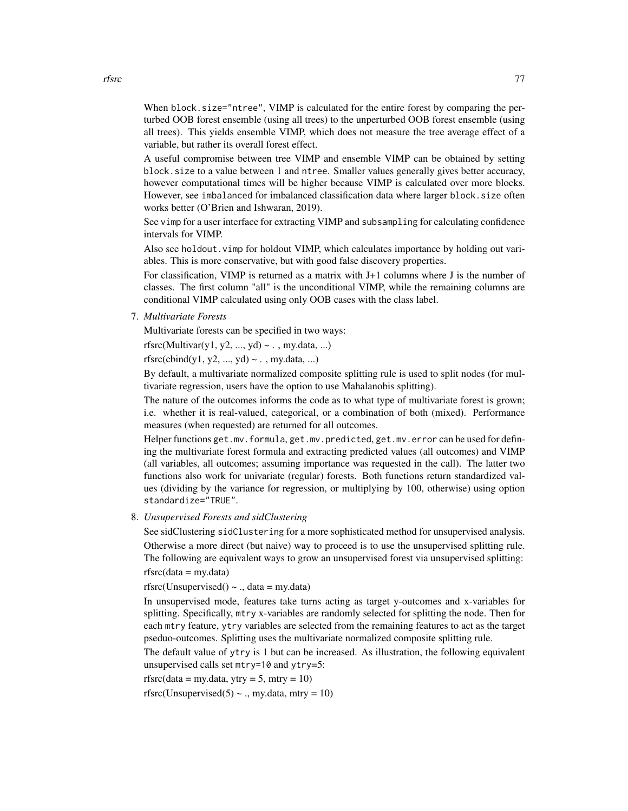When block.size="ntree", VIMP is calculated for the entire forest by comparing the perturbed OOB forest ensemble (using all trees) to the unperturbed OOB forest ensemble (using all trees). This yields ensemble VIMP, which does not measure the tree average effect of a variable, but rather its overall forest effect.

A useful compromise between tree VIMP and ensemble VIMP can be obtained by setting block.size to a value between 1 and ntree. Smaller values generally gives better accuracy, however computational times will be higher because VIMP is calculated over more blocks. However, see imbalanced for imbalanced classification data where larger block.size often works better (O'Brien and Ishwaran, 2019).

See vimp for a user interface for extracting VIMP and subsampling for calculating confidence intervals for VIMP.

Also see holdout.vimp for holdout VIMP, which calculates importance by holding out variables. This is more conservative, but with good false discovery properties.

For classification, VIMP is returned as a matrix with J+1 columns where J is the number of classes. The first column "all" is the unconditional VIMP, while the remaining columns are conditional VIMP calculated using only OOB cases with the class label.

7. *Multivariate Forests*

Multivariate forests can be specified in two ways:

rfsrc(Multivar(y1, y2, ..., yd) ~ . , my.data, ...)

 $rfsrc(cbind(y1, y2, ..., yd) \sim .$ , my.data, ...)

By default, a multivariate normalized composite splitting rule is used to split nodes (for multivariate regression, users have the option to use Mahalanobis splitting).

The nature of the outcomes informs the code as to what type of multivariate forest is grown; i.e. whether it is real-valued, categorical, or a combination of both (mixed). Performance measures (when requested) are returned for all outcomes.

Helper functions get.mv.formula, get.mv.predicted, get.mv.error can be used for defining the multivariate forest formula and extracting predicted values (all outcomes) and VIMP (all variables, all outcomes; assuming importance was requested in the call). The latter two functions also work for univariate (regular) forests. Both functions return standardized values (dividing by the variance for regression, or multiplying by 100, otherwise) using option standardize="TRUE".

## 8. *Unsupervised Forests and sidClustering*

See sidClustering sidClustering for a more sophisticated method for unsupervised analysis. Otherwise a more direct (but naive) way to proceed is to use the unsupervised splitting rule. The following are equivalent ways to grow an unsupervised forest via unsupervised splitting:  $rfsrc(data = my.data)$ 

rfsrc(Unsupervised()  $\sim$  ., data = my.data)

In unsupervised mode, features take turns acting as target y-outcomes and x-variables for splitting. Specifically, mtry x-variables are randomly selected for splitting the node. Then for each mtry feature, ytry variables are selected from the remaining features to act as the target pseduo-outcomes. Splitting uses the multivariate normalized composite splitting rule.

The default value of ytry is 1 but can be increased. As illustration, the following equivalent unsupervised calls set mtry=10 and ytry=5:

rfsrc(data = my.data, ytry = 5, mtry =  $10$ )

rfsrc(Unsupervised(5)  $\sim$  ., my.data, mtry = 10)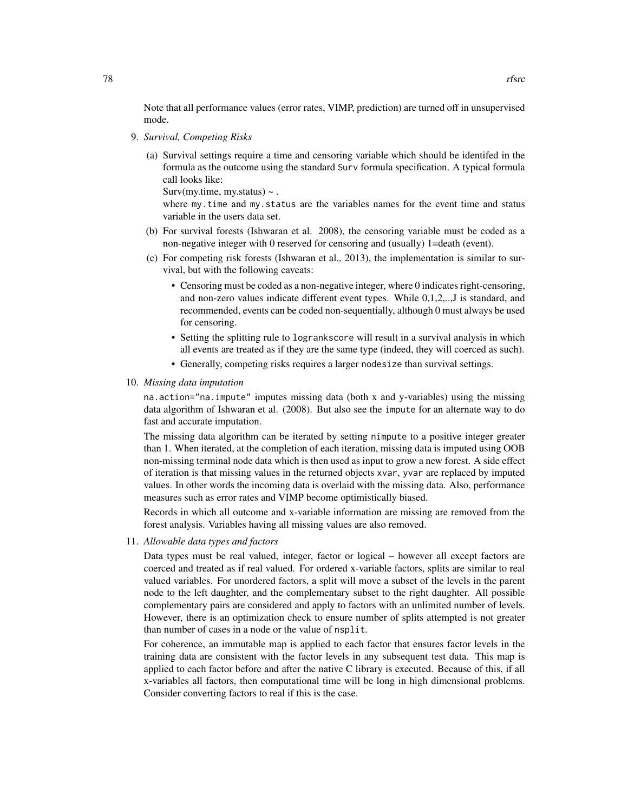Note that all performance values (error rates, VIMP, prediction) are turned off in unsupervised mode.

- 9. *Survival, Competing Risks*
	- (a) Survival settings require a time and censoring variable which should be identifed in the formula as the outcome using the standard Surv formula specification. A typical formula call looks like:

Surv(my.time, my.status)  $\sim$ .

where my.time and my.status are the variables names for the event time and status variable in the users data set.

- (b) For survival forests (Ishwaran et al. 2008), the censoring variable must be coded as a non-negative integer with 0 reserved for censoring and (usually) 1=death (event).
- (c) For competing risk forests (Ishwaran et al., 2013), the implementation is similar to survival, but with the following caveats:
	- Censoring must be coded as a non-negative integer, where 0 indicates right-censoring, and non-zero values indicate different event types. While 0,1,2,..,J is standard, and recommended, events can be coded non-sequentially, although 0 must always be used for censoring.
	- Setting the splitting rule to logrankscore will result in a survival analysis in which all events are treated as if they are the same type (indeed, they will coerced as such).
	- Generally, competing risks requires a larger nodesize than survival settings.
- 10. *Missing data imputation*

na.action="na.impute" imputes missing data (both x and y-variables) using the missing data algorithm of Ishwaran et al. (2008). But also see the impute for an alternate way to do fast and accurate imputation.

The missing data algorithm can be iterated by setting nimpute to a positive integer greater than 1. When iterated, at the completion of each iteration, missing data is imputed using OOB non-missing terminal node data which is then used as input to grow a new forest. A side effect of iteration is that missing values in the returned objects xvar, yvar are replaced by imputed values. In other words the incoming data is overlaid with the missing data. Also, performance measures such as error rates and VIMP become optimistically biased.

Records in which all outcome and x-variable information are missing are removed from the forest analysis. Variables having all missing values are also removed.

11. *Allowable data types and factors*

Data types must be real valued, integer, factor or logical – however all except factors are coerced and treated as if real valued. For ordered x-variable factors, splits are similar to real valued variables. For unordered factors, a split will move a subset of the levels in the parent node to the left daughter, and the complementary subset to the right daughter. All possible complementary pairs are considered and apply to factors with an unlimited number of levels. However, there is an optimization check to ensure number of splits attempted is not greater than number of cases in a node or the value of nsplit.

For coherence, an immutable map is applied to each factor that ensures factor levels in the training data are consistent with the factor levels in any subsequent test data. This map is applied to each factor before and after the native C library is executed. Because of this, if all x-variables all factors, then computational time will be long in high dimensional problems. Consider converting factors to real if this is the case.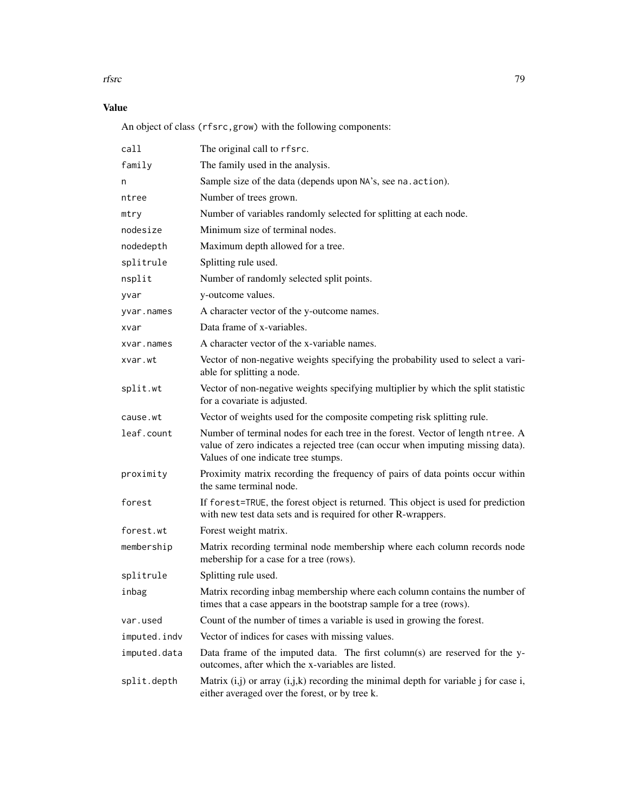### rfsrc 500 and 200 and 200 and 200 and 200 and 200 and 200 and 200 and 200 and 200 and 200 and 200 and 200 and 200 and 200 and 200 and 200 and 200 and 200 and 200 and 200 and 200 and 200 and 200 and 200 and 200 and 200 and

# Value

An object of class (rfsrc,grow) with the following components:

| call         | The original call to rfsrc.                                                                                                                                                                               |  |
|--------------|-----------------------------------------------------------------------------------------------------------------------------------------------------------------------------------------------------------|--|
| family       | The family used in the analysis.                                                                                                                                                                          |  |
| n            | Sample size of the data (depends upon NA's, see na. action).                                                                                                                                              |  |
| ntree        | Number of trees grown.                                                                                                                                                                                    |  |
| mtry         | Number of variables randomly selected for splitting at each node.                                                                                                                                         |  |
| nodesize     | Minimum size of terminal nodes.                                                                                                                                                                           |  |
| nodedepth    | Maximum depth allowed for a tree.                                                                                                                                                                         |  |
| splitrule    | Splitting rule used.                                                                                                                                                                                      |  |
| nsplit       | Number of randomly selected split points.                                                                                                                                                                 |  |
| yvar         | y-outcome values.                                                                                                                                                                                         |  |
| yvar.names   | A character vector of the y-outcome names.                                                                                                                                                                |  |
| xvar         | Data frame of x-variables.                                                                                                                                                                                |  |
| xvar.names   | A character vector of the x-variable names.                                                                                                                                                               |  |
| xvar.wt      | Vector of non-negative weights specifying the probability used to select a vari-<br>able for splitting a node.                                                                                            |  |
| split.wt     | Vector of non-negative weights specifying multiplier by which the split statistic<br>for a covariate is adjusted.                                                                                         |  |
| cause.wt     | Vector of weights used for the composite competing risk splitting rule.                                                                                                                                   |  |
| leaf.count   | Number of terminal nodes for each tree in the forest. Vector of length ntree. A<br>value of zero indicates a rejected tree (can occur when imputing missing data).<br>Values of one indicate tree stumps. |  |
| proximity    | Proximity matrix recording the frequency of pairs of data points occur within<br>the same terminal node.                                                                                                  |  |
| forest       | If forest=TRUE, the forest object is returned. This object is used for prediction<br>with new test data sets and is required for other R-wrappers.                                                        |  |
| forest.wt    | Forest weight matrix.                                                                                                                                                                                     |  |
| membership   | Matrix recording terminal node membership where each column records node<br>mebership for a case for a tree (rows).                                                                                       |  |
| splitrule    | Splitting rule used.                                                                                                                                                                                      |  |
| inbag        | Matrix recording inbag membership where each column contains the number of<br>times that a case appears in the bootstrap sample for a tree (rows).                                                        |  |
| var.used     | Count of the number of times a variable is used in growing the forest.                                                                                                                                    |  |
| imputed.indv | Vector of indices for cases with missing values.                                                                                                                                                          |  |
| imputed.data | Data frame of the imputed data. The first column(s) are reserved for the y-<br>outcomes, after which the x-variables are listed.                                                                          |  |
| split.depth  | Matrix $(i,j)$ or array $(i,j,k)$ recording the minimal depth for variable j for case i,<br>either averaged over the forest, or by tree k.                                                                |  |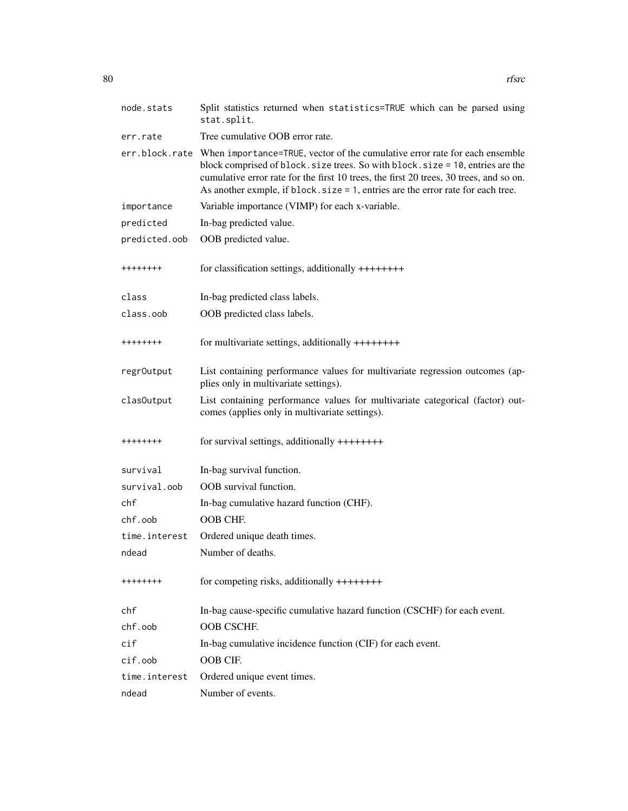| node.stats           | Split statistics returned when statistics=TRUE which can be parsed using<br>stat.split.                                                                                                                                                                                                                                                                     |  |
|----------------------|-------------------------------------------------------------------------------------------------------------------------------------------------------------------------------------------------------------------------------------------------------------------------------------------------------------------------------------------------------------|--|
| err.rate             | Tree cumulative OOB error rate.                                                                                                                                                                                                                                                                                                                             |  |
|                      | err.block.rate When importance=TRUE, vector of the cumulative error rate for each ensemble<br>block comprised of block. size trees. So with block. size = 10, entries are the<br>cumulative error rate for the first 10 trees, the first 20 trees, 30 trees, and so on.<br>As another exmple, if block. size = 1, entries are the error rate for each tree. |  |
| importance           | Variable importance (VIMP) for each x-variable.                                                                                                                                                                                                                                                                                                             |  |
| predicted            | In-bag predicted value.                                                                                                                                                                                                                                                                                                                                     |  |
| predicted.oob        | OOB predicted value.                                                                                                                                                                                                                                                                                                                                        |  |
| ++++++++             | for classification settings, additionally $++++++$                                                                                                                                                                                                                                                                                                          |  |
| class                | In-bag predicted class labels.                                                                                                                                                                                                                                                                                                                              |  |
| class.oob            | OOB predicted class labels.                                                                                                                                                                                                                                                                                                                                 |  |
| ++++++++             | for multivariate settings, additionally $++++++$                                                                                                                                                                                                                                                                                                            |  |
| regr0utput           | List containing performance values for multivariate regression outcomes (ap-<br>plies only in multivariate settings).                                                                                                                                                                                                                                       |  |
| clasOutput           | List containing performance values for multivariate categorical (factor) out-<br>comes (applies only in multivariate settings).                                                                                                                                                                                                                             |  |
| ++++++++             | for survival settings, additionally $++++++$                                                                                                                                                                                                                                                                                                                |  |
| survival             | In-bag survival function.                                                                                                                                                                                                                                                                                                                                   |  |
| survival.oob         | OOB survival function.                                                                                                                                                                                                                                                                                                                                      |  |
| chf                  | In-bag cumulative hazard function (CHF).                                                                                                                                                                                                                                                                                                                    |  |
| chf.oob              | OOB CHE.                                                                                                                                                                                                                                                                                                                                                    |  |
| time.interest        | Ordered unique death times.                                                                                                                                                                                                                                                                                                                                 |  |
| ndead                | Number of deaths.                                                                                                                                                                                                                                                                                                                                           |  |
| ++++++++             | for competing risks, additionally $++++++$                                                                                                                                                                                                                                                                                                                  |  |
| chf                  | In-bag cause-specific cumulative hazard function (CSCHF) for each event.                                                                                                                                                                                                                                                                                    |  |
| chf.oob              | OOB CSCHF.                                                                                                                                                                                                                                                                                                                                                  |  |
| $\operatorname{cif}$ | In-bag cumulative incidence function (CIF) for each event.                                                                                                                                                                                                                                                                                                  |  |
| cif.oob              | OOB CIF.                                                                                                                                                                                                                                                                                                                                                    |  |
| time.interest        | Ordered unique event times.                                                                                                                                                                                                                                                                                                                                 |  |
| ndead                | Number of events.                                                                                                                                                                                                                                                                                                                                           |  |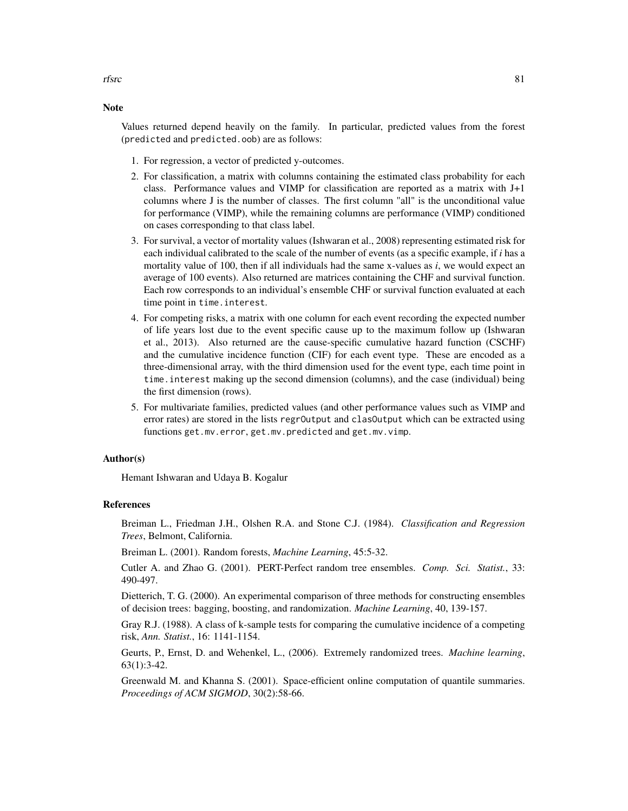## Values returned depend heavily on the family. In particular, predicted values from the forest (predicted and predicted.oob) are as follows:

- 1. For regression, a vector of predicted y-outcomes.
- 2. For classification, a matrix with columns containing the estimated class probability for each class. Performance values and VIMP for classification are reported as a matrix with J+1 columns where J is the number of classes. The first column "all" is the unconditional value for performance (VIMP), while the remaining columns are performance (VIMP) conditioned on cases corresponding to that class label.
- 3. For survival, a vector of mortality values (Ishwaran et al., 2008) representing estimated risk for each individual calibrated to the scale of the number of events (as a specific example, if *i* has a mortality value of 100, then if all individuals had the same x-values as *i*, we would expect an average of 100 events). Also returned are matrices containing the CHF and survival function. Each row corresponds to an individual's ensemble CHF or survival function evaluated at each time point in time.interest.
- 4. For competing risks, a matrix with one column for each event recording the expected number of life years lost due to the event specific cause up to the maximum follow up (Ishwaran et al., 2013). Also returned are the cause-specific cumulative hazard function (CSCHF) and the cumulative incidence function (CIF) for each event type. These are encoded as a three-dimensional array, with the third dimension used for the event type, each time point in time.interest making up the second dimension (columns), and the case (individual) being the first dimension (rows).
- 5. For multivariate families, predicted values (and other performance values such as VIMP and error rates) are stored in the lists regrOutput and clasOutput which can be extracted using functions get.mv.error, get.mv.predicted and get.mv.vimp.

### Author(s)

Hemant Ishwaran and Udaya B. Kogalur

## References

Breiman L., Friedman J.H., Olshen R.A. and Stone C.J. (1984). *Classification and Regression Trees*, Belmont, California.

Breiman L. (2001). Random forests, *Machine Learning*, 45:5-32.

Cutler A. and Zhao G. (2001). PERT-Perfect random tree ensembles. *Comp. Sci. Statist.*, 33: 490-497.

Dietterich, T. G. (2000). An experimental comparison of three methods for constructing ensembles of decision trees: bagging, boosting, and randomization. *Machine Learning*, 40, 139-157.

Gray R.J. (1988). A class of k-sample tests for comparing the cumulative incidence of a competing risk, *Ann. Statist.*, 16: 1141-1154.

Geurts, P., Ernst, D. and Wehenkel, L., (2006). Extremely randomized trees. *Machine learning*, 63(1):3-42.

Greenwald M. and Khanna S. (2001). Space-efficient online computation of quantile summaries. *Proceedings of ACM SIGMOD*, 30(2):58-66.

## **Note**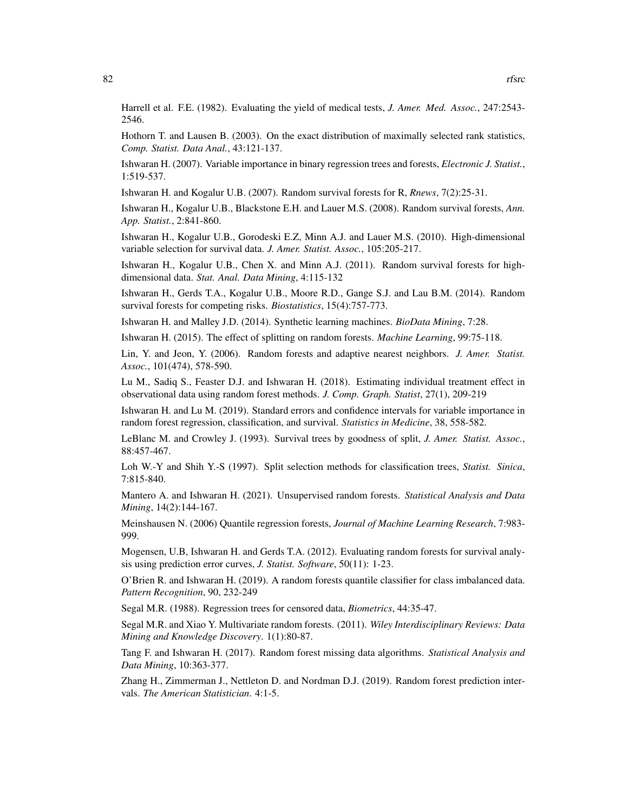Hothorn T. and Lausen B. (2003). On the exact distribution of maximally selected rank statistics, *Comp. Statist. Data Anal.*, 43:121-137.

Ishwaran H. (2007). Variable importance in binary regression trees and forests, *Electronic J. Statist.*, 1:519-537.

Ishwaran H. and Kogalur U.B. (2007). Random survival forests for R, *Rnews*, 7(2):25-31.

Ishwaran H., Kogalur U.B., Blackstone E.H. and Lauer M.S. (2008). Random survival forests, *Ann. App. Statist.*, 2:841-860.

Ishwaran H., Kogalur U.B., Gorodeski E.Z, Minn A.J. and Lauer M.S. (2010). High-dimensional variable selection for survival data. *J. Amer. Statist. Assoc.*, 105:205-217.

Ishwaran H., Kogalur U.B., Chen X. and Minn A.J. (2011). Random survival forests for highdimensional data. *Stat. Anal. Data Mining*, 4:115-132

Ishwaran H., Gerds T.A., Kogalur U.B., Moore R.D., Gange S.J. and Lau B.M. (2014). Random survival forests for competing risks. *Biostatistics*, 15(4):757-773.

Ishwaran H. and Malley J.D. (2014). Synthetic learning machines. *BioData Mining*, 7:28.

Ishwaran H. (2015). The effect of splitting on random forests. *Machine Learning*, 99:75-118.

Lin, Y. and Jeon, Y. (2006). Random forests and adaptive nearest neighbors. *J. Amer. Statist. Assoc.*, 101(474), 578-590.

Lu M., Sadiq S., Feaster D.J. and Ishwaran H. (2018). Estimating individual treatment effect in observational data using random forest methods. *J. Comp. Graph. Statist*, 27(1), 209-219

Ishwaran H. and Lu M. (2019). Standard errors and confidence intervals for variable importance in random forest regression, classification, and survival. *Statistics in Medicine*, 38, 558-582.

LeBlanc M. and Crowley J. (1993). Survival trees by goodness of split, *J. Amer. Statist. Assoc.*, 88:457-467.

Loh W.-Y and Shih Y.-S (1997). Split selection methods for classification trees, *Statist. Sinica*, 7:815-840.

Mantero A. and Ishwaran H. (2021). Unsupervised random forests. *Statistical Analysis and Data Mining*, 14(2):144-167.

Meinshausen N. (2006) Quantile regression forests, *Journal of Machine Learning Research*, 7:983- 999.

Mogensen, U.B, Ishwaran H. and Gerds T.A. (2012). Evaluating random forests for survival analysis using prediction error curves, *J. Statist. Software*, 50(11): 1-23.

O'Brien R. and Ishwaran H. (2019). A random forests quantile classifier for class imbalanced data. *Pattern Recognition*, 90, 232-249

Segal M.R. (1988). Regression trees for censored data, *Biometrics*, 44:35-47.

Segal M.R. and Xiao Y. Multivariate random forests. (2011). *Wiley Interdisciplinary Reviews: Data Mining and Knowledge Discovery*. 1(1):80-87.

Tang F. and Ishwaran H. (2017). Random forest missing data algorithms. *Statistical Analysis and Data Mining*, 10:363-377.

Zhang H., Zimmerman J., Nettleton D. and Nordman D.J. (2019). Random forest prediction intervals. *The American Statistician*. 4:1-5.

2546.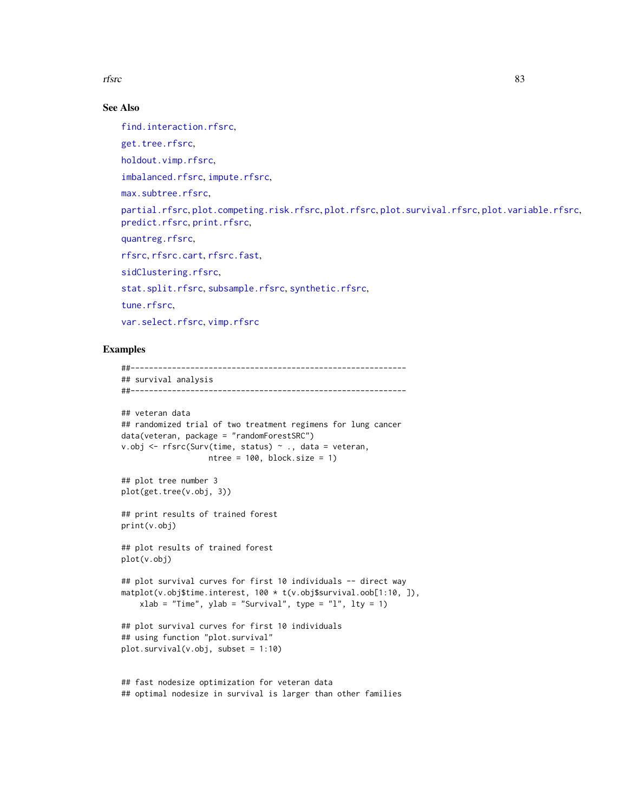rfsrc 33

# See Also

[find.interaction.rfsrc](#page-6-0),

[get.tree.rfsrc](#page-9-0),

[holdout.vimp.rfsrc](#page-13-0),

[imbalanced.rfsrc](#page-19-0), [impute.rfsrc](#page-25-0),

[max.subtree.rfsrc](#page-30-0),

[partial.rfsrc](#page-34-0), [plot.competing.risk.rfsrc](#page-42-0), [plot.rfsrc](#page-44-0), [plot.survival.rfsrc](#page-47-0), [plot.variable.rfsrc](#page-49-0), [predict.rfsrc](#page-53-0), [print.rfsrc](#page-63-0),

[quantreg.rfsrc](#page-64-0),

[rfsrc](#page-69-0), [rfsrc.cart](#page-69-1), [rfsrc.fast](#page-93-0),

[sidClustering.rfsrc](#page-96-0).

[stat.split.rfsrc](#page-101-0), [subsample.rfsrc](#page-103-0), [synthetic.rfsrc](#page-108-0),

[tune.rfsrc](#page-112-0),

[var.select.rfsrc](#page-114-0), [vimp.rfsrc](#page-121-0)

### Examples

##------------------------------------------------------------ ## survival analysis ##------------------------------------------------------------ ## veteran data ## randomized trial of two treatment regimens for lung cancer data(veteran, package = "randomForestSRC") v.obj <- rfsrc(Surv(time, status) ~ ., data = veteran, ntree = 100, block.size = 1) ## plot tree number 3 plot(get.tree(v.obj, 3)) ## print results of trained forest print(v.obj) ## plot results of trained forest plot(v.obj) ## plot survival curves for first 10 individuals -- direct way matplot(v.obj\$time.interest, 100 \* t(v.obj\$survival.oob[1:10, ]),  $xlab = "Time", ylab = "Survival", type = "l", lty = 1)$ ## plot survival curves for first 10 individuals ## using function "plot.survival" plot.survival(v.obj, subset = 1:10) ## fast nodesize optimization for veteran data

## optimal nodesize in survival is larger than other families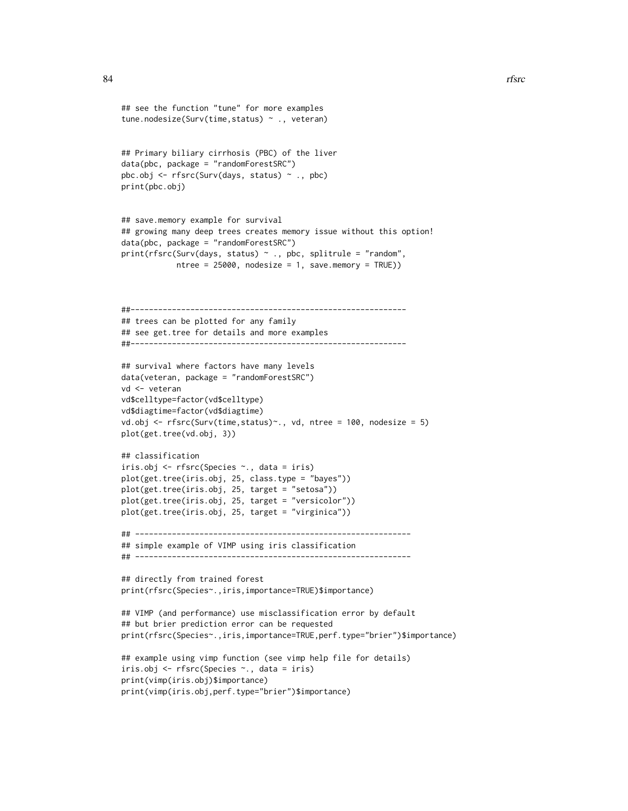```
## see the function "tune" for more examples
tune.nodesize(Surv(time,status) ~ ., veteran)
## Primary biliary cirrhosis (PBC) of the liver
data(pbc, package = "randomForestSRC")
pbc.obj <- rfsrc(Surv(days, status) ~ ., pbc)
print(pbc.obj)
## save.memory example for survival
## growing many deep trees creates memory issue without this option!
data(pbc, package = "randomForestSRC")
print(rfsrc(Surv(days, status) ~ ., pbc, splitrule = "random",
            ntree = 25000, nodesize = 1, save.memory = TRUE))
##------------------------------------------------------------
## trees can be plotted for any family
## see get.tree for details and more examples
##------------------------------------------------------------
## survival where factors have many levels
data(veteran, package = "randomForestSRC")
vd <- veteran
vd$celltype=factor(vd$celltype)
vd$diagtime=factor(vd$diagtime)
vd.obj <- rfsrc(Surv(time,status)~., vd, ntree = 100, nodesize = 5)
plot(get.tree(vd.obj, 3))
## classification
iris.obj <- rfsrc(Species ~., data = iris)
plot(get.tree(iris.obj, 25, class.type = "bayes"))
plot(get.tree(iris.obj, 25, target = "setosa"))
plot(get.tree(iris.obj, 25, target = "versicolor"))
plot(get.tree(iris.obj, 25, target = "virginica"))
## ------------------------------------------------------------
## simple example of VIMP using iris classification
## ------------------------------------------------------------
## directly from trained forest
print(rfsrc(Species~.,iris,importance=TRUE)$importance)
## VIMP (and performance) use misclassification error by default
## but brier prediction error can be requested
print(rfsrc(Species~.,iris,importance=TRUE,perf.type="brier")$importance)
## example using vimp function (see vimp help file for details)
iris.obj <- rfsrc(Species ~., data = iris)
print(vimp(iris.obj)$importance)
print(vimp(iris.obj,perf.type="brier")$importance)
```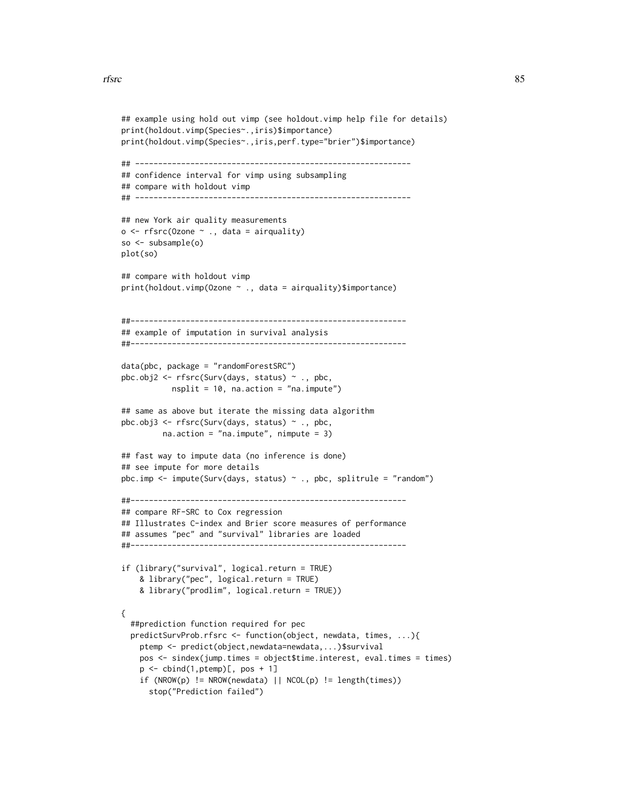```
## example using hold out vimp (see holdout.vimp help file for details)
print(holdout.vimp(Species~.,iris)$importance)
print(holdout.vimp(Species~.,iris,perf.type="brier")$importance)
## ------------------------------------------------------------
## confidence interval for vimp using subsampling
## compare with holdout vimp
## ------------------------------------------------------------
## new York air quality measurements
o \leq r fsrc(Ozone \sim ., data = airquality)
so <- subsample(o)
plot(so)
## compare with holdout vimp
print(holdout.vimp(Ozone ~ ., data = airquality)$importance)
##------------------------------------------------------------
## example of imputation in survival analysis
##------------------------------------------------------------
data(pbc, package = "randomForestSRC")
pbc.obj2 <- rfsrc(Surv(days, status) ~ ., pbc,
           nsplit = 10, na.action = "na.impute")
## same as above but iterate the missing data algorithm
pbc.obj3 <- rfsrc(Surv(days, status) ~ ., pbc,
        na.action = "na.impute", nimpute = 3)
## fast way to impute data (no inference is done)
## see impute for more details
pbc.imp <- impute(Surv(days, status) \sim ., pbc, splitrule = "random")
##------------------------------------------------------------
## compare RF-SRC to Cox regression
## Illustrates C-index and Brier score measures of performance
## assumes "pec" and "survival" libraries are loaded
##------------------------------------------------------------
if (library("survival", logical.return = TRUE)
    & library("pec", logical.return = TRUE)
    & library("prodlim", logical.return = TRUE))
{
  ##prediction function required for pec
 predictSurvProb.rfsrc <- function(object, newdata, times, ...){
   ptemp <- predict(object,newdata=newdata,...)$survival
   pos <- sindex(jump.times = object$time.interest, eval.times = times)
   p \leftarrow \text{cbind}(1, \text{ptemp})[, pos + 1]
    if (NROW(p) != NROW(newdata) || NCOL(p) != length(times))stop("Prediction failed")
```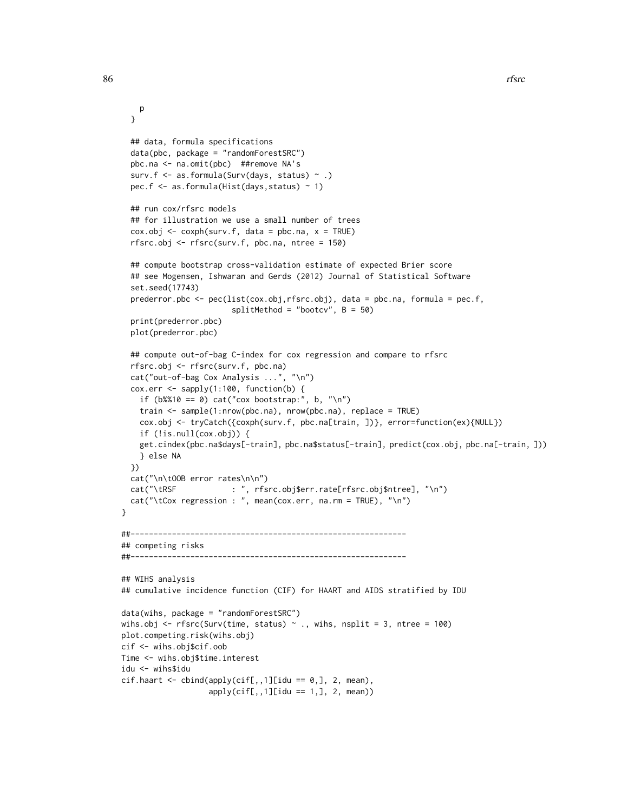```
p
  }
  ## data, formula specifications
  data(pbc, package = "randomForestSRC")
  pbc.na <- na.omit(pbc) ##remove NA's
  surv.f <- as.formula(Surv(days, status) ~ .)
  pec.f <- as.formula(Hist(days,status) ~ 1)
  ## run cox/rfsrc models
  ## for illustration we use a small number of trees
  \cos.\overline{\text{obj}} \leq \cos\text{ph}(\text{surv.f, data = pbc.na, x = TRUE})rfsrc.obj <- rfsrc(surv.f, pbc.na, ntree = 150)
  ## compute bootstrap cross-validation estimate of expected Brier score
  ## see Mogensen, Ishwaran and Gerds (2012) Journal of Statistical Software
  set.seed(17743)
  prederror.pbc <- pec(list(cox.obj,rfsrc.obj), data = pbc.na, formula = pec.f,
                        splitMethod = "bootstrap", B = 50)print(prederror.pbc)
  plot(prederror.pbc)
  ## compute out-of-bag C-index for cox regression and compare to rfsrc
  rfsrc.obj <- rfsrc(surv.f, pbc.na)
  cat("out-of-bag Cox Analysis ...", "\n")
  cox.err <- sapply(1:100, function(b) {
    if (b\%10 == 0) cat("cox bootstrap:", b, "\n")
    train <- sample(1:nrow(pbc.na), nrow(pbc.na), replace = TRUE)
    cox.obj <- tryCatch({coxph(surv.f, pbc.na[train, ])}, error=function(ex){NULL})
    if (!is.null(cox.obj)) {
    get.cindex(pbc.na$days[-train], pbc.na$status[-train], predict(cox.obj, pbc.na[-train, ]))
    } else NA
  })
  cat("\n\tOOB error rates\n\n")
  cat("\tRSF : ", rfsrc.obj$err.rate[rfsrc.obj$ntree], "\n")
  cat("\tCox regression : ", mean(cox.err, na.rm = TRUE), "\n")
}
##------------------------------------------------------------
## competing risks
##------------------------------------------------------------
## WIHS analysis
## cumulative incidence function (CIF) for HAART and AIDS stratified by IDU
data(wihs, package = "randomForestSRC")
wihs.obj \leq rfsrc(Surv(time, status) \sim ., wihs, nsplit = 3, ntree = 100)
plot.competing.risk(wihs.obj)
cif <- wihs.obj$cif.oob
Time <- wihs.obj$time.interest
idu <- wihs$idu
cif.haart \leftarrow cbind(apoly(cif[,,1][idu == 0,], 2, mean),apply(cif[,,1][idu == 1,], 2, mean)
```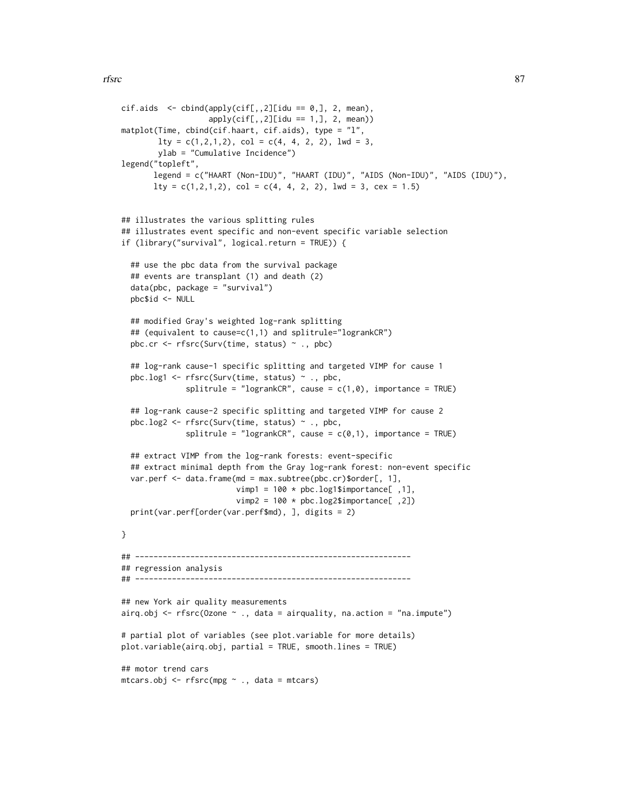```
cif. aids < - child(apply(cif[, .2][idu == 0,], 2, mean),apply(cif[,,2][idu == 1,], 2, mean)matplot(Time, cbind(cif.haart, cif.aids), type = "l",
       lty = c(1, 2, 1, 2), col = c(4, 4, 2, 2), lwd = 3,ylab = "Cumulative Incidence")
legend("topleft",
      legend = c("HAART (Non-IDU)", "HAART (IDU)", "AIDS (Non-IDU)", "AIDS (IDU)"),
      lty = c(1, 2, 1, 2), col = c(4, 4, 2, 2), lwd = 3, cex = 1.5)## illustrates the various splitting rules
## illustrates event specific and non-event specific variable selection
if (library("survival", logical.return = TRUE)) {
 ## use the pbc data from the survival package
 ## events are transplant (1) and death (2)
 data(pbc, package = "survival")
 pbc$id <- NULL
 ## modified Gray's weighted log-rank splitting
 ## (equivalent to cause=c(1,1) and splitrule="logrankCR")
 pbc.cr <- rfsrc(Surv(time, status) ~ ., pbc)
 ## log-rank cause-1 specific splitting and targeted VIMP for cause 1
 pbc.log1 <- rfsrc(Surv(time, status) ~ ., pbc,
              splitrule = "logrankCR", cause = c(1,0), importance = TRUE)
 ## log-rank cause-2 specific splitting and targeted VIMP for cause 2
 pbc.log2 <- rfsrc(Surv(time, status) ~ ., pbc,
              splitrule = "logrankCR", cause = c(0,1), importance = TRUE)
 ## extract VIMP from the log-rank forests: event-specific
 ## extract minimal depth from the Gray log-rank forest: non-event specific
 var.perf <- data.frame(md = max.subtree(pbc.cr)$order[, 1],
                        vimp1 = 100 * pbc.log1$importance[,1],
                         vimp2 = 100 * pbc.log2$importance[, 2])print(var.perf[order(var.perf$md), ], digits = 2)
}
## ------------------------------------------------------------
## regression analysis
## ------------------------------------------------------------
## new York air quality measurements
airq.obj \leq rfsrc(Ozone \sim ., data = airquality, na.action = "na.impute")
# partial plot of variables (see plot.variable for more details)
plot.variable(airq.obj, partial = TRUE, smooth.lines = TRUE)
## motor trend cars
mtcars.obj <- rfsrc(mpg ~ ., data = mtcars)
```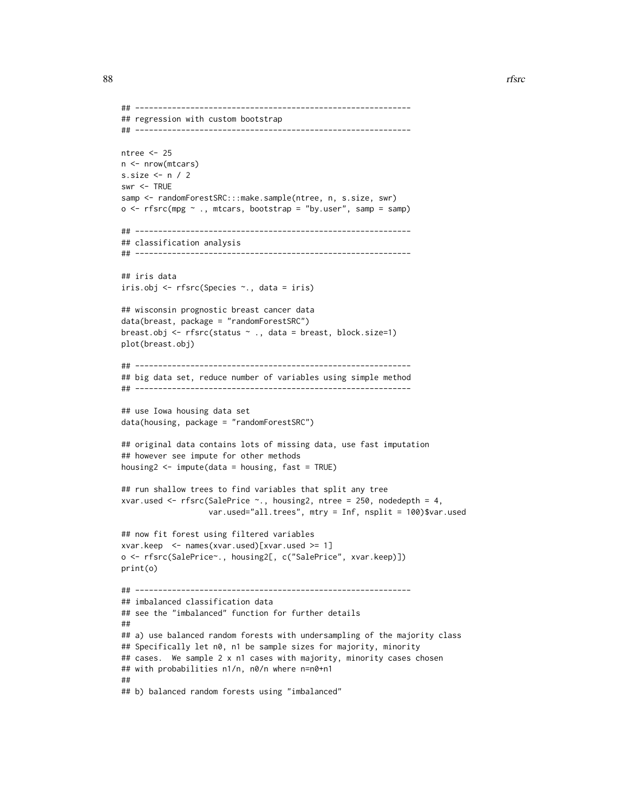```
## ------------------------------------------------------------
## regression with custom bootstrap
## ------------------------------------------------------------
ntree <- 25
n <- nrow(mtcars)
s.size <- n / 2
swr <- TRUE
samp <- randomForestSRC:::make.sample(ntree, n, s.size, swr)
o \leq r fsrc(mpg \sim ., mtcars, bootstrap = "by.user", samp = samp)
## ------------------------------------------------------------
## classification analysis
## ------------------------------------------------------------
## iris data
iris.obj <- rfsrc(Species ~., data = iris)
## wisconsin prognostic breast cancer data
data(breast, package = "randomForestSRC")
breast.obj <- rfsrc(status ~ ., data = breast, block.size=1)
plot(breast.obj)
## ------------------------------------------------------------
## big data set, reduce number of variables using simple method
## ------------------------------------------------------------
## use Iowa housing data set
data(housing, package = "randomForestSRC")
## original data contains lots of missing data, use fast imputation
## however see impute for other methods
housing2 \le impute(data = housing, fast = TRUE)
## run shallow trees to find variables that split any tree
xvar.used \leq rfsrc(SalePrice \sim., housing2, ntree = 250, nodedepth = 4,
                   var.used="all.trees", mtry = Inf, nsplit = 100)$var.used
## now fit forest using filtered variables
xvar.keep <- names(xvar.used)[xvar.used >= 1]
o <- rfsrc(SalePrice~., housing2[, c("SalePrice", xvar.keep)])
print(o)
## ------------------------------------------------------------
## imbalanced classification data
## see the "imbalanced" function for further details
##
## a) use balanced random forests with undersampling of the majority class
## Specifically let n0, n1 be sample sizes for majority, minority
## cases. We sample 2 x n1 cases with majority, minority cases chosen
## with probabilities n1/n, n0/n where n=n0+n1
##
## b) balanced random forests using "imbalanced"
```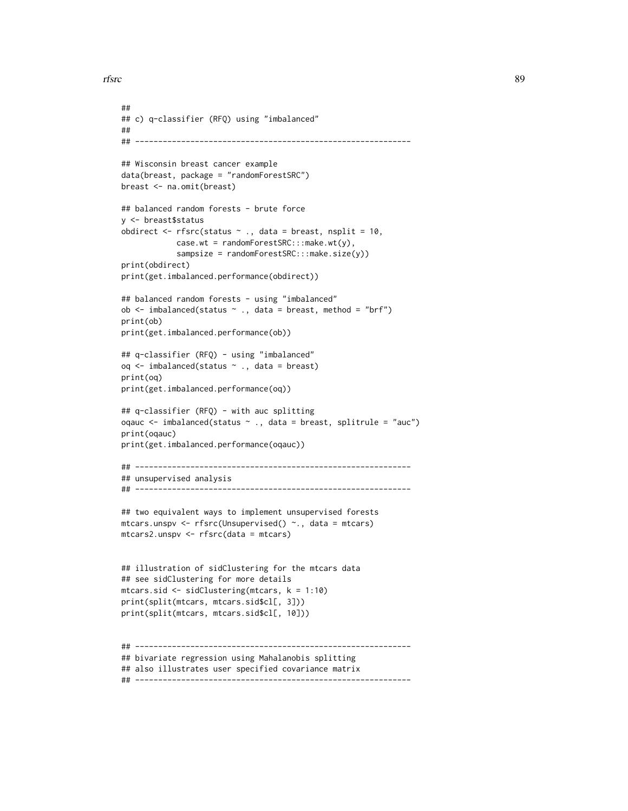```
rfsrc 39
```

```
##
## c) q-classifier (RFQ) using "imbalanced"
##
## ------------------------------------------------------------
## Wisconsin breast cancer example
data(breast, package = "randomForestSRC")
breast <- na.omit(breast)
## balanced random forests - brute force
y <- breast$status
obdirect \leq rfsrc(status \sim ., data = breast, nsplit = 10,
            case.wt = randomForestSRC:::make.wt(y),
            sampsize = randomForestSRC:::make.size(y))
print(obdirect)
print(get.imbalanced.performance(obdirect))
## balanced random forests - using "imbalanced"
ob \le imbalanced(status \sim ., data = breast, method = "brf")
print(ob)
print(get.imbalanced.performance(ob))
## q-classifier (RFQ) - using "imbalanced"
oq <- imbalanced(status ~ ., data = breast)
print(oq)
print(get.imbalanced.performance(oq))
## q-classifier (RFQ) - with auc splitting
oqauc <- imbalanced(status ~ ., data = breast, splitrule = "auc")
print(oqauc)
print(get.imbalanced.performance(oqauc))
## ------------------------------------------------------------
## unsupervised analysis
## ------------------------------------------------------------
## two equivalent ways to implement unsupervised forests
mtcars.unspv <- rfsrc(Unsupervised() ~., data = mtcars)
mtcars2.unspv <- rfsrc(data = mtcars)
## illustration of sidClustering for the mtcars data
## see sidClustering for more details
mtcars.sid <- sidClustering(mtcars, k = 1:10)
print(split(mtcars, mtcars.sid$cl[, 3]))
print(split(mtcars, mtcars.sid$cl[, 10]))
## ------------------------------------------------------------
## bivariate regression using Mahalanobis splitting
## also illustrates user specified covariance matrix
## ------------------------------------------------------------
```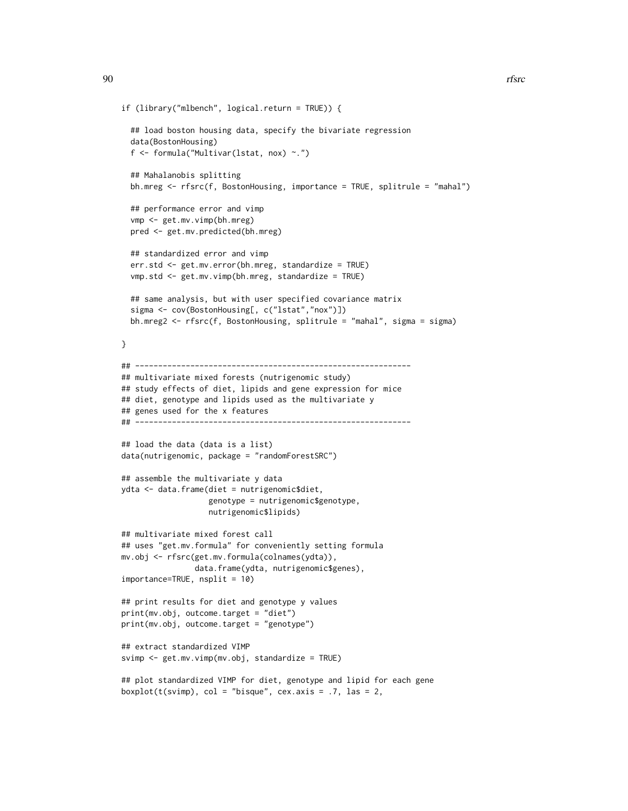```
if (library("mlbench", logical.return = TRUE)) {
 ## load boston housing data, specify the bivariate regression
 data(BostonHousing)
 f <- formula("Multivar(lstat, nox) ~.")
 ## Mahalanobis splitting
 bh.mreg <- rfsrc(f, BostonHousing, importance = TRUE, splitrule = "mahal")
 ## performance error and vimp
 vmp <- get.mv.vimp(bh.mreg)
 pred <- get.mv.predicted(bh.mreg)
 ## standardized error and vimp
 err.std <- get.mv.error(bh.mreg, standardize = TRUE)
 vmp.std <- get.mv.vimp(bh.mreg, standardize = TRUE)
 ## same analysis, but with user specified covariance matrix
 sigma <- cov(BostonHousing[, c("lstat","nox")])
 bh.mreg2 <- rfsrc(f, BostonHousing, splitrule = "mahal", sigma = sigma)
}
## ------------------------------------------------------------
## multivariate mixed forests (nutrigenomic study)
## study effects of diet, lipids and gene expression for mice
## diet, genotype and lipids used as the multivariate y
## genes used for the x features
## ------------------------------------------------------------
## load the data (data is a list)
data(nutrigenomic, package = "randomForestSRC")
## assemble the multivariate y data
ydta <- data.frame(diet = nutrigenomic$diet,
                  genotype = nutrigenomic$genotype,
                  nutrigenomic$lipids)
## multivariate mixed forest call
## uses "get.mv.formula" for conveniently setting formula
mv.obj <- rfsrc(get.mv.formula(colnames(ydta)),
                data.frame(ydta, nutrigenomic$genes),
importance=TRUE, nsplit = 10)
## print results for diet and genotype y values
print(mv.obj, outcome.target = "diet")
print(mv.obj, outcome.target = "genotype")
## extract standardized VIMP
svimp <- get.mv.vimp(mv.obj, standardize = TRUE)
## plot standardized VIMP for diet, genotype and lipid for each gene
boxplot(t(svimp), col = "bisque", cex.axis = .7, las = 2,
```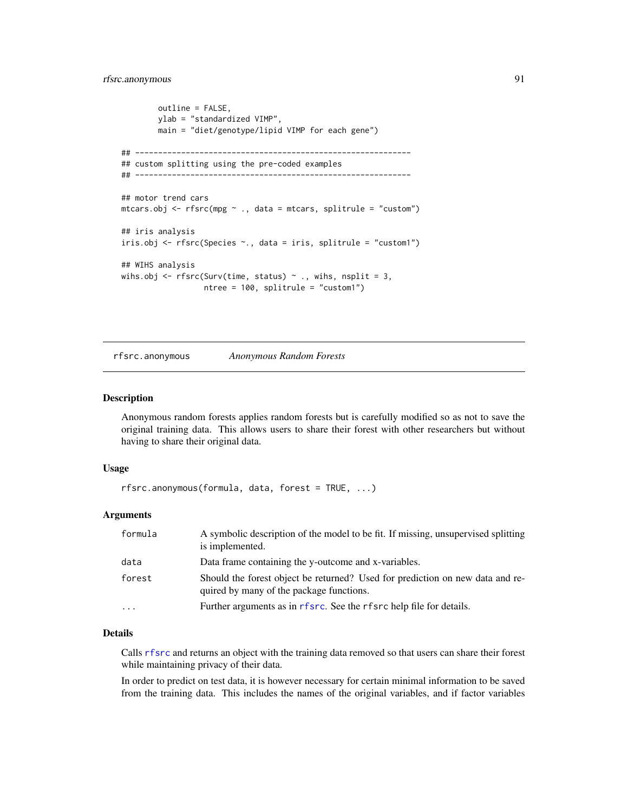```
outline = FALSE,
        ylab = "standardized VIMP",
        main = "diet/genotype/lipid VIMP for each gene")
## ------------------------------------------------------------
## custom splitting using the pre-coded examples
## ------------------------------------------------------------
## motor trend cars
mtcars.obj <- rfsrc(mpg ~ ., data = mtcars, splitrule = "custom")
## iris analysis
iris.obj <- rfsrc(Species ~., data = iris, splitrule = "custom1")
## WIHS analysis
wihs.obj <- rfsrc(Surv(time, status) \sim ., wihs, nsplit = 3,
                  ntree = 100, splitrule = "custom1")
```
rfsrc.anonymous *Anonymous Random Forests*

### Description

Anonymous random forests applies random forests but is carefully modified so as not to save the original training data. This allows users to share their forest with other researchers but without having to share their original data.

### Usage

```
rfsrc.anonymous(formula, data, forest = TRUE, ...)
```
### Arguments

| formula                 | A symbolic description of the model to be fit. If missing, unsupervised splitting<br>is implemented.                      |
|-------------------------|---------------------------------------------------------------------------------------------------------------------------|
| data                    | Data frame containing the y-outcome and x-variables.                                                                      |
| forest                  | Should the forest object be returned? Used for prediction on new data and re-<br>quired by many of the package functions. |
| $\cdot$ $\cdot$ $\cdot$ | Further arguments as in r f src. See the r f src help file for details.                                                   |

## Details

Calls [rfsrc](#page-69-0) and returns an object with the training data removed so that users can share their forest while maintaining privacy of their data.

In order to predict on test data, it is however necessary for certain minimal information to be saved from the training data. This includes the names of the original variables, and if factor variables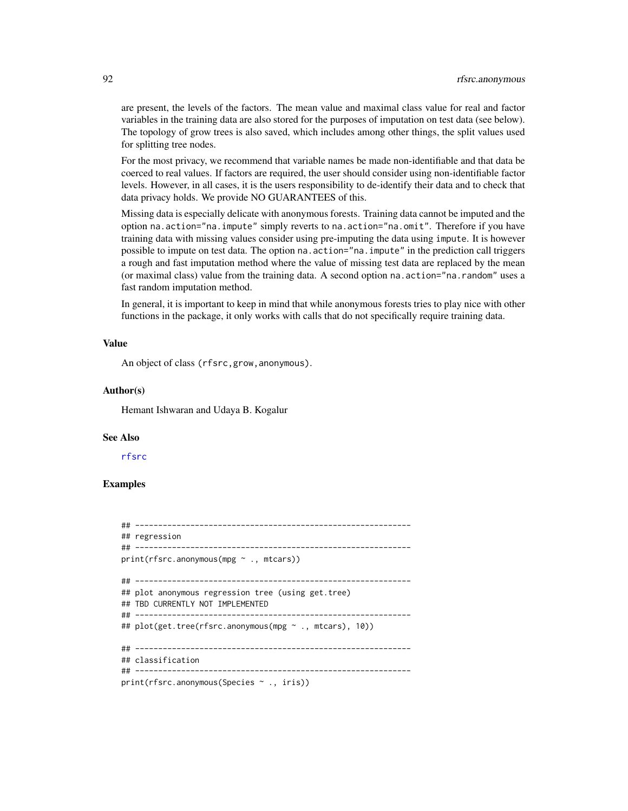are present, the levels of the factors. The mean value and maximal class value for real and factor variables in the training data are also stored for the purposes of imputation on test data (see below). The topology of grow trees is also saved, which includes among other things, the split values used for splitting tree nodes.

For the most privacy, we recommend that variable names be made non-identifiable and that data be coerced to real values. If factors are required, the user should consider using non-identifiable factor levels. However, in all cases, it is the users responsibility to de-identify their data and to check that data privacy holds. We provide NO GUARANTEES of this.

Missing data is especially delicate with anonymous forests. Training data cannot be imputed and the option na.action="na.impute" simply reverts to na.action="na.omit". Therefore if you have training data with missing values consider using pre-imputing the data using impute. It is however possible to impute on test data. The option na.action="na.impute" in the prediction call triggers a rough and fast imputation method where the value of missing test data are replaced by the mean (or maximal class) value from the training data. A second option na.action="na.random" uses a fast random imputation method.

In general, it is important to keep in mind that while anonymous forests tries to play nice with other functions in the package, it only works with calls that do not specifically require training data.

## Value

An object of class (rfsrc,grow,anonymous).

#### Author(s)

Hemant Ishwaran and Udaya B. Kogalur

### See Also

[rfsrc](#page-69-0)

### Examples

```
## ------------------------------------------------------------
## regression
## ------------------------------------------------------------
print(rfsrc.anonymous(mpg ~ ., mtcars))
## ------------------------------------------------------------
## plot anonymous regression tree (using get.tree)
## TBD CURRENTLY NOT IMPLEMENTED
## ------------------------------------------------------------
## plot(get.tree(rfsrc.anonymous(mpg ~ ., mtcars), 10))
## ------------------------------------------------------------
## classification
## ------------------------------------------------------------
print(rfsrc.anonymous(Species ~ ., iris))
```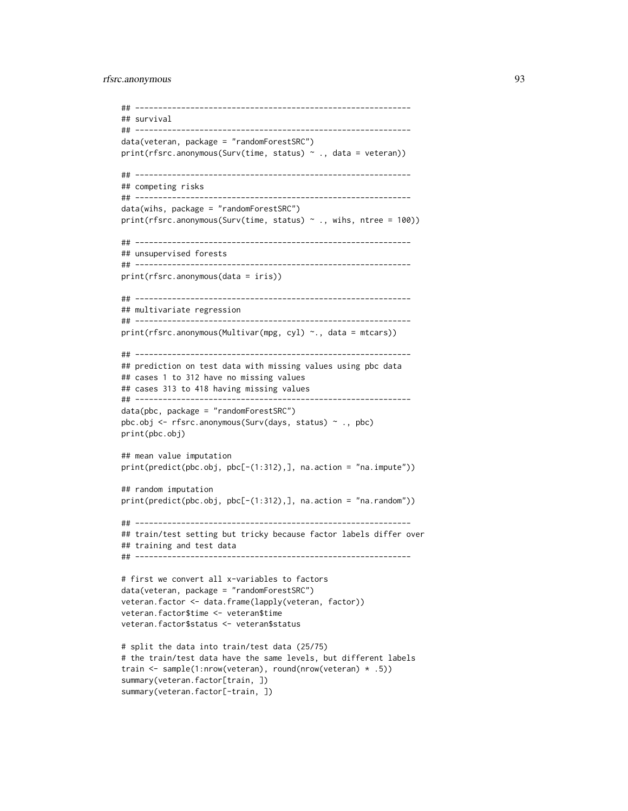### rfsrc.anonymous 93

```
## ------------------------------------------------------------
## survival
## ------------------------------------------------------------
data(veteran, package = "randomForestSRC")
print(rfsrc.anonymous(Surv(time, status) ~ ., data = veteran))
## ------------------------------------------------------------
## competing risks
## ------------------------------------------------------------
data(wihs, package = "randomForestSRC")
print(rfsrc.anonymous(Surv(time, status) ~ ., wihs, ntree = 100))
## ------------------------------------------------------------
## unsupervised forests
## ------------------------------------------------------------
print(rfsrc.anonymous(data = iris))
## ------------------------------------------------------------
## multivariate regression
## ------------------------------------------------------------
print(rfsrc.anonymous(Multivar(mpg, cyl) ~., data = mtcars))
## ------------------------------------------------------------
## prediction on test data with missing values using pbc data
## cases 1 to 312 have no missing values
## cases 313 to 418 having missing values
## ------------------------------------------------------------
data(pbc, package = "randomForestSRC")
pbc.obj <- rfsrc.anonymous(Surv(days, status) ~ ., pbc)
print(pbc.obj)
## mean value imputation
print(predict(pbc.obj, pbc[-(1:312),], na.action = "na.impute"))
## random imputation
print(predict(pbc.obj, pbc[-(1:312),], na.action = "na.random"))
## ------------------------------------------------------------
## train/test setting but tricky because factor labels differ over
## training and test data
## ------------------------------------------------------------
# first we convert all x-variables to factors
data(veteran, package = "randomForestSRC")
veteran.factor <- data.frame(lapply(veteran, factor))
veteran.factor$time <- veteran$time
veteran.factor$status <- veteran$status
# split the data into train/test data (25/75)
# the train/test data have the same levels, but different labels
train <- sample(1:nrow(veteran), round(nrow(veteran) * .5))
summary(veteran.factor[train, ])
```

```
summary(veteran.factor[-train, ])
```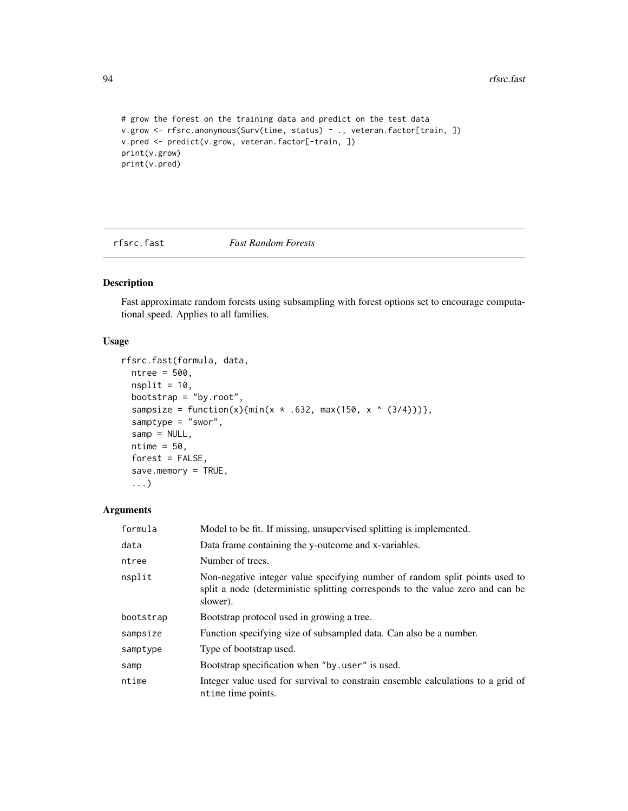```
# grow the forest on the training data and predict on the test data
v.grow <- rfsrc.anonymous(Surv(time, status) ~ ., veteran.factor[train, ])
v.pred <- predict(v.grow, veteran.factor[-train, ])
print(v.grow)
print(v.pred)
```
<span id="page-93-0"></span>rfsrc.fast *Fast Random Forests*

## Description

Fast approximate random forests using subsampling with forest options set to encourage computational speed. Applies to all families.

## Usage

```
rfsrc.fast(formula, data,
 ntree = 500,
 nsplit = 10,bootstrap = "by.root",
 sampsize = function(x){min(x * .632, max(150, x ^ (3/4)))},
  samptype = "swor",samp = NULL,ntime = 50,
 forest = FALSE,
  save.memory = TRUE,
  ...)
```
## Arguments

| formula   | Model to be fit. If missing, unsupervised splitting is implemented.                                                                                                       |  |
|-----------|---------------------------------------------------------------------------------------------------------------------------------------------------------------------------|--|
| data      | Data frame containing the y-outcome and x-variables.                                                                                                                      |  |
| ntree     | Number of trees.                                                                                                                                                          |  |
| nsplit    | Non-negative integer value specifying number of random split points used to<br>split a node (deterministic splitting corresponds to the value zero and can be<br>slower). |  |
| bootstrap | Bootstrap protocol used in growing a tree.                                                                                                                                |  |
| sampsize  | Function specifying size of subsampled data. Can also be a number.                                                                                                        |  |
| samptype  | Type of bootstrap used.                                                                                                                                                   |  |
| samp      | Bootstrap specification when "by user" is used.                                                                                                                           |  |
| ntime     | Integer value used for survival to constrain ensemble calculations to a grid of<br>ntime time points.                                                                     |  |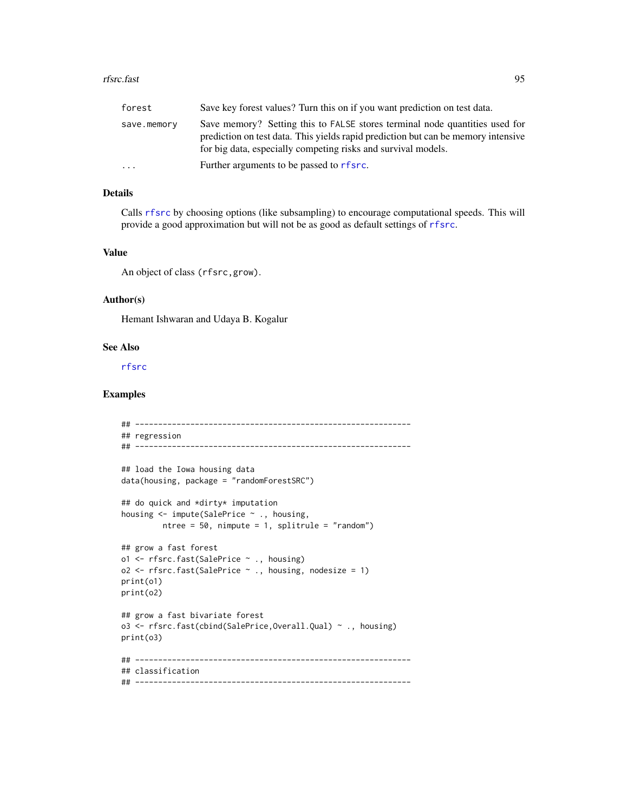### rfsrc.fast 95

| forest      | Save key forest values? Turn this on if you want prediction on test data.                                                                                                                                                         |
|-------------|-----------------------------------------------------------------------------------------------------------------------------------------------------------------------------------------------------------------------------------|
| save.memory | Save memory? Setting this to FALSE stores terminal node quantities used for<br>prediction on test data. This yields rapid prediction but can be memory intensive<br>for big data, especially competing risks and survival models. |
| .           | Further arguments to be passed to rfsrc.                                                                                                                                                                                          |

## Details

Calls [rfsrc](#page-69-0) by choosing options (like subsampling) to encourage computational speeds. This will provide a good approximation but will not be as good as default settings of [rfsrc](#page-69-0).

## Value

An object of class (rfsrc,grow).

### Author(s)

Hemant Ishwaran and Udaya B. Kogalur

### See Also

[rfsrc](#page-69-0)

## Examples

```
## ------------------------------------------------------------
## regression
## ------------------------------------------------------------
## load the Iowa housing data
data(housing, package = "randomForestSRC")
## do quick and *dirty* imputation
housing <- impute(SalePrice ~ ., housing,
         ntree = 50, nimpute = 1, splitrule = "random")
## grow a fast forest
o1 <- rfsrc.fast(SalePrice ~ ., housing)
o2 \leq r fsrc.fast(SalePrice \sim ., housing, nodesize = 1)
print(o1)
print(o2)
## grow a fast bivariate forest
o3 <- rfsrc.fast(cbind(SalePrice,Overall.Qual) ~ ., housing)
print(o3)
## ------------------------------------------------------------
## classification
## ------------------------------------------------------------
```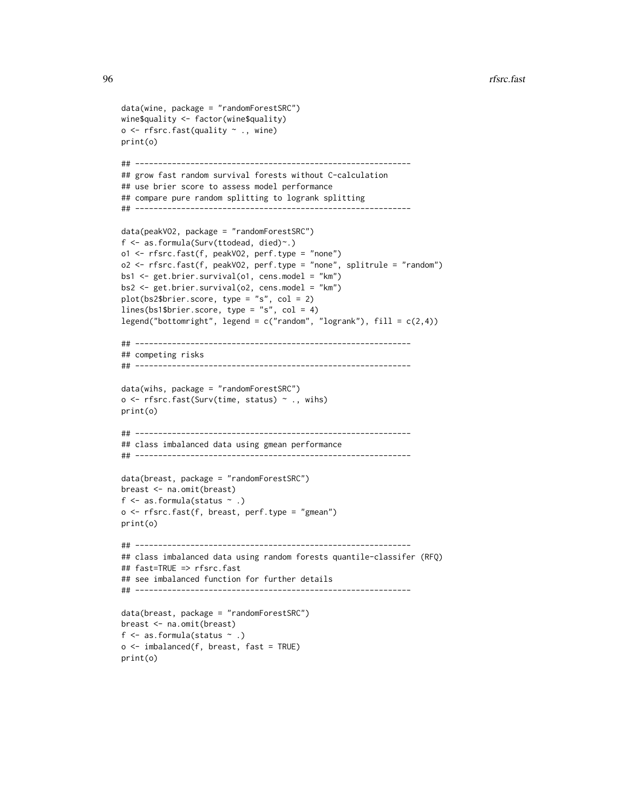```
data(wine, package = "randomForestSRC")
wine$quality <- factor(wine$quality)
o <- rfsrc.fast(quality ~ ., wine)
print(o)
## ------------------------------------------------------------
## grow fast random survival forests without C-calculation
## use brier score to assess model performance
## compare pure random splitting to logrank splitting
## ------------------------------------------------------------
data(peakVO2, package = "randomForestSRC")
f <- as.formula(Surv(ttodead, died)~.)
o1 <- rfsrc.fast(f, peakVO2, perf.type = "none")
o2 <- rfsrc.fast(f, peakVO2, perf.type = "none", splitrule = "random")
bs1 <- get.brier.survival(o1, cens.model = "km")
bs2 <- get.brier.survival(o2, cens.model = "km")
plot(bs2$brier.score, type = "s", col = 2)
lines(bs1$brier.score, type = "s", col = 4)
legend("bottomright", legend = c("random", "logrank"), fill = <math>c(2,4)</math>)## ------------------------------------------------------------
## competing risks
## ------------------------------------------------------------
data(wihs, package = "randomForestSRC")
o \leftarrow \text{rfsrc}.\text{fast(Surv}(\text{time}, \text{status}) \sim .,\text{wihs})print(o)
## ------------------------------------------------------------
## class imbalanced data using gmean performance
## ------------------------------------------------------------
data(breast, package = "randomForestSRC")
breast <- na.omit(breast)
f \leq as. formula(status \sim.)
o <- rfsrc.fast(f, breast, perf.type = "gmean")
print(o)
## ------------------------------------------------------------
## class imbalanced data using random forests quantile-classifer (RFQ)
## fast=TRUE => rfsrc.fast
## see imbalanced function for further details
## ------------------------------------------------------------
data(breast, package = "randomForestSRC")
breast <- na.omit(breast)
f \leq as. formula(status \sim.)
o \leftarrow imbalanced(f, breast, fast = TRUE)
print(o)
```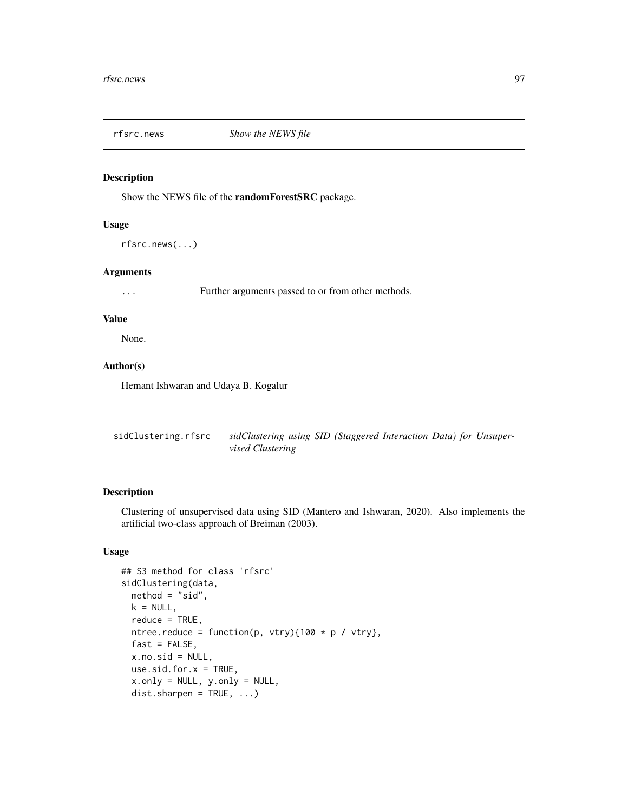### Description

Show the NEWS file of the randomForestSRC package.

## Usage

rfsrc.news(...)

### Arguments

... Further arguments passed to or from other methods.

### Value

None.

# Author(s)

Hemant Ishwaran and Udaya B. Kogalur

<span id="page-96-0"></span>sidClustering.rfsrc *sidClustering using SID (Staggered Interaction Data) for Unsupervised Clustering*

## Description

Clustering of unsupervised data using SID (Mantero and Ishwaran, 2020). Also implements the artificial two-class approach of Breiman (2003).

## Usage

```
## S3 method for class 'rfsrc'
sidClustering(data,
 method = "sid",
 k = NULL,reduce = TRUE,
 ntree.reduce = function(p, vtry){100 * p / vtry},
 fast = FALSE,
 x.no.sid = NULL,use.sid.for.x = TRUE,
 x.only = NULL, y.only = NULL,
 dist.shape n = TRUE, ...)
```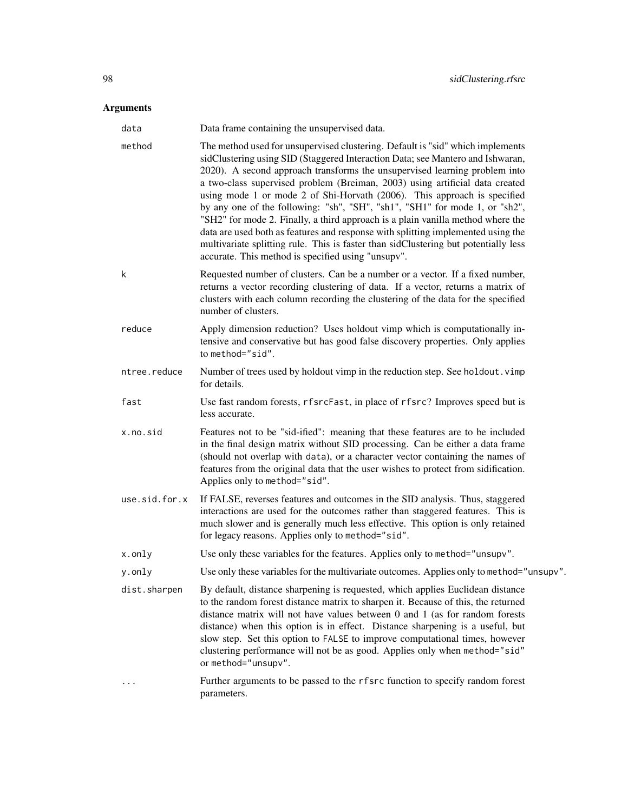# Arguments

| data          | Data frame containing the unsupervised data.                                                                                                                                                                                                                                                                                                                                                                                                                                                                                                                                                                                                                                                                                                                                                                  |  |
|---------------|---------------------------------------------------------------------------------------------------------------------------------------------------------------------------------------------------------------------------------------------------------------------------------------------------------------------------------------------------------------------------------------------------------------------------------------------------------------------------------------------------------------------------------------------------------------------------------------------------------------------------------------------------------------------------------------------------------------------------------------------------------------------------------------------------------------|--|
| method        | The method used for unsupervised clustering. Default is "sid" which implements<br>sidClustering using SID (Staggered Interaction Data; see Mantero and Ishwaran,<br>2020). A second approach transforms the unsupervised learning problem into<br>a two-class supervised problem (Breiman, 2003) using artificial data created<br>using mode 1 or mode 2 of Shi-Horvath (2006). This approach is specified<br>by any one of the following: "sh", "SH", "sh1", "SH1" for mode 1, or "sh2",<br>"SH2" for mode 2. Finally, a third approach is a plain vanilla method where the<br>data are used both as features and response with splitting implemented using the<br>multivariate splitting rule. This is faster than sidClustering but potentially less<br>accurate. This method is specified using "unsupv". |  |
| k             | Requested number of clusters. Can be a number or a vector. If a fixed number,<br>returns a vector recording clustering of data. If a vector, returns a matrix of<br>clusters with each column recording the clustering of the data for the specified<br>number of clusters.                                                                                                                                                                                                                                                                                                                                                                                                                                                                                                                                   |  |
| reduce        | Apply dimension reduction? Uses holdout vimp which is computationally in-<br>tensive and conservative but has good false discovery properties. Only applies<br>to method="sid".                                                                                                                                                                                                                                                                                                                                                                                                                                                                                                                                                                                                                               |  |
| ntree.reduce  | Number of trees used by holdout vimp in the reduction step. See holdout. vimp<br>for details.                                                                                                                                                                                                                                                                                                                                                                                                                                                                                                                                                                                                                                                                                                                 |  |
| fast          | Use fast random forests, rfsrcFast, in place of rfsrc? Improves speed but is<br>less accurate.                                                                                                                                                                                                                                                                                                                                                                                                                                                                                                                                                                                                                                                                                                                |  |
| x.no.sid      | Features not to be "sid-ified": meaning that these features are to be included<br>in the final design matrix without SID processing. Can be either a data frame<br>(should not overlap with data), or a character vector containing the names of<br>features from the original data that the user wishes to protect from sidification.<br>Applies only to method="sid".                                                                                                                                                                                                                                                                                                                                                                                                                                       |  |
| use.sid.for.x | If FALSE, reverses features and outcomes in the SID analysis. Thus, staggered<br>interactions are used for the outcomes rather than staggered features. This is<br>much slower and is generally much less effective. This option is only retained<br>for legacy reasons. Applies only to method="sid".                                                                                                                                                                                                                                                                                                                                                                                                                                                                                                        |  |
| x.only        | Use only these variables for the features. Applies only to method="unsupv".                                                                                                                                                                                                                                                                                                                                                                                                                                                                                                                                                                                                                                                                                                                                   |  |
| y.only        | Use only these variables for the multivariate outcomes. Applies only to method="unsupv".                                                                                                                                                                                                                                                                                                                                                                                                                                                                                                                                                                                                                                                                                                                      |  |
| dist.sharpen  | By default, distance sharpening is requested, which applies Euclidean distance<br>to the random forest distance matrix to sharpen it. Because of this, the returned<br>distance matrix will not have values between $0$ and $1$ (as for random forests<br>distance) when this option is in effect. Distance sharpening is a useful, but<br>slow step. Set this option to FALSE to improve computational times, however<br>clustering performance will not be as good. Applies only when method="sid"<br>or method="unsupv".                                                                                                                                                                                                                                                                                   |  |
|               | Further arguments to be passed to the rfsrc function to specify random forest<br>parameters.                                                                                                                                                                                                                                                                                                                                                                                                                                                                                                                                                                                                                                                                                                                  |  |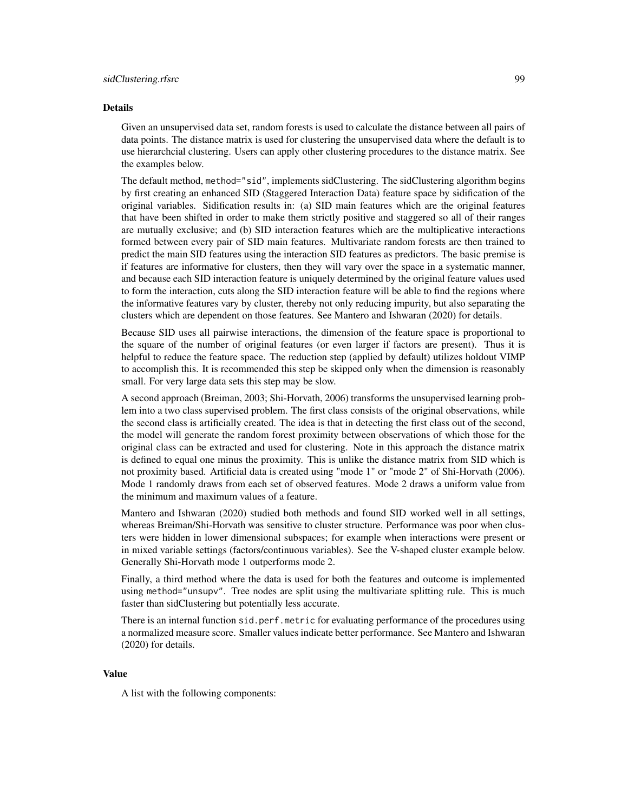### Details

Given an unsupervised data set, random forests is used to calculate the distance between all pairs of data points. The distance matrix is used for clustering the unsupervised data where the default is to use hierarchcial clustering. Users can apply other clustering procedures to the distance matrix. See the examples below.

The default method, method="sid", implements sidClustering. The sidClustering algorithm begins by first creating an enhanced SID (Staggered Interaction Data) feature space by sidification of the original variables. Sidification results in: (a) SID main features which are the original features that have been shifted in order to make them strictly positive and staggered so all of their ranges are mutually exclusive; and (b) SID interaction features which are the multiplicative interactions formed between every pair of SID main features. Multivariate random forests are then trained to predict the main SID features using the interaction SID features as predictors. The basic premise is if features are informative for clusters, then they will vary over the space in a systematic manner, and because each SID interaction feature is uniquely determined by the original feature values used to form the interaction, cuts along the SID interaction feature will be able to find the regions where the informative features vary by cluster, thereby not only reducing impurity, but also separating the clusters which are dependent on those features. See Mantero and Ishwaran (2020) for details.

Because SID uses all pairwise interactions, the dimension of the feature space is proportional to the square of the number of original features (or even larger if factors are present). Thus it is helpful to reduce the feature space. The reduction step (applied by default) utilizes holdout VIMP to accomplish this. It is recommended this step be skipped only when the dimension is reasonably small. For very large data sets this step may be slow.

A second approach (Breiman, 2003; Shi-Horvath, 2006) transforms the unsupervised learning problem into a two class supervised problem. The first class consists of the original observations, while the second class is artificially created. The idea is that in detecting the first class out of the second, the model will generate the random forest proximity between observations of which those for the original class can be extracted and used for clustering. Note in this approach the distance matrix is defined to equal one minus the proximity. This is unlike the distance matrix from SID which is not proximity based. Artificial data is created using "mode 1" or "mode 2" of Shi-Horvath (2006). Mode 1 randomly draws from each set of observed features. Mode 2 draws a uniform value from the minimum and maximum values of a feature.

Mantero and Ishwaran (2020) studied both methods and found SID worked well in all settings, whereas Breiman/Shi-Horvath was sensitive to cluster structure. Performance was poor when clusters were hidden in lower dimensional subspaces; for example when interactions were present or in mixed variable settings (factors/continuous variables). See the V-shaped cluster example below. Generally Shi-Horvath mode 1 outperforms mode 2.

Finally, a third method where the data is used for both the features and outcome is implemented using method="unsupv". Tree nodes are split using the multivariate splitting rule. This is much faster than sidClustering but potentially less accurate.

There is an internal function sid.perf.metric for evaluating performance of the procedures using a normalized measure score. Smaller values indicate better performance. See Mantero and Ishwaran (2020) for details.

### Value

A list with the following components: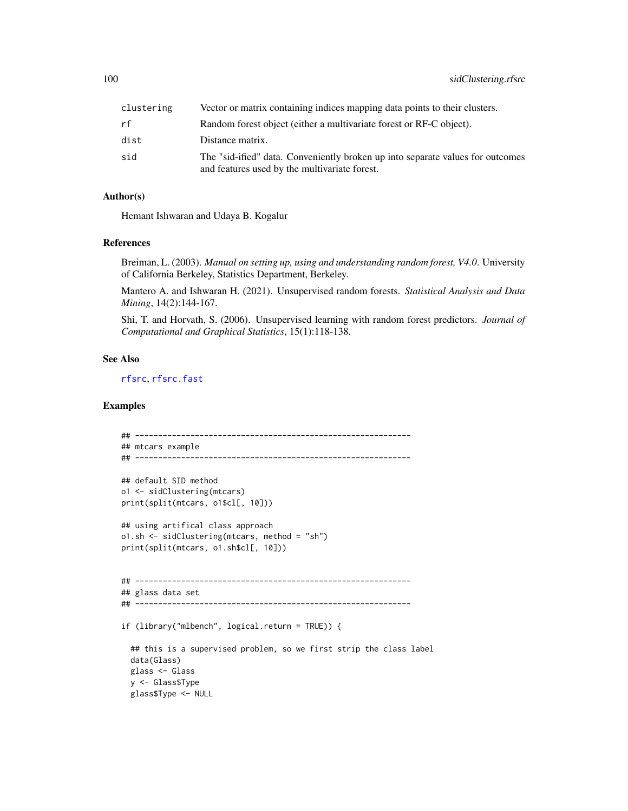| clustering | Vector or matrix containing indices mapping data points to their clusters.                                                      |
|------------|---------------------------------------------------------------------------------------------------------------------------------|
| rf         | Random forest object (either a multivariate forest or RF-C object).                                                             |
| dist       | Distance matrix.                                                                                                                |
| sid        | The "sid-ified" data. Conveniently broken up into separate values for outcomes<br>and features used by the multivariate forest. |

## Author(s)

Hemant Ishwaran and Udaya B. Kogalur

### References

Breiman, L. (2003). *Manual on setting up, using and understanding random forest, V4.0*. University of California Berkeley, Statistics Department, Berkeley.

Mantero A. and Ishwaran H. (2021). Unsupervised random forests. *Statistical Analysis and Data Mining*, 14(2):144-167.

Shi, T. and Horvath, S. (2006). Unsupervised learning with random forest predictors. *Journal of Computational and Graphical Statistics*, 15(1):118-138.

### See Also

[rfsrc](#page-69-0), [rfsrc.fast](#page-93-0)

## Examples

```
## ------------------------------------------------------------
## mtcars example
## ------------------------------------------------------------
## default SID method
o1 <- sidClustering(mtcars)
print(split(mtcars, o1$cl[, 10]))
## using artifical class approach
o1.sh <- sidClustering(mtcars, method = "sh")
print(split(mtcars, o1.sh$cl[, 10]))
## ------------------------------------------------------------
## glass data set
## ------------------------------------------------------------
if (library("mlbench", logical.return = TRUE)) {
 ## this is a supervised problem, so we first strip the class label
 data(Glass)
 glass <- Glass
 y <- Glass$Type
 glass$Type <- NULL
```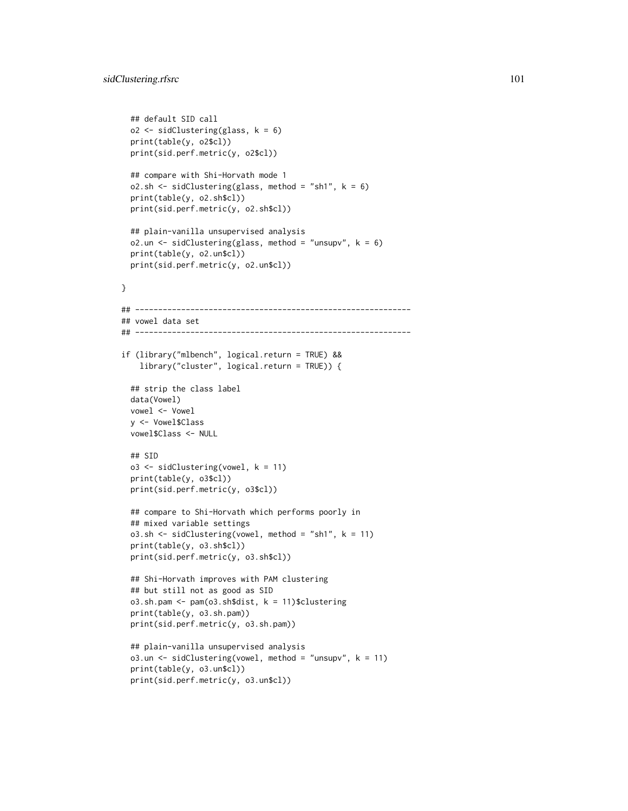```
## default SID call
 o2 <- sidClustering(glass, k = 6)
 print(table(y, o2$cl))
 print(sid.perf.metric(y, o2$cl))
 ## compare with Shi-Horvath mode 1
 o2.sh \le sidClustering(glass, method = "sh1", k = 6)
 print(table(y, o2.sh$cl))
 print(sid.perf.metric(y, o2.sh$cl))
 ## plain-vanilla unsupervised analysis
 o2.un \le sidClustering(glass, method = "unsupv", k = 6)
 print(table(y, o2.un$cl))
 print(sid.perf.metric(y, o2.un$cl))
}
## ------------------------------------------------------------
## vowel data set
## ------------------------------------------------------------
if (library("mlbench", logical.return = TRUE) &&
   library("cluster", logical.return = TRUE)) {
 ## strip the class label
 data(Vowel)
 vowel <- Vowel
 y <- Vowel$Class
 vowel$Class <- NULL
 ## SID
 o3 \leq sidClustering(vowel, k = 11)
 print(table(y, o3$cl))
 print(sid.perf.metric(y, o3$cl))
 ## compare to Shi-Horvath which performs poorly in
 ## mixed variable settings
 o3.sh <- sidClustering(vowel, method = "sh1", k = 11)
 print(table(y, o3.sh$cl))
 print(sid.perf.metric(y, o3.sh$cl))
 ## Shi-Horvath improves with PAM clustering
 ## but still not as good as SID
 o3.sh.pam <- pam(o3.sh$dist, k = 11)$clustering
 print(table(y, o3.sh.pam))
 print(sid.perf.metric(y, o3.sh.pam))
 ## plain-vanilla unsupervised analysis
 o3.un \le sidClustering(vowel, method = "unsupv", k = 11)
 print(table(y, o3.un$cl))
 print(sid.perf.metric(y, o3.un$cl))
```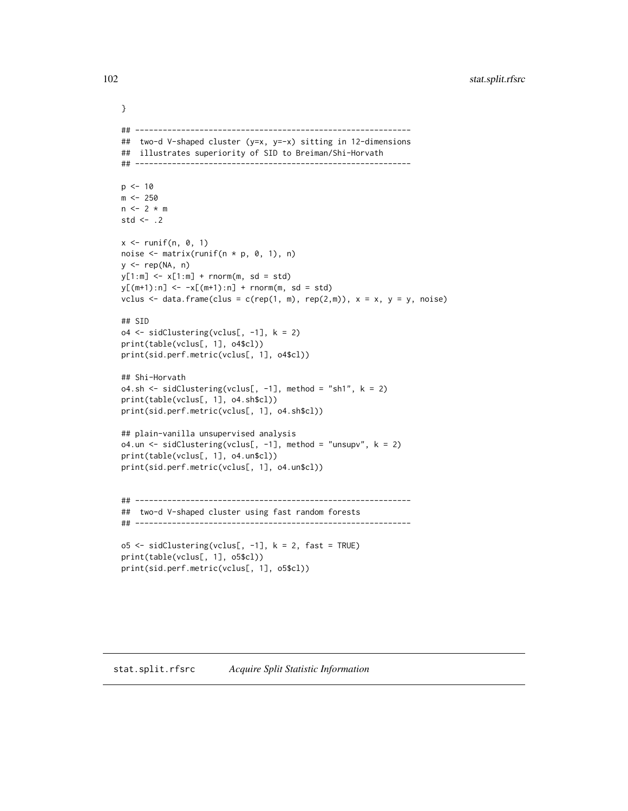102 stat.split.rfsrc

```
}
## ------------------------------------------------------------
## two-d V-shaped cluster (y=x, y=-x) sitting in 12-dimensions
## illustrates superiority of SID to Breiman/Shi-Horvath
## ------------------------------------------------------------
p \le -10m < -250n \le -2 * mstd \leftarrow .2
x \le runif(n, 0, 1)
noise \leq matrix(runif(n * p, 0, 1), n)
y <- rep(NA, n)
y[1:m] < -x[1:m] + rnorm(m, sd = std)y[(m+1):n] <- -x[(m+1):n] + rnorm(m, sd = std)vclus \leq data.frame(clus = c(rep(1, m), rep(2,m)), x = x, y = y, noise)
## SID
o4 <- sidClustering(vclus[, -1], k = 2)
print(table(vclus[, 1], o4$cl))
print(sid.perf.metric(vclus[, 1], o4$cl))
## Shi-Horvath
o4.sh < - sidClustering(vclus[, -1], method = "sh1", k = 2)print(table(vclus[, 1], o4.sh$cl))
print(sid.perf.metric(vclus[, 1], o4.sh$cl))
## plain-vanilla unsupervised analysis
o4.un <- sidClustering(vclus[, -1], method = "unsupv", k = 2)
print(table(vclus[, 1], o4.un$cl))
print(sid.perf.metric(vclus[, 1], o4.un$cl))
## ------------------------------------------------------------
## two-d V-shaped cluster using fast random forests
## ------------------------------------------------------------
o5 \leq sidClustering(vclus[, -1], k = 2, fast = TRUE)
print(table(vclus[, 1], o5$cl))
print(sid.perf.metric(vclus[, 1], o5$cl))
```
<span id="page-101-0"></span>stat.split.rfsrc *Acquire Split Statistic Information*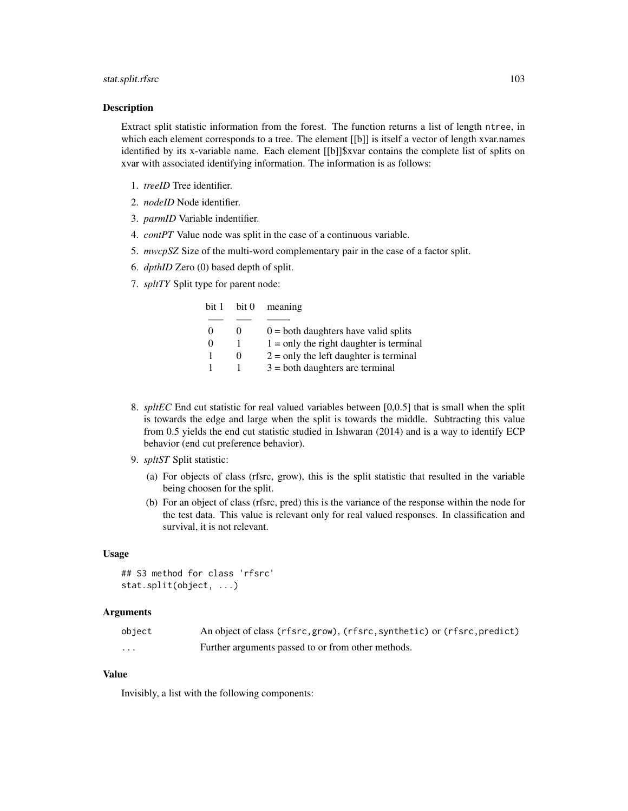## stat.split.rfsrc 103

### Description

Extract split statistic information from the forest. The function returns a list of length ntree, in which each element corresponds to a tree. The element [[b]] is itself a vector of length xvar.names identified by its x-variable name. Each element [[b]]\$xvar contains the complete list of splits on xvar with associated identifying information. The information is as follows:

- 1. *treeID* Tree identifier.
- 2. *nodeID* Node identifier.
- 3. *parmID* Variable indentifier.
- 4. *contPT* Value node was split in the case of a continuous variable.
- 5. *mwcpSZ* Size of the multi-word complementary pair in the case of a factor split.
- 6. *dpthID* Zero (0) based depth of split.
- 7. *spltTY* Split type for parent node:

| bit 1    | bit 0 | meaning                                   |
|----------|-------|-------------------------------------------|
|          |       |                                           |
| $\theta$ | 0     | $0 =$ both daughters have valid splits    |
| $\Omega$ |       | $1 =$ only the right daughter is terminal |
|          | 0     | $2 =$ only the left daughter is terminal  |
|          |       | $3 =$ both daughters are terminal         |

- 8. *spltEC* End cut statistic for real valued variables between [0,0.5] that is small when the split is towards the edge and large when the split is towards the middle. Subtracting this value from 0.5 yields the end cut statistic studied in Ishwaran (2014) and is a way to identify ECP behavior (end cut preference behavior).
- 9. *spltST* Split statistic:
	- (a) For objects of class (rfsrc, grow), this is the split statistic that resulted in the variable being choosen for the split.
	- (b) For an object of class (rfsrc, pred) this is the variance of the response within the node for the test data. This value is relevant only for real valued responses. In classification and survival, it is not relevant.

### Usage

```
## S3 method for class 'rfsrc'
stat.split(object, ...)
```
## Arguments

| object   | An object of class (rfsrc, grow), (rfsrc, synthetic) or (rfsrc, predict) |
|----------|--------------------------------------------------------------------------|
| $\cdots$ | Further arguments passed to or from other methods.                       |

### Value

Invisibly, a list with the following components: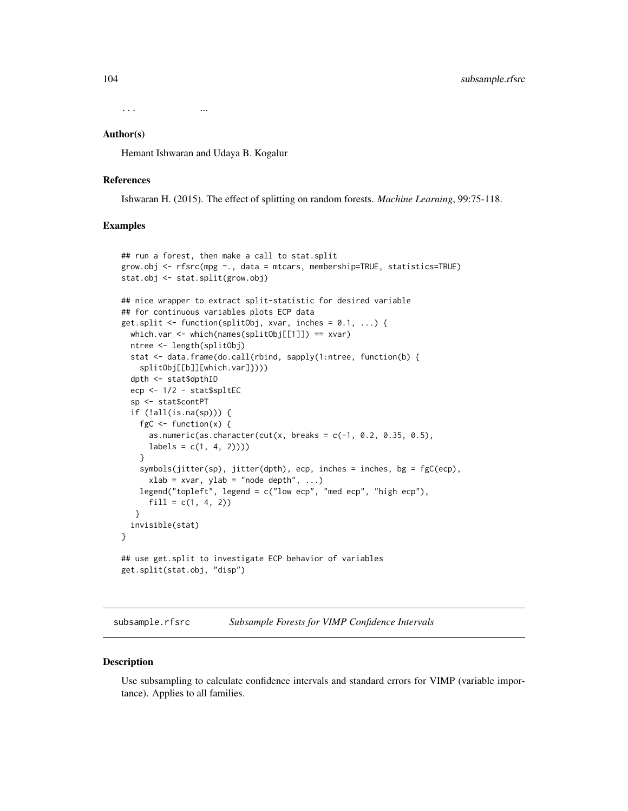... ...

#### Author(s)

Hemant Ishwaran and Udaya B. Kogalur

### References

Ishwaran H. (2015). The effect of splitting on random forests. *Machine Learning*, 99:75-118.

### Examples

```
## run a forest, then make a call to stat.split
grow.obj <- rfsrc(mpg ~., data = mtcars, membership=TRUE, statistics=TRUE)
stat.obj <- stat.split(grow.obj)
## nice wrapper to extract split-statistic for desired variable
## for continuous variables plots ECP data
get.split \leq function(splitObj, xvar, inches = 0.1, ...) {
 which.var <- which(names(splitObj[[1]]) == xvar)
 ntree <- length(splitObj)
 stat <- data.frame(do.call(rbind, sapply(1:ntree, function(b) {
   splitObj[[b]][which.var]})))
 dpth <- stat$dpthID
 ecp <- 1/2 - stat$spltEC
 sp <- stat$contPT
 if (!all(is.na(sp))) {
   fgC \leftarrow function(x) {
     as.numeric(as.character(cut(x, breaks = c(-1, 0.2, 0.35, 0.5),
     labels = c(1, 4, 2))))}
    symbols(jitter(sp), jitter(dpth), ecp, inches = inches, bg = fgC(ecp),
     xlab = xvar, ylab = "node depth", ...)legend("topleft", legend = c("low ecp", "med ecp", "high ecp"),
     fill = c(1, 4, 2))}
 invisible(stat)
}
## use get.split to investigate ECP behavior of variables
get.split(stat.obj, "disp")
```
<span id="page-103-0"></span>subsample.rfsrc *Subsample Forests for VIMP Confidence Intervals*

#### Description

Use subsampling to calculate confidence intervals and standard errors for VIMP (variable importance). Applies to all families.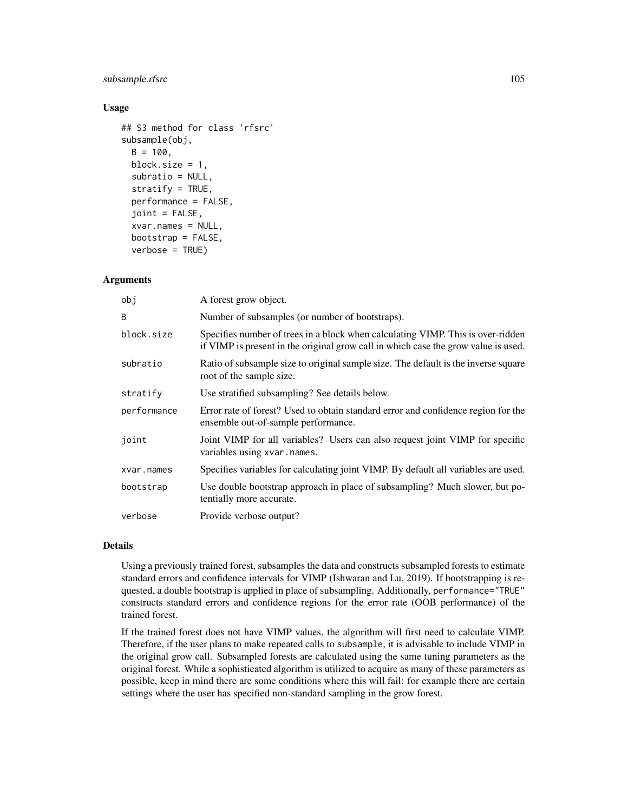## subsample.rfsrc 105

### Usage

```
## S3 method for class 'rfsrc'
subsample(obj,
 B = 100.
 block.size = 1,
  subratio = NULL,
  stratify = TRUE,
  performance = FALSE,
  joint = FALSE,
  xvar.names = NULL,
  bootstrap = FALSE,
  verbose = TRUE)
```
### Arguments

| obj         | A forest grow object.                                                                                                                                                 |  |
|-------------|-----------------------------------------------------------------------------------------------------------------------------------------------------------------------|--|
| B           | Number of subsamples (or number of bootstraps).                                                                                                                       |  |
| block.size  | Specifies number of trees in a block when calculating VIMP. This is over-ridden<br>if VIMP is present in the original grow call in which case the grow value is used. |  |
| subratio    | Ratio of subsample size to original sample size. The default is the inverse square<br>root of the sample size.                                                        |  |
| stratify    | Use stratified subsampling? See details below.                                                                                                                        |  |
| performance | Error rate of forest? Used to obtain standard error and confidence region for the<br>ensemble out-of-sample performance.                                              |  |
| joint       | Joint VIMP for all variables? Users can also request joint VIMP for specific<br>variables using xvar.names.                                                           |  |
| xvar.names  | Specifies variables for calculating joint VIMP. By default all variables are used.                                                                                    |  |
| bootstrap   | Use double bootstrap approach in place of subsampling? Much slower, but po-<br>tentially more accurate.                                                               |  |
| verbose     | Provide verbose output?                                                                                                                                               |  |

## Details

Using a previously trained forest, subsamples the data and constructs subsampled forests to estimate standard errors and confidence intervals for VIMP (Ishwaran and Lu, 2019). If bootstrapping is requested, a double bootstrap is applied in place of subsampling. Additionally, performance="TRUE" constructs standard errors and confidence regions for the error rate (OOB performance) of the trained forest.

If the trained forest does not have VIMP values, the algorithm will first need to calculate VIMP. Therefore, if the user plans to make repeated calls to subsample, it is advisable to include VIMP in the original grow call. Subsampled forests are calculated using the same tuning parameters as the original forest. While a sophisticated algorithm is utilized to acquire as many of these parameters as possible, keep in mind there are some conditions where this will fail: for example there are certain settings where the user has specified non-standard sampling in the grow forest.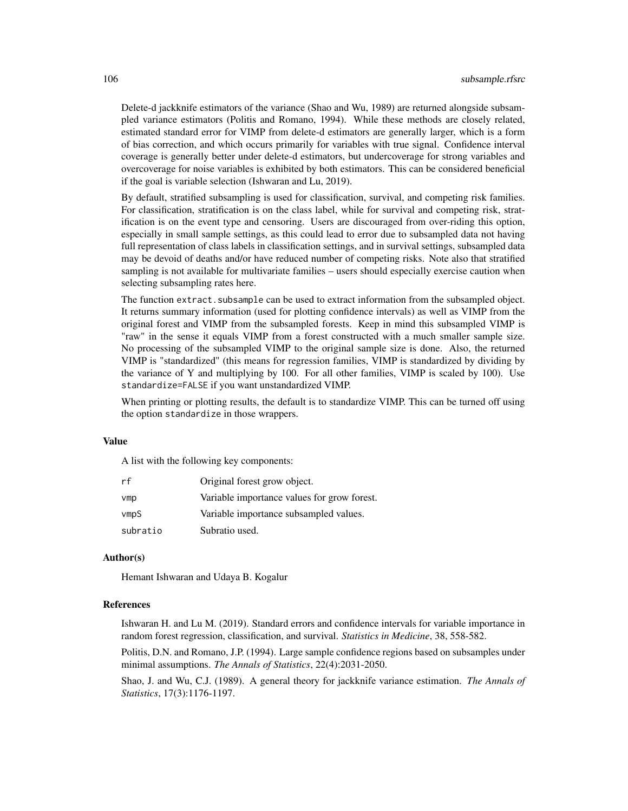Delete-d jackknife estimators of the variance (Shao and Wu, 1989) are returned alongside subsampled variance estimators (Politis and Romano, 1994). While these methods are closely related, estimated standard error for VIMP from delete-d estimators are generally larger, which is a form of bias correction, and which occurs primarily for variables with true signal. Confidence interval coverage is generally better under delete-d estimators, but undercoverage for strong variables and overcoverage for noise variables is exhibited by both estimators. This can be considered beneficial if the goal is variable selection (Ishwaran and Lu, 2019).

By default, stratified subsampling is used for classification, survival, and competing risk families. For classification, stratification is on the class label, while for survival and competing risk, stratification is on the event type and censoring. Users are discouraged from over-riding this option, especially in small sample settings, as this could lead to error due to subsampled data not having full representation of class labels in classification settings, and in survival settings, subsampled data may be devoid of deaths and/or have reduced number of competing risks. Note also that stratified sampling is not available for multivariate families – users should especially exercise caution when selecting subsampling rates here.

The function extract.subsample can be used to extract information from the subsampled object. It returns summary information (used for plotting confidence intervals) as well as VIMP from the original forest and VIMP from the subsampled forests. Keep in mind this subsampled VIMP is "raw" in the sense it equals VIMP from a forest constructed with a much smaller sample size. No processing of the subsampled VIMP to the original sample size is done. Also, the returned VIMP is "standardized" (this means for regression families, VIMP is standardized by dividing by the variance of Y and multiplying by 100. For all other families, VIMP is scaled by 100). Use standardize=FALSE if you want unstandardized VIMP.

When printing or plotting results, the default is to standardize VIMP. This can be turned off using the option standardize in those wrappers.

### Value

A list with the following key components:

| rf       | Original forest grow object.                |
|----------|---------------------------------------------|
| vmp      | Variable importance values for grow forest. |
| vmpS     | Variable importance subsampled values.      |
| subratio | Subratio used.                              |

### Author(s)

Hemant Ishwaran and Udaya B. Kogalur

### References

Ishwaran H. and Lu M. (2019). Standard errors and confidence intervals for variable importance in random forest regression, classification, and survival. *Statistics in Medicine*, 38, 558-582.

Politis, D.N. and Romano, J.P. (1994). Large sample confidence regions based on subsamples under minimal assumptions. *The Annals of Statistics*, 22(4):2031-2050.

Shao, J. and Wu, C.J. (1989). A general theory for jackknife variance estimation. *The Annals of Statistics*, 17(3):1176-1197.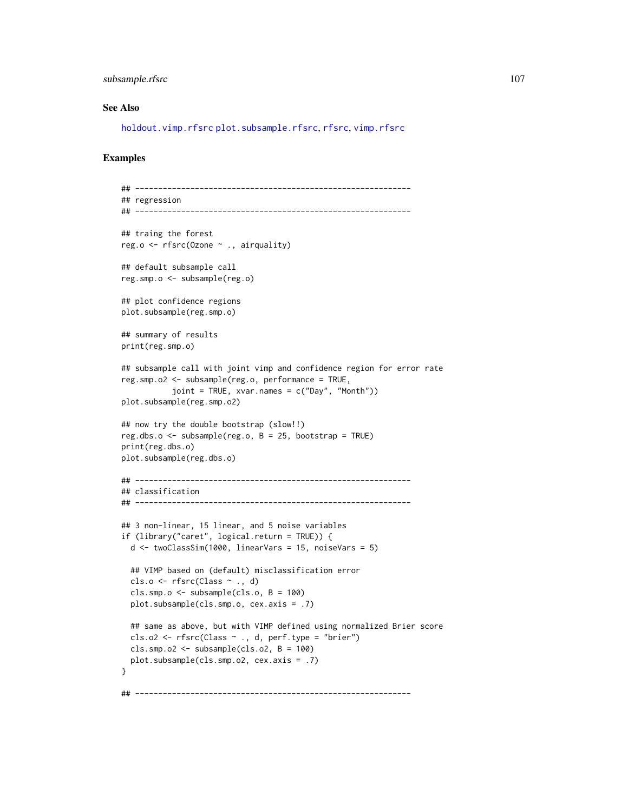## subsample.rfsrc 107

### See Also

[holdout.vimp.rfsrc](#page-13-0) [plot.subsample.rfsrc](#page-46-0), [rfsrc](#page-69-0), [vimp.rfsrc](#page-121-0)

## Examples

```
## ------------------------------------------------------------
## regression
## ------------------------------------------------------------
## traing the forest
reg.o <- rfsrc(Ozone ~ ., airquality)
## default subsample call
reg.smp.o <- subsample(reg.o)
## plot confidence regions
plot.subsample(reg.smp.o)
## summary of results
print(reg.smp.o)
## subsample call with joint vimp and confidence region for error rate
reg.smp.o2 <- subsample(reg.o, performance = TRUE,
           joint = TRUE, xvar.names = c("Day", "Month"))
plot.subsample(reg.smp.o2)
## now try the double bootstrap (slow!!)
reg.dbs.o \leq subsample(reg.o, B = 25, bootstrap = TRUE)
print(reg.dbs.o)
plot.subsample(reg.dbs.o)
## ------------------------------------------------------------
## classification
## ------------------------------------------------------------
## 3 non-linear, 15 linear, and 5 noise variables
if (library("caret", logical.return = TRUE)) {
  d \le twoClassSim(1000, linearVars = 15, noiseVars = 5)
  ## VIMP based on (default) misclassification error
  cls.o <- rfsrc(Class \sim ., d)
  cls.smp.o <- subsample(cls.o, B = 100)
  plot.subsample(cls.smp.o, cex.axis = .7)
  ## same as above, but with VIMP defined using normalized Brier score
  cls.o2 <- rfsrc(Class ~ ., d, perf.type = "brier")cls.smp.o2 \leftarrow subsample(cls.o2, B = 100)plot.subsample(cls.smp.o2, cex.axis = .7)
}
## ------------------------------------------------------------
```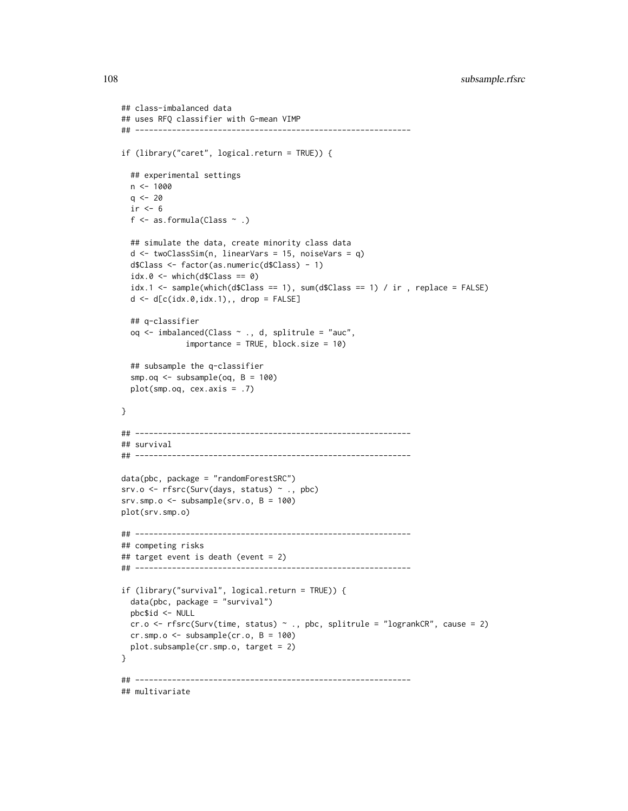```
## class-imbalanced data
## uses RFQ classifier with G-mean VIMP
## ------------------------------------------------------------
if (library("caret", logical.return = TRUE)) {
 ## experimental settings
 n < - 1000q \le -20ir < -6f \leq as.formula(Class \sim .)
 ## simulate the data, create minority class data
 d \leq twoClassSim(n, linearVars = 15, noiseVars = q)
 d$Class <- factor(as.numeric(d$Class) - 1)
 idx.0 \leftarrow which(d$Class == 0)idx.1 \leftarrow sample(which(d$Class == 1), sum(d$Class == 1) / ir, replace = FALSE)d \leq d[c(idx.0,idx.1),, drop = FALSE]## q-classifier
 oq <- imbalanced(Class ~ ., d, splitrule = "auc",
              importance = TRUE, block.size = 10)
 ## subsample the q-classifier
 smp.oq <- subsample(oq, B = 100)
 plot(smp.oq, cex.axis = .7)
}
## ------------------------------------------------------------
## survival
## ------------------------------------------------------------
data(pbc, package = "randomForestSRC")
srv.o <- rfsrc(Surv(days, status) ~ ., pbc)
srv.smp.o < -subsubsample(srv.o, B = 100)plot(srv.smp.o)
## ------------------------------------------------------------
## competing risks
## target event is death (event = 2)
## ------------------------------------------------------------
if (library("survival", logical.return = TRUE)) {
 data(pbc, package = "survival")
 pbc$id <- NULL
 cr.o \le rfsrc(Surv(time, status) \sim ., pbc, splitrule = "logrankCR", cause = 2)
 cr.smp.o \leq subsample(cr.o, B = 100)plot.subsample(cr.smp.o, target = 2)
}
## ------------------------------------------------------------
## multivariate
```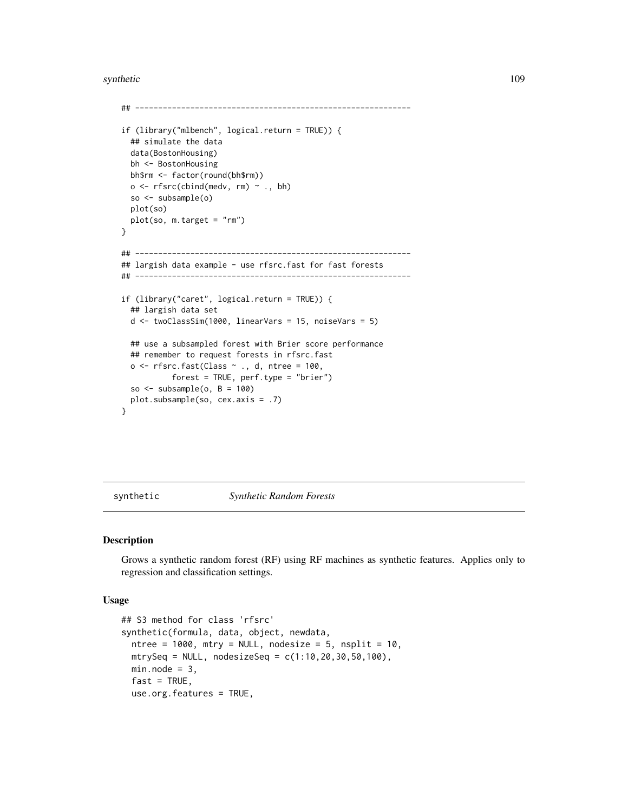<span id="page-108-0"></span>synthetic and the synthetic control of the synthetic control of the synthetic control of the synthetic control of the synthetic control of the synthetic control of the synthetic control of the synthetic control of the synt

```
## ------------------------------------------------------------
if (library("mlbench", logical.return = TRUE)) {
 ## simulate the data
 data(BostonHousing)
 bh <- BostonHousing
 bh$rm <- factor(round(bh$rm))
 o \leftarrow \text{rfsrc}(\text{cbind}(\text{medv}, \text{rm}) \sim ., \text{bh})so <- subsample(o)
 plot(so)
 plot(so, m.target = "rm")
}
## ------------------------------------------------------------
## largish data example - use rfsrc.fast for fast forests
## ------------------------------------------------------------
if (library("caret", logical.return = TRUE)) {
 ## largish data set
 d \le twoClassSim(1000, linearVars = 15, noiseVars = 5)
 ## use a subsampled forest with Brier score performance
 ## remember to request forests in rfsrc.fast
  o <- rfsrc.fast(Class ~ ., d, ntree = 100,
            forest = TRUE, perf.type = "brier")
 so \le subsample(o, B = 100)
 plot.subsample(so, cex.axis = .7)
}
```
synthetic *Synthetic Random Forests*

#### Description

Grows a synthetic random forest (RF) using RF machines as synthetic features. Applies only to regression and classification settings.

#### Usage

```
## S3 method for class 'rfsrc'
synthetic(formula, data, object, newdata,
  ntree = 1000, mtry = NULL, nodesize = 5, nsplit = 10,
 mtrySeq = NULL, nodesizeSeq = c(1:10, 20, 30, 50, 100),
 min.node = 3,fast = TRUE,use.org.features = TRUE,
```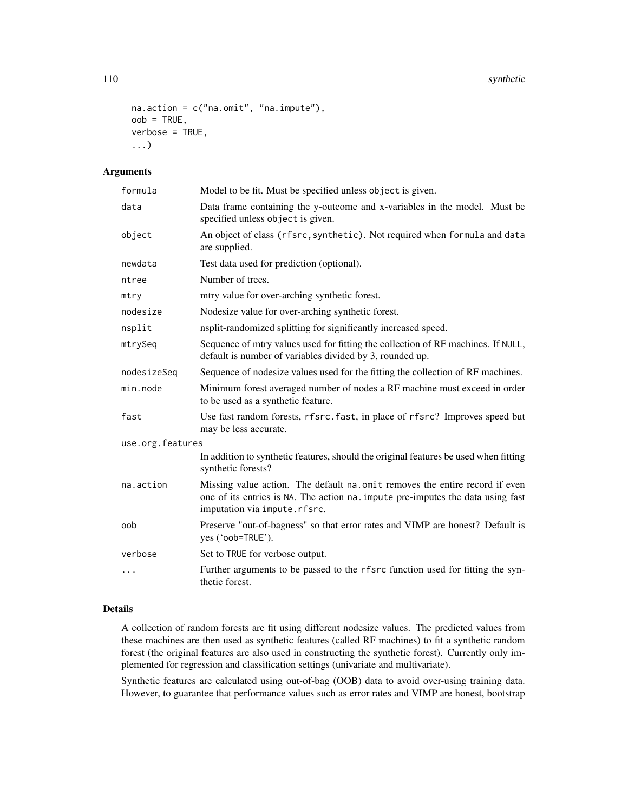```
na.action = c("na.omit", "na.impute"),
oob = TRUE,verbose = TRUE,
...)
```
# Arguments

| formula          | Model to be fit. Must be specified unless object is given.                                                                                                                                     |
|------------------|------------------------------------------------------------------------------------------------------------------------------------------------------------------------------------------------|
| data             | Data frame containing the y-outcome and x-variables in the model. Must be<br>specified unless object is given.                                                                                 |
| object           | An object of class (rfsrc, synthetic). Not required when formula and data<br>are supplied.                                                                                                     |
| newdata          | Test data used for prediction (optional).                                                                                                                                                      |
| ntree            | Number of trees.                                                                                                                                                                               |
| mtry             | mtry value for over-arching synthetic forest.                                                                                                                                                  |
| nodesize         | Nodesize value for over-arching synthetic forest.                                                                                                                                              |
| nsplit           | nsplit-randomized splitting for significantly increased speed.                                                                                                                                 |
| mtrySeq          | Sequence of mtry values used for fitting the collection of RF machines. If NULL,<br>default is number of variables divided by 3, rounded up.                                                   |
| nodesizeSeq      | Sequence of nodesize values used for the fitting the collection of RF machines.                                                                                                                |
| min.node         | Minimum forest averaged number of nodes a RF machine must exceed in order<br>to be used as a synthetic feature.                                                                                |
| fast             | Use fast random forests, rfsrc.fast, in place of rfsrc? Improves speed but<br>may be less accurate.                                                                                            |
| use.org.features |                                                                                                                                                                                                |
|                  | In addition to synthetic features, should the original features be used when fitting<br>synthetic forests?                                                                                     |
| na.action        | Missing value action. The default na.omit removes the entire record if even<br>one of its entries is NA. The action na. impute pre-imputes the data using fast<br>imputation via impute.rfsrc. |
| oob              | Preserve "out-of-bagness" so that error rates and VIMP are honest? Default is<br>yes ('oob=TRUE').                                                                                             |
| verbose          | Set to TRUE for verbose output.                                                                                                                                                                |
| .                | Further arguments to be passed to the rfsrc function used for fitting the syn-<br>thetic forest.                                                                                               |

# Details

A collection of random forests are fit using different nodesize values. The predicted values from these machines are then used as synthetic features (called RF machines) to fit a synthetic random forest (the original features are also used in constructing the synthetic forest). Currently only implemented for regression and classification settings (univariate and multivariate).

Synthetic features are calculated using out-of-bag (OOB) data to avoid over-using training data. However, to guarantee that performance values such as error rates and VIMP are honest, bootstrap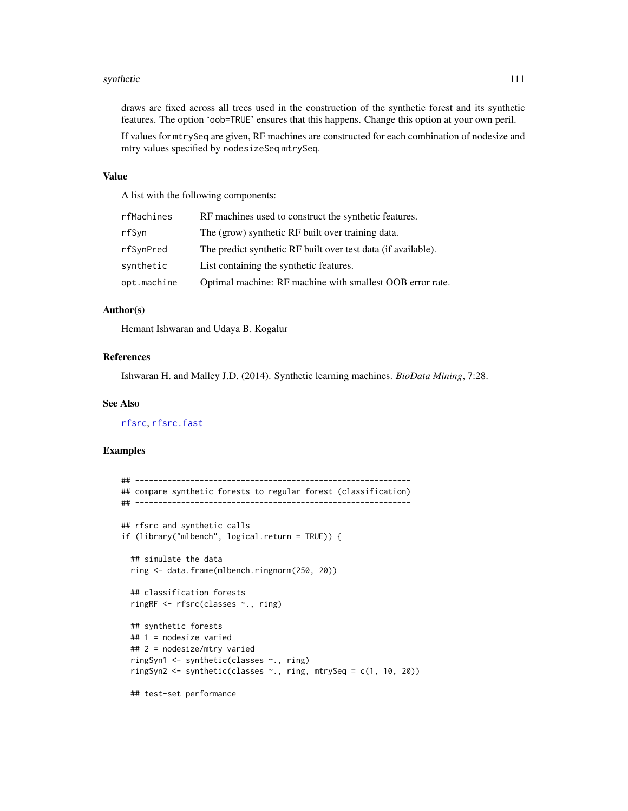#### <span id="page-110-0"></span>synthetic 111

draws are fixed across all trees used in the construction of the synthetic forest and its synthetic features. The option 'oob=TRUE' ensures that this happens. Change this option at your own peril.

If values for mtrySeq are given, RF machines are constructed for each combination of nodesize and mtry values specified by nodesizeSeq mtrySeq.

## Value

A list with the following components:

| rfMachines  | RF machines used to construct the synthetic features.         |
|-------------|---------------------------------------------------------------|
| rfSyn       | The (grow) synthetic RF built over training data.             |
| rfSynPred   | The predict synthetic RF built over test data (if available). |
| synthetic   | List containing the synthetic features.                       |
| opt.machine | Optimal machine: RF machine with smallest OOB error rate.     |

# Author(s)

Hemant Ishwaran and Udaya B. Kogalur

# References

Ishwaran H. and Malley J.D. (2014). Synthetic learning machines. *BioData Mining*, 7:28.

#### See Also

[rfsrc](#page-69-0), [rfsrc.fast](#page-93-0)

```
## ------------------------------------------------------------
## compare synthetic forests to regular forest (classification)
## ------------------------------------------------------------
## rfsrc and synthetic calls
if (library("mlbench", logical.return = TRUE)) {
 ## simulate the data
 ring <- data.frame(mlbench.ringnorm(250, 20))
 ## classification forests
 ringRF <- rfsrc(classes ~., ring)
 ## synthetic forests
 ## 1 = nodesize varied
 ## 2 = nodesize/mtry varied
 ringSyn1 <- synthetic(classes ~., ring)
 ringSyn2 <- synthetic(classes ~., ring, mtrySeq = c(1, 10, 20))
 ## test-set performance
```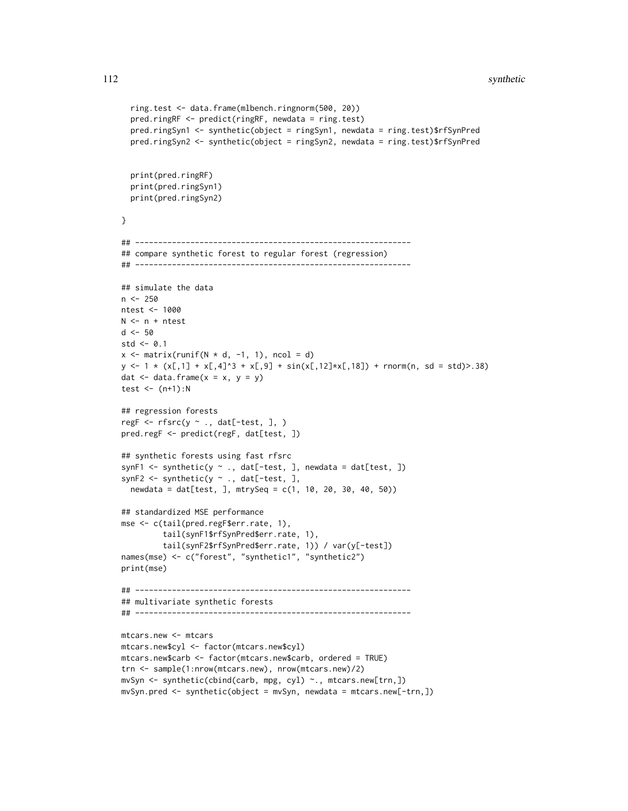```
ring.test <- data.frame(mlbench.ringnorm(500, 20))
  pred.ringRF <- predict(ringRF, newdata = ring.test)
  pred.ringSyn1 <- synthetic(object = ringSyn1, newdata = ring.test)$rfSynPred
  pred.ringSyn2 <- synthetic(object = ringSyn2, newdata = ring.test)$rfSynPred
  print(pred.ringRF)
  print(pred.ringSyn1)
  print(pred.ringSyn2)
}
## ------------------------------------------------------------
## compare synthetic forest to regular forest (regression)
## ------------------------------------------------------------
## simulate the data
n < -250ntest <- 1000
N <- n + ntest
d <- 50
std \leq -0.1x \leftarrow matrix(runif(N * d, -1, 1), ncol = d)
y \le -1 \times (x[,1] + x[,4]<sup>3</sup> + x[,9] + sin(x[,12] *x[,18] + rnorm(n, sd = std)>.38)
dat \leq data.frame(x = x, y = y)
test \leftarrow (n+1):N
## regression forests
regF <- rfsrc(y ~ ., dat[-test, ], )
pred.regF <- predict(regF, dat[test, ])
## synthetic forests using fast rfsrc
synF1 <- synthetic(y \sim ., dat[-test, ], newdata = dat[test, ])
synF2 <- synthetic(y \sim ., dat[-test, ],
 newdata = dat[test, ], mtrySeq = c(1, 10, 20, 30, 40, 50))
## standardized MSE performance
mse <- c(tail(pred.regF$err.rate, 1),
         tail(synF1$rfSynPred$err.rate, 1),
         tail(synF2$rfSynPred$err.rate, 1)) / var(y[-test])
names(mse) <- c("forest", "synthetic1", "synthetic2")
print(mse)
## ------------------------------------------------------------
## multivariate synthetic forests
## ------------------------------------------------------------
mtcars.new <- mtcars
mtcars.new$cyl <- factor(mtcars.new$cyl)
mtcars.new$carb <- factor(mtcars.new$carb, ordered = TRUE)
trn <- sample(1:nrow(mtcars.new), nrow(mtcars.new)/2)
mvSyn <- synthetic(cbind(carb, mpg, cyl) ~., mtcars.new[trn,])
mvSyn.pred \leq -synthetic(object = mvSyn, newdata = mtcars.new[-trn,])
```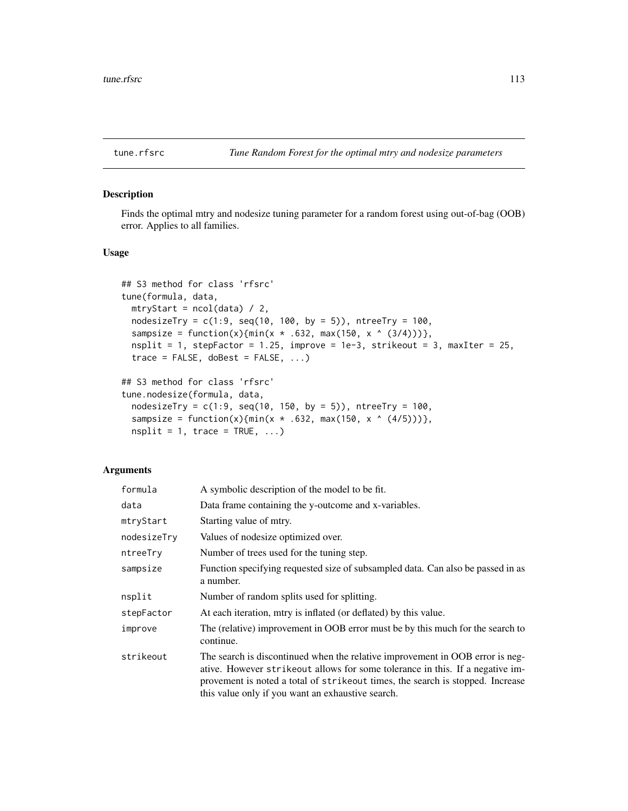<span id="page-112-0"></span>

Finds the optimal mtry and nodesize tuning parameter for a random forest using out-of-bag (OOB) error. Applies to all families.

# Usage

```
## S3 method for class 'rfsrc'
tune(formula, data,
 mtryStart = ncol(data) / 2,
 nodesizeTry = c(1:9, seq(10, 100, by = 5)), ntreeTry = 100,
 sampsize = function(x){min(x * .632, max(150, x ^ (3/4)))},
 nsplit = 1, stepFactor = 1.25, improve = 1e-3, strikeout = 3, maxIter = 25,
 trace = FALSE, doBest = FALSE, ...)
```

```
## S3 method for class 'rfsrc'
tune.nodesize(formula, data,
 nodesizeTry = c(1:9, seq(10, 150, by = 5)), ntreeTry = 100,
 sampsize = function(x){min(x * .632, max(150, x ^ (4/5)))},
 nsplit = 1, trace = TRUE, ...)
```
#### Arguments

| formula     | A symbolic description of the model to be fit.                                                                                                                                                                                                                                                          |
|-------------|---------------------------------------------------------------------------------------------------------------------------------------------------------------------------------------------------------------------------------------------------------------------------------------------------------|
| data        | Data frame containing the y-outcome and x-variables.                                                                                                                                                                                                                                                    |
| mtryStart   | Starting value of mtry.                                                                                                                                                                                                                                                                                 |
| nodesizeTry | Values of nodesize optimized over.                                                                                                                                                                                                                                                                      |
| ntreeTry    | Number of trees used for the tuning step.                                                                                                                                                                                                                                                               |
| sampsize    | Function specifying requested size of subsampled data. Can also be passed in as<br>a number.                                                                                                                                                                                                            |
| nsplit      | Number of random splits used for splitting.                                                                                                                                                                                                                                                             |
| stepFactor  | At each iteration, mtry is inflated (or deflated) by this value.                                                                                                                                                                                                                                        |
| improve     | The (relative) improvement in OOB error must be by this much for the search to<br>continue.                                                                                                                                                                                                             |
| strikeout   | The search is discontinued when the relative improvement in OOB error is neg-<br>ative. However strike out allows for some tolerance in this. If a negative im-<br>provement is noted a total of strike out times, the search is stopped. Increase<br>this value only if you want an exhaustive search. |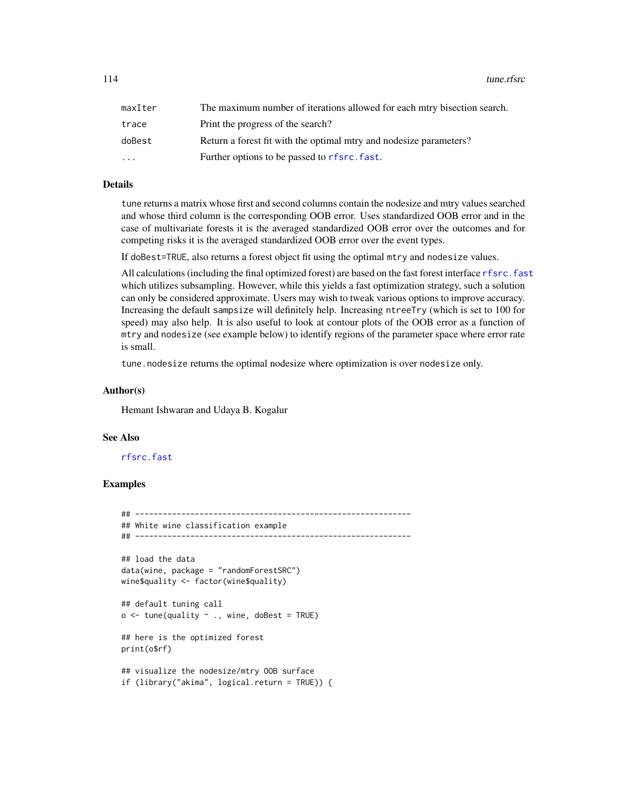<span id="page-113-0"></span>114 tune.rfsrc

| maxIter   | The maximum number of iterations allowed for each miry bisection search. |
|-----------|--------------------------------------------------------------------------|
| trace     | Print the progress of the search?                                        |
| doBest    | Return a forest fit with the optimal mtry and nodesize parameters?       |
| $\ddotsc$ | Further options to be passed to rfsrc. fast.                             |

# Details

tune returns a matrix whose first and second columns contain the nodesize and mtry values searched and whose third column is the corresponding OOB error. Uses standardized OOB error and in the case of multivariate forests it is the averaged standardized OOB error over the outcomes and for competing risks it is the averaged standardized OOB error over the event types.

If doBest=TRUE, also returns a forest object fit using the optimal mtry and nodesize values.

All calculations (including the final optimized forest) are based on the fast forest interface [rfsrc.fast](#page-93-0) which utilizes subsampling. However, while this yields a fast optimization strategy, such a solution can only be considered approximate. Users may wish to tweak various options to improve accuracy. Increasing the default sampsize will definitely help. Increasing ntreeTry (which is set to 100 for speed) may also help. It is also useful to look at contour plots of the OOB error as a function of mtry and nodesize (see example below) to identify regions of the parameter space where error rate is small.

tune.nodesize returns the optimal nodesize where optimization is over nodesize only.

#### Author(s)

Hemant Ishwaran and Udaya B. Kogalur

#### See Also

#### [rfsrc.fast](#page-93-0)

```
## ------------------------------------------------------------
## White wine classification example
## ------------------------------------------------------------
## load the data
data(wine, package = "randomForestSRC")
wine$quality <- factor(wine$quality)
## default tuning call
o \le tune(quality \sim ., wine, doBest = TRUE)
## here is the optimized forest
print(o$rf)
## visualize the nodesize/mtry OOB surface
if (library("akima", logical.return = TRUE)) {
```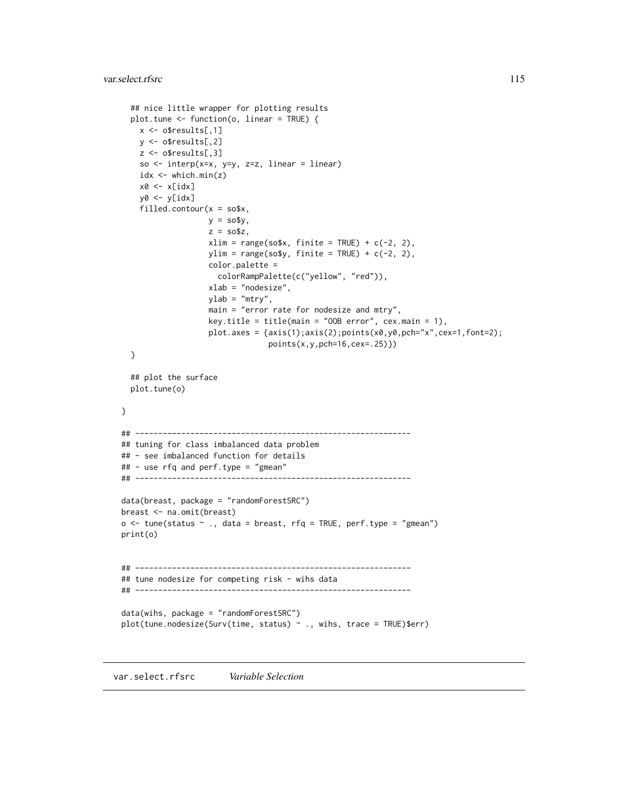```
## nice little wrapper for plotting results
  plot.tune <- function(o, linear = TRUE) {
   x \leq - o$results[,1]
   y <- o$results[,2]
   z <- o$results[,3]
    so \le interp(x=x, y=y, z=z, linear = linear)
   idx <- which.min(z)
   x0 \leftarrow x[idx]y0 <- y[idx]
    filled.contour(x = so$x,
                   y = so$y,
                   z = so$z,
                   xlim = range(sosx, finite = TRUE) + c(-2, 2),ylim = range(sosy, finite = TRUE) + c(-2, 2),color.palette =
                     colorRampPalette(c("yellow", "red")),
                   xlab = "nodesize",
                   ylab = "mtry",
                   main = "error rate for nodesize and mtry",
                   key.title = title(main = "00B error", cex.mainloop = 1),
                   plot.axes = {axis(1);axis(2);points(x0,y0,pch="x",cex=1,font=2);
                                points(x,y,pch=16,cex=.25)})
  }
  ## plot the surface
  plot.tune(o)
}
## ------------------------------------------------------------
## tuning for class imbalanced data problem
## - see imbalanced function for details
## - use rfq and perf.type = "gmean"
## ------------------------------------------------------------
data(breast, package = "randomForestSRC")
breast <- na.omit(breast)
o \leq tune(status \sim ., data = breast, rfq = TRUE, perf.type = "gmean")
print(o)
## ------------------------------------------------------------
## tune nodesize for competing risk - wihs data
## ------------------------------------------------------------
data(wihs, package = "randomForestSRC")
plot(tune.nodesize(Surv(time, status) ~ ., wihs, trace = TRUE)$err)
```
var.select.rfsrc *Variable Selection*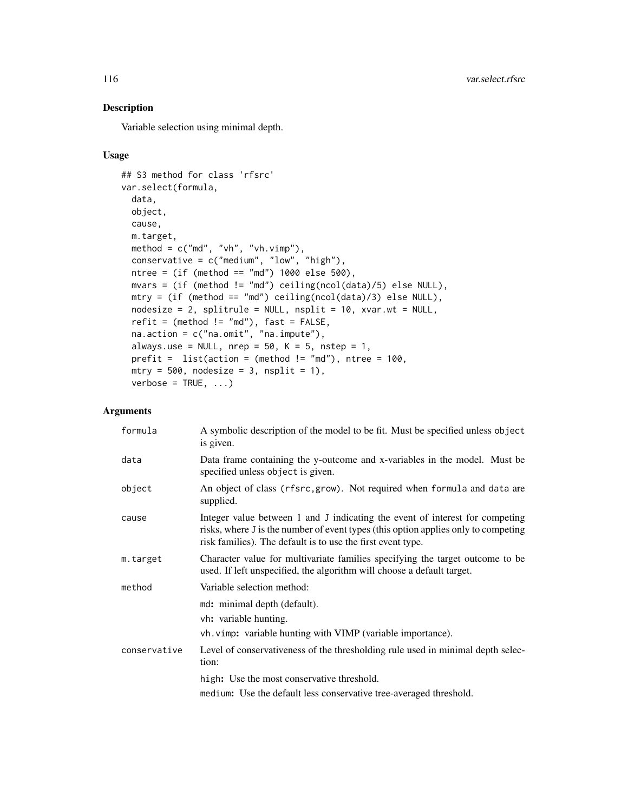Variable selection using minimal depth.

# Usage

```
## S3 method for class 'rfsrc'
var.select(formula,
 data,
 object,
 cause,
 m.target,
 method = c("md", "vh", "vh.vimp"),conservative = c("medium", "low", "high"),
 ntree = (if (method == "md") 1000 else 500),mvars = (if (method != "md") ceiling(ncol(data)/5) else NULL),
 mtry = (if (method == "md") ceiling(ncol(data)/3) else NULL),
 nodesize = 2, splitrule = NULL, nsplit = 10, xvar.wt = NULL,
  refit = (method != "md"), fast = FALSE,
 na.action = c("na.omit", "na.impute"),
  always.use = NULL, nrep = 50, K = 5, nstep = 1,
 prefit = list(action = (method != "md"), ntree = 100,
 mtry = 500, nodesize = 3, nsplit = 1),
  verbose = TRUE, ...)
```
# Arguments

| formula      | A symbolic description of the model to be fit. Must be specified unless object<br>is given.                                                                                                                                       |
|--------------|-----------------------------------------------------------------------------------------------------------------------------------------------------------------------------------------------------------------------------------|
| data         | Data frame containing the y-outcome and x-variables in the model. Must be<br>specified unless object is given.                                                                                                                    |
| object       | An object of class (rfsrc, grow). Not required when formula and data are<br>supplied.                                                                                                                                             |
| cause        | Integer value between 1 and J indicating the event of interest for competing<br>risks, where J is the number of event types (this option applies only to competing<br>risk families). The default is to use the first event type. |
| m.target     | Character value for multivariate families specifying the target outcome to be<br>used. If left unspecified, the algorithm will choose a default target.                                                                           |
| method       | Variable selection method:                                                                                                                                                                                                        |
|              | md: minimal depth (default).<br>vh: variable hunting.<br>vh. vimp: variable hunting with VIMP (variable importance).                                                                                                              |
| conservative | Level of conservativeness of the thresholding rule used in minimal depth selec-<br>tion:                                                                                                                                          |
|              | high: Use the most conservative threshold.                                                                                                                                                                                        |
|              | medium: Use the default less conservative tree-averaged threshold.                                                                                                                                                                |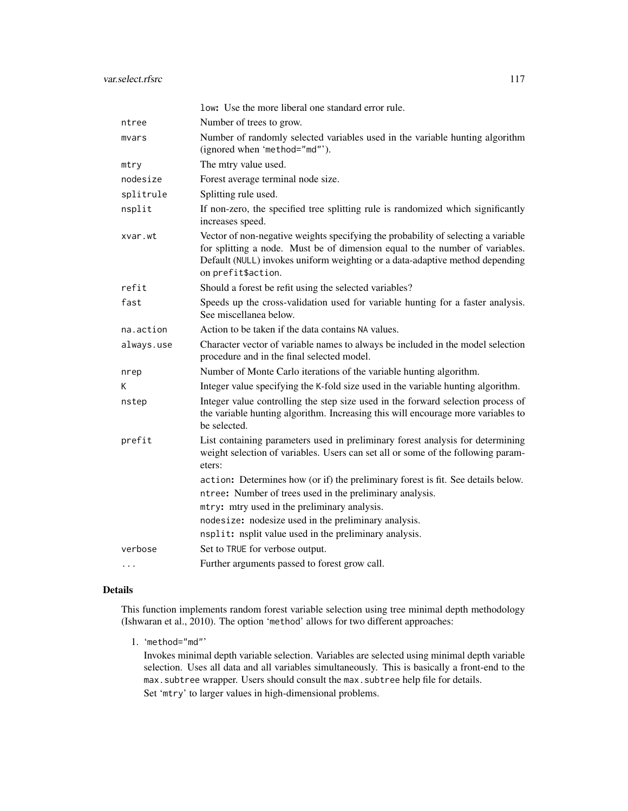|            | low: Use the more liberal one standard error rule.                                                                                                                                                                                                                      |
|------------|-------------------------------------------------------------------------------------------------------------------------------------------------------------------------------------------------------------------------------------------------------------------------|
| ntree      | Number of trees to grow.                                                                                                                                                                                                                                                |
| mvars      | Number of randomly selected variables used in the variable hunting algorithm<br>(ignored when 'method="md"').                                                                                                                                                           |
| mtry       | The mtry value used.                                                                                                                                                                                                                                                    |
| nodesize   | Forest average terminal node size.                                                                                                                                                                                                                                      |
| splitrule  | Splitting rule used.                                                                                                                                                                                                                                                    |
| nsplit     | If non-zero, the specified tree splitting rule is randomized which significantly<br>increases speed.                                                                                                                                                                    |
| xvar.wt    | Vector of non-negative weights specifying the probability of selecting a variable<br>for splitting a node. Must be of dimension equal to the number of variables.<br>Default (NULL) invokes uniform weighting or a data-adaptive method depending<br>on prefit\$action. |
| refit      | Should a forest be refit using the selected variables?                                                                                                                                                                                                                  |
| fast       | Speeds up the cross-validation used for variable hunting for a faster analysis.<br>See miscellanea below.                                                                                                                                                               |
| na.action  | Action to be taken if the data contains NA values.                                                                                                                                                                                                                      |
| always.use | Character vector of variable names to always be included in the model selection<br>procedure and in the final selected model.                                                                                                                                           |
| nrep       | Number of Monte Carlo iterations of the variable hunting algorithm.                                                                                                                                                                                                     |
| K          | Integer value specifying the K-fold size used in the variable hunting algorithm.                                                                                                                                                                                        |
| nstep      | Integer value controlling the step size used in the forward selection process of<br>the variable hunting algorithm. Increasing this will encourage more variables to<br>be selected.                                                                                    |
| prefit     | List containing parameters used in preliminary forest analysis for determining<br>weight selection of variables. Users can set all or some of the following param-<br>eters:                                                                                            |
|            | action: Determines how (or if) the preliminary forest is fit. See details below.                                                                                                                                                                                        |
|            | ntree: Number of trees used in the preliminary analysis.                                                                                                                                                                                                                |
|            | mtry: mtry used in the preliminary analysis.                                                                                                                                                                                                                            |
|            | nodesize: nodesize used in the preliminary analysis.                                                                                                                                                                                                                    |
|            | nsplit: nsplit value used in the preliminary analysis.                                                                                                                                                                                                                  |
| verbose    | Set to TRUE for verbose output.                                                                                                                                                                                                                                         |
| .          | Further arguments passed to forest grow call.                                                                                                                                                                                                                           |

# Details

This function implements random forest variable selection using tree minimal depth methodology (Ishwaran et al., 2010). The option 'method' allows for two different approaches:

1. 'method="md"'

Invokes minimal depth variable selection. Variables are selected using minimal depth variable selection. Uses all data and all variables simultaneously. This is basically a front-end to the max. subtree wrapper. Users should consult the max. subtree help file for details. Set 'mtry' to larger values in high-dimensional problems.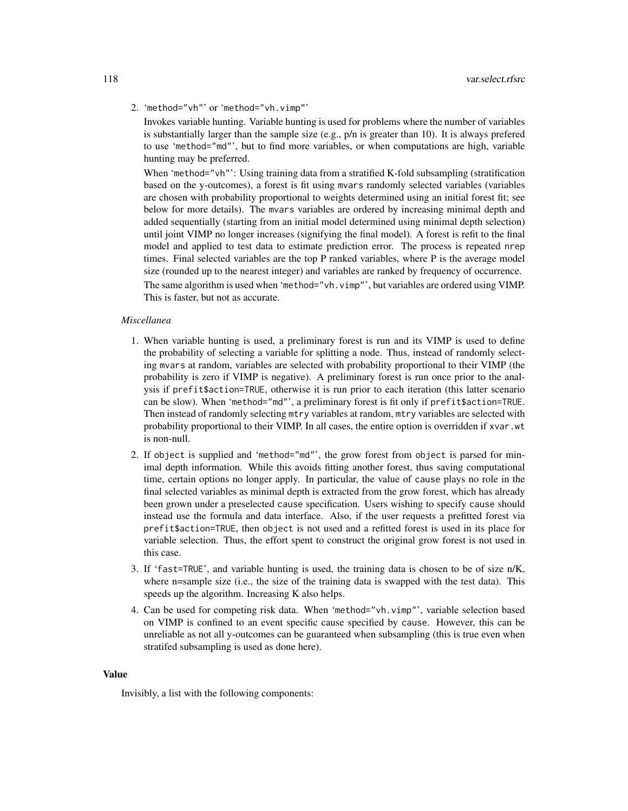2. 'method="vh"' or 'method="vh.vimp"'

Invokes variable hunting. Variable hunting is used for problems where the number of variables is substantially larger than the sample size (e.g.,  $p/n$  is greater than 10). It is always prefered to use 'method="md"', but to find more variables, or when computations are high, variable hunting may be preferred.

When 'method="vh"': Using training data from a stratified K-fold subsampling (stratification based on the y-outcomes), a forest is fit using mvars randomly selected variables (variables are chosen with probability proportional to weights determined using an initial forest fit; see below for more details). The mvars variables are ordered by increasing minimal depth and added sequentially (starting from an initial model determined using minimal depth selection) until joint VIMP no longer increases (signifying the final model). A forest is refit to the final model and applied to test data to estimate prediction error. The process is repeated nrep times. Final selected variables are the top P ranked variables, where P is the average model size (rounded up to the nearest integer) and variables are ranked by frequency of occurrence.

The same algorithm is used when 'method="vh.vimp"', but variables are ordered using VIMP. This is faster, but not as accurate.

# *Miscellanea*

- 1. When variable hunting is used, a preliminary forest is run and its VIMP is used to define the probability of selecting a variable for splitting a node. Thus, instead of randomly selecting mvars at random, variables are selected with probability proportional to their VIMP (the probability is zero if VIMP is negative). A preliminary forest is run once prior to the analysis if prefit\$action=TRUE, otherwise it is run prior to each iteration (this latter scenario can be slow). When 'method="md"', a preliminary forest is fit only if prefit\$action=TRUE. Then instead of randomly selecting mtry variables at random, mtry variables are selected with probability proportional to their VIMP. In all cases, the entire option is overridden if xvar.wt is non-null.
- 2. If object is supplied and 'method="md"', the grow forest from object is parsed for minimal depth information. While this avoids fitting another forest, thus saving computational time, certain options no longer apply. In particular, the value of cause plays no role in the final selected variables as minimal depth is extracted from the grow forest, which has already been grown under a preselected cause specification. Users wishing to specify cause should instead use the formula and data interface. Also, if the user requests a prefitted forest via prefit\$action=TRUE, then object is not used and a refitted forest is used in its place for variable selection. Thus, the effort spent to construct the original grow forest is not used in this case.
- 3. If 'fast=TRUE', and variable hunting is used, the training data is chosen to be of size n/K, where n=sample size (i.e., the size of the training data is swapped with the test data). This speeds up the algorithm. Increasing K also helps.
- 4. Can be used for competing risk data. When 'method="vh.vimp"', variable selection based on VIMP is confined to an event specific cause specified by cause. However, this can be unreliable as not all y-outcomes can be guaranteed when subsampling (this is true even when stratifed subsampling is used as done here).

#### Value

Invisibly, a list with the following components: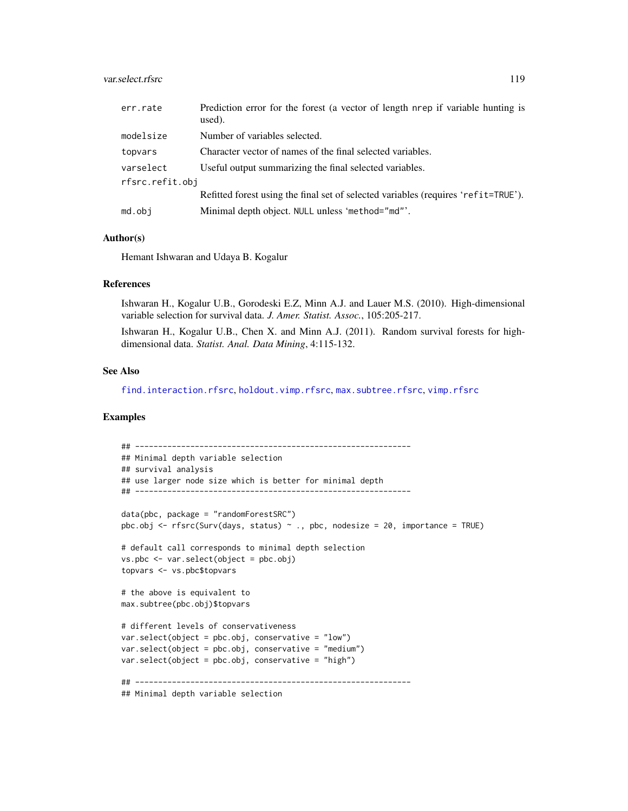## <span id="page-118-0"></span>var.select.rfsrc 119

| err.rate        | Prediction error for the forest (a vector of length nrep if variable hunting is<br>used). |
|-----------------|-------------------------------------------------------------------------------------------|
| modelsize       | Number of variables selected.                                                             |
| topvars         | Character vector of names of the final selected variables.                                |
| varselect       | Useful output summarizing the final selected variables.                                   |
| rfsrc.refit.obj |                                                                                           |
|                 | Refitted forest using the final set of selected variables (requires 'refit=TRUE').        |
| md.obj          | Minimal depth object. NULL unless 'method="md"'.                                          |

#### Author(s)

Hemant Ishwaran and Udaya B. Kogalur

#### References

Ishwaran H., Kogalur U.B., Gorodeski E.Z, Minn A.J. and Lauer M.S. (2010). High-dimensional variable selection for survival data. *J. Amer. Statist. Assoc.*, 105:205-217.

Ishwaran H., Kogalur U.B., Chen X. and Minn A.J. (2011). Random survival forests for highdimensional data. *Statist. Anal. Data Mining*, 4:115-132.

# See Also

[find.interaction.rfsrc](#page-6-0), [holdout.vimp.rfsrc](#page-13-0), [max.subtree.rfsrc](#page-30-0), [vimp.rfsrc](#page-121-0)

```
## ------------------------------------------------------------
## Minimal depth variable selection
## survival analysis
## use larger node size which is better for minimal depth
## ------------------------------------------------------------
data(pbc, package = "randomForestSRC")
pbc.obj \leq rfsrc(Surv(days, status) \sim ., pbc, nodesize = 20, importance = TRUE)
# default call corresponds to minimal depth selection
vs.pbc <- var.select(object = pbc.obj)
topvars <- vs.pbc$topvars
# the above is equivalent to
max.subtree(pbc.obj)$topvars
# different levels of conservativeness
var.select(object = pbc.obj, conservative = "low")
var.select(object = pbc.obj, conservative = "medium")
var.select(object = pbc.obj, conservative = "high")
## ------------------------------------------------------------
## Minimal depth variable selection
```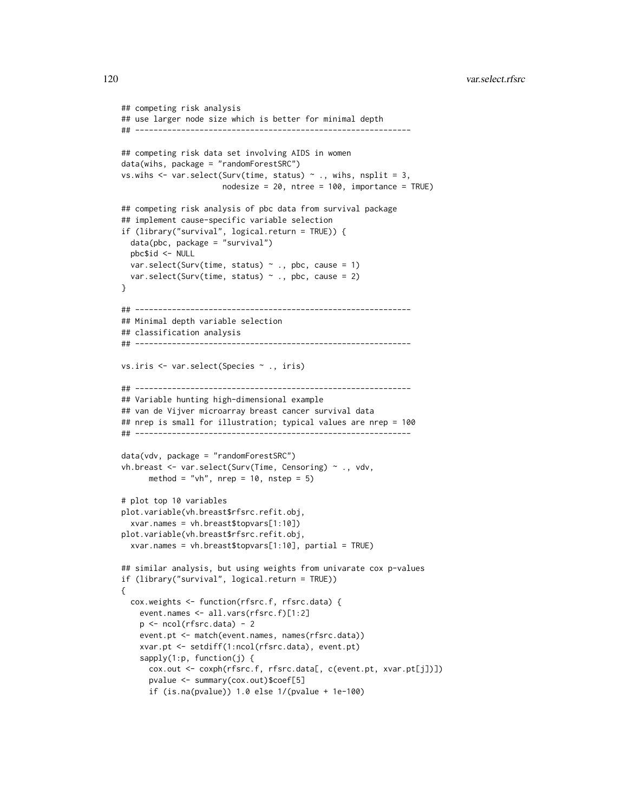```
## competing risk analysis
## use larger node size which is better for minimal depth
## ------------------------------------------------------------
## competing risk data set involving AIDS in women
data(wihs, package = "randomForestSRC")
vs.wihs \leq var.select(Surv(time, status) \sim ., wihs, nsplit = 3,
                      nodesize = 20, ntree = 100, importance = TRUE)
## competing risk analysis of pbc data from survival package
## implement cause-specific variable selection
if (library("survival", logical.return = TRUE)) {
 data(pbc, package = "survival")
 pbc$id <- NULL
 var.select(Surv(time, status) \sim ., pbc, cause = 1)
 var.select(Surv(time, status) \sim ., pbc, cause = 2)
}
## ------------------------------------------------------------
## Minimal depth variable selection
## classification analysis
## ------------------------------------------------------------
vs.iris <- var.select(Species ~ ., iris)
## ------------------------------------------------------------
## Variable hunting high-dimensional example
## van de Vijver microarray breast cancer survival data
## nrep is small for illustration; typical values are nrep = 100
## ------------------------------------------------------------
data(vdv, package = "randomForestSRC")
vh.breast <- var.select(Surv(Time, Censoring) ~ ., vdv,
     method = "vh", nrep = 10, nstep = 5)
# plot top 10 variables
plot.variable(vh.breast$rfsrc.refit.obj,
 xvar.names = vh.breast$topvars[1:10])
plot.variable(vh.breast$rfsrc.refit.obj,
 xvar.names = vh.breast$topvars[1:10], partial = TRUE)
## similar analysis, but using weights from univarate cox p-values
if (library("survival", logical.return = TRUE))
{
 cox.weights <- function(rfsrc.f, rfsrc.data) {
    event.names <- all.vars(rfsrc.f)[1:2]
   p <- ncol(rfsrc.data) - 2
   event.pt <- match(event.names, names(rfsrc.data))
    xvar.pt <- setdiff(1:ncol(rfsrc.data), event.pt)
    sapply(1:p, function(j) {
     cox.out <- coxph(rfsrc.f, rfsrc.data[, c(event.pt, xvar.pt[j])])
      pvalue <- summary(cox.out)$coef[5]
     if (is.na(pvalue)) 1.0 else 1/(pvalue + 1e-100)
```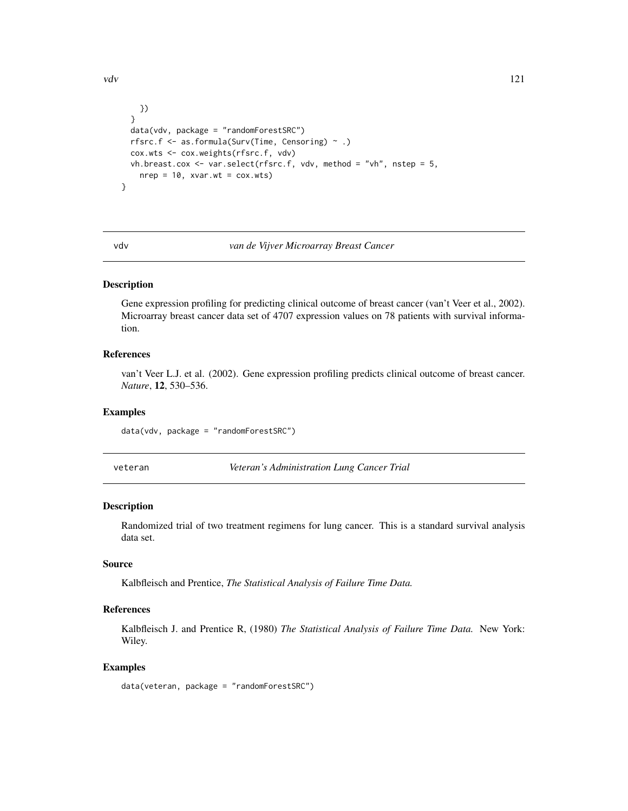```
})
 }
 data(vdv, package = "randomForestSRC")
 rfsrc.f \leq as.formula(Surv(Time, Censoring) \sim .)
 cox.wts <- cox.weights(rfsrc.f, vdv)
 vh.breast.cox <- var.select(rfsrc.f, vdv, method = "vh", nstep = 5,
   nrep = 10, xvar.wt = cov.wts)}
```
#### vdv *van de Vijver Microarray Breast Cancer*

#### Description

Gene expression profiling for predicting clinical outcome of breast cancer (van't Veer et al., 2002). Microarray breast cancer data set of 4707 expression values on 78 patients with survival information.

# References

van't Veer L.J. et al. (2002). Gene expression profiling predicts clinical outcome of breast cancer. *Nature*, 12, 530–536.

#### Examples

data(vdv, package = "randomForestSRC")

veteran *Veteran's Administration Lung Cancer Trial*

# Description

Randomized trial of two treatment regimens for lung cancer. This is a standard survival analysis data set.

# Source

Kalbfleisch and Prentice, *The Statistical Analysis of Failure Time Data.*

# References

Kalbfleisch J. and Prentice R, (1980) *The Statistical Analysis of Failure Time Data.* New York: Wiley.

# Examples

data(veteran, package = "randomForestSRC")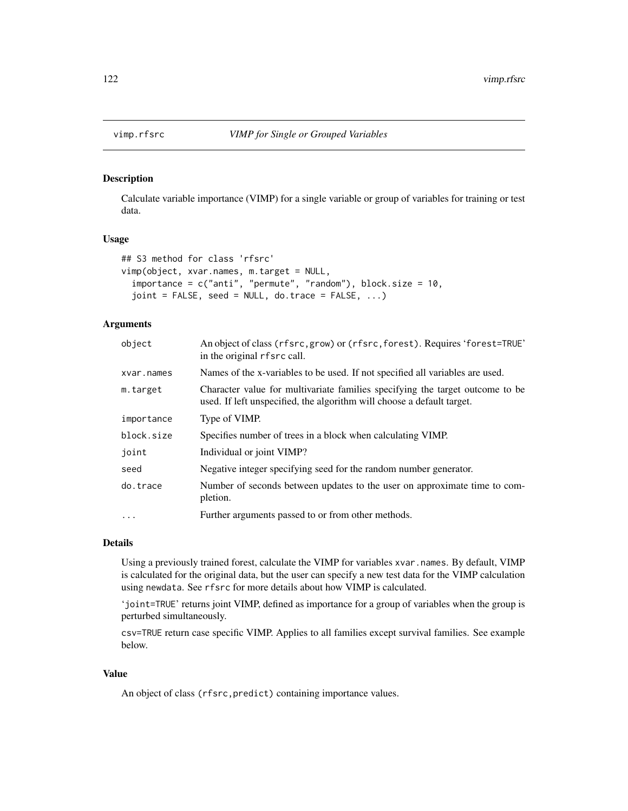<span id="page-121-1"></span><span id="page-121-0"></span>

Calculate variable importance (VIMP) for a single variable or group of variables for training or test data.

#### Usage

```
## S3 method for class 'rfsrc'
vimp(object, xvar.names, m.target = NULL,
  importance = c("anti", "permute", "random"), block.size = 10,joint = FALSE, seed = NULL, do.trace = FALSE, ...)
```
# Arguments

| object     | An object of class (rfsrc, grow) or (rfsrc, forest). Requires 'forest=TRUE'<br>in the original rfsrc call.                                              |
|------------|---------------------------------------------------------------------------------------------------------------------------------------------------------|
| xvar.names | Names of the x-variables to be used. If not specified all variables are used.                                                                           |
| m.target   | Character value for multivariate families specifying the target outcome to be<br>used. If left unspecified, the algorithm will choose a default target. |
| importance | Type of VIMP.                                                                                                                                           |
| block.size | Specifies number of trees in a block when calculating VIMP.                                                                                             |
| joint      | Individual or joint VIMP?                                                                                                                               |
| seed       | Negative integer specifying seed for the random number generator.                                                                                       |
| do.trace   | Number of seconds between updates to the user on approximate time to com-<br>pletion.                                                                   |
| $\cdots$   | Further arguments passed to or from other methods.                                                                                                      |

#### Details

Using a previously trained forest, calculate the VIMP for variables xvar.names. By default, VIMP is calculated for the original data, but the user can specify a new test data for the VIMP calculation using newdata. See rfsrc for more details about how VIMP is calculated.

'joint=TRUE' returns joint VIMP, defined as importance for a group of variables when the group is perturbed simultaneously.

csv=TRUE return case specific VIMP. Applies to all families except survival families. See example below.

# Value

An object of class (rfsrc,predict) containing importance values.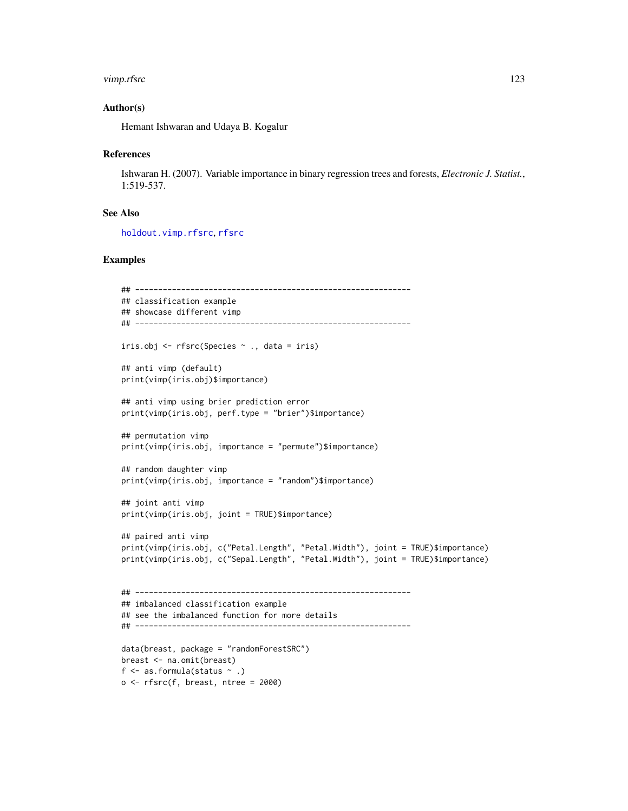#### <span id="page-122-0"></span>vimp.rfsrc 123

#### Author(s)

Hemant Ishwaran and Udaya B. Kogalur

#### References

Ishwaran H. (2007). Variable importance in binary regression trees and forests, *Electronic J. Statist.*, 1:519-537.

# See Also

[holdout.vimp.rfsrc](#page-13-0), [rfsrc](#page-69-0)

```
## ------------------------------------------------------------
## classification example
## showcase different vimp
## ------------------------------------------------------------
iris.obj <- rfsrc(Species ~ ., data = iris)
## anti vimp (default)
print(vimp(iris.obj)$importance)
## anti vimp using brier prediction error
print(vimp(iris.obj, perf.type = "brier")$importance)
## permutation vimp
print(vimp(iris.obj, importance = "permute")$importance)
## random daughter vimp
print(vimp(iris.obj, importance = "random")$importance)
## joint anti vimp
print(vimp(iris.obj, joint = TRUE)$importance)
## paired anti vimp
print(vimp(iris.obj, c("Petal.Length", "Petal.Width"), joint = TRUE)$importance)
print(vimp(iris.obj, c("Sepal.Length", "Petal.Width"), joint = TRUE)$importance)
## ------------------------------------------------------------
## imbalanced classification example
## see the imbalanced function for more details
## ------------------------------------------------------------
data(breast, package = "randomForestSRC")
breast <- na.omit(breast)
f \leq as. formula(status \sim.)
o \leftarrow \text{rfsrc}(f, \text{break}, \text{ntree} = 2000)
```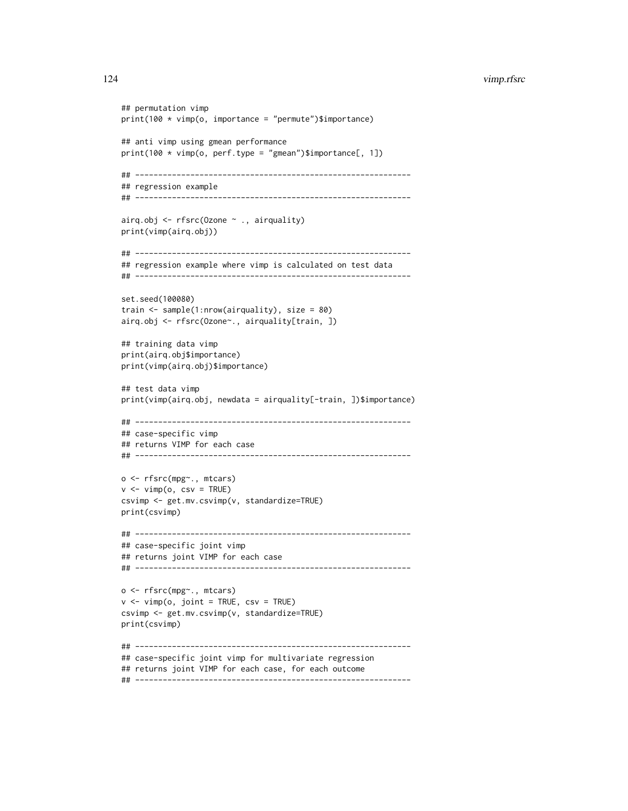```
## permutation vimp
print(100 * vimp(o, importance = "permute")$importance)
## anti vimp using gmean performance
print(100 * vimp(o, perf.type = "gmean")\$importance[, 1])## ------------------------------------------------------------
## regression example
## ------------------------------------------------------------
airq.obj <- rfsrc(Ozone ~ ., airquality)
print(vimp(airq.obj))
## ------------------------------------------------------------
## regression example where vimp is calculated on test data
## ------------------------------------------------------------
set.seed(100080)
train <- sample(1:nrow(airquality), size = 80)
airq.obj <- rfsrc(Ozone~., airquality[train, ])
## training data vimp
print(airq.obj$importance)
print(vimp(airq.obj)$importance)
## test data vimp
print(vimp(airq.obj, newdata = airquality[-train, ])$importance)
## ------------------------------------------------------------
## case-specific vimp
## returns VIMP for each case
## ------------------------------------------------------------
o <- rfsrc(mpg~., mtcars)
v \le -vimp(o, \text{csv} = \text{TRUE})csvimp <- get.mv.csvimp(v, standardize=TRUE)
print(csvimp)
## ------------------------------------------------------------
## case-specific joint vimp
## returns joint VIMP for each case
## ------------------------------------------------------------
o <- rfsrc(mpg~., mtcars)
v \le -\text{vimp}(o, \text{joint} = \text{TRUE}, \text{csv} = \text{TRUE})csvimp <- get.mv.csvimp(v, standardize=TRUE)
print(csvimp)
## ------------------------------------------------------------
## case-specific joint vimp for multivariate regression
## returns joint VIMP for each case, for each outcome
```
## ------------------------------------------------------------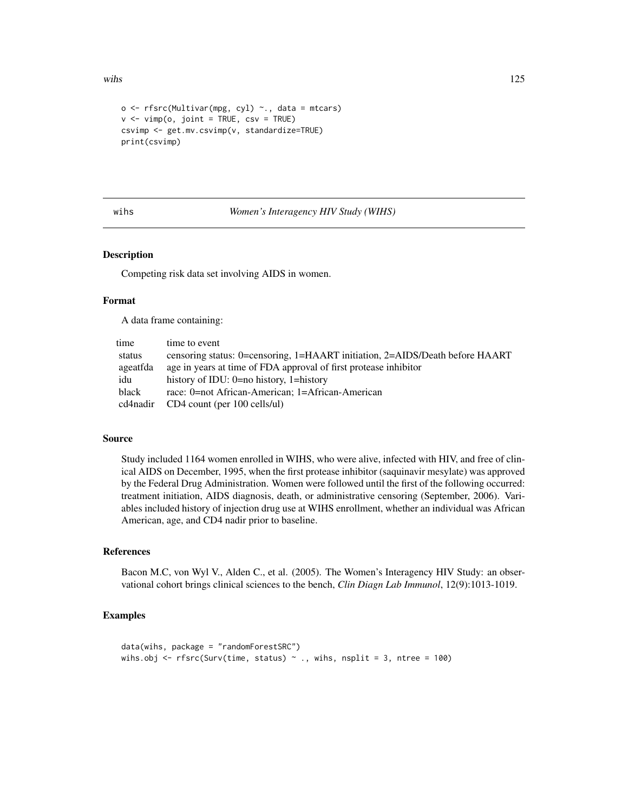```
o \leq r fsrc(Multivar(mpg, cyl) \sim., data = mtcars)
v \le -vimp(o, join t = TRUE, csv = TRUE)csvimp <- get.mv.csvimp(v, standardize=TRUE)
print(csvimp)
```
#### wihs *Women's Interagency HIV Study (WIHS)*

# Description

Competing risk data set involving AIDS in women.

#### Format

A data frame containing:

| time     | time to event                                                                |
|----------|------------------------------------------------------------------------------|
| status   | censoring status: 0=censoring, 1=HAART initiation, 2=AIDS/Death before HAART |
| ageatfda | age in years at time of FDA approval of first protease inhibitor             |
| idu      | history of IDU: $0=$ no history, 1=history                                   |
| black    | race: 0=not African-American: 1=African-American                             |
| cd4nadir | CD4 count (per 100 cells/ul)                                                 |

#### Source

Study included 1164 women enrolled in WIHS, who were alive, infected with HIV, and free of clinical AIDS on December, 1995, when the first protease inhibitor (saquinavir mesylate) was approved by the Federal Drug Administration. Women were followed until the first of the following occurred: treatment initiation, AIDS diagnosis, death, or administrative censoring (September, 2006). Variables included history of injection drug use at WIHS enrollment, whether an individual was African American, age, and CD4 nadir prior to baseline.

# References

Bacon M.C, von Wyl V., Alden C., et al. (2005). The Women's Interagency HIV Study: an observational cohort brings clinical sciences to the bench, *Clin Diagn Lab Immunol*, 12(9):1013-1019.

```
data(wihs, package = "randomForestSRC")
wihs.obj <- rfsrc(Surv(time, status) \sim ., wihs, nsplit = 3, ntree = 100)
```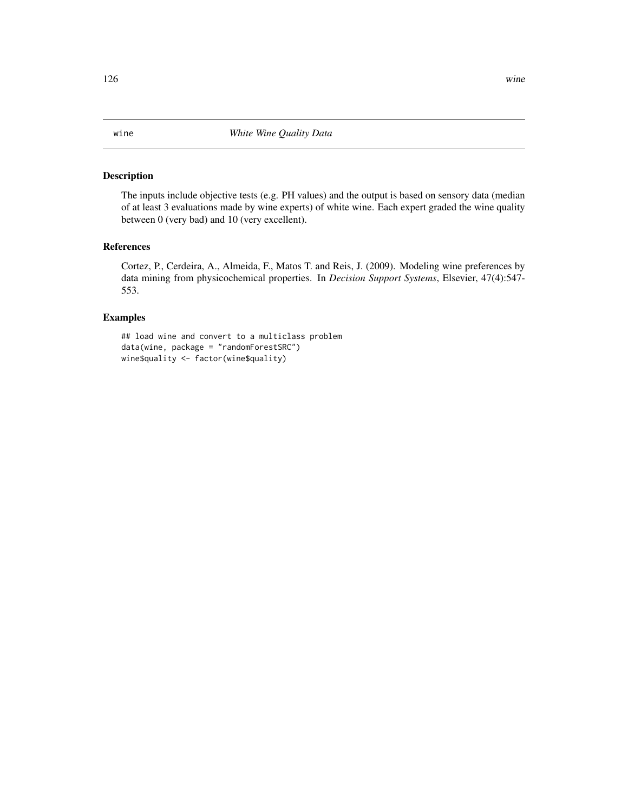<span id="page-125-0"></span>The inputs include objective tests (e.g. PH values) and the output is based on sensory data (median of at least 3 evaluations made by wine experts) of white wine. Each expert graded the wine quality between 0 (very bad) and 10 (very excellent).

## References

Cortez, P., Cerdeira, A., Almeida, F., Matos T. and Reis, J. (2009). Modeling wine preferences by data mining from physicochemical properties. In *Decision Support Systems*, Elsevier, 47(4):547- 553.

# Examples

## load wine and convert to a multiclass problem data(wine, package = "randomForestSRC") wine\$quality <- factor(wine\$quality)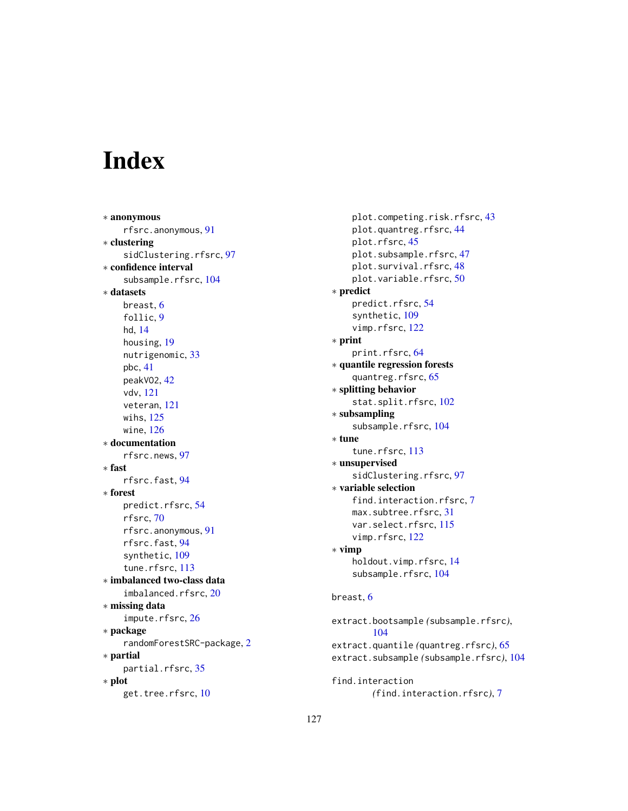# Index

∗ anonymous rfsrc.anonymous, [91](#page-90-0) ∗ clustering sidClustering.rfsrc, [97](#page-96-0) ∗ confidence interval subsample.rfsrc, [104](#page-103-0) ∗ datasets breast, [6](#page-5-0) follic, [9](#page-8-0) hd, [14](#page-13-1) housing, [19](#page-18-0) nutrigenomic, [33](#page-32-0) pbc, [41](#page-40-0) peakVO2, [42](#page-41-0) vdv, [121](#page-120-0) veteran, [121](#page-120-0) wihs, [125](#page-124-0) wine, [126](#page-125-0) ∗ documentation rfsrc.news, [97](#page-96-0) ∗ fast rfsrc.fast, [94](#page-93-1) ∗ forest predict.rfsrc, [54](#page-53-0) rfsrc, [70](#page-69-1) rfsrc.anonymous, [91](#page-90-0) rfsrc.fast, [94](#page-93-1) synthetic, [109](#page-108-0) tune.rfsrc, [113](#page-112-0) ∗ imbalanced two-class data imbalanced.rfsrc, [20](#page-19-0) ∗ missing data impute.rfsrc, [26](#page-25-0) ∗ package randomForestSRC-package, [2](#page-1-0) ∗ partial partial.rfsrc, [35](#page-34-0) ∗ plot get.tree.rfsrc, [10](#page-9-0)

plot.competing.risk.rfsrc, [43](#page-42-0) plot.quantreg.rfsrc, [44](#page-43-0) plot.rfsrc, [45](#page-44-0) plot.subsample.rfsrc, [47](#page-46-0) plot.survival.rfsrc, [48](#page-47-0) plot.variable.rfsrc, [50](#page-49-0) ∗ predict predict.rfsrc, [54](#page-53-0) synthetic, [109](#page-108-0) vimp.rfsrc, [122](#page-121-1) ∗ print print.rfsrc, [64](#page-63-0) ∗ quantile regression forests quantreg.rfsrc, [65](#page-64-0) ∗ splitting behavior stat.split.rfsrc, [102](#page-101-0) ∗ subsampling subsample.rfsrc, [104](#page-103-0) ∗ tune tune.rfsrc, [113](#page-112-0) ∗ unsupervised sidClustering.rfsrc, [97](#page-96-0) ∗ variable selection find.interaction.rfsrc.[7](#page-6-1) max.subtree.rfsrc, [31](#page-30-1) var.select.rfsrc, [115](#page-114-0) vimp.rfsrc, [122](#page-121-1) ∗ vimp holdout.vimp.rfsrc, [14](#page-13-1) subsample.rfsrc, [104](#page-103-0) breast, [6](#page-5-0) extract.bootsample *(*subsample.rfsrc*)*, [104](#page-103-0) extract.quantile *(*quantreg.rfsrc*)*, [65](#page-64-0) extract.subsample *(*subsample.rfsrc*)*, [104](#page-103-0)

find.interaction *(*find.interaction.rfsrc*)*, [7](#page-6-1)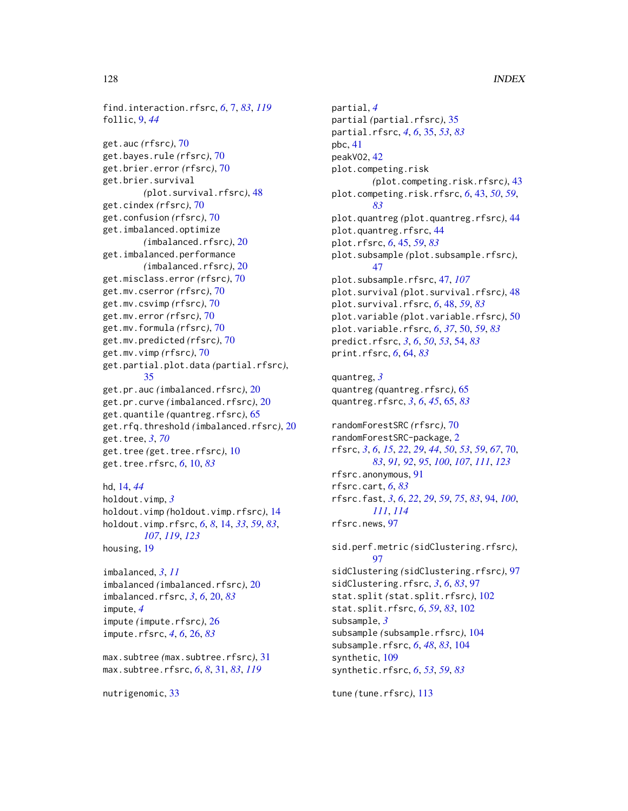find.interaction.rfsrc, *[6](#page-5-0)*, [7,](#page-6-1) *[83](#page-82-0)*, *[119](#page-118-0)* follic, [9,](#page-8-0) *[44](#page-43-0)*

get.auc *(*rfsrc*)*, [70](#page-69-1) get.bayes.rule *(*rfsrc*)*, [70](#page-69-1) get.brier.error *(*rfsrc*)*, [70](#page-69-1) get.brier.survival *(*plot.survival.rfsrc*)*, [48](#page-47-0) get.cindex *(*rfsrc*)*, [70](#page-69-1) get.confusion *(*rfsrc*)*, [70](#page-69-1) get.imbalanced.optimize *(*imbalanced.rfsrc*)*, [20](#page-19-0) get.imbalanced.performance *(*imbalanced.rfsrc*)*, [20](#page-19-0) get.misclass.error *(*rfsrc*)*, [70](#page-69-1) get.mv.cserror *(*rfsrc*)*, [70](#page-69-1) get.mv.csvimp *(*rfsrc*)*, [70](#page-69-1) get.mv.error *(*rfsrc*)*, [70](#page-69-1) get.mv.formula *(*rfsrc*)*, [70](#page-69-1) get.mv.predicted *(*rfsrc*)*, [70](#page-69-1) get.mv.vimp *(*rfsrc*)*, [70](#page-69-1) get.partial.plot.data *(*partial.rfsrc*)*, [35](#page-34-0) get.pr.auc *(*imbalanced.rfsrc*)*, [20](#page-19-0) get.pr.curve *(*imbalanced.rfsrc*)*, [20](#page-19-0) get.quantile *(*quantreg.rfsrc*)*, [65](#page-64-0) get.rfq.threshold *(*imbalanced.rfsrc*)*, [20](#page-19-0) get.tree, *[3](#page-2-0)*, *[70](#page-69-1)* get.tree *(*get.tree.rfsrc*)*, [10](#page-9-0) get.tree.rfsrc, *[6](#page-5-0)*, [10,](#page-9-0) *[83](#page-82-0)*

hd, [14,](#page-13-1) *[44](#page-43-0)* holdout.vimp, *[3](#page-2-0)* holdout.vimp *(*holdout.vimp.rfsrc*)*, [14](#page-13-1) holdout.vimp.rfsrc, *[6](#page-5-0)*, *[8](#page-7-0)*, [14,](#page-13-1) *[33](#page-32-0)*, *[59](#page-58-0)*, *[83](#page-82-0)*, *[107](#page-106-0)*, *[119](#page-118-0)*, *[123](#page-122-0)* housing, [19](#page-18-0)

imbalanced, *[3](#page-2-0)*, *[11](#page-10-0)* imbalanced *(*imbalanced.rfsrc*)*, [20](#page-19-0) imbalanced.rfsrc, *[3](#page-2-0)*, *[6](#page-5-0)*, [20,](#page-19-0) *[83](#page-82-0)* impute, *[4](#page-3-0)* impute *(*impute.rfsrc*)*, [26](#page-25-0) impute.rfsrc, *[4](#page-3-0)*, *[6](#page-5-0)*, [26,](#page-25-0) *[83](#page-82-0)*

max.subtree *(*max.subtree.rfsrc*)*, [31](#page-30-1) max.subtree.rfsrc, *[6](#page-5-0)*, *[8](#page-7-0)*, [31,](#page-30-1) *[83](#page-82-0)*, *[119](#page-118-0)*

nutrigenomic, [33](#page-32-0)

partial, *[4](#page-3-0)* partial *(*partial.rfsrc*)*, [35](#page-34-0) partial.rfsrc, *[4](#page-3-0)*, *[6](#page-5-0)*, [35,](#page-34-0) *[53](#page-52-0)*, *[83](#page-82-0)* pbc, [41](#page-40-0) peakVO2, [42](#page-41-0) plot.competing.risk *(*plot.competing.risk.rfsrc*)*, [43](#page-42-0) plot.competing.risk.rfsrc, *[6](#page-5-0)*, [43,](#page-42-0) *[50](#page-49-0)*, *[59](#page-58-0)*, *[83](#page-82-0)* plot.quantreg *(*plot.quantreg.rfsrc*)*, [44](#page-43-0) plot.quantreg.rfsrc, [44](#page-43-0) plot.rfsrc, *[6](#page-5-0)*, [45,](#page-44-0) *[59](#page-58-0)*, *[83](#page-82-0)* plot.subsample *(*plot.subsample.rfsrc*)*, [47](#page-46-0) plot.subsample.rfsrc, [47,](#page-46-0) *[107](#page-106-0)* plot.survival *(*plot.survival.rfsrc*)*, [48](#page-47-0) plot.survival.rfsrc, *[6](#page-5-0)*, [48,](#page-47-0) *[59](#page-58-0)*, *[83](#page-82-0)* plot.variable *(*plot.variable.rfsrc*)*, [50](#page-49-0) plot.variable.rfsrc, *[6](#page-5-0)*, *[37](#page-36-0)*, [50,](#page-49-0) *[59](#page-58-0)*, *[83](#page-82-0)* predict.rfsrc, *[3](#page-2-0)*, *[6](#page-5-0)*, *[50](#page-49-0)*, *[53](#page-52-0)*, [54,](#page-53-0) *[83](#page-82-0)* print.rfsrc, *[6](#page-5-0)*, [64,](#page-63-0) *[83](#page-82-0)* quantreg, *[3](#page-2-0)* quantreg *(*quantreg.rfsrc*)*, [65](#page-64-0) quantreg.rfsrc, *[3](#page-2-0)*, *[6](#page-5-0)*, *[45](#page-44-0)*, [65,](#page-64-0) *[83](#page-82-0)* randomForestSRC *(*rfsrc*)*, [70](#page-69-1) randomForestSRC-package, [2](#page-1-0) rfsrc, *[3](#page-2-0)*, *[6](#page-5-0)*, *[15](#page-14-0)*, *[22](#page-21-0)*, *[29](#page-28-0)*, *[44](#page-43-0)*, *[50](#page-49-0)*, *[53](#page-52-0)*, *[59](#page-58-0)*, *[67](#page-66-0)*, [70,](#page-69-1) *[83](#page-82-0)*, *[91,](#page-90-0) [92](#page-91-0)*, *[95](#page-94-0)*, *[100](#page-99-0)*, *[107](#page-106-0)*, *[111](#page-110-0)*, *[123](#page-122-0)* rfsrc.anonymous, [91](#page-90-0) rfsrc.cart, *[6](#page-5-0)*, *[83](#page-82-0)* rfsrc.fast, *[3](#page-2-0)*, *[6](#page-5-0)*, *[22](#page-21-0)*, *[29](#page-28-0)*, *[59](#page-58-0)*, *[75](#page-74-0)*, *[83](#page-82-0)*, [94,](#page-93-1) *[100](#page-99-0)*, *[111](#page-110-0)*, *[114](#page-113-0)* rfsrc.news, [97](#page-96-0) sid.perf.metric *(*sidClustering.rfsrc*)*, [97](#page-96-0) sidClustering *(*sidClustering.rfsrc*)*, [97](#page-96-0) sidClustering.rfsrc, *[3](#page-2-0)*, *[6](#page-5-0)*, *[83](#page-82-0)*, [97](#page-96-0) stat.split *(*stat.split.rfsrc*)*, [102](#page-101-0) stat.split.rfsrc, *[6](#page-5-0)*, *[59](#page-58-0)*, *[83](#page-82-0)*, [102](#page-101-0) subsample, *[3](#page-2-0)*

subsample *(*subsample.rfsrc*)*, [104](#page-103-0) subsample.rfsrc, *[6](#page-5-0)*, *[48](#page-47-0)*, *[83](#page-82-0)*, [104](#page-103-0) synthetic, [109](#page-108-0) synthetic.rfsrc, *[6](#page-5-0)*, *[53](#page-52-0)*, *[59](#page-58-0)*, *[83](#page-82-0)*

tune *(*tune.rfsrc*)*, [113](#page-112-0)